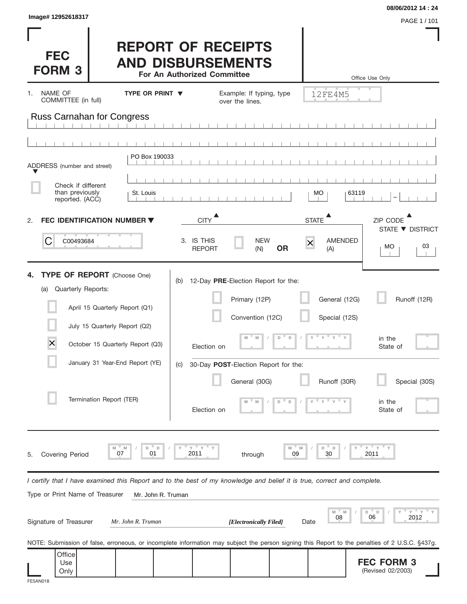| Image# 12952618317                                                                                                                                                                                                                                |                                                                                      |                                                                                                                                                                                               |                                                           | 08/06/2012 14:24                                                          |
|---------------------------------------------------------------------------------------------------------------------------------------------------------------------------------------------------------------------------------------------------|--------------------------------------------------------------------------------------|-----------------------------------------------------------------------------------------------------------------------------------------------------------------------------------------------|-----------------------------------------------------------|---------------------------------------------------------------------------|
| <b>FEC</b><br><b>FORM 3</b>                                                                                                                                                                                                                       | <b>REPORT OF RECEIPTS</b><br><b>AND DISBURSEMENTS</b><br>For An Authorized Committee |                                                                                                                                                                                               |                                                           | PAGE 1 / 101<br>Office Use Only                                           |
| NAME OF<br>1.<br>COMMITTEE (in full)                                                                                                                                                                                                              | <b>TYPE OR PRINT ▼</b>                                                               | Example: If typing, type<br>over the lines.                                                                                                                                                   | 12FE4M5                                                   |                                                                           |
| <b>Russ Carnahan for Congress</b>                                                                                                                                                                                                                 |                                                                                      |                                                                                                                                                                                               |                                                           |                                                                           |
|                                                                                                                                                                                                                                                   |                                                                                      |                                                                                                                                                                                               |                                                           |                                                                           |
| ADDRESS (number and street)                                                                                                                                                                                                                       | PO Box 190033                                                                        |                                                                                                                                                                                               |                                                           |                                                                           |
| Check if different<br>than previously<br>reported. (ACC)                                                                                                                                                                                          | St. Louis                                                                            |                                                                                                                                                                                               | МO                                                        | 63119                                                                     |
| <b>FEC IDENTIFICATION NUMBER ▼</b><br>2.                                                                                                                                                                                                          | <b>CITY</b>                                                                          |                                                                                                                                                                                               | ▲<br><b>STATE</b>                                         | ZIP CODE                                                                  |
| C<br>C00493684                                                                                                                                                                                                                                    | 3. IS THIS<br><b>REPORT</b>                                                          | <b>NEW</b><br><b>OR</b><br>(N)                                                                                                                                                                | <b>AMENDED</b><br>$\overline{\mathsf{x}}$<br>(A)          | STATE ▼ DISTRICT<br>03<br>МO                                              |
| <b>TYPE OF REPORT</b> (Choose One)<br>Quarterly Reports:<br>(a)<br>April 15 Quarterly Report (Q1)<br>July 15 Quarterly Report (Q2)<br>$\times$<br>October 15 Quarterly Report (Q3)<br>January 31 Year-End Report (YE)<br>Termination Report (TER) | (b)<br>(C)                                                                           | 12-Day PRE-Election Report for the:<br>Primary (12P)<br>Convention (12C)<br>D<br>$\mathsf D$<br>M<br>M<br>Election on<br>30-Day POST-Election Report for the:<br>General (30G)<br>Election on | General (12G)<br>Special (12S)<br>$V = V$<br>Runoff (30R) | Runoff (12R)<br>in the<br>State of<br>Special (30S)<br>in the<br>State of |
| M<br>M<br>07<br><b>Covering Period</b><br>5.                                                                                                                                                                                                      | $Y$ $Y$<br>D<br>D<br>01<br>2011                                                      | M<br>through                                                                                                                                                                                  | D<br>D<br>30<br>09                                        | Ξу.<br>Y<br>2011                                                          |
| I certify that I have examined this Report and to the best of my knowledge and belief it is true, correct and complete.<br>Type or Print Name of Treasurer                                                                                        |                                                                                      |                                                                                                                                                                                               |                                                           |                                                                           |
| Signature of Treasurer                                                                                                                                                                                                                            | Mr. John R. Truman<br>Mr. John R. Truman                                             | [Electronically Filed]                                                                                                                                                                        | M<br>08<br>Date                                           | $Y$ $Y$<br>D<br>" D<br>06<br>2012                                         |
| NOTE: Submission of false, erroneous, or incomplete information may subject the person signing this Report to the penalties of 2 U.S.C. §437g.                                                                                                    |                                                                                      |                                                                                                                                                                                               |                                                           |                                                                           |
| Office<br>Use<br>Only<br>FE5AN018                                                                                                                                                                                                                 |                                                                                      |                                                                                                                                                                                               |                                                           | <b>FEC FORM 3</b><br>(Revised 02/2003)                                    |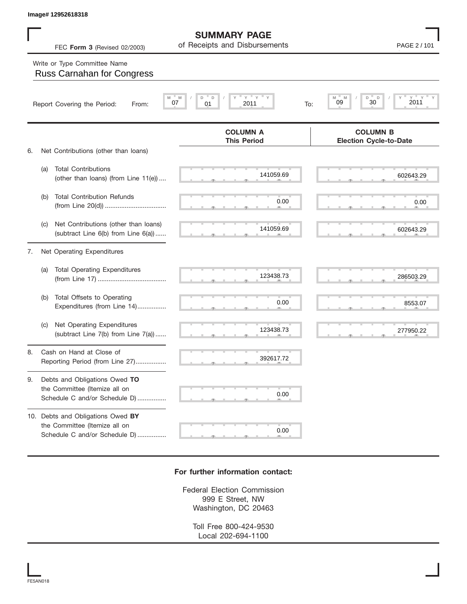|    |     | Image# 12952618318                                                                                  |                                                      |                                                  |
|----|-----|-----------------------------------------------------------------------------------------------------|------------------------------------------------------|--------------------------------------------------|
|    |     | FEC Form 3 (Revised 02/2003)                                                                        | <b>SUMMARY PAGE</b><br>of Receipts and Disbursements | PAGE 2 / 101                                     |
|    |     | Write or Type Committee Name<br><b>Russ Carnahan for Congress</b>                                   |                                                      |                                                  |
|    |     | 07<br>Report Covering the Period:<br>From:                                                          | "Y<br>Y<br>D<br>D<br>M<br>2011<br>01<br>To:          | D<br>D<br>Υ<br>M<br>M<br>2011<br>09<br>30        |
| 6. |     | Net Contributions (other than loans)                                                                | <b>COLUMN A</b><br><b>This Period</b>                | <b>COLUMN B</b><br><b>Election Cycle-to-Date</b> |
|    | (a) | <b>Total Contributions</b><br>(other than loans) (from Line 11(e))                                  | 141059.69                                            | 602643.29                                        |
|    | (b) | <b>Total Contribution Refunds</b>                                                                   | 0.00                                                 | 0.00                                             |
|    | (C) | Net Contributions (other than loans)<br>(subtract Line 6(b) from Line 6(a))                         | 141059.69                                            | 602643.29                                        |
| 7. |     | Net Operating Expenditures                                                                          |                                                      |                                                  |
|    | (a) | <b>Total Operating Expenditures</b>                                                                 | 123438.73                                            | 286503.29                                        |
|    | (b) | Total Offsets to Operating<br>Expenditures (from Line 14)                                           | 0.00                                                 | 8553.07                                          |
|    | (C) | Net Operating Expenditures<br>(subtract Line 7(b) from Line 7(a))                                   | 123438.73                                            | 277950.22                                        |
| 8  |     | Cash on Hand at Close of<br>Reporting Period (from Line 27)                                         | 392617.72                                            |                                                  |
| 9. |     | Debts and Obligations Owed TO<br>the Committee (Itemize all on<br>Schedule C and/or Schedule D)     | 0.00                                                 |                                                  |
|    |     | 10. Debts and Obligations Owed BY<br>the Committee (Itemize all on<br>Schedule C and/or Schedule D) | 0.00                                                 |                                                  |

## **For further information contact:**

Federal Election Commission 999 E Street, NW Washington, DC 20463

> Toll Free 800-424-9530 Local 202-694-1100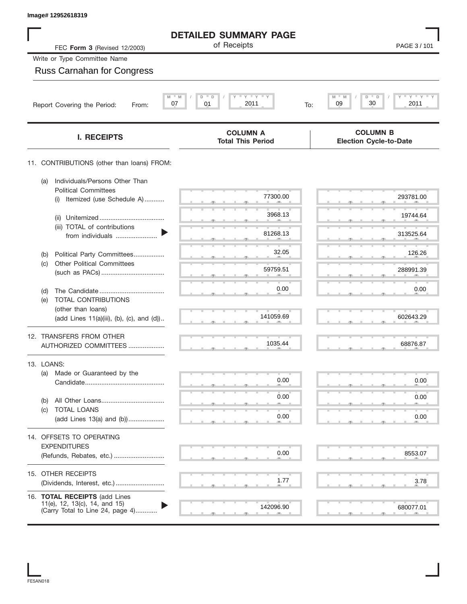| Image# 12952618319                                                                                 |                                                           |                                                  |
|----------------------------------------------------------------------------------------------------|-----------------------------------------------------------|--------------------------------------------------|
|                                                                                                    | <b>DETAILED SUMMARY PAGE</b>                              |                                                  |
| FEC Form 3 (Revised 12/2003)                                                                       | of Receipts                                               | PAGE 3/101                                       |
| Write or Type Committee Name                                                                       |                                                           |                                                  |
| <b>Russ Carnahan for Congress</b>                                                                  |                                                           |                                                  |
| M<br>Report Covering the Period:<br>From:                                                          | $Y$ $Y$ $Y$<br>$- M$<br>D<br>D<br>07<br>01<br>2011<br>To: | $Y$ $Y$ $Y$<br>M<br>D<br>D<br>30<br>09<br>2011   |
|                                                                                                    |                                                           |                                                  |
| <b>I. RECEIPTS</b>                                                                                 | <b>COLUMN A</b><br><b>Total This Period</b>               | <b>COLUMN B</b><br><b>Election Cycle-to-Date</b> |
| 11. CONTRIBUTIONS (other than loans) FROM:                                                         |                                                           |                                                  |
| Individuals/Persons Other Than<br>(a)<br><b>Political Committees</b>                               |                                                           |                                                  |
| Itemized (use Schedule A)<br>(i)                                                                   | 77300.00                                                  | 293781.00                                        |
| (ii)<br>(iii) TOTAL of contributions                                                               | 3968.13                                                   | 19744.64                                         |
| from individuals                                                                                   | 81268.13                                                  | 313525.64                                        |
| Political Party Committees<br>(b)                                                                  | 32.05                                                     | 126.26                                           |
| <b>Other Political Committees</b><br>(c)                                                           | 59759.51                                                  | 288991.39                                        |
| (d)                                                                                                | 0.00                                                      | 0.00                                             |
| <b>TOTAL CONTRIBUTIONS</b><br>(e)                                                                  |                                                           |                                                  |
| (other than loans)<br>(add Lines 11(a)(iii), (b), (c), and (d))                                    | 141059.69                                                 | 602643.29                                        |
| 12. TRANSFERS FROM OTHER                                                                           | 1035.44                                                   | 68876.87                                         |
| AUTHORIZED COMMITTEES                                                                              |                                                           |                                                  |
| 13. LOANS:                                                                                         |                                                           |                                                  |
| Made or Guaranteed by the<br>(a)                                                                   | 0.00                                                      | 0.00                                             |
| (b)                                                                                                | 0.00                                                      | 0.00                                             |
| TOTAL LOANS<br>(c)<br>(add Lines 13(a) and (b))                                                    | 0.00                                                      | 0.00                                             |
| 14. OFFSETS TO OPERATING                                                                           |                                                           |                                                  |
| <b>EXPENDITURES</b>                                                                                |                                                           |                                                  |
| (Refunds, Rebates, etc.)                                                                           | 0.00                                                      | 8553.07                                          |
| 15. OTHER RECEIPTS                                                                                 |                                                           |                                                  |
|                                                                                                    | 1.77                                                      | 3.78                                             |
| 16. TOTAL RECEIPTS (add Lines<br>11(e), 12, 13(c), 14, and 15)<br>(Carry Total to Line 24, page 4) | 142096.90                                                 | 680077.01                                        |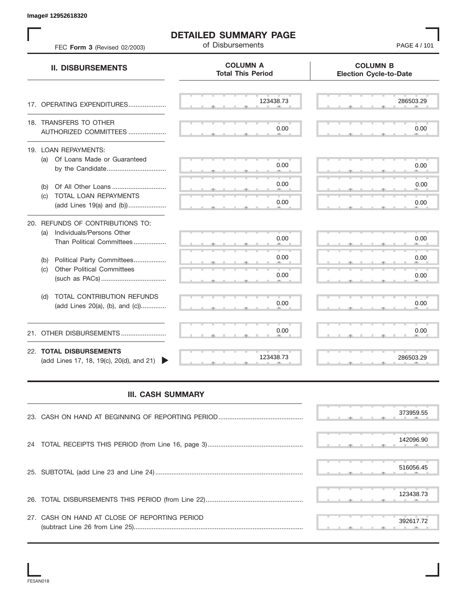S S S , , . S S S , , . S S S , , . S S S , , . S S S , , . S S S , , .  $\overline{S}$  s  $\overline{S}$  ,  $\overline{S}$  ,  $\overline{S}$  ,  $\overline{S}$  ,  $\overline{S}$  ,  $\overline{S}$  ,  $\overline{S}$  ,  $\overline{S}$  ,  $\overline{S}$  ,  $\overline{S}$  ,  $\overline{S}$  ,  $\overline{S}$  ,  $\overline{S}$  ,  $\overline{S}$  ,  $\overline{S}$  ,  $\overline{S}$  ,  $\overline{S}$  ,  $\overline{S}$  ,  $\overline{S}$  , S S S , , . S S S , , . S S S , , . S S S , , . S S S , , . S S S , , . S S S , , . S S S , , . S S S , , . S S S , , . S S S , , . S S S , , . . 200000.<br>- المسلم المسلم المسلم المسلم المسلم المسلم المسلم المسلم المسلم المسلم المسلم المسلم المسلم المسلم المسلم الم **COLUMN B Election Cycle-to-Date COLUMN A Total This Period** 17. OPERATING EXPENDITURES.................... 18. TRANSFERS TO OTHER AUTHORIZED COMMITTEES ..................... 19. LOAN REPAYMENTS: (a) Of Loans Made or Guaranteed by the Candidate ................................. (b) Of All Other Loans .............................. (c) TOTAL LOAN REPAYMENTS (add Lines 19(a) and (b)) ..................... 20. REFUNDS OF CONTRIBUTIONS TO: (a) Individuals/Persons Other Than Political Committees ................. (b) Political Party Committees.................. (c) Other Political Committees (such as PACs) .................................... (d) TOTAL CONTRIBUTION REFUNDS (add Lines 20(a), (b), and (c)).............. 21. OTHER DISBURSEMENTS ......................... 22. **TOTAL DISBURSEMENTS**   $(\text{add Lines 17}, 18, 19(c), 20(d), \text{and } 21)$ **II. DISBURSEMENTS** FEC **Form 3** (Revised 02/2003) **COMPOSE 19 (101** of Disbursements **FEC Form 3** (Revised 02/2003) , , . , , . **392628.73 123438.73 123438.73 0.000 0.000 0.000 0.000 0.000 0.000 0.000 0.000 0.000 0.000 0.000 0.000 0.000 0.000 0.000 0.000 0.000 0.000 0.000 0.000 0.000 0.000 0.000 0.000 0.000 0.000 0.000 0.000 0.000 0.000 0.000 0.00** 

**DETAILED SUMMARY PAGE**

## **III. CASH SUMMARY**

|                                               | 373959.55 |
|-----------------------------------------------|-----------|
|                                               | 142096.90 |
|                                               | 516056.45 |
|                                               | 123438.73 |
| 27. CASH ON HAND AT CLOSE OF REPORTING PERIOD | 392617.72 |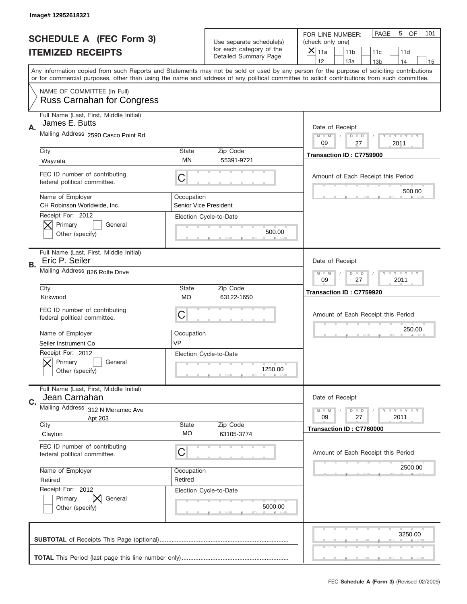|    | Image# 12952618321                                                   |                           |                                                   |                                                                                                                                                                                                                                                                                                                                     |
|----|----------------------------------------------------------------------|---------------------------|---------------------------------------------------|-------------------------------------------------------------------------------------------------------------------------------------------------------------------------------------------------------------------------------------------------------------------------------------------------------------------------------------|
|    | <b>SCHEDULE A (FEC Form 3)</b>                                       |                           | Use separate schedule(s)                          | PAGE<br>5<br>OF<br>101<br>FOR LINE NUMBER:<br>(check only one)                                                                                                                                                                                                                                                                      |
|    | <b>ITEMIZED RECEIPTS</b>                                             |                           | for each category of the<br>Detailed Summary Page | $\overline{X} _{11a}$<br>11 <sub>b</sub><br>11c<br>11d                                                                                                                                                                                                                                                                              |
|    |                                                                      |                           |                                                   | 12<br>13a<br>14<br>13 <sub>b</sub><br>15<br>Any information copied from such Reports and Statements may not be sold or used by any person for the purpose of soliciting contributions<br>or for commercial purposes, other than using the name and address of any political committee to solicit contributions from such committee. |
|    | NAME OF COMMITTEE (In Full)<br><b>Russ Carnahan for Congress</b>     |                           |                                                   |                                                                                                                                                                                                                                                                                                                                     |
| Α. | Full Name (Last, First, Middle Initial)<br>James E. Butts            |                           |                                                   | Date of Receipt                                                                                                                                                                                                                                                                                                                     |
|    | Mailing Address 2590 Casco Point Rd                                  | <b>State</b>              | Zip Code                                          | <b>LEY LEY LEY</b><br>$M - M$<br>$D$ $D$<br>09<br>27<br>2011                                                                                                                                                                                                                                                                        |
|    | City<br>Wayzata                                                      | ΜN                        | 55391-9721                                        | Transaction ID: C7759900                                                                                                                                                                                                                                                                                                            |
|    | FEC ID number of contributing<br>federal political committee.        | C                         |                                                   | Amount of Each Receipt this Period<br>500.00                                                                                                                                                                                                                                                                                        |
|    | Name of Employer<br>CH Robinson Worldwide, Inc.<br>Receipt For: 2012 | Occupation                | Senior Vice President                             |                                                                                                                                                                                                                                                                                                                                     |
|    | Primary<br>General<br>Other (specify)                                |                           | Election Cycle-to-Date<br>500.00                  |                                                                                                                                                                                                                                                                                                                                     |
| В. | Full Name (Last, First, Middle Initial)<br>Eric P. Seiler            |                           |                                                   | Date of Receipt                                                                                                                                                                                                                                                                                                                     |
|    | Mailing Address 826 Rolfe Drive                                      |                           |                                                   | $M - M$<br>$D$ $D$<br><b>LEY LEY LEY</b><br>09<br>27<br>2011                                                                                                                                                                                                                                                                        |
|    | City<br>Kirkwood                                                     | <b>State</b><br><b>MO</b> | Zip Code<br>63122-1650                            | Transaction ID: C7759920                                                                                                                                                                                                                                                                                                            |
|    | FEC ID number of contributing<br>federal political committee.        | С                         |                                                   | Amount of Each Receipt this Period                                                                                                                                                                                                                                                                                                  |
|    | Name of Employer<br>Seiler Instrument Co                             | Occupation<br>VP          |                                                   | 250.00                                                                                                                                                                                                                                                                                                                              |
|    | Receipt For: 2012<br>General<br>Primary<br>Other (specify)           |                           | Election Cycle-to-Date<br>1250.00                 |                                                                                                                                                                                                                                                                                                                                     |
| C. | Full Name (Last, First, Middle Initial)<br>Jean Carnahan             |                           |                                                   | Date of Receipt                                                                                                                                                                                                                                                                                                                     |
|    | Mailing Address 312 N Meramec Ave<br>Apt 203                         |                           |                                                   | <b>LY LY LY</b><br>$M - M$<br>$D$ $D$<br>09<br>27<br>2011                                                                                                                                                                                                                                                                           |
|    | City<br>Clayton                                                      | State<br>MO               | Zip Code<br>63105-3774                            | Transaction ID: C7760000                                                                                                                                                                                                                                                                                                            |
|    | FEC ID number of contributing<br>federal political committee.        | С                         |                                                   | Amount of Each Receipt this Period                                                                                                                                                                                                                                                                                                  |
|    | Name of Employer<br>Retired                                          | Occupation<br>Retired     |                                                   | 2500.00                                                                                                                                                                                                                                                                                                                             |
|    | Receipt For: 2012<br>Primary<br>General<br>Other (specify)           |                           | Election Cycle-to-Date<br>5000.00                 |                                                                                                                                                                                                                                                                                                                                     |
|    |                                                                      |                           |                                                   |                                                                                                                                                                                                                                                                                                                                     |
|    |                                                                      |                           |                                                   | 3250.00                                                                                                                                                                                                                                                                                                                             |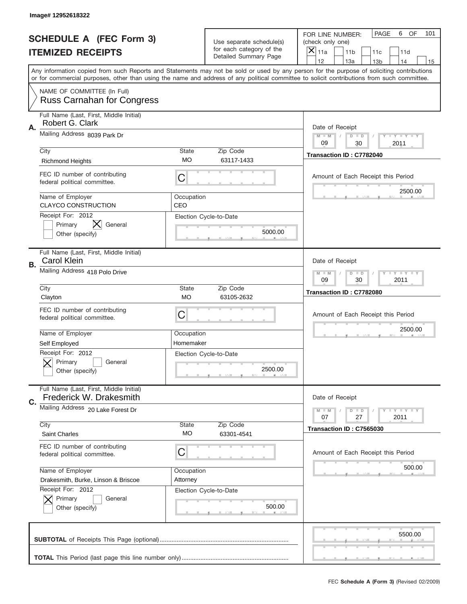|    | Image# 12952618322                                                  |                         |                                                   |                                                                                                                                                                                                                                                                                                                                     |
|----|---------------------------------------------------------------------|-------------------------|---------------------------------------------------|-------------------------------------------------------------------------------------------------------------------------------------------------------------------------------------------------------------------------------------------------------------------------------------------------------------------------------------|
|    | <b>SCHEDULE A (FEC Form 3)</b>                                      |                         | Use separate schedule(s)                          | PAGE<br>6<br>OF<br>101<br>FOR LINE NUMBER:<br>(check only one)                                                                                                                                                                                                                                                                      |
|    | <b>ITEMIZED RECEIPTS</b>                                            |                         | for each category of the<br>Detailed Summary Page | $\times$<br>11a<br>11 <sub>b</sub><br>11c<br>11d                                                                                                                                                                                                                                                                                    |
|    |                                                                     |                         |                                                   | 12<br>13a<br>13 <sub>b</sub><br>14<br>15<br>Any information copied from such Reports and Statements may not be sold or used by any person for the purpose of soliciting contributions<br>or for commercial purposes, other than using the name and address of any political committee to solicit contributions from such committee. |
|    | NAME OF COMMITTEE (In Full)<br><b>Russ Carnahan for Congress</b>    |                         |                                                   |                                                                                                                                                                                                                                                                                                                                     |
| Α. | Full Name (Last, First, Middle Initial)<br>Robert G. Clark          |                         |                                                   | Date of Receipt                                                                                                                                                                                                                                                                                                                     |
|    | Mailing Address 8039 Park Dr                                        |                         |                                                   | $M$ $M$<br><b>LYLYLY</b><br>$D$ $D$<br>09<br>2011<br>30                                                                                                                                                                                                                                                                             |
|    | City<br><b>Richmond Heights</b>                                     | State<br>МO             | Zip Code<br>63117-1433                            | Transaction ID: C7782040                                                                                                                                                                                                                                                                                                            |
|    | FEC ID number of contributing<br>federal political committee.       | C                       |                                                   | Amount of Each Receipt this Period<br>2500.00                                                                                                                                                                                                                                                                                       |
|    | Name of Employer<br><b>CLAYCO CONSTRUCTION</b><br>Receipt For: 2012 | Occupation<br>CEO       |                                                   |                                                                                                                                                                                                                                                                                                                                     |
|    | X<br>Primary<br>General<br>Other (specify)                          |                         | Election Cycle-to-Date<br>5000.00                 |                                                                                                                                                                                                                                                                                                                                     |
| В. | Full Name (Last, First, Middle Initial)<br><b>Carol Klein</b>       |                         |                                                   | Date of Receipt                                                                                                                                                                                                                                                                                                                     |
|    | Mailing Address 418 Polo Drive                                      |                         |                                                   | <b>LY LY LY</b><br>$M$ $M$<br>$D$ $D$<br>09<br>30<br>2011                                                                                                                                                                                                                                                                           |
|    | City<br>Clayton                                                     | State<br><b>MO</b>      | Zip Code<br>63105-2632                            | Transaction ID: C7782080                                                                                                                                                                                                                                                                                                            |
|    | FEC ID number of contributing<br>federal political committee.       | C                       |                                                   | Amount of Each Receipt this Period                                                                                                                                                                                                                                                                                                  |
|    | Name of Employer<br>Self Employed                                   | Occupation<br>Homemaker |                                                   | 2500.00                                                                                                                                                                                                                                                                                                                             |
|    | Receipt For: 2012<br>Primary<br>General<br>Other (specify)          |                         | Election Cycle-to-Date<br>2500.00                 |                                                                                                                                                                                                                                                                                                                                     |
| C. | Full Name (Last, First, Middle Initial)<br>Frederick W. Drakesmith  |                         |                                                   | Date of Receipt                                                                                                                                                                                                                                                                                                                     |
|    | Mailing Address 20 Lake Forest Dr                                   |                         |                                                   | <b>LY LY LY</b><br>$M - M$<br>$D$ $D$<br>2011<br>07<br>27                                                                                                                                                                                                                                                                           |
|    | City<br>Saint Charles                                               | State<br>МO             | Zip Code<br>63301-4541                            | Transaction ID: C7565030                                                                                                                                                                                                                                                                                                            |
|    | FEC ID number of contributing<br>federal political committee.       | C                       |                                                   | Amount of Each Receipt this Period                                                                                                                                                                                                                                                                                                  |
|    | Name of Employer<br>Drakesmith, Burke, Linson & Briscoe             | Occupation<br>Attorney  |                                                   | 500.00                                                                                                                                                                                                                                                                                                                              |
|    | Receipt For: 2012<br>Primary<br>General<br>Other (specify)          |                         | Election Cycle-to-Date<br>500.00                  |                                                                                                                                                                                                                                                                                                                                     |
|    |                                                                     |                         |                                                   | 5500.00                                                                                                                                                                                                                                                                                                                             |
|    |                                                                     |                         |                                                   |                                                                                                                                                                                                                                                                                                                                     |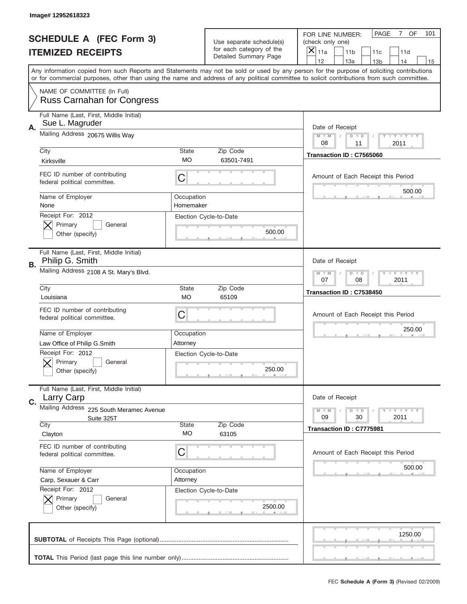|    | Image#12952618323                                                |                           |                                                   |                                                                                                                                                                                                                                                                                                                                     |
|----|------------------------------------------------------------------|---------------------------|---------------------------------------------------|-------------------------------------------------------------------------------------------------------------------------------------------------------------------------------------------------------------------------------------------------------------------------------------------------------------------------------------|
|    | <b>SCHEDULE A (FEC Form 3)</b>                                   |                           | Use separate schedule(s)                          | PAGE<br>$\overline{7}$<br>OF<br>101<br>FOR LINE NUMBER:<br>(check only one)                                                                                                                                                                                                                                                         |
|    | <b>ITEMIZED RECEIPTS</b>                                         |                           | for each category of the<br>Detailed Summary Page | $\overline{X} _{11a}$<br>11 <sub>b</sub><br>11c<br>11d                                                                                                                                                                                                                                                                              |
|    |                                                                  |                           |                                                   | 12<br>13a<br>14<br>13 <sub>b</sub><br>15<br>Any information copied from such Reports and Statements may not be sold or used by any person for the purpose of soliciting contributions<br>or for commercial purposes, other than using the name and address of any political committee to solicit contributions from such committee. |
|    | NAME OF COMMITTEE (In Full)<br><b>Russ Carnahan for Congress</b> |                           |                                                   |                                                                                                                                                                                                                                                                                                                                     |
| Α. | Full Name (Last, First, Middle Initial)<br>Sue L. Magruder       |                           |                                                   | Date of Receipt                                                                                                                                                                                                                                                                                                                     |
|    | Mailing Address 20675 Willis Way                                 |                           |                                                   | <b>LEY LEY LEY</b><br>$M - M$<br>$D$ $D$<br>08<br>11<br>2011                                                                                                                                                                                                                                                                        |
|    | City<br>Kirksville                                               | <b>State</b><br>МO        | Zip Code<br>63501-7491                            | Transaction ID: C7565060                                                                                                                                                                                                                                                                                                            |
|    | FEC ID number of contributing<br>federal political committee.    | С                         |                                                   | Amount of Each Receipt this Period<br>500.00                                                                                                                                                                                                                                                                                        |
|    | Name of Employer<br>None                                         | Occupation<br>Homemaker   |                                                   |                                                                                                                                                                                                                                                                                                                                     |
|    | Receipt For: 2012<br>Primary<br>General<br>Other (specify)       |                           | Election Cycle-to-Date<br>500.00                  |                                                                                                                                                                                                                                                                                                                                     |
| В. | Full Name (Last, First, Middle Initial)<br>Philip G. Smith       |                           |                                                   | Date of Receipt                                                                                                                                                                                                                                                                                                                     |
|    | Mailing Address 2108 A St. Mary's Blvd.                          |                           |                                                   | $D$ $D$<br><b>LEY LEY LEY</b><br>$M - M$<br>07<br>08<br>2011                                                                                                                                                                                                                                                                        |
|    | City<br>Louisiana                                                | <b>State</b><br><b>MO</b> | Zip Code<br>65109                                 | Transaction ID: C7538450                                                                                                                                                                                                                                                                                                            |
|    | FEC ID number of contributing<br>federal political committee.    | С                         |                                                   | Amount of Each Receipt this Period                                                                                                                                                                                                                                                                                                  |
|    | Name of Employer<br>Law Office of Philip G.Smith                 | Occupation<br>Attorney    |                                                   | 250.00                                                                                                                                                                                                                                                                                                                              |
|    | Receipt For: 2012<br>General<br>Primary<br>Other (specify)       |                           | Election Cycle-to-Date<br>250.00                  |                                                                                                                                                                                                                                                                                                                                     |
| C. | Full Name (Last, First, Middle Initial)<br>Larry Carp            |                           |                                                   | Date of Receipt                                                                                                                                                                                                                                                                                                                     |
|    | <b>Mailing Address</b><br>225 South Meramec Avenue<br>Suite 325T |                           |                                                   | <b>LYLYLY</b><br>$M - M$<br>$D$ $D$<br>2011<br>09<br>30                                                                                                                                                                                                                                                                             |
|    | City<br>Clayton                                                  | State<br>MO               | Zip Code<br>63105                                 | Transaction ID: C7775981                                                                                                                                                                                                                                                                                                            |
|    | FEC ID number of contributing<br>federal political committee.    | С                         |                                                   | Amount of Each Receipt this Period                                                                                                                                                                                                                                                                                                  |
|    | Name of Employer<br>Carp, Sexauer & Carr                         | Occupation<br>Attorney    |                                                   | 500.00                                                                                                                                                                                                                                                                                                                              |
|    | Receipt For: 2012<br>Primary<br>General<br>Other (specify)       |                           | Election Cycle-to-Date<br>2500.00                 |                                                                                                                                                                                                                                                                                                                                     |
|    |                                                                  |                           |                                                   | 1250.00                                                                                                                                                                                                                                                                                                                             |
|    |                                                                  |                           |                                                   |                                                                                                                                                                                                                                                                                                                                     |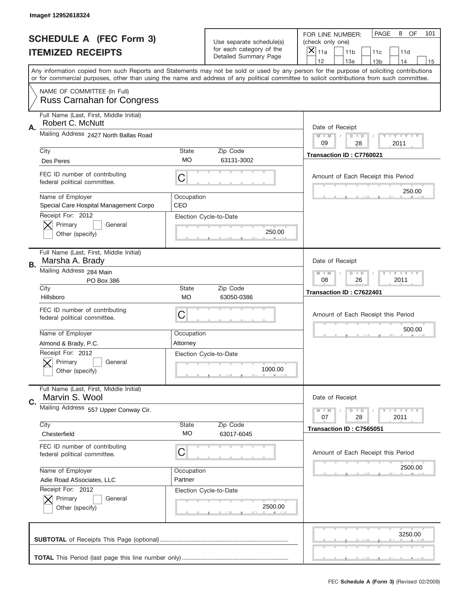|    | Image# 12952618324                                               |                     |                                                   |                                                                                                                                                                                                                                                                                                                                     |
|----|------------------------------------------------------------------|---------------------|---------------------------------------------------|-------------------------------------------------------------------------------------------------------------------------------------------------------------------------------------------------------------------------------------------------------------------------------------------------------------------------------------|
|    | <b>SCHEDULE A (FEC Form 3)</b>                                   |                     | Use separate schedule(s)                          | PAGE<br>8<br><b>OF</b><br>101<br>FOR LINE NUMBER:<br>(check only one)                                                                                                                                                                                                                                                               |
|    | <b>ITEMIZED RECEIPTS</b>                                         |                     | for each category of the<br>Detailed Summary Page | $\boldsymbol{\times}$<br>11a<br>11 <sub>b</sub><br>11c<br>11d                                                                                                                                                                                                                                                                       |
|    |                                                                  |                     |                                                   | 12<br>13a<br>14<br>13 <sub>b</sub><br>15<br>Any information copied from such Reports and Statements may not be sold or used by any person for the purpose of soliciting contributions<br>or for commercial purposes, other than using the name and address of any political committee to solicit contributions from such committee. |
|    | NAME OF COMMITTEE (In Full)<br><b>Russ Carnahan for Congress</b> |                     |                                                   |                                                                                                                                                                                                                                                                                                                                     |
| Α. | Full Name (Last, First, Middle Initial)<br>Robert C. McNutt      |                     |                                                   | Date of Receipt                                                                                                                                                                                                                                                                                                                     |
|    | Mailing Address 2427 North Ballas Road                           |                     |                                                   | <b>LEY LEY LEY</b><br>$M - M$<br>$D$ $D$<br>09<br>28<br>2011                                                                                                                                                                                                                                                                        |
|    | City<br>Des Peres                                                | State<br>МO         | Zip Code<br>63131-3002                            | Transaction ID: C7760021                                                                                                                                                                                                                                                                                                            |
|    | FEC ID number of contributing<br>federal political committee.    | С                   |                                                   | Amount of Each Receipt this Period                                                                                                                                                                                                                                                                                                  |
|    | Name of Employer<br>Special Care Hospital Management Corpo       | Occupation<br>CEO   |                                                   | 250.00                                                                                                                                                                                                                                                                                                                              |
|    | Receipt For: 2012<br>Primary<br>General<br>Other (specify)       |                     | Election Cycle-to-Date<br>250.00                  |                                                                                                                                                                                                                                                                                                                                     |
| В. | Full Name (Last, First, Middle Initial)<br>Marsha A. Brady       |                     |                                                   | Date of Receipt                                                                                                                                                                                                                                                                                                                     |
|    | Mailing Address 284 Main<br>PO Box 386                           |                     |                                                   | $M - M$<br>$D$ $D$<br><b>LEY LEY LEY</b><br>08<br>26<br>2011                                                                                                                                                                                                                                                                        |
|    | City<br>Hillsboro                                                | <b>State</b><br>MO. | Zip Code<br>63050-0386                            | Transaction ID: C7622401                                                                                                                                                                                                                                                                                                            |
|    | FEC ID number of contributing<br>federal political committee.    | С                   |                                                   | Amount of Each Receipt this Period                                                                                                                                                                                                                                                                                                  |
|    | Name of Employer                                                 | Occupation          |                                                   | 500.00                                                                                                                                                                                                                                                                                                                              |
|    | Almond & Brady, P.C.<br>Receipt For: 2012                        | Attorney            |                                                   |                                                                                                                                                                                                                                                                                                                                     |
|    | Primary<br>General<br>Other (specify)                            |                     | Election Cycle-to-Date<br>1000.00                 |                                                                                                                                                                                                                                                                                                                                     |
| C. | Full Name (Last, First, Middle Initial)<br>Marvin S. Wool        |                     |                                                   | Date of Receipt                                                                                                                                                                                                                                                                                                                     |
|    | Mailing Address 557 Upper Conway Cir.                            |                     |                                                   | <b>LYLYLY</b><br>$M - M$<br>$D$ $D$<br>07<br>28<br>2011                                                                                                                                                                                                                                                                             |
|    | City<br>Chesterfield                                             | <b>State</b><br>MO  | Zip Code<br>63017-6045                            | Transaction ID: C7565051                                                                                                                                                                                                                                                                                                            |
|    | FEC ID number of contributing<br>federal political committee.    | С                   |                                                   | Amount of Each Receipt this Period                                                                                                                                                                                                                                                                                                  |
|    | Name of Employer                                                 | Occupation          |                                                   | 2500.00                                                                                                                                                                                                                                                                                                                             |
|    | Adie Road ASsociates, LLC<br>Receipt For: 2012                   | Partner             |                                                   |                                                                                                                                                                                                                                                                                                                                     |
|    | Primary<br>General<br>Other (specify)                            |                     | Election Cycle-to-Date<br>2500.00                 |                                                                                                                                                                                                                                                                                                                                     |
|    |                                                                  |                     |                                                   | 3250.00                                                                                                                                                                                                                                                                                                                             |
|    |                                                                  |                     |                                                   |                                                                                                                                                                                                                                                                                                                                     |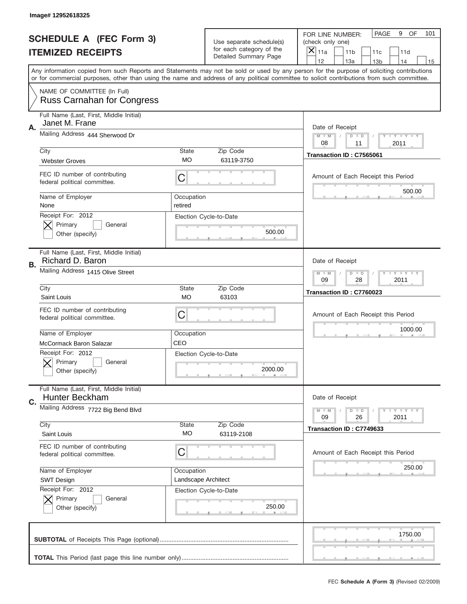|    | Image# 12952618325                                            |                       |                                                   |                                                                                                                                                                                                                                                                                                                                     |
|----|---------------------------------------------------------------|-----------------------|---------------------------------------------------|-------------------------------------------------------------------------------------------------------------------------------------------------------------------------------------------------------------------------------------------------------------------------------------------------------------------------------------|
|    | <b>SCHEDULE A (FEC Form 3)</b>                                |                       | Use separate schedule(s)                          | <b>PAGE</b><br>9<br>OF<br>101<br>FOR LINE NUMBER:<br>(check only one)                                                                                                                                                                                                                                                               |
|    | <b>ITEMIZED RECEIPTS</b>                                      |                       | for each category of the<br>Detailed Summary Page | $\overline{\mathsf{x}}$<br>11a<br>11 <sub>b</sub><br>11c<br>11d                                                                                                                                                                                                                                                                     |
|    |                                                               |                       |                                                   | 12<br>13a<br>14<br>13 <sub>b</sub><br>15<br>Any information copied from such Reports and Statements may not be sold or used by any person for the purpose of soliciting contributions<br>or for commercial purposes, other than using the name and address of any political committee to solicit contributions from such committee. |
|    | NAME OF COMMITTEE (In Full)                                   |                       |                                                   |                                                                                                                                                                                                                                                                                                                                     |
|    | <b>Russ Carnahan for Congress</b>                             |                       |                                                   |                                                                                                                                                                                                                                                                                                                                     |
| Α. | Full Name (Last, First, Middle Initial)<br>Janet M. Frane     |                       |                                                   | Date of Receipt                                                                                                                                                                                                                                                                                                                     |
|    | Mailing Address 444 Sherwood Dr                               |                       |                                                   | $M - M$<br><b>LY LY LY</b><br>$D$ $D$<br>08<br>2011<br>11                                                                                                                                                                                                                                                                           |
|    | City                                                          | State<br>МO           | Zip Code<br>63119-3750                            | Transaction ID: C7565061                                                                                                                                                                                                                                                                                                            |
|    | <b>Webster Groves</b>                                         |                       |                                                   |                                                                                                                                                                                                                                                                                                                                     |
|    | FEC ID number of contributing<br>federal political committee. | C                     |                                                   | Amount of Each Receipt this Period<br>500.00                                                                                                                                                                                                                                                                                        |
|    | Name of Employer<br>None                                      | Occupation<br>retired |                                                   |                                                                                                                                                                                                                                                                                                                                     |
|    | Receipt For: 2012                                             |                       | Election Cycle-to-Date                            |                                                                                                                                                                                                                                                                                                                                     |
|    | Primary<br>General<br>Other (specify)                         |                       | 500.00                                            |                                                                                                                                                                                                                                                                                                                                     |
|    |                                                               |                       |                                                   |                                                                                                                                                                                                                                                                                                                                     |
| В. | Full Name (Last, First, Middle Initial)<br>Richard D. Baron   |                       |                                                   | Date of Receipt                                                                                                                                                                                                                                                                                                                     |
|    | Mailing Address 1415 Olive Street                             |                       |                                                   | <b>LYLYLY</b><br>$M$ $M$<br>$D$ $D$                                                                                                                                                                                                                                                                                                 |
|    | City                                                          | <b>State</b>          | Zip Code                                          | 09<br>28<br>2011                                                                                                                                                                                                                                                                                                                    |
|    | Saint Louis                                                   | <b>MO</b>             | 63103                                             | Transaction ID: C7760023                                                                                                                                                                                                                                                                                                            |
|    | FEC ID number of contributing<br>federal political committee. | C                     |                                                   | Amount of Each Receipt this Period                                                                                                                                                                                                                                                                                                  |
|    | Name of Employer                                              | Occupation            |                                                   | 1000.00                                                                                                                                                                                                                                                                                                                             |
|    | McCormack Baron Salazar                                       | CEO                   |                                                   |                                                                                                                                                                                                                                                                                                                                     |
|    | Receipt For: 2012                                             |                       | Election Cycle-to-Date                            |                                                                                                                                                                                                                                                                                                                                     |
|    | General<br>Primary                                            |                       |                                                   |                                                                                                                                                                                                                                                                                                                                     |
|    | Other (specify)                                               |                       | 2000.00                                           |                                                                                                                                                                                                                                                                                                                                     |
|    | Full Name (Last, First, Middle Initial)<br>Hunter Beckham     |                       |                                                   | Date of Receipt                                                                                                                                                                                                                                                                                                                     |
| C. | Mailing Address 7722 Big Bend Blvd                            |                       |                                                   | <b>LYLYLY</b><br>$M - M$<br>$D$ $D$                                                                                                                                                                                                                                                                                                 |
|    |                                                               |                       |                                                   | 09<br>26<br>2011                                                                                                                                                                                                                                                                                                                    |
|    | City<br>Saint Louis                                           | State<br>MO           | Zip Code<br>63119-2108                            | Transaction ID: C7749633                                                                                                                                                                                                                                                                                                            |
|    | FEC ID number of contributing                                 |                       |                                                   |                                                                                                                                                                                                                                                                                                                                     |
|    | federal political committee.                                  | C                     |                                                   | Amount of Each Receipt this Period                                                                                                                                                                                                                                                                                                  |
|    | Name of Employer                                              | Occupation            |                                                   | 250.00                                                                                                                                                                                                                                                                                                                              |
|    | <b>SWT Design</b>                                             | Landscape Architect   |                                                   |                                                                                                                                                                                                                                                                                                                                     |
|    | Receipt For: 2012                                             |                       | Election Cycle-to-Date                            |                                                                                                                                                                                                                                                                                                                                     |
|    | Primary<br>General                                            |                       |                                                   |                                                                                                                                                                                                                                                                                                                                     |
|    | Other (specify)                                               |                       | 250.00                                            |                                                                                                                                                                                                                                                                                                                                     |
|    |                                                               |                       |                                                   |                                                                                                                                                                                                                                                                                                                                     |
|    |                                                               |                       |                                                   | 1750.00                                                                                                                                                                                                                                                                                                                             |
|    |                                                               |                       |                                                   |                                                                                                                                                                                                                                                                                                                                     |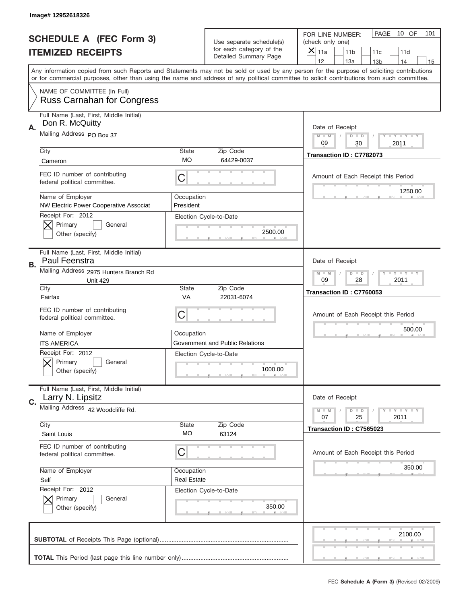|    | Image# 12952618326                                               |                                  |                                                   |                                                                                                                                                                                                                                                                                                                               |
|----|------------------------------------------------------------------|----------------------------------|---------------------------------------------------|-------------------------------------------------------------------------------------------------------------------------------------------------------------------------------------------------------------------------------------------------------------------------------------------------------------------------------|
|    | <b>SCHEDULE A (FEC Form 3)</b>                                   |                                  | Use separate schedule(s)                          | PAGE<br>10 OF<br>101<br>FOR LINE NUMBER:<br>(check only one)                                                                                                                                                                                                                                                                  |
|    | <b>ITEMIZED RECEIPTS</b>                                         |                                  | for each category of the<br>Detailed Summary Page | $\overline{\mathsf{x}}$<br>11a<br>11 <sub>b</sub><br>11c<br>11d<br>12                                                                                                                                                                                                                                                         |
|    |                                                                  |                                  |                                                   | 13a<br>14<br>13 <sub>b</sub><br>15<br>Any information copied from such Reports and Statements may not be sold or used by any person for the purpose of soliciting contributions<br>or for commercial purposes, other than using the name and address of any political committee to solicit contributions from such committee. |
|    | NAME OF COMMITTEE (In Full)<br><b>Russ Carnahan for Congress</b> |                                  |                                                   |                                                                                                                                                                                                                                                                                                                               |
| Α. | Full Name (Last, First, Middle Initial)<br>Don R. McQuitty       |                                  |                                                   | Date of Receipt                                                                                                                                                                                                                                                                                                               |
|    | Mailing Address PO Box 37                                        |                                  |                                                   | Y TY TY TY<br>$M$ M<br>$D$ $D$<br>09<br>30<br>2011                                                                                                                                                                                                                                                                            |
|    | City<br>Cameron                                                  | State<br><b>MO</b>               | Zip Code<br>64429-0037                            | Transaction ID: C7782073                                                                                                                                                                                                                                                                                                      |
|    | FEC ID number of contributing<br>federal political committee.    | C                                |                                                   | Amount of Each Receipt this Period<br>1250.00                                                                                                                                                                                                                                                                                 |
|    | Name of Employer<br>NW Electric Power Cooperative Associat       | Occupation<br>President          |                                                   |                                                                                                                                                                                                                                                                                                                               |
|    | Receipt For: 2012<br>Primary<br>General<br>Other (specify)       |                                  | Election Cycle-to-Date<br>2500.00                 |                                                                                                                                                                                                                                                                                                                               |
| В. | Full Name (Last, First, Middle Initial)<br>Paul Feenstra         |                                  |                                                   | Date of Receipt                                                                                                                                                                                                                                                                                                               |
|    | Mailing Address 2975 Hunters Branch Rd<br><b>Unit 429</b>        |                                  |                                                   | <b>LY LY LY</b><br>$M - M$<br>$D$ $D$<br>09<br>28<br>2011                                                                                                                                                                                                                                                                     |
|    | City<br>Fairfax                                                  | State<br><b>VA</b>               | Zip Code<br>22031-6074                            | Transaction ID: C7760053                                                                                                                                                                                                                                                                                                      |
|    | FEC ID number of contributing<br>federal political committee.    | C                                |                                                   | Amount of Each Receipt this Period                                                                                                                                                                                                                                                                                            |
|    | Name of Employer                                                 | Occupation                       |                                                   | 500.00                                                                                                                                                                                                                                                                                                                        |
|    | <b>ITS AMERICA</b>                                               |                                  | Government and Public Relations                   |                                                                                                                                                                                                                                                                                                                               |
|    | Receipt For: 2012<br>General<br>Primary<br>Other (specify)       |                                  | Election Cycle-to-Date<br>1000.00                 |                                                                                                                                                                                                                                                                                                                               |
| C. | Full Name (Last, First, Middle Initial)<br>Larry N. Lipsitz      |                                  |                                                   | Date of Receipt                                                                                                                                                                                                                                                                                                               |
|    | Mailing Address 42 Woodcliffe Rd.                                |                                  |                                                   | <b>LYLYLY</b><br>$M - M$<br>$D$ $D$<br>25<br>2011<br>07                                                                                                                                                                                                                                                                       |
|    | City<br>Saint Louis                                              | State<br>МO                      | Zip Code<br>63124                                 | Transaction ID: C7565023                                                                                                                                                                                                                                                                                                      |
|    | FEC ID number of contributing<br>federal political committee.    | C                                |                                                   | Amount of Each Receipt this Period                                                                                                                                                                                                                                                                                            |
|    | Name of Employer<br>Self                                         | Occupation<br><b>Real Estate</b> |                                                   | 350.00                                                                                                                                                                                                                                                                                                                        |
|    | Receipt For: 2012<br>Primary<br>General<br>Other (specify)       |                                  | Election Cycle-to-Date<br>350.00                  |                                                                                                                                                                                                                                                                                                                               |
|    |                                                                  |                                  |                                                   | 2100.00                                                                                                                                                                                                                                                                                                                       |
|    |                                                                  |                                  |                                                   |                                                                                                                                                                                                                                                                                                                               |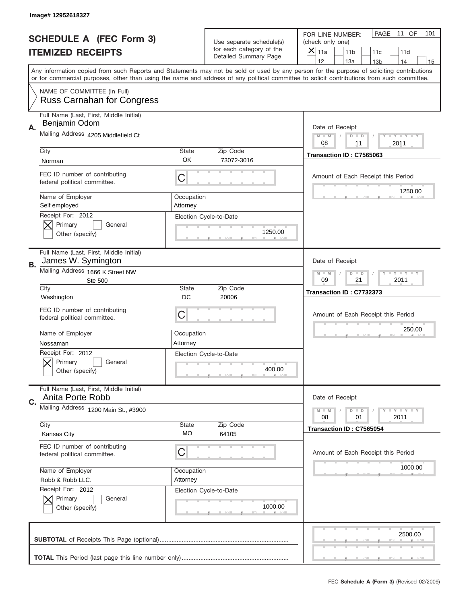|    | Image# 12952618327                                               |                        |                                                   |                                                                                                                                                                                                                                                                                                                                     |
|----|------------------------------------------------------------------|------------------------|---------------------------------------------------|-------------------------------------------------------------------------------------------------------------------------------------------------------------------------------------------------------------------------------------------------------------------------------------------------------------------------------------|
|    | <b>SCHEDULE A (FEC Form 3)</b>                                   |                        | Use separate schedule(s)                          | PAGE<br>11 OF<br>101<br>FOR LINE NUMBER:<br>(check only one)                                                                                                                                                                                                                                                                        |
|    | <b>ITEMIZED RECEIPTS</b>                                         |                        | for each category of the<br>Detailed Summary Page | ×<br>11a<br>11 <sub>b</sub><br>11c<br>11d                                                                                                                                                                                                                                                                                           |
|    |                                                                  |                        |                                                   | 12<br>13a<br>14<br>13 <sub>b</sub><br>15<br>Any information copied from such Reports and Statements may not be sold or used by any person for the purpose of soliciting contributions<br>or for commercial purposes, other than using the name and address of any political committee to solicit contributions from such committee. |
|    | NAME OF COMMITTEE (In Full)<br><b>Russ Carnahan for Congress</b> |                        |                                                   |                                                                                                                                                                                                                                                                                                                                     |
| Α. | Full Name (Last, First, Middle Initial)<br>Benjamin Odom         |                        |                                                   | Date of Receipt                                                                                                                                                                                                                                                                                                                     |
|    | Mailing Address 4205 Middlefield Ct                              |                        |                                                   | $M - M$<br><b>LYLYLY</b><br>$D$ $D$<br>08<br>2011<br>11                                                                                                                                                                                                                                                                             |
|    | City<br>Norman                                                   | <b>State</b><br>OK     | Zip Code<br>73072-3016                            | Transaction ID: C7565063                                                                                                                                                                                                                                                                                                            |
|    | FEC ID number of contributing<br>federal political committee.    | C                      |                                                   | Amount of Each Receipt this Period<br>1250.00                                                                                                                                                                                                                                                                                       |
|    | Name of Employer<br>Self employed<br>Receipt For: 2012           | Occupation<br>Attorney |                                                   |                                                                                                                                                                                                                                                                                                                                     |
|    | Primary<br>General<br>Other (specify)                            |                        | Election Cycle-to-Date<br>1250.00                 |                                                                                                                                                                                                                                                                                                                                     |
| В. | Full Name (Last, First, Middle Initial)<br>James W. Symington    |                        |                                                   | Date of Receipt                                                                                                                                                                                                                                                                                                                     |
|    | Mailing Address 1666 K Street NW<br><b>Ste 500</b>               |                        |                                                   | <b>LEYTEY LEY</b><br>$M - M$<br>$D$ $D$<br>09<br>21<br>2011                                                                                                                                                                                                                                                                         |
|    | City<br>Washington                                               | <b>State</b><br>DC     | Zip Code<br>20006                                 | Transaction ID: C7732373                                                                                                                                                                                                                                                                                                            |
|    | FEC ID number of contributing<br>federal political committee.    | C                      |                                                   | Amount of Each Receipt this Period                                                                                                                                                                                                                                                                                                  |
|    | Name of Employer<br>Nossaman                                     | Occupation<br>Attorney |                                                   | 250.00                                                                                                                                                                                                                                                                                                                              |
|    | Receipt For: 2012<br>Primary<br>General<br>Other (specify)       |                        | Election Cycle-to-Date<br>400.00                  |                                                                                                                                                                                                                                                                                                                                     |
| C. | Full Name (Last, First, Middle Initial)<br>Anita Porte Robb      |                        |                                                   | Date of Receipt                                                                                                                                                                                                                                                                                                                     |
|    | Mailing Address 1200 Main St., #3900                             |                        |                                                   | <b>LY LY LY</b><br>$M - M$<br>$D$ $D$<br>2011<br>08<br>01                                                                                                                                                                                                                                                                           |
|    | City<br><b>Kansas City</b>                                       | State<br><b>MO</b>     | Zip Code<br>64105                                 | Transaction ID: C7565054                                                                                                                                                                                                                                                                                                            |
|    | FEC ID number of contributing<br>federal political committee.    | C                      |                                                   | Amount of Each Receipt this Period                                                                                                                                                                                                                                                                                                  |
|    | Name of Employer<br>Robb & Robb LLC.                             | Occupation<br>Attorney |                                                   | 1000.00                                                                                                                                                                                                                                                                                                                             |
|    | Receipt For: 2012<br>Primary<br>General<br>Other (specify)       |                        | Election Cycle-to-Date<br>1000.00                 |                                                                                                                                                                                                                                                                                                                                     |
|    |                                                                  |                        |                                                   | 2500.00                                                                                                                                                                                                                                                                                                                             |
|    |                                                                  |                        |                                                   |                                                                                                                                                                                                                                                                                                                                     |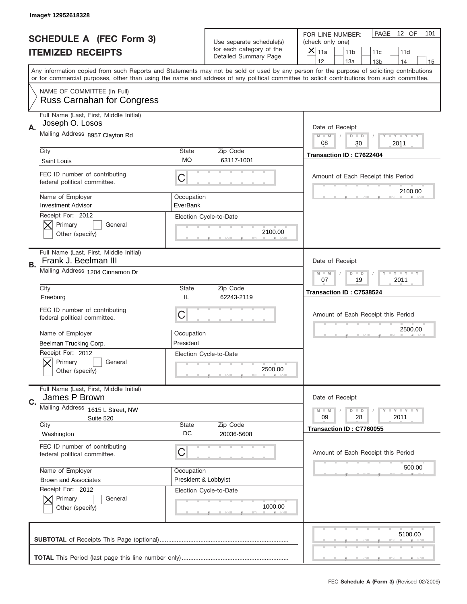|    | Image# 12952618328                                               |                                    |                                                   |                                                                                                                                                                                                                                                                                                                                     |
|----|------------------------------------------------------------------|------------------------------------|---------------------------------------------------|-------------------------------------------------------------------------------------------------------------------------------------------------------------------------------------------------------------------------------------------------------------------------------------------------------------------------------------|
|    | <b>SCHEDULE A (FEC Form 3)</b>                                   |                                    | Use separate schedule(s)                          | PAGE<br>12 OF<br>101<br>FOR LINE NUMBER:<br>(check only one)                                                                                                                                                                                                                                                                        |
|    | <b>ITEMIZED RECEIPTS</b>                                         |                                    | for each category of the<br>Detailed Summary Page | ×<br>11a<br>11 <sub>b</sub><br>11c<br>11d                                                                                                                                                                                                                                                                                           |
|    |                                                                  |                                    |                                                   | 12<br>13a<br>14<br>13 <sub>b</sub><br>15<br>Any information copied from such Reports and Statements may not be sold or used by any person for the purpose of soliciting contributions<br>or for commercial purposes, other than using the name and address of any political committee to solicit contributions from such committee. |
|    | NAME OF COMMITTEE (In Full)<br><b>Russ Carnahan for Congress</b> |                                    |                                                   |                                                                                                                                                                                                                                                                                                                                     |
| Α. | Full Name (Last, First, Middle Initial)<br>Joseph O. Losos       |                                    |                                                   | Date of Receipt                                                                                                                                                                                                                                                                                                                     |
|    | Mailing Address 8957 Clayton Rd                                  |                                    |                                                   | $M - M$<br><b>LY LY LY</b><br>$D$ $D$<br>08<br>2011<br>30                                                                                                                                                                                                                                                                           |
|    | City<br>Saint Louis                                              | State<br>МO                        | Zip Code<br>63117-1001                            | Transaction ID: C7622404                                                                                                                                                                                                                                                                                                            |
|    | FEC ID number of contributing<br>federal political committee.    | C                                  |                                                   | Amount of Each Receipt this Period                                                                                                                                                                                                                                                                                                  |
|    | Name of Employer<br><b>Investment Advisor</b>                    | Occupation<br>EverBank             |                                                   | 2100.00                                                                                                                                                                                                                                                                                                                             |
|    | Receipt For: 2012<br>Primary<br>General<br>Other (specify)       |                                    | Election Cycle-to-Date<br>2100.00                 |                                                                                                                                                                                                                                                                                                                                     |
| В. | Full Name (Last, First, Middle Initial)<br>Frank J. Beelman III  |                                    |                                                   | Date of Receipt                                                                                                                                                                                                                                                                                                                     |
|    | Mailing Address 1204 Cinnamon Dr                                 |                                    |                                                   | $M$ M<br>$D$ $D$<br><b>LEYTEY LEY</b><br>07<br>19<br>2011                                                                                                                                                                                                                                                                           |
|    | City<br>Freeburg                                                 | State<br>IL                        | Zip Code<br>62243-2119                            | Transaction ID: C7538524                                                                                                                                                                                                                                                                                                            |
|    | FEC ID number of contributing<br>federal political committee.    | C                                  |                                                   | Amount of Each Receipt this Period                                                                                                                                                                                                                                                                                                  |
|    | Name of Employer<br>Beelman Trucking Corp.                       | Occupation<br>President            |                                                   | 2500.00                                                                                                                                                                                                                                                                                                                             |
|    | Receipt For: 2012<br>General<br>Primary<br>Other (specify)       |                                    | Election Cycle-to-Date<br>2500.00                 |                                                                                                                                                                                                                                                                                                                                     |
| C. | Full Name (Last, First, Middle Initial)<br>James P Brown         |                                    |                                                   | Date of Receipt                                                                                                                                                                                                                                                                                                                     |
|    | Mailing Address 1615 L Street, NW<br>Suite 520                   |                                    |                                                   | $I - Y - I - Y - I - Y$<br>$M - M$<br>$D$ $D$<br>09<br>28<br>2011                                                                                                                                                                                                                                                                   |
|    | City<br>Washington                                               | State<br>DC                        | Zip Code<br>20036-5608                            | Transaction ID: C7760055                                                                                                                                                                                                                                                                                                            |
|    | FEC ID number of contributing<br>federal political committee.    | C                                  |                                                   | Amount of Each Receipt this Period                                                                                                                                                                                                                                                                                                  |
|    | Name of Employer<br><b>Brown and Associates</b>                  | Occupation<br>President & Lobbyist |                                                   | 500.00                                                                                                                                                                                                                                                                                                                              |
|    | Receipt For: 2012<br>Primary<br>General<br>Other (specify)       |                                    | Election Cycle-to-Date<br>1000.00                 |                                                                                                                                                                                                                                                                                                                                     |
|    |                                                                  |                                    |                                                   | 5100.00                                                                                                                                                                                                                                                                                                                             |
|    |                                                                  |                                    |                                                   |                                                                                                                                                                                                                                                                                                                                     |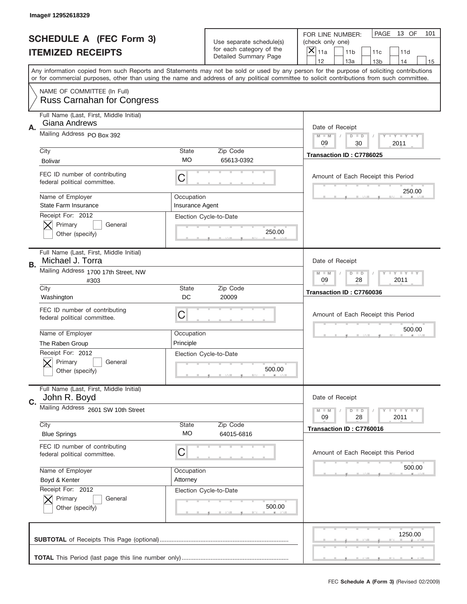|    | Image# 12952618329                                               |                               |                                                   |                                                                                                                                                                                       |
|----|------------------------------------------------------------------|-------------------------------|---------------------------------------------------|---------------------------------------------------------------------------------------------------------------------------------------------------------------------------------------|
|    | <b>SCHEDULE A (FEC Form 3)</b>                                   |                               | Use separate schedule(s)                          | PAGE<br>13 OF<br>101<br>FOR LINE NUMBER:<br>(check only one)                                                                                                                          |
|    | <b>ITEMIZED RECEIPTS</b>                                         |                               | for each category of the<br>Detailed Summary Page | $\overline{X} _{11a}$<br>11 <sub>b</sub><br>11c<br>11d                                                                                                                                |
|    |                                                                  |                               |                                                   | 12<br>13a<br>14<br>13 <sub>b</sub><br>15<br>Any information copied from such Reports and Statements may not be sold or used by any person for the purpose of soliciting contributions |
|    |                                                                  |                               |                                                   | or for commercial purposes, other than using the name and address of any political committee to solicit contributions from such committee.                                            |
|    | NAME OF COMMITTEE (In Full)<br><b>Russ Carnahan for Congress</b> |                               |                                                   |                                                                                                                                                                                       |
| Α. | Full Name (Last, First, Middle Initial)<br>Giana Andrews         |                               |                                                   | Date of Receipt                                                                                                                                                                       |
|    | Mailing Address PO Box 392                                       |                               |                                                   | <b>LEY LEY LEY</b><br>$M - M$<br>$D$ $D$<br>09<br>30<br>2011                                                                                                                          |
|    | City<br><b>Bolivar</b>                                           | <b>State</b><br>МO            | Zip Code<br>65613-0392                            | Transaction ID: C7786025                                                                                                                                                              |
|    | FEC ID number of contributing<br>federal political committee.    | C                             |                                                   | Amount of Each Receipt this Period                                                                                                                                                    |
|    | Name of Employer<br><b>State Farm Insurance</b>                  | Occupation<br>Insurance Agent |                                                   | 250.00                                                                                                                                                                                |
|    | Receipt For: 2012<br>Primary<br>General<br>Other (specify)       |                               | Election Cycle-to-Date<br>250.00                  |                                                                                                                                                                                       |
| В. | Full Name (Last, First, Middle Initial)<br>Michael J. Torra      |                               |                                                   | Date of Receipt                                                                                                                                                                       |
|    | Mailing Address 1700 17th Street, NW<br>#303                     |                               |                                                   | $M - M$<br><b>LEY LEY LEY</b><br>$D$ $D$<br>09<br>28<br>2011                                                                                                                          |
|    | City<br>Washington                                               | <b>State</b><br>DC            | Zip Code<br>20009                                 | Transaction ID: C7760036                                                                                                                                                              |
|    | FEC ID number of contributing<br>federal political committee.    | С                             |                                                   | Amount of Each Receipt this Period                                                                                                                                                    |
|    | Name of Employer                                                 | Occupation                    |                                                   | 500.00                                                                                                                                                                                |
|    | The Raben Group                                                  | Principle                     |                                                   |                                                                                                                                                                                       |
|    | Receipt For: 2012<br>General<br>Primary<br>Other (specify)       |                               | Election Cycle-to-Date<br>500.00                  |                                                                                                                                                                                       |
| C. | Full Name (Last, First, Middle Initial)<br>John R. Boyd          |                               |                                                   | Date of Receipt                                                                                                                                                                       |
|    | Mailing Address 2601 SW 10th Street                              |                               |                                                   | <b>LYLYLY</b><br>$M - M$<br>$D$ $D$<br>09<br>28<br>2011                                                                                                                               |
|    | City<br><b>Blue Springs</b>                                      | <b>State</b><br>MO            | Zip Code<br>64015-6816                            | Transaction ID: C7760016                                                                                                                                                              |
|    | FEC ID number of contributing<br>federal political committee.    | С                             |                                                   | Amount of Each Receipt this Period                                                                                                                                                    |
|    | Name of Employer                                                 | Occupation                    |                                                   | 500.00                                                                                                                                                                                |
|    | Boyd & Kenter                                                    | Attorney                      |                                                   |                                                                                                                                                                                       |
|    | Receipt For: 2012<br>Primary<br>General<br>Other (specify)       |                               | Election Cycle-to-Date<br>500.00                  |                                                                                                                                                                                       |
|    |                                                                  |                               |                                                   | 1250.00                                                                                                                                                                               |
|    |                                                                  |                               |                                                   |                                                                                                                                                                                       |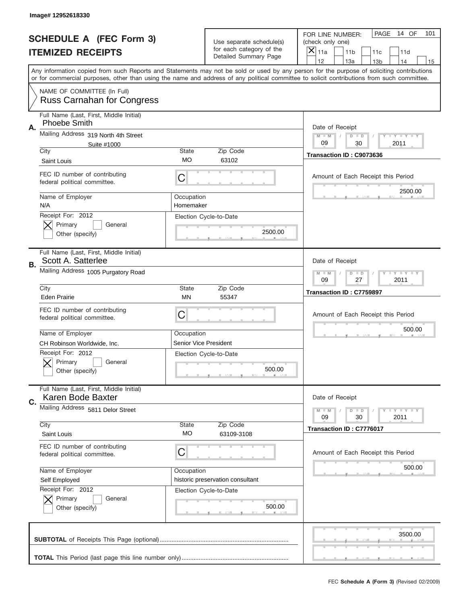|    | Image# 12952618330                                               |                         |                                                   |                                                                                                                                                                                                                                                                                                                                     |
|----|------------------------------------------------------------------|-------------------------|---------------------------------------------------|-------------------------------------------------------------------------------------------------------------------------------------------------------------------------------------------------------------------------------------------------------------------------------------------------------------------------------------|
|    | <b>SCHEDULE A (FEC Form 3)</b>                                   |                         | Use separate schedule(s)                          | PAGE<br>14 OF<br>101<br>FOR LINE NUMBER:<br>(check only one)                                                                                                                                                                                                                                                                        |
|    | <b>ITEMIZED RECEIPTS</b>                                         |                         | for each category of the<br>Detailed Summary Page | ×<br>11a<br>11 <sub>b</sub><br>11c<br>11d                                                                                                                                                                                                                                                                                           |
|    |                                                                  |                         |                                                   | 12<br>13a<br>14<br>13 <sub>b</sub><br>15<br>Any information copied from such Reports and Statements may not be sold or used by any person for the purpose of soliciting contributions<br>or for commercial purposes, other than using the name and address of any political committee to solicit contributions from such committee. |
|    | NAME OF COMMITTEE (In Full)<br><b>Russ Carnahan for Congress</b> |                         |                                                   |                                                                                                                                                                                                                                                                                                                                     |
| Α. | Full Name (Last, First, Middle Initial)<br>Phoebe Smith          |                         |                                                   | Date of Receipt                                                                                                                                                                                                                                                                                                                     |
|    | Mailing Address 319 North 4th Street<br>Suite #1000              |                         |                                                   | $M - M$<br><b>LY LY LY</b><br>$D$ $D$<br>09<br>2011<br>30                                                                                                                                                                                                                                                                           |
|    | City<br>Saint Louis                                              | State<br>МO             | Zip Code<br>63102                                 | Transaction ID: C9073636                                                                                                                                                                                                                                                                                                            |
|    | FEC ID number of contributing<br>federal political committee.    | C                       |                                                   | Amount of Each Receipt this Period                                                                                                                                                                                                                                                                                                  |
|    | Name of Employer<br>N/A                                          | Occupation<br>Homemaker |                                                   | 2500.00                                                                                                                                                                                                                                                                                                                             |
|    | Receipt For: 2012<br>Primary<br>General<br>Other (specify)       |                         | Election Cycle-to-Date<br>2500.00                 |                                                                                                                                                                                                                                                                                                                                     |
| В. | Full Name (Last, First, Middle Initial)<br>Scott A. Satterlee    |                         |                                                   | Date of Receipt                                                                                                                                                                                                                                                                                                                     |
|    | Mailing Address 1005 Purgatory Road                              |                         |                                                   | $M - M$<br>$D$ $D$<br><b>LEYTEY LEY</b><br>09<br>27<br>2011                                                                                                                                                                                                                                                                         |
|    | City<br><b>Eden Prairie</b>                                      | State<br>MN             | Zip Code<br>55347                                 | Transaction ID: C7759897                                                                                                                                                                                                                                                                                                            |
|    |                                                                  |                         |                                                   |                                                                                                                                                                                                                                                                                                                                     |
|    | FEC ID number of contributing<br>federal political committee.    | C                       |                                                   | Amount of Each Receipt this Period                                                                                                                                                                                                                                                                                                  |
|    | Name of Employer                                                 | Occupation              |                                                   | 500.00                                                                                                                                                                                                                                                                                                                              |
|    | CH Robinson Worldwide, Inc.                                      | Senior Vice President   |                                                   |                                                                                                                                                                                                                                                                                                                                     |
|    | Receipt For: 2012<br>General<br>Primary<br>Other (specify)       |                         | Election Cycle-to-Date<br>500.00                  |                                                                                                                                                                                                                                                                                                                                     |
| C. | Full Name (Last, First, Middle Initial)<br>Karen Bode Baxter     |                         |                                                   | Date of Receipt                                                                                                                                                                                                                                                                                                                     |
|    | Mailing Address 5811 Delor Street                                |                         |                                                   | $I - Y - I - Y - I - Y$<br>$M - M$<br>$D$ $D$                                                                                                                                                                                                                                                                                       |
|    | City<br>Saint Louis                                              | <b>State</b><br>МO      | Zip Code<br>63109-3108                            | 09<br>2011<br>30<br>Transaction ID: C7776017                                                                                                                                                                                                                                                                                        |
|    | FEC ID number of contributing<br>federal political committee.    | C                       |                                                   | Amount of Each Receipt this Period                                                                                                                                                                                                                                                                                                  |
|    | Name of Employer                                                 | Occupation              |                                                   | 500.00                                                                                                                                                                                                                                                                                                                              |
|    | Self Employed                                                    |                         | historic preservation consultant                  |                                                                                                                                                                                                                                                                                                                                     |
|    | Receipt For: 2012<br>Primary<br>General<br>Other (specify)       |                         | Election Cycle-to-Date<br>500.00                  |                                                                                                                                                                                                                                                                                                                                     |
|    |                                                                  |                         |                                                   | 3500.00                                                                                                                                                                                                                                                                                                                             |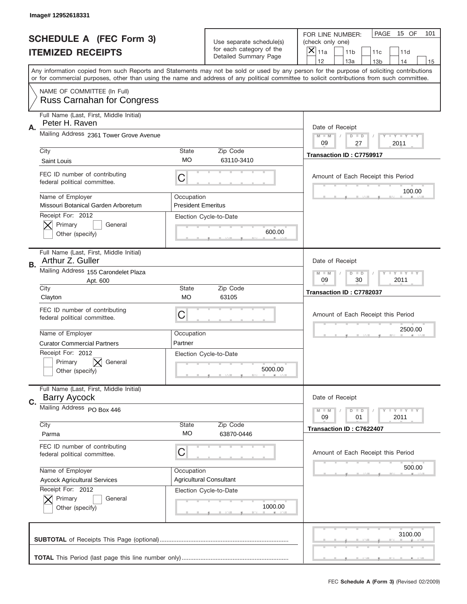|    | Image# 12952618331                                               |                                         |                                                      |                                                                                                                                                                                                                                                                                                                                     |
|----|------------------------------------------------------------------|-----------------------------------------|------------------------------------------------------|-------------------------------------------------------------------------------------------------------------------------------------------------------------------------------------------------------------------------------------------------------------------------------------------------------------------------------------|
|    | <b>SCHEDULE A (FEC Form 3)</b>                                   |                                         | Use separate schedule(s)<br>for each category of the | PAGE<br>15 OF<br>101<br>FOR LINE NUMBER:<br>(check only one)                                                                                                                                                                                                                                                                        |
|    | <b>ITEMIZED RECEIPTS</b>                                         |                                         | Detailed Summary Page                                | ×<br>11a<br>11 <sub>b</sub><br>11c<br>11d                                                                                                                                                                                                                                                                                           |
|    |                                                                  |                                         |                                                      | 12<br>13a<br>14<br>13 <sub>b</sub><br>15<br>Any information copied from such Reports and Statements may not be sold or used by any person for the purpose of soliciting contributions<br>or for commercial purposes, other than using the name and address of any political committee to solicit contributions from such committee. |
|    | NAME OF COMMITTEE (In Full)<br><b>Russ Carnahan for Congress</b> |                                         |                                                      |                                                                                                                                                                                                                                                                                                                                     |
| Α. | Full Name (Last, First, Middle Initial)<br>Peter H. Raven        |                                         |                                                      | Date of Receipt                                                                                                                                                                                                                                                                                                                     |
|    | Mailing Address 2361 Tower Grove Avenue                          |                                         |                                                      | $M - M$<br><b>LY LY LY</b><br>$D$ $D$<br>09<br>2011<br>27                                                                                                                                                                                                                                                                           |
|    | City<br>Saint Louis                                              | State<br>МO                             | Zip Code<br>63110-3410                               | Transaction ID: C7759917                                                                                                                                                                                                                                                                                                            |
|    | FEC ID number of contributing<br>federal political committee.    | C                                       |                                                      | Amount of Each Receipt this Period<br>100.00                                                                                                                                                                                                                                                                                        |
|    | Name of Employer<br>Missouri Botanical Garden Arboretum          | Occupation<br><b>President Emeritus</b> |                                                      |                                                                                                                                                                                                                                                                                                                                     |
|    | Receipt For: 2012<br>Primary<br>General<br>Other (specify)       |                                         | Election Cycle-to-Date<br>600.00                     |                                                                                                                                                                                                                                                                                                                                     |
| В. | Full Name (Last, First, Middle Initial)<br>Arthur Z. Guller      |                                         |                                                      | Date of Receipt                                                                                                                                                                                                                                                                                                                     |
|    | Mailing Address 155 Carondelet Plaza<br>Apt. 600                 |                                         |                                                      | $M - M$<br><b>LEYTEY LEY</b><br>$D$ $D$<br>09<br>30<br>2011                                                                                                                                                                                                                                                                         |
|    | City<br>Clayton                                                  | State<br><b>MO</b>                      | Zip Code<br>63105                                    | Transaction ID: C7782037                                                                                                                                                                                                                                                                                                            |
|    | FEC ID number of contributing<br>federal political committee.    | C                                       |                                                      | Amount of Each Receipt this Period                                                                                                                                                                                                                                                                                                  |
|    | Name of Employer                                                 |                                         |                                                      | 2500.00                                                                                                                                                                                                                                                                                                                             |
|    | <b>Curator Commercial Partners</b>                               | Occupation<br>Partner                   |                                                      |                                                                                                                                                                                                                                                                                                                                     |
|    | Receipt For: 2012<br>General<br>Primary<br>Other (specify)       |                                         | Election Cycle-to-Date<br>5000.00                    |                                                                                                                                                                                                                                                                                                                                     |
|    | Full Name (Last, First, Middle Initial)<br><b>Barry Aycock</b>   |                                         |                                                      | Date of Receipt                                                                                                                                                                                                                                                                                                                     |
| C. | Mailing Address PO Box 446                                       |                                         |                                                      | $\mathbf{I}$ $\mathbf{Y}$ $\mathbf{I}$ $\mathbf{Y}$ $\mathbf{I}$ $\mathbf{Y}$<br>$M - M$<br>$D$ $D$<br>09<br>2011<br>01                                                                                                                                                                                                             |
|    | City<br>Parma                                                    | State<br>МO                             | Zip Code<br>63870-0446                               | Transaction ID: C7622407                                                                                                                                                                                                                                                                                                            |
|    | FEC ID number of contributing<br>federal political committee.    | C                                       |                                                      | Amount of Each Receipt this Period                                                                                                                                                                                                                                                                                                  |
|    | Name of Employer<br><b>Aycock Agricultural Services</b>          | Occupation                              | <b>Agricultural Consultant</b>                       | 500.00                                                                                                                                                                                                                                                                                                                              |
|    | Receipt For: 2012<br>Primary<br>General<br>Other (specify)       |                                         | Election Cycle-to-Date<br>1000.00                    |                                                                                                                                                                                                                                                                                                                                     |
|    |                                                                  |                                         |                                                      | 3100.00                                                                                                                                                                                                                                                                                                                             |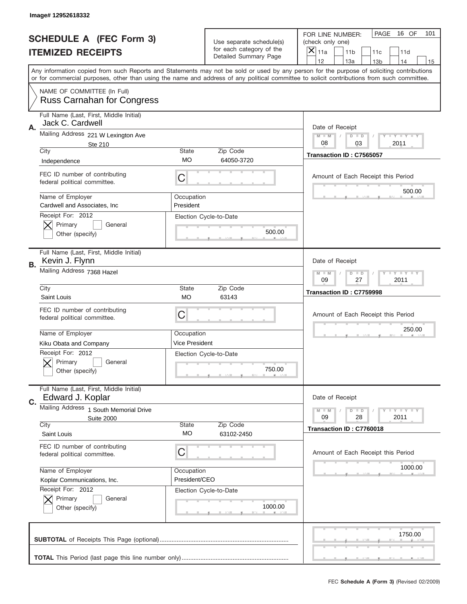|    | Image#12952618332                                                |                         |                                                   |                                                                                                                                                                                                                                                                                                                                     |
|----|------------------------------------------------------------------|-------------------------|---------------------------------------------------|-------------------------------------------------------------------------------------------------------------------------------------------------------------------------------------------------------------------------------------------------------------------------------------------------------------------------------------|
|    | <b>SCHEDULE A (FEC Form 3)</b>                                   |                         | Use separate schedule(s)                          | PAGE<br>16 OF<br>101<br>FOR LINE NUMBER:<br>(check only one)                                                                                                                                                                                                                                                                        |
|    | <b>ITEMIZED RECEIPTS</b>                                         |                         | for each category of the<br>Detailed Summary Page | ×<br>11a<br>11 <sub>b</sub><br>11c<br>11d                                                                                                                                                                                                                                                                                           |
|    |                                                                  |                         |                                                   | 12<br>13a<br>14<br>13 <sub>b</sub><br>15<br>Any information copied from such Reports and Statements may not be sold or used by any person for the purpose of soliciting contributions<br>or for commercial purposes, other than using the name and address of any political committee to solicit contributions from such committee. |
|    | NAME OF COMMITTEE (In Full)<br><b>Russ Carnahan for Congress</b> |                         |                                                   |                                                                                                                                                                                                                                                                                                                                     |
| Α. | Full Name (Last, First, Middle Initial)<br>Jack C. Cardwell      |                         |                                                   | Date of Receipt                                                                                                                                                                                                                                                                                                                     |
|    | Mailing Address 221 W Lexington Ave<br>Ste 210                   |                         |                                                   | $M - M$<br><b>LY LY LY</b><br>$D$ $D$<br>08<br>2011<br>03                                                                                                                                                                                                                                                                           |
|    | City<br>Independence                                             | State<br>МO             | Zip Code<br>64050-3720                            | Transaction ID: C7565057                                                                                                                                                                                                                                                                                                            |
|    | FEC ID number of contributing<br>federal political committee.    | C                       |                                                   | Amount of Each Receipt this Period                                                                                                                                                                                                                                                                                                  |
|    | Name of Employer<br>Cardwell and Associates, Inc.                | Occupation<br>President |                                                   | 500.00                                                                                                                                                                                                                                                                                                                              |
|    | Receipt For: 2012<br>Primary<br>General<br>Other (specify)       |                         | Election Cycle-to-Date<br>500.00                  |                                                                                                                                                                                                                                                                                                                                     |
| В. | Full Name (Last, First, Middle Initial)<br>Kevin J. Flynn        |                         |                                                   | Date of Receipt                                                                                                                                                                                                                                                                                                                     |
|    | Mailing Address 7368 Hazel                                       |                         |                                                   | $M - M$<br>$D$ $D$<br><b>LEYTEY LEY</b><br>09<br>27<br>2011                                                                                                                                                                                                                                                                         |
|    | City<br>Saint Louis                                              | State<br><b>MO</b>      | Zip Code<br>63143                                 | Transaction ID: C7759998                                                                                                                                                                                                                                                                                                            |
|    | FEC ID number of contributing<br>federal political committee.    | C                       |                                                   | Amount of Each Receipt this Period                                                                                                                                                                                                                                                                                                  |
|    |                                                                  |                         |                                                   | 250.00                                                                                                                                                                                                                                                                                                                              |
|    | Name of Employer                                                 | Occupation              |                                                   |                                                                                                                                                                                                                                                                                                                                     |
|    | Kiku Obata and Company                                           | <b>Vice President</b>   |                                                   |                                                                                                                                                                                                                                                                                                                                     |
|    | Receipt For: 2012<br>General<br>Primary<br>Other (specify)       |                         | Election Cycle-to-Date<br>750.00                  |                                                                                                                                                                                                                                                                                                                                     |
| C. | Full Name (Last, First, Middle Initial)<br>Edward J. Koplar      |                         |                                                   | Date of Receipt                                                                                                                                                                                                                                                                                                                     |
|    | Mailing Address 1 South Memorial Drive<br><b>Suite 2000</b>      |                         |                                                   | $I - Y - I - Y - I - Y$<br>$M - M$<br>$D$ $D$<br>09<br>2011<br>28                                                                                                                                                                                                                                                                   |
|    | City<br>Saint Louis                                              | State<br>МO             | Zip Code<br>63102-2450                            | Transaction ID: C7760018                                                                                                                                                                                                                                                                                                            |
|    | FEC ID number of contributing<br>federal political committee.    | C                       |                                                   | Amount of Each Receipt this Period                                                                                                                                                                                                                                                                                                  |
|    | Name of Employer                                                 | Occupation              |                                                   | 1000.00                                                                                                                                                                                                                                                                                                                             |
|    | Koplar Communications, Inc.                                      | President/CEO           |                                                   |                                                                                                                                                                                                                                                                                                                                     |
|    | Receipt For: 2012<br>Primary<br>General<br>Other (specify)       |                         | Election Cycle-to-Date<br>1000.00                 |                                                                                                                                                                                                                                                                                                                                     |
|    |                                                                  |                         |                                                   | 1750.00                                                                                                                                                                                                                                                                                                                             |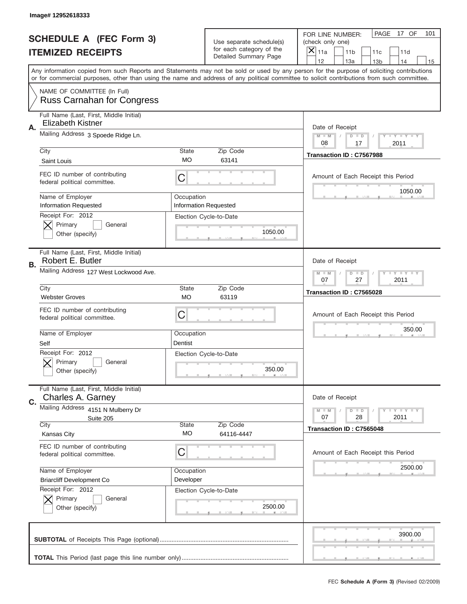|    | Image# 12952618333                                                    |                         |                                                   |                                                                                                                                                                                                                                                                                                                                     |
|----|-----------------------------------------------------------------------|-------------------------|---------------------------------------------------|-------------------------------------------------------------------------------------------------------------------------------------------------------------------------------------------------------------------------------------------------------------------------------------------------------------------------------------|
|    | <b>SCHEDULE A (FEC Form 3)</b>                                        |                         | Use separate schedule(s)                          | PAGE<br>17 OF<br>101<br>FOR LINE NUMBER:<br>(check only one)                                                                                                                                                                                                                                                                        |
|    | <b>ITEMIZED RECEIPTS</b>                                              |                         | for each category of the<br>Detailed Summary Page | ×<br>11a<br>11 <sub>b</sub><br>11c<br>11d                                                                                                                                                                                                                                                                                           |
|    |                                                                       |                         |                                                   | 12<br>13a<br>13 <sub>b</sub><br>14<br>15<br>Any information copied from such Reports and Statements may not be sold or used by any person for the purpose of soliciting contributions<br>or for commercial purposes, other than using the name and address of any political committee to solicit contributions from such committee. |
|    | NAME OF COMMITTEE (In Full)<br><b>Russ Carnahan for Congress</b>      |                         |                                                   |                                                                                                                                                                                                                                                                                                                                     |
| Α. | Full Name (Last, First, Middle Initial)<br>Elizabeth Kistner          |                         |                                                   | Date of Receipt                                                                                                                                                                                                                                                                                                                     |
|    | Mailing Address 3 Spoede Ridge Ln.                                    |                         |                                                   | $M$ $M$<br>Y I Y I Y I Y<br>$D$ $D$<br>08<br>2011<br>17                                                                                                                                                                                                                                                                             |
|    | City<br>Saint Louis                                                   | State<br>МO             | Zip Code<br>63141                                 | Transaction ID: C7567988                                                                                                                                                                                                                                                                                                            |
|    | FEC ID number of contributing<br>federal political committee.         | C                       |                                                   | Amount of Each Receipt this Period<br>1050.00                                                                                                                                                                                                                                                                                       |
|    | Name of Employer<br><b>Information Requested</b><br>Receipt For: 2012 | Occupation              | <b>Information Requested</b>                      |                                                                                                                                                                                                                                                                                                                                     |
|    | Primary<br>General<br>Other (specify)                                 |                         | Election Cycle-to-Date<br>1050.00                 |                                                                                                                                                                                                                                                                                                                                     |
| В. | Full Name (Last, First, Middle Initial)<br>Robert E. Butler           |                         |                                                   | Date of Receipt                                                                                                                                                                                                                                                                                                                     |
|    | Mailing Address 127 West Lockwood Ave.                                |                         |                                                   | <b>LY LY LY</b><br>$M$ M<br>$D$ $D$<br>07<br>27<br>2011                                                                                                                                                                                                                                                                             |
|    | City<br><b>Webster Groves</b>                                         | State<br><b>MO</b>      | Zip Code<br>63119                                 | Transaction ID: C7565028                                                                                                                                                                                                                                                                                                            |
|    |                                                                       |                         |                                                   |                                                                                                                                                                                                                                                                                                                                     |
|    | FEC ID number of contributing<br>federal political committee.         | C                       |                                                   | Amount of Each Receipt this Period                                                                                                                                                                                                                                                                                                  |
|    | Name of Employer<br>Self                                              | Occupation<br>Dentist   |                                                   | 350.00                                                                                                                                                                                                                                                                                                                              |
|    | Receipt For: 2012<br>General<br>Primary<br>Other (specify)            |                         | Election Cycle-to-Date<br>350.00                  |                                                                                                                                                                                                                                                                                                                                     |
| C. | Full Name (Last, First, Middle Initial)<br>Charles A. Garney          |                         |                                                   | Date of Receipt                                                                                                                                                                                                                                                                                                                     |
|    | Mailing Address 4151 N Mulberry Dr<br>Suite 205                       |                         |                                                   | <b>LEY LEY LEY</b><br>$M$ $M$<br>$D$ $D$<br>07<br>28<br>2011                                                                                                                                                                                                                                                                        |
|    | City<br>Kansas City                                                   | State<br>МO             | Zip Code<br>64116-4447                            | Transaction ID: C7565048                                                                                                                                                                                                                                                                                                            |
|    | FEC ID number of contributing<br>federal political committee.         | C                       |                                                   | Amount of Each Receipt this Period                                                                                                                                                                                                                                                                                                  |
|    | Name of Employer<br><b>Briarcliff Development Co</b>                  | Occupation<br>Developer |                                                   | 2500.00                                                                                                                                                                                                                                                                                                                             |
|    | Receipt For: 2012<br>Primary<br>General<br>Other (specify)            |                         | Election Cycle-to-Date<br>2500.00                 |                                                                                                                                                                                                                                                                                                                                     |
|    |                                                                       |                         |                                                   | 3900.00                                                                                                                                                                                                                                                                                                                             |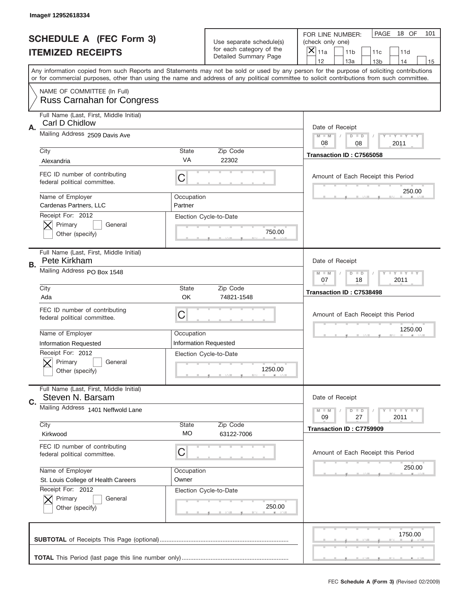|    | Image# 12952618334                                               |                       |                                                   |                                                                                                                                                                                       |
|----|------------------------------------------------------------------|-----------------------|---------------------------------------------------|---------------------------------------------------------------------------------------------------------------------------------------------------------------------------------------|
|    | <b>SCHEDULE A (FEC Form 3)</b>                                   |                       | Use separate schedule(s)                          | PAGE<br>18 OF<br>101<br>FOR LINE NUMBER:<br>(check only one)                                                                                                                          |
|    | <b>ITEMIZED RECEIPTS</b>                                         |                       | for each category of the<br>Detailed Summary Page | $\times$<br>11a<br>11 <sub>b</sub><br>11c<br>11d                                                                                                                                      |
|    |                                                                  |                       |                                                   | 12<br>13a<br>13 <sub>b</sub><br>14<br>15<br>Any information copied from such Reports and Statements may not be sold or used by any person for the purpose of soliciting contributions |
|    |                                                                  |                       |                                                   | or for commercial purposes, other than using the name and address of any political committee to solicit contributions from such committee.                                            |
|    | NAME OF COMMITTEE (In Full)<br><b>Russ Carnahan for Congress</b> |                       |                                                   |                                                                                                                                                                                       |
| Α. | Full Name (Last, First, Middle Initial)<br>Carl D Chidlow        |                       |                                                   | Date of Receipt                                                                                                                                                                       |
|    | Mailing Address 2509 Davis Ave                                   |                       |                                                   | Y TY TY TY<br>$M$ $M$<br>$D$ $D$<br>08<br>2011<br>08                                                                                                                                  |
|    | City                                                             | State                 | Zip Code                                          | Transaction ID: C7565058                                                                                                                                                              |
|    | Alexandria                                                       | VA                    | 22302                                             |                                                                                                                                                                                       |
|    | FEC ID number of contributing<br>federal political committee.    | C                     |                                                   | Amount of Each Receipt this Period<br>250.00                                                                                                                                          |
|    | Name of Employer<br>Cardenas Partners, LLC                       | Occupation<br>Partner |                                                   |                                                                                                                                                                                       |
|    | Receipt For: 2012                                                |                       | Election Cycle-to-Date                            |                                                                                                                                                                                       |
|    | Primary<br>General                                               |                       | 750.00                                            |                                                                                                                                                                                       |
|    | Other (specify)                                                  |                       |                                                   |                                                                                                                                                                                       |
| В. | Full Name (Last, First, Middle Initial)<br>Pete Kirkham          |                       |                                                   | Date of Receipt                                                                                                                                                                       |
|    | Mailing Address PO Box 1548                                      |                       |                                                   | $T$ $Y$ $T$ $Y$ $T$ $Y$<br>$M - M$<br>$D$ $D$                                                                                                                                         |
|    |                                                                  |                       |                                                   | 07<br>18<br>2011                                                                                                                                                                      |
|    | City<br>Ada                                                      | State<br>OK           | Zip Code<br>74821-1548                            | Transaction ID: C7538498                                                                                                                                                              |
|    |                                                                  |                       |                                                   |                                                                                                                                                                                       |
|    |                                                                  |                       |                                                   |                                                                                                                                                                                       |
|    | FEC ID number of contributing<br>federal political committee.    | C                     |                                                   | Amount of Each Receipt this Period                                                                                                                                                    |
|    |                                                                  |                       |                                                   |                                                                                                                                                                                       |
|    | Name of Employer                                                 | Occupation            |                                                   | 1250.00                                                                                                                                                                               |
|    | <b>Information Requested</b>                                     |                       | <b>Information Requested</b>                      |                                                                                                                                                                                       |
|    | Receipt For: 2012<br>General                                     |                       | Election Cycle-to-Date                            |                                                                                                                                                                                       |
|    | Primary<br>Other (specify)                                       |                       | 1250.00                                           |                                                                                                                                                                                       |
|    |                                                                  |                       |                                                   |                                                                                                                                                                                       |
| C. | Full Name (Last, First, Middle Initial)<br>Steven N. Barsam      |                       |                                                   | Date of Receipt                                                                                                                                                                       |
|    | Mailing Address 1401 Neffwold Lane                               |                       |                                                   | <b>LYLYLY</b><br>$M - M$<br>$D$ $D$                                                                                                                                                   |
|    | City                                                             | State                 | Zip Code                                          | 09<br>27<br>2011                                                                                                                                                                      |
|    | Kirkwood                                                         | МO                    | 63122-7006                                        | Transaction ID: C7759909                                                                                                                                                              |
|    | FEC ID number of contributing<br>federal political committee.    | C                     |                                                   | Amount of Each Receipt this Period                                                                                                                                                    |
|    | Name of Employer                                                 | Occupation            |                                                   | 250.00                                                                                                                                                                                |
|    | St. Louis College of Health Careers                              | Owner                 |                                                   |                                                                                                                                                                                       |
|    | Receipt For: 2012                                                |                       | Election Cycle-to-Date                            |                                                                                                                                                                                       |
|    | Primary<br>General                                               |                       |                                                   |                                                                                                                                                                                       |
|    | Other (specify)                                                  |                       | 250.00                                            |                                                                                                                                                                                       |
|    |                                                                  |                       |                                                   |                                                                                                                                                                                       |
|    |                                                                  |                       |                                                   | 1750.00                                                                                                                                                                               |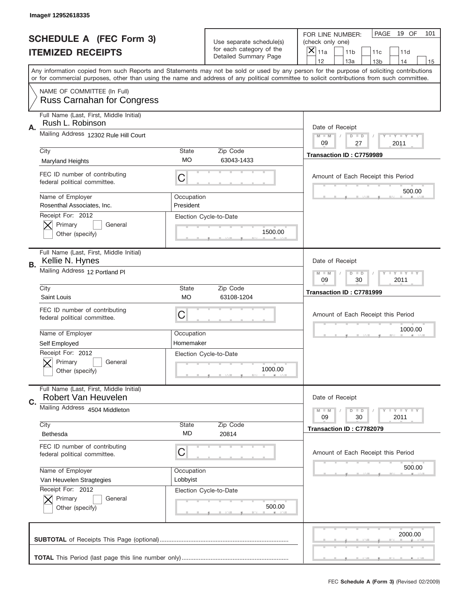|    | Image# 12952618335                                                  |                           |                                                   |                                                                                                                                                                                                                                                                                                                                     |
|----|---------------------------------------------------------------------|---------------------------|---------------------------------------------------|-------------------------------------------------------------------------------------------------------------------------------------------------------------------------------------------------------------------------------------------------------------------------------------------------------------------------------------|
|    | <b>SCHEDULE A (FEC Form 3)</b>                                      |                           | Use separate schedule(s)                          | PAGE<br>19 OF<br>101<br>FOR LINE NUMBER:<br>(check only one)                                                                                                                                                                                                                                                                        |
|    | <b>ITEMIZED RECEIPTS</b>                                            |                           | for each category of the<br>Detailed Summary Page | ×<br>11a<br>11 <sub>b</sub><br>11c<br>11d                                                                                                                                                                                                                                                                                           |
|    |                                                                     |                           |                                                   | 12<br>13a<br>14<br>13 <sub>b</sub><br>15<br>Any information copied from such Reports and Statements may not be sold or used by any person for the purpose of soliciting contributions<br>or for commercial purposes, other than using the name and address of any political committee to solicit contributions from such committee. |
|    | NAME OF COMMITTEE (In Full)<br><b>Russ Carnahan for Congress</b>    |                           |                                                   |                                                                                                                                                                                                                                                                                                                                     |
| Α. | Full Name (Last, First, Middle Initial)<br>Rush L. Robinson         |                           |                                                   | Date of Receipt                                                                                                                                                                                                                                                                                                                     |
|    | Mailing Address 12302 Rule Hill Court                               |                           |                                                   | $M - M$<br><b>THEY THEY</b><br>$D$ $D$<br>09<br>27<br>2011                                                                                                                                                                                                                                                                          |
|    | City<br><b>Maryland Heights</b>                                     | <b>State</b><br><b>MO</b> | Zip Code<br>63043-1433                            | Transaction ID: C7759989                                                                                                                                                                                                                                                                                                            |
|    | FEC ID number of contributing<br>federal political committee.       | C                         |                                                   | Amount of Each Receipt this Period<br>500.00                                                                                                                                                                                                                                                                                        |
|    | Name of Employer<br>Rosenthal Associates, Inc.<br>Receipt For: 2012 | Occupation<br>President   |                                                   |                                                                                                                                                                                                                                                                                                                                     |
|    | Primary<br>General<br>Other (specify)                               |                           | Election Cycle-to-Date<br>1500.00                 |                                                                                                                                                                                                                                                                                                                                     |
| В. | Full Name (Last, First, Middle Initial)<br>Kellie N. Hynes          |                           |                                                   | Date of Receipt                                                                                                                                                                                                                                                                                                                     |
|    | Mailing Address 12 Portland Pl                                      |                           |                                                   | <b>LY LY LY</b><br>$M - M$<br>$D$ $D$<br>09<br>30<br>2011                                                                                                                                                                                                                                                                           |
|    | City<br>Saint Louis                                                 | <b>State</b><br><b>MO</b> | Zip Code<br>63108-1204                            | Transaction ID: C7781999                                                                                                                                                                                                                                                                                                            |
|    | FEC ID number of contributing<br>federal political committee.       | C                         |                                                   | Amount of Each Receipt this Period                                                                                                                                                                                                                                                                                                  |
|    | Name of Employer                                                    | Occupation                |                                                   | 1000.00                                                                                                                                                                                                                                                                                                                             |
|    | Self Employed                                                       | Homemaker                 |                                                   |                                                                                                                                                                                                                                                                                                                                     |
|    | Receipt For: 2012<br>General<br>Primary<br>Other (specify)          |                           | Election Cycle-to-Date<br>1000.00                 |                                                                                                                                                                                                                                                                                                                                     |
| C. | Full Name (Last, First, Middle Initial)<br>Robert Van Heuvelen      |                           |                                                   | Date of Receipt                                                                                                                                                                                                                                                                                                                     |
|    | Mailing Address 4504 Middleton                                      |                           |                                                   | <b>LY LY LY</b><br>$M - M$<br>$D$ $D$<br>09<br>30<br>2011                                                                                                                                                                                                                                                                           |
|    | City<br>Bethesda                                                    | State<br>MD               | Zip Code<br>20814                                 | Transaction ID: C7782079                                                                                                                                                                                                                                                                                                            |
|    | FEC ID number of contributing<br>federal political committee.       | C                         |                                                   | Amount of Each Receipt this Period                                                                                                                                                                                                                                                                                                  |
|    | Name of Employer                                                    | Occupation                |                                                   | 500.00                                                                                                                                                                                                                                                                                                                              |
|    | Van Heuvelen Stragtegies<br>Receipt For: 2012                       | Lobbyist                  |                                                   |                                                                                                                                                                                                                                                                                                                                     |
|    | Primary<br>General<br>Other (specify)                               |                           | Election Cycle-to-Date<br>500.00                  |                                                                                                                                                                                                                                                                                                                                     |
|    |                                                                     |                           |                                                   | 2000.00                                                                                                                                                                                                                                                                                                                             |
|    |                                                                     |                           |                                                   |                                                                                                                                                                                                                                                                                                                                     |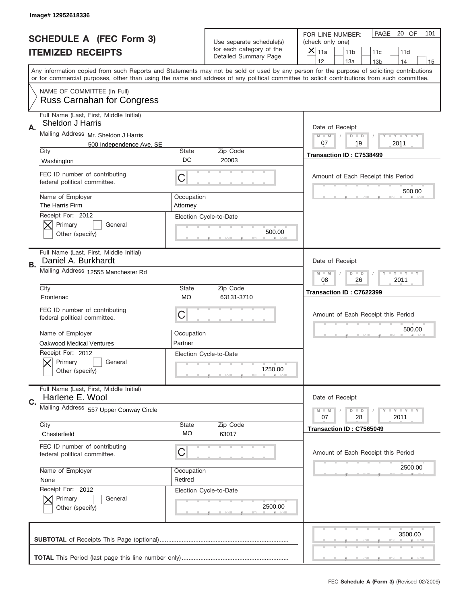|    | Image#12952618336                                                |                        |                                                   |                                                                                                                                                                                                                                                                                                                               |
|----|------------------------------------------------------------------|------------------------|---------------------------------------------------|-------------------------------------------------------------------------------------------------------------------------------------------------------------------------------------------------------------------------------------------------------------------------------------------------------------------------------|
|    | <b>SCHEDULE A (FEC Form 3)</b>                                   |                        | Use separate schedule(s)                          | PAGE 20 OF<br>101<br>FOR LINE NUMBER:<br>(check only one)                                                                                                                                                                                                                                                                     |
|    | <b>ITEMIZED RECEIPTS</b>                                         |                        | for each category of the<br>Detailed Summary Page | ×<br>11a<br>11 <sub>b</sub><br>11c<br>11d<br>12                                                                                                                                                                                                                                                                               |
|    |                                                                  |                        |                                                   | 13a<br>14<br>13 <sub>b</sub><br>15<br>Any information copied from such Reports and Statements may not be sold or used by any person for the purpose of soliciting contributions<br>or for commercial purposes, other than using the name and address of any political committee to solicit contributions from such committee. |
|    | NAME OF COMMITTEE (In Full)<br><b>Russ Carnahan for Congress</b> |                        |                                                   |                                                                                                                                                                                                                                                                                                                               |
| Α. | Full Name (Last, First, Middle Initial)<br>Sheldon J Harris      |                        |                                                   | Date of Receipt                                                                                                                                                                                                                                                                                                               |
|    | Mailing Address Mr. Sheldon J Harris                             |                        |                                                   | $M - M$<br><b>LY LY LY</b><br>$D$ $D$                                                                                                                                                                                                                                                                                         |
|    | 500 Independence Ave. SE<br>City                                 | State                  | Zip Code                                          | 07<br>2011<br>19                                                                                                                                                                                                                                                                                                              |
|    | Washington                                                       | DC                     | 20003                                             | Transaction ID: C7538499                                                                                                                                                                                                                                                                                                      |
|    | FEC ID number of contributing<br>federal political committee.    | C                      |                                                   | Amount of Each Receipt this Period                                                                                                                                                                                                                                                                                            |
|    | Name of Employer<br>The Harris Firm                              | Occupation<br>Attorney |                                                   | 500.00                                                                                                                                                                                                                                                                                                                        |
|    | Receipt For: 2012<br>Primary<br>General<br>Other (specify)       |                        | Election Cycle-to-Date<br>500.00                  |                                                                                                                                                                                                                                                                                                                               |
| В. | Full Name (Last, First, Middle Initial)<br>Daniel A. Burkhardt   |                        |                                                   | Date of Receipt                                                                                                                                                                                                                                                                                                               |
|    | Mailing Address 12555 Manchester Rd                              |                        |                                                   | $M - M$<br>$D$ $D$<br><b>LEYTEY LEY</b><br>08<br>26<br>2011                                                                                                                                                                                                                                                                   |
|    | City<br>Frontenac                                                | State<br><b>MO</b>     | Zip Code<br>63131-3710                            | Transaction ID: C7622399                                                                                                                                                                                                                                                                                                      |
|    | FEC ID number of contributing<br>federal political committee.    | C                      |                                                   | Amount of Each Receipt this Period                                                                                                                                                                                                                                                                                            |
|    | Name of Employer                                                 | Occupation             |                                                   | 500.00                                                                                                                                                                                                                                                                                                                        |
|    |                                                                  |                        |                                                   |                                                                                                                                                                                                                                                                                                                               |
|    | Oakwood Medical Ventures                                         | Partner                |                                                   |                                                                                                                                                                                                                                                                                                                               |
|    | Receipt For: 2012<br>Primary<br>General<br>Other (specify)       |                        | Election Cycle-to-Date<br>1250.00                 |                                                                                                                                                                                                                                                                                                                               |
| C. | Full Name (Last, First, Middle Initial)<br>Harlene E. Wool       |                        |                                                   | Date of Receipt                                                                                                                                                                                                                                                                                                               |
|    | Mailing Address 557 Upper Conway Circle                          |                        |                                                   | $I - Y - I - Y - I - Y$<br>$M - M$<br>$D$ $D$<br>07<br>28                                                                                                                                                                                                                                                                     |
|    | City                                                             | State                  | Zip Code                                          | 2011                                                                                                                                                                                                                                                                                                                          |
|    | Chesterfield                                                     | МO                     | 63017                                             | Transaction ID: C7565049                                                                                                                                                                                                                                                                                                      |
|    | FEC ID number of contributing<br>federal political committee.    | C                      |                                                   | Amount of Each Receipt this Period                                                                                                                                                                                                                                                                                            |
|    | Name of Employer                                                 | Occupation             |                                                   | 2500.00                                                                                                                                                                                                                                                                                                                       |
|    | None                                                             | Retired                |                                                   |                                                                                                                                                                                                                                                                                                                               |
|    | Receipt For: 2012<br>Primary<br>General<br>Other (specify)       |                        | Election Cycle-to-Date<br>2500.00                 |                                                                                                                                                                                                                                                                                                                               |
|    |                                                                  |                        |                                                   | 3500.00                                                                                                                                                                                                                                                                                                                       |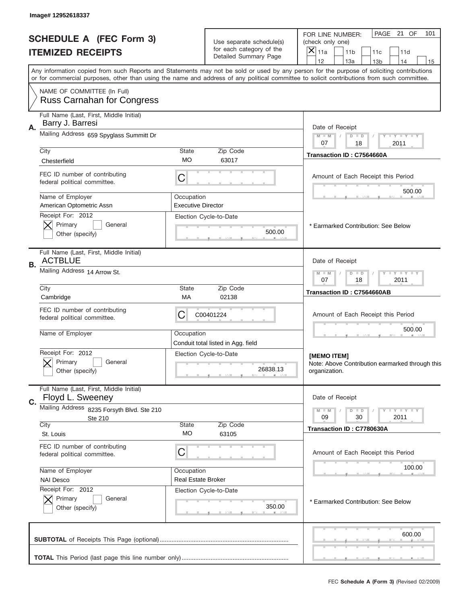|    | Image# 12952618337                                               |                           |                                                      |                                                                                                                                                                                                                                                                                         |
|----|------------------------------------------------------------------|---------------------------|------------------------------------------------------|-----------------------------------------------------------------------------------------------------------------------------------------------------------------------------------------------------------------------------------------------------------------------------------------|
|    | <b>SCHEDULE A (FEC Form 3)</b><br><b>ITEMIZED RECEIPTS</b>       |                           | Use separate schedule(s)<br>for each category of the | PAGE 21 OF<br>101<br>FOR LINE NUMBER:<br>(check only one)<br>×<br>11a<br>11 <sub>b</sub><br>11c<br>11d                                                                                                                                                                                  |
|    |                                                                  |                           | Detailed Summary Page                                | 12<br>13a<br>14<br>13 <sub>b</sub><br>15                                                                                                                                                                                                                                                |
|    |                                                                  |                           |                                                      | Any information copied from such Reports and Statements may not be sold or used by any person for the purpose of soliciting contributions<br>or for commercial purposes, other than using the name and address of any political committee to solicit contributions from such committee. |
|    | NAME OF COMMITTEE (In Full)<br><b>Russ Carnahan for Congress</b> |                           |                                                      |                                                                                                                                                                                                                                                                                         |
|    | Full Name (Last, First, Middle Initial)                          |                           |                                                      |                                                                                                                                                                                                                                                                                         |
| Α. | Barry J. Barresi                                                 |                           |                                                      | Date of Receipt                                                                                                                                                                                                                                                                         |
|    | Mailing Address 659 Spyglass Summitt Dr                          |                           |                                                      | $M - M$<br><b>LEY LEY LEY</b><br>$D$ $D$<br>07<br>18<br>2011                                                                                                                                                                                                                            |
|    | City                                                             | <b>State</b><br>МO        | Zip Code<br>63017                                    | Transaction ID: C7564660A                                                                                                                                                                                                                                                               |
|    | Chesterfield                                                     |                           |                                                      |                                                                                                                                                                                                                                                                                         |
|    | FEC ID number of contributing<br>federal political committee.    | C                         |                                                      | Amount of Each Receipt this Period<br>500.00                                                                                                                                                                                                                                            |
|    | Name of Employer<br>American Optometric Assn                     | Occupation                |                                                      |                                                                                                                                                                                                                                                                                         |
|    | Receipt For: 2012                                                | <b>Executive Director</b> | Election Cycle-to-Date                               |                                                                                                                                                                                                                                                                                         |
|    | Primary<br>General                                               |                           |                                                      | * Earmarked Contribution: See Below                                                                                                                                                                                                                                                     |
|    | Other (specify)                                                  |                           | 500.00                                               |                                                                                                                                                                                                                                                                                         |
|    | Full Name (Last, First, Middle Initial)<br><b>ACTBLUE</b>        |                           |                                                      | Date of Receipt                                                                                                                                                                                                                                                                         |
| В. | Mailing Address 14 Arrow St.                                     |                           |                                                      | <b>LY LY LY</b><br>$M - M$<br>$D$ $D$<br>07<br>18<br>2011                                                                                                                                                                                                                               |
|    | City<br>Cambridge                                                | State<br>МA               | Zip Code<br>02138                                    | Transaction ID: C7564660AB                                                                                                                                                                                                                                                              |
|    | FEC ID number of contributing<br>federal political committee.    | C                         | C00401224                                            | Amount of Each Receipt this Period                                                                                                                                                                                                                                                      |
|    | Name of Employer                                                 | Occupation                | Conduit total listed in Agg. field                   | 500.00                                                                                                                                                                                                                                                                                  |
|    | Receipt For: 2012                                                |                           | Election Cycle-to-Date                               | [MEMO ITEM]                                                                                                                                                                                                                                                                             |
|    | General<br>Primary<br>Other (specify)                            |                           | 26838.13                                             | Note: Above Contribution earmarked through this<br>organization.                                                                                                                                                                                                                        |
|    | Full Name (Last, First, Middle Initial)                          |                           |                                                      |                                                                                                                                                                                                                                                                                         |
| C. | Floyd L. Sweeney                                                 |                           |                                                      | Date of Receipt                                                                                                                                                                                                                                                                         |
|    | Mailing Address 8235 Forsyth Blvd. Ste 210<br>Ste 210            |                           |                                                      | <b>LYLYLY</b><br>$M - M$<br>$D$ $D$<br>2011<br>09<br>30                                                                                                                                                                                                                                 |
|    | City                                                             | <b>State</b>              | Zip Code                                             | Transaction ID: C7780630A                                                                                                                                                                                                                                                               |
|    | St. Louis                                                        | МO                        | 63105                                                |                                                                                                                                                                                                                                                                                         |
|    | FEC ID number of contributing<br>federal political committee.    | C                         |                                                      | Amount of Each Receipt this Period                                                                                                                                                                                                                                                      |
|    | Name of Employer                                                 | Occupation                |                                                      | 100.00                                                                                                                                                                                                                                                                                  |
|    | <b>NAI Desco</b><br>Receipt For: 2012                            | <b>Real Estate Broker</b> | Election Cycle-to-Date                               |                                                                                                                                                                                                                                                                                         |
|    | Primary<br>General<br>Other (specify)                            |                           | 350.00                                               | * Earmarked Contribution: See Below                                                                                                                                                                                                                                                     |
|    |                                                                  |                           |                                                      | 600.00                                                                                                                                                                                                                                                                                  |
|    |                                                                  |                           |                                                      |                                                                                                                                                                                                                                                                                         |
|    |                                                                  |                           |                                                      |                                                                                                                                                                                                                                                                                         |
|    |                                                                  |                           |                                                      | FEC Schedule A (Form 3) (Revised 02/2009)                                                                                                                                                                                                                                               |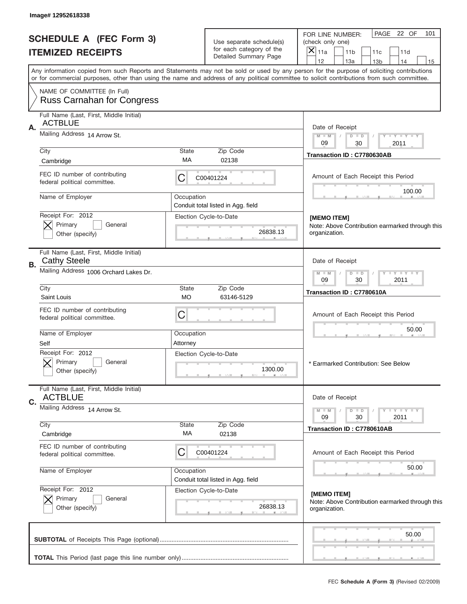|    | Image# 12952618338                                               |                    |                                                      |                                                                                                                                                                                                                                                                                         |
|----|------------------------------------------------------------------|--------------------|------------------------------------------------------|-----------------------------------------------------------------------------------------------------------------------------------------------------------------------------------------------------------------------------------------------------------------------------------------|
|    | <b>SCHEDULE A (FEC Form 3)</b>                                   |                    | Use separate schedule(s)<br>for each category of the | PAGE<br>22 OF<br>101<br>FOR LINE NUMBER:<br>(check only one)                                                                                                                                                                                                                            |
|    | <b>ITEMIZED RECEIPTS</b>                                         |                    | Detailed Summary Page                                | $\times$<br>11a<br>11 <sub>b</sub><br>11d<br>11c<br>12<br>13a<br>14<br>13 <sub>b</sub><br>15                                                                                                                                                                                            |
|    |                                                                  |                    |                                                      | Any information copied from such Reports and Statements may not be sold or used by any person for the purpose of soliciting contributions<br>or for commercial purposes, other than using the name and address of any political committee to solicit contributions from such committee. |
|    | NAME OF COMMITTEE (In Full)<br><b>Russ Carnahan for Congress</b> |                    |                                                      |                                                                                                                                                                                                                                                                                         |
|    | Full Name (Last, First, Middle Initial)                          |                    |                                                      |                                                                                                                                                                                                                                                                                         |
| Α. | <b>ACTBLUE</b>                                                   |                    |                                                      | Date of Receipt                                                                                                                                                                                                                                                                         |
|    | Mailing Address 14 Arrow St.                                     |                    |                                                      | $M$ M<br>$D$ $D$<br>Y FY FY FY<br>09                                                                                                                                                                                                                                                    |
|    | City                                                             | <b>State</b>       | Zip Code                                             | 30<br>2011<br>Transaction ID: C7780630AB                                                                                                                                                                                                                                                |
|    | Cambridge                                                        | МA                 | 02138                                                |                                                                                                                                                                                                                                                                                         |
|    | FEC ID number of contributing<br>federal political committee.    | С                  | C00401224                                            | Amount of Each Receipt this Period                                                                                                                                                                                                                                                      |
|    | Name of Employer                                                 | Occupation         |                                                      | 100.00                                                                                                                                                                                                                                                                                  |
|    |                                                                  |                    | Conduit total listed in Agg. field                   |                                                                                                                                                                                                                                                                                         |
|    | Receipt For: 2012<br>Primary<br>General                          |                    | Election Cycle-to-Date                               | [MEMO ITEM]<br>Note: Above Contribution earmarked through this                                                                                                                                                                                                                          |
|    | Other (specify)                                                  |                    | 26838.13                                             | organization.                                                                                                                                                                                                                                                                           |
| В. | Full Name (Last, First, Middle Initial)<br><b>Cathy Steele</b>   |                    |                                                      | Date of Receipt                                                                                                                                                                                                                                                                         |
|    | Mailing Address 1006 Orchard Lakes Dr.                           |                    |                                                      | $D$ $D$<br><b>TEY TEY TEY</b><br>$M - M$<br>09<br>30<br>2011                                                                                                                                                                                                                            |
|    | City<br>Saint Louis                                              | <b>State</b><br>МO | Zip Code<br>63146-5129                               | Transaction ID: C7780610A                                                                                                                                                                                                                                                               |
|    | FEC ID number of contributing<br>federal political committee.    | C                  |                                                      | Amount of Each Receipt this Period                                                                                                                                                                                                                                                      |
|    | Name of Employer                                                 | Occupation         |                                                      | 50.00                                                                                                                                                                                                                                                                                   |
|    | Self                                                             | Attorney           |                                                      |                                                                                                                                                                                                                                                                                         |
|    | Receipt For: 2012<br>General<br>Primary<br>Other (specify)       |                    | Election Cycle-to-Date<br>1300.00                    | * Earmarked Contribution: See Below                                                                                                                                                                                                                                                     |
|    | Full Name (Last, First, Middle Initial)<br><b>ACTBLUE</b>        |                    |                                                      | Date of Receipt                                                                                                                                                                                                                                                                         |
| C. | Mailing Address 14 Arrow St.                                     |                    |                                                      |                                                                                                                                                                                                                                                                                         |
|    |                                                                  |                    |                                                      | $D$ $D$<br><b>LY LY LY</b><br>$M - M$<br>09<br>30<br>2011                                                                                                                                                                                                                               |
|    | City<br>Cambridge                                                | State<br>МA        | Zip Code<br>02138                                    | Transaction ID: C7780610AB                                                                                                                                                                                                                                                              |
|    | FEC ID number of contributing<br>federal political committee.    | С                  | C00401224                                            | Amount of Each Receipt this Period                                                                                                                                                                                                                                                      |
|    | Name of Employer                                                 | Occupation         | Conduit total listed in Agg. field                   | 50.00                                                                                                                                                                                                                                                                                   |
|    | Receipt For: 2012                                                |                    | Election Cycle-to-Date                               | [MEMO ITEM]                                                                                                                                                                                                                                                                             |
|    | Primary<br>General<br>Other (specify)                            |                    | 26838.13                                             | Note: Above Contribution earmarked through this<br>organization.                                                                                                                                                                                                                        |
|    |                                                                  |                    |                                                      | 50.00                                                                                                                                                                                                                                                                                   |
|    |                                                                  |                    |                                                      |                                                                                                                                                                                                                                                                                         |
|    |                                                                  |                    |                                                      | FEC Schedule A (Form 3) (Revised 02/2009)                                                                                                                                                                                                                                               |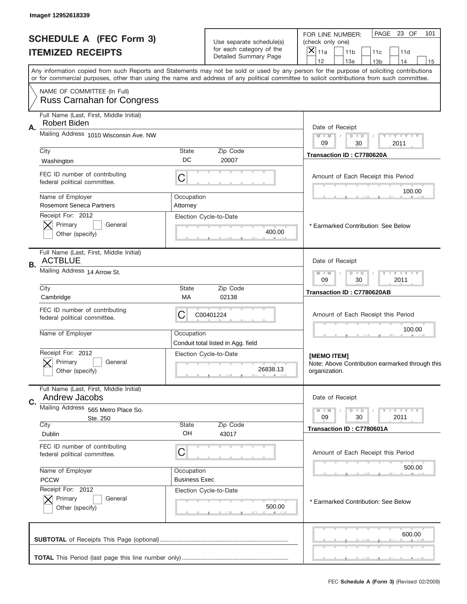|    | Image# 12952618339                                               |                      |                                                      |                                                                                                                                                                                                                                                                                         |
|----|------------------------------------------------------------------|----------------------|------------------------------------------------------|-----------------------------------------------------------------------------------------------------------------------------------------------------------------------------------------------------------------------------------------------------------------------------------------|
|    | <b>SCHEDULE A (FEC Form 3)</b><br><b>ITEMIZED RECEIPTS</b>       |                      | Use separate schedule(s)<br>for each category of the | PAGE 23 OF<br>101<br>FOR LINE NUMBER:<br>(check only one)<br>×<br>11a<br>11 <sub>b</sub><br>11c<br>11d                                                                                                                                                                                  |
|    |                                                                  |                      | Detailed Summary Page                                | 12<br>13a<br>14<br>13 <sub>b</sub><br>15                                                                                                                                                                                                                                                |
|    |                                                                  |                      |                                                      | Any information copied from such Reports and Statements may not be sold or used by any person for the purpose of soliciting contributions<br>or for commercial purposes, other than using the name and address of any political committee to solicit contributions from such committee. |
|    | NAME OF COMMITTEE (In Full)<br><b>Russ Carnahan for Congress</b> |                      |                                                      |                                                                                                                                                                                                                                                                                         |
|    | Full Name (Last, First, Middle Initial)                          |                      |                                                      |                                                                                                                                                                                                                                                                                         |
| Α. | Robert Biden                                                     |                      |                                                      | Date of Receipt                                                                                                                                                                                                                                                                         |
|    | Mailing Address 1010 Wisconsin Ave. NW                           |                      |                                                      | $M - M$<br><b>TEY LY LY</b><br>$D$ $D$<br>09<br>30<br>2011                                                                                                                                                                                                                              |
|    | City                                                             | <b>State</b>         | Zip Code                                             | Transaction ID: C7780620A                                                                                                                                                                                                                                                               |
|    | Washington                                                       | DC                   | 20007                                                |                                                                                                                                                                                                                                                                                         |
|    | FEC ID number of contributing<br>federal political committee.    | C                    |                                                      | Amount of Each Receipt this Period<br>100.00                                                                                                                                                                                                                                            |
|    | Name of Employer                                                 | Occupation           |                                                      |                                                                                                                                                                                                                                                                                         |
|    | <b>Rosemont Seneca Partners</b><br>Receipt For: 2012             | Attorney             |                                                      |                                                                                                                                                                                                                                                                                         |
|    | Primary<br>General                                               |                      | Election Cycle-to-Date                               | * Earmarked Contribution: See Below                                                                                                                                                                                                                                                     |
|    | Other (specify)                                                  |                      | 400.00                                               |                                                                                                                                                                                                                                                                                         |
| В. | Full Name (Last, First, Middle Initial)<br><b>ACTBLUE</b>        |                      |                                                      | Date of Receipt                                                                                                                                                                                                                                                                         |
|    | Mailing Address 14 Arrow St.                                     |                      |                                                      | <b>LY LY LY</b><br>$M$ M<br>$D$ $D$<br>09<br>30<br>2011                                                                                                                                                                                                                                 |
|    | City<br>Cambridge                                                | State<br>МA          | Zip Code<br>02138                                    | Transaction ID: C7780620AB                                                                                                                                                                                                                                                              |
|    | FEC ID number of contributing<br>federal political committee.    | C                    | C00401224                                            | Amount of Each Receipt this Period                                                                                                                                                                                                                                                      |
|    | Name of Employer                                                 | Occupation           | Conduit total listed in Agg. field                   | 100.00                                                                                                                                                                                                                                                                                  |
|    | Receipt For: 2012                                                |                      | Election Cycle-to-Date                               | [MEMO ITEM]                                                                                                                                                                                                                                                                             |
|    | General<br>Primary<br>Other (specify)                            |                      | 26838.13                                             | Note: Above Contribution earmarked through this<br>organization.                                                                                                                                                                                                                        |
|    | Full Name (Last, First, Middle Initial)                          |                      |                                                      |                                                                                                                                                                                                                                                                                         |
| C. | Andrew Jacobs                                                    |                      |                                                      | Date of Receipt                                                                                                                                                                                                                                                                         |
|    | Mailing Address 565 Metro Place So.                              |                      |                                                      | <b>LYLYLY</b><br>$M - M$<br>$D$ $D$<br>2011<br>09<br>30                                                                                                                                                                                                                                 |
|    | Ste. 250<br>City                                                 | <b>State</b>         | Zip Code                                             | Transaction ID: C7780601A                                                                                                                                                                                                                                                               |
|    | Dublin                                                           | OH                   | 43017                                                |                                                                                                                                                                                                                                                                                         |
|    | FEC ID number of contributing<br>federal political committee.    | C                    |                                                      | Amount of Each Receipt this Period                                                                                                                                                                                                                                                      |
|    | Name of Employer                                                 | Occupation           |                                                      | 500.00                                                                                                                                                                                                                                                                                  |
|    | <b>PCCW</b>                                                      | <b>Business Exec</b> |                                                      |                                                                                                                                                                                                                                                                                         |
|    | Receipt For: 2012<br>Primary<br>General                          |                      | Election Cycle-to-Date                               |                                                                                                                                                                                                                                                                                         |
|    | Other (specify)                                                  |                      | 500.00                                               | * Earmarked Contribution: See Below                                                                                                                                                                                                                                                     |
|    |                                                                  |                      |                                                      | 600.00                                                                                                                                                                                                                                                                                  |
|    |                                                                  |                      |                                                      |                                                                                                                                                                                                                                                                                         |
|    |                                                                  |                      |                                                      | FEC Schedule A (Form 3) (Revised 02/2009)                                                                                                                                                                                                                                               |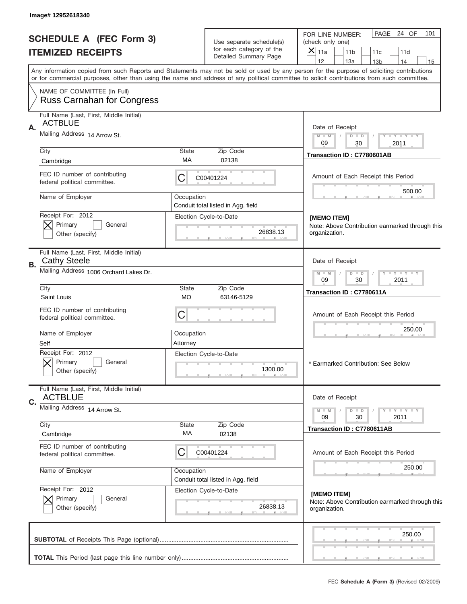| Image# 12952618340                                                   |                    |                                                      |                                                                                                                                                                                                                                                                                         |
|----------------------------------------------------------------------|--------------------|------------------------------------------------------|-----------------------------------------------------------------------------------------------------------------------------------------------------------------------------------------------------------------------------------------------------------------------------------------|
| <b>SCHEDULE A (FEC Form 3)</b>                                       |                    | Use separate schedule(s)<br>for each category of the | PAGE 24 OF<br>101<br>FOR LINE NUMBER:<br>(check only one)                                                                                                                                                                                                                               |
| <b>ITEMIZED RECEIPTS</b>                                             |                    | Detailed Summary Page                                | $\times$<br>11a<br>11 <sub>b</sub><br>11d<br>11c<br>12<br>13a<br>14<br>13 <sub>b</sub><br>15                                                                                                                                                                                            |
|                                                                      |                    |                                                      | Any information copied from such Reports and Statements may not be sold or used by any person for the purpose of soliciting contributions<br>or for commercial purposes, other than using the name and address of any political committee to solicit contributions from such committee. |
| NAME OF COMMITTEE (In Full)<br><b>Russ Carnahan for Congress</b>     |                    |                                                      |                                                                                                                                                                                                                                                                                         |
| Full Name (Last, First, Middle Initial)                              |                    |                                                      |                                                                                                                                                                                                                                                                                         |
| <b>ACTBLUE</b><br>Α.                                                 |                    |                                                      | Date of Receipt                                                                                                                                                                                                                                                                         |
| Mailing Address 14 Arrow St.                                         |                    |                                                      | $M$ M<br>$D$ $D$<br>Y FY FY FY                                                                                                                                                                                                                                                          |
| City                                                                 | <b>State</b>       | Zip Code                                             | 09<br>30<br>2011<br>Transaction ID: C7780601AB                                                                                                                                                                                                                                          |
| Cambridge                                                            | МA                 | 02138                                                |                                                                                                                                                                                                                                                                                         |
| FEC ID number of contributing<br>federal political committee.        | С                  | C00401224                                            | Amount of Each Receipt this Period                                                                                                                                                                                                                                                      |
| Name of Employer                                                     | Occupation         |                                                      | 500.00                                                                                                                                                                                                                                                                                  |
| Receipt For: 2012                                                    |                    | Conduit total listed in Agg. field                   |                                                                                                                                                                                                                                                                                         |
| Primary<br>General                                                   |                    | Election Cycle-to-Date                               | [MEMO ITEM]<br>Note: Above Contribution earmarked through this                                                                                                                                                                                                                          |
| Other (specify)                                                      |                    | 26838.13                                             | organization.                                                                                                                                                                                                                                                                           |
| Full Name (Last, First, Middle Initial)<br><b>Cathy Steele</b><br>В. |                    |                                                      | Date of Receipt                                                                                                                                                                                                                                                                         |
| Mailing Address 1006 Orchard Lakes Dr.                               |                    |                                                      | $D$ $D$<br><b>TEY TEY TEY</b><br>$M - M$<br>09<br>30<br>2011                                                                                                                                                                                                                            |
| City<br>Saint Louis                                                  | <b>State</b><br>МO | Zip Code<br>63146-5129                               | Transaction ID: C7780611A                                                                                                                                                                                                                                                               |
| FEC ID number of contributing<br>federal political committee.        | C                  |                                                      | Amount of Each Receipt this Period                                                                                                                                                                                                                                                      |
| Name of Employer                                                     | Occupation         |                                                      | 250.00                                                                                                                                                                                                                                                                                  |
| Self                                                                 | Attorney           |                                                      |                                                                                                                                                                                                                                                                                         |
| Receipt For: 2012<br>General<br>Primary<br>Other (specify)           |                    | Election Cycle-to-Date<br>1300.00                    | * Earmarked Contribution: See Below                                                                                                                                                                                                                                                     |
| Full Name (Last, First, Middle Initial)                              |                    |                                                      |                                                                                                                                                                                                                                                                                         |
| <b>ACTBLUE</b><br>C.<br>Mailing Address 14 Arrow St.                 |                    |                                                      | Date of Receipt                                                                                                                                                                                                                                                                         |
|                                                                      |                    |                                                      | $D$ $D$<br><b>LY LY LY</b><br>$M - M$<br>09<br>30<br>2011                                                                                                                                                                                                                               |
| City<br>Cambridge                                                    | State<br>МA        | Zip Code<br>02138                                    | Transaction ID: C7780611AB                                                                                                                                                                                                                                                              |
| FEC ID number of contributing<br>federal political committee.        | С                  | C00401224                                            | Amount of Each Receipt this Period                                                                                                                                                                                                                                                      |
| Name of Employer                                                     | Occupation         | Conduit total listed in Agg. field                   | 250.00                                                                                                                                                                                                                                                                                  |
| Receipt For: 2012<br>Primary<br>General                              |                    | Election Cycle-to-Date                               | [MEMO ITEM]<br>Note: Above Contribution earmarked through this                                                                                                                                                                                                                          |
| Other (specify)                                                      |                    | 26838.13                                             | organization.                                                                                                                                                                                                                                                                           |
|                                                                      |                    |                                                      | 250.00                                                                                                                                                                                                                                                                                  |
|                                                                      |                    |                                                      |                                                                                                                                                                                                                                                                                         |
|                                                                      |                    |                                                      |                                                                                                                                                                                                                                                                                         |
|                                                                      |                    |                                                      | FEC Schedule A (Form 3) (Revised 02/2009)                                                                                                                                                                                                                                               |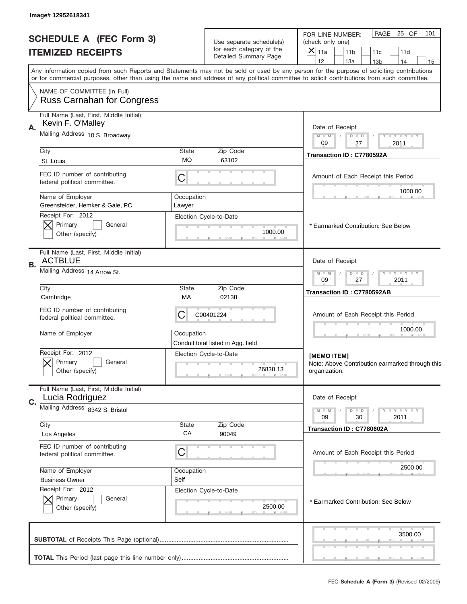|                                                            | Image# 12952618341                                               |                                                            |                                                      |                                                                                                                                                                                                                                                                                         |
|------------------------------------------------------------|------------------------------------------------------------------|------------------------------------------------------------|------------------------------------------------------|-----------------------------------------------------------------------------------------------------------------------------------------------------------------------------------------------------------------------------------------------------------------------------------------|
| <b>SCHEDULE A (FEC Form 3)</b><br><b>ITEMIZED RECEIPTS</b> |                                                                  |                                                            | Use separate schedule(s)<br>for each category of the | PAGE 25 OF<br>101<br>FOR LINE NUMBER:<br>(check only one)<br>$\overline{X} _{11a}$<br>11 <sub>b</sub><br>11c<br>11d                                                                                                                                                                     |
|                                                            |                                                                  |                                                            | Detailed Summary Page                                | 12<br>13a<br>14<br>13 <sub>b</sub><br>15                                                                                                                                                                                                                                                |
|                                                            |                                                                  |                                                            |                                                      | Any information copied from such Reports and Statements may not be sold or used by any person for the purpose of soliciting contributions<br>or for commercial purposes, other than using the name and address of any political committee to solicit contributions from such committee. |
|                                                            | NAME OF COMMITTEE (In Full)<br><b>Russ Carnahan for Congress</b> |                                                            |                                                      |                                                                                                                                                                                                                                                                                         |
|                                                            | Full Name (Last, First, Middle Initial)                          |                                                            |                                                      |                                                                                                                                                                                                                                                                                         |
| Α.                                                         | Kevin F. O'Malley                                                |                                                            |                                                      | Date of Receipt                                                                                                                                                                                                                                                                         |
|                                                            | Mailing Address 10 S. Broadway                                   |                                                            |                                                      | $M$ $M$<br>Y FY FY FY<br>$D$ $D$<br>09<br>27<br>2011                                                                                                                                                                                                                                    |
|                                                            | City                                                             | State                                                      | Zip Code                                             | Transaction ID: C7780592A                                                                                                                                                                                                                                                               |
|                                                            | St. Louis                                                        | <b>MO</b>                                                  | 63102                                                |                                                                                                                                                                                                                                                                                         |
|                                                            | FEC ID number of contributing<br>federal political committee.    | C                                                          |                                                      | Amount of Each Receipt this Period<br>1000.00                                                                                                                                                                                                                                           |
|                                                            | Name of Employer                                                 | Occupation                                                 |                                                      |                                                                                                                                                                                                                                                                                         |
|                                                            | Greensfelder, Hemker & Gale, PC<br>Receipt For: 2012             | Lawyer                                                     | Election Cycle-to-Date                               |                                                                                                                                                                                                                                                                                         |
|                                                            | Primary<br>General                                               |                                                            |                                                      | * Earmarked Contribution: See Below                                                                                                                                                                                                                                                     |
|                                                            | Other (specify)                                                  |                                                            | 1000.00                                              |                                                                                                                                                                                                                                                                                         |
| В.                                                         | Full Name (Last, First, Middle Initial)<br><b>ACTBLUE</b>        |                                                            |                                                      | Date of Receipt                                                                                                                                                                                                                                                                         |
|                                                            | Mailing Address 14 Arrow St.                                     | <b>THEY THEY</b><br>$M - M$<br>$D$ $D$<br>09<br>27<br>2011 |                                                      |                                                                                                                                                                                                                                                                                         |
|                                                            | City<br>Cambridge                                                | <b>State</b><br>МA                                         | Zip Code<br>02138                                    | Transaction ID: C7780592AB                                                                                                                                                                                                                                                              |
|                                                            | FEC ID number of contributing<br>federal political committee.    | C                                                          | C00401224                                            | Amount of Each Receipt this Period                                                                                                                                                                                                                                                      |
|                                                            | Name of Employer                                                 | Occupation                                                 | Conduit total listed in Agg. field                   | 1000.00                                                                                                                                                                                                                                                                                 |
|                                                            | Receipt For: 2012                                                |                                                            | Election Cycle-to-Date                               | [MEMO ITEM]                                                                                                                                                                                                                                                                             |
|                                                            | General<br>Primary<br>Other (specify)                            |                                                            | 26838.13                                             | Note: Above Contribution earmarked through this<br>organization.                                                                                                                                                                                                                        |
|                                                            | Full Name (Last, First, Middle Initial)                          |                                                            |                                                      |                                                                                                                                                                                                                                                                                         |
| C.                                                         | Lucia Rodriguez                                                  |                                                            |                                                      | Date of Receipt                                                                                                                                                                                                                                                                         |
|                                                            | Mailing Address 8342 S. Bristol                                  |                                                            |                                                      | <b>LYLYLY</b><br>$M - M$<br>$D$ $D$<br>09<br>30<br>2011                                                                                                                                                                                                                                 |
|                                                            | City                                                             | <b>State</b><br>СA                                         | Zip Code                                             | Transaction ID: C7780602A                                                                                                                                                                                                                                                               |
|                                                            | Los Angeles                                                      |                                                            | 90049                                                |                                                                                                                                                                                                                                                                                         |
|                                                            | FEC ID number of contributing<br>federal political committee.    | C                                                          |                                                      | Amount of Each Receipt this Period                                                                                                                                                                                                                                                      |
|                                                            | Name of Employer                                                 | Occupation<br>Self                                         |                                                      | 2500.00                                                                                                                                                                                                                                                                                 |
|                                                            | <b>Business Owner</b><br>Receipt For: 2012                       |                                                            | Election Cycle-to-Date                               |                                                                                                                                                                                                                                                                                         |
|                                                            | Primary<br>General<br>Other (specify)                            |                                                            | 2500.00                                              | * Earmarked Contribution: See Below                                                                                                                                                                                                                                                     |
|                                                            |                                                                  |                                                            |                                                      | 3500.00                                                                                                                                                                                                                                                                                 |
|                                                            |                                                                  |                                                            |                                                      |                                                                                                                                                                                                                                                                                         |
|                                                            |                                                                  |                                                            |                                                      | FEC Schedule A (Form 3) (Revised 02/2009)                                                                                                                                                                                                                                               |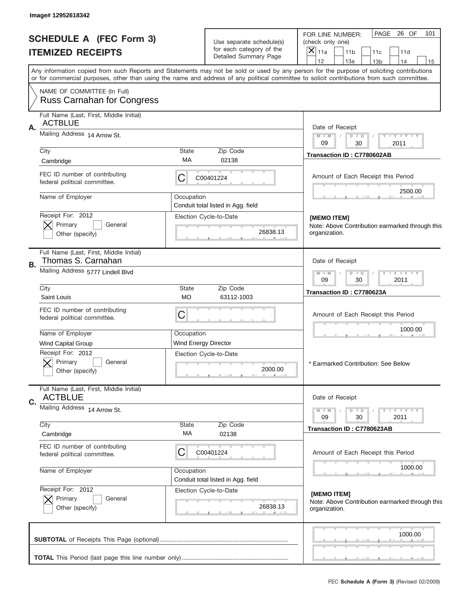|                                | Image# 12952618342                                               |                                                                                                                                                                                                                                                                                                                                     |                                                   |                                                                       |
|--------------------------------|------------------------------------------------------------------|-------------------------------------------------------------------------------------------------------------------------------------------------------------------------------------------------------------------------------------------------------------------------------------------------------------------------------------|---------------------------------------------------|-----------------------------------------------------------------------|
| <b>SCHEDULE A (FEC Form 3)</b> |                                                                  |                                                                                                                                                                                                                                                                                                                                     | Use separate schedule(s)                          | PAGE<br>26 OF<br>101<br>FOR LINE NUMBER:<br>(check only one)          |
|                                | <b>ITEMIZED RECEIPTS</b>                                         |                                                                                                                                                                                                                                                                                                                                     | for each category of the<br>Detailed Summary Page | $\times$<br>11a<br>11 <sub>b</sub><br>11d<br>11c                      |
|                                |                                                                  | 12<br>13a<br>14<br>13 <sub>b</sub><br>15<br>Any information copied from such Reports and Statements may not be sold or used by any person for the purpose of soliciting contributions<br>or for commercial purposes, other than using the name and address of any political committee to solicit contributions from such committee. |                                                   |                                                                       |
|                                | NAME OF COMMITTEE (In Full)<br><b>Russ Carnahan for Congress</b> |                                                                                                                                                                                                                                                                                                                                     |                                                   |                                                                       |
|                                |                                                                  |                                                                                                                                                                                                                                                                                                                                     |                                                   |                                                                       |
|                                | Full Name (Last, First, Middle Initial)<br><b>ACTBLUE</b>        |                                                                                                                                                                                                                                                                                                                                     |                                                   |                                                                       |
| Α.                             | Mailing Address 14 Arrow St.                                     |                                                                                                                                                                                                                                                                                                                                     |                                                   | Date of Receipt<br>Y TY TY TY<br>$M$ M<br>$D$ $D$<br>09<br>30<br>2011 |
|                                | City                                                             | <b>State</b>                                                                                                                                                                                                                                                                                                                        | Zip Code                                          | Transaction ID: C7780602AB                                            |
|                                | Cambridge                                                        | МA                                                                                                                                                                                                                                                                                                                                  | 02138                                             |                                                                       |
|                                | FEC ID number of contributing<br>federal political committee.    | С                                                                                                                                                                                                                                                                                                                                   | C00401224                                         | Amount of Each Receipt this Period                                    |
|                                | Name of Employer                                                 | Occupation                                                                                                                                                                                                                                                                                                                          | Conduit total listed in Agg. field                | 2500.00                                                               |
|                                | Receipt For: 2012                                                |                                                                                                                                                                                                                                                                                                                                     | Election Cycle-to-Date                            | [MEMO ITEM]                                                           |
|                                | Primary<br>General<br>Other (specify)                            |                                                                                                                                                                                                                                                                                                                                     | 26838.13                                          | Note: Above Contribution earmarked through this<br>organization.      |
|                                | Full Name (Last, First, Middle Initial)<br>Thomas S. Carnahan    |                                                                                                                                                                                                                                                                                                                                     |                                                   | Date of Receipt                                                       |
| В.                             | Mailing Address 5777 Lindell Blvd                                | $D$ $D$<br><b>TAN TANK TANK</b><br>$M - M$<br>09<br>30<br>2011                                                                                                                                                                                                                                                                      |                                                   |                                                                       |
|                                | City<br>Saint Louis                                              | <b>State</b><br>МO                                                                                                                                                                                                                                                                                                                  | Zip Code<br>63112-1003                            | Transaction ID: C7780623A                                             |
|                                | FEC ID number of contributing<br>federal political committee.    | C                                                                                                                                                                                                                                                                                                                                   |                                                   | Amount of Each Receipt this Period                                    |
|                                | Name of Employer                                                 | Occupation                                                                                                                                                                                                                                                                                                                          |                                                   | 1000.00                                                               |
|                                | <b>Wind Capital Group</b>                                        | Wind Energy Director                                                                                                                                                                                                                                                                                                                |                                                   |                                                                       |
|                                | Receipt For: 2012<br>General<br>Primary<br>Other (specify)       |                                                                                                                                                                                                                                                                                                                                     | Election Cycle-to-Date<br>2000.00                 | * Earmarked Contribution: See Below                                   |
|                                | Full Name (Last, First, Middle Initial)<br><b>ACTBLUE</b>        |                                                                                                                                                                                                                                                                                                                                     |                                                   | Date of Receipt                                                       |
| C.                             | Mailing Address 14 Arrow St.                                     |                                                                                                                                                                                                                                                                                                                                     |                                                   |                                                                       |
|                                |                                                                  |                                                                                                                                                                                                                                                                                                                                     |                                                   | $D$ $D$<br><b>LY LY LY</b><br>$M - M$<br>09<br>30<br>2011             |
|                                | City<br>Cambridge                                                | State<br>МA                                                                                                                                                                                                                                                                                                                         | Zip Code<br>02138                                 | Transaction ID: C7780623AB                                            |
|                                | FEC ID number of contributing<br>federal political committee.    | С                                                                                                                                                                                                                                                                                                                                   | C00401224                                         | Amount of Each Receipt this Period                                    |
|                                | Name of Employer                                                 | Occupation                                                                                                                                                                                                                                                                                                                          | Conduit total listed in Agg. field                | 1000.00                                                               |
|                                | Receipt For: 2012                                                |                                                                                                                                                                                                                                                                                                                                     | Election Cycle-to-Date                            | [MEMO ITEM]                                                           |
|                                | Primary<br>General<br>Other (specify)                            |                                                                                                                                                                                                                                                                                                                                     | 26838.13                                          | Note: Above Contribution earmarked through this<br>organization.      |
|                                |                                                                  |                                                                                                                                                                                                                                                                                                                                     |                                                   | 1000.00                                                               |
|                                |                                                                  |                                                                                                                                                                                                                                                                                                                                     |                                                   |                                                                       |
|                                |                                                                  |                                                                                                                                                                                                                                                                                                                                     |                                                   | FEC Schedule A (Form 3) (Revised 02/2009)                             |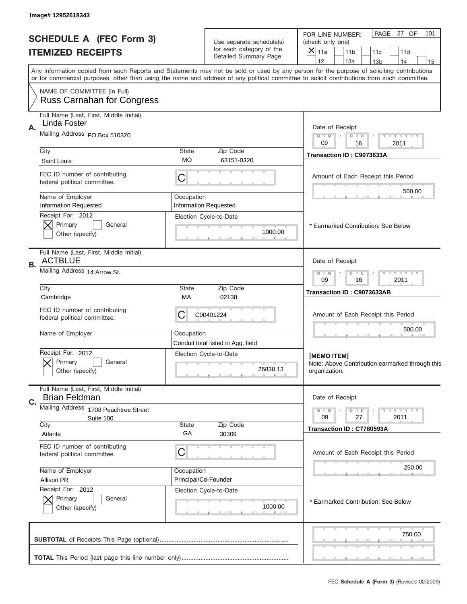|                                                            | Image# 12952618343                                               |                                                                                                                                                                                                                                                                                         |                                                        |                                                                                                        |  |
|------------------------------------------------------------|------------------------------------------------------------------|-----------------------------------------------------------------------------------------------------------------------------------------------------------------------------------------------------------------------------------------------------------------------------------------|--------------------------------------------------------|--------------------------------------------------------------------------------------------------------|--|
| <b>SCHEDULE A (FEC Form 3)</b><br><b>ITEMIZED RECEIPTS</b> |                                                                  |                                                                                                                                                                                                                                                                                         | Use separate schedule(s)<br>for each category of the   | PAGE 27 OF<br>101<br>FOR LINE NUMBER:<br>(check only one)<br>×<br>11a<br>11 <sub>b</sub><br>11c<br>11d |  |
|                                                            |                                                                  |                                                                                                                                                                                                                                                                                         | Detailed Summary Page                                  | 12<br>13a<br>14<br>13 <sub>b</sub><br>15                                                               |  |
|                                                            |                                                                  | Any information copied from such Reports and Statements may not be sold or used by any person for the purpose of soliciting contributions<br>or for commercial purposes, other than using the name and address of any political committee to solicit contributions from such committee. |                                                        |                                                                                                        |  |
|                                                            | NAME OF COMMITTEE (In Full)<br><b>Russ Carnahan for Congress</b> |                                                                                                                                                                                                                                                                                         |                                                        |                                                                                                        |  |
|                                                            | Full Name (Last, First, Middle Initial)                          |                                                                                                                                                                                                                                                                                         |                                                        |                                                                                                        |  |
| А.                                                         | Linda Foster                                                     |                                                                                                                                                                                                                                                                                         |                                                        | Date of Receipt                                                                                        |  |
|                                                            | Mailing Address PO Box 510320                                    |                                                                                                                                                                                                                                                                                         |                                                        | $M - M$<br><b>LEY LEY LEY</b><br>$D$ $D$<br>09<br>16<br>2011                                           |  |
|                                                            | City                                                             | State                                                                                                                                                                                                                                                                                   | Zip Code                                               | Transaction ID: C9073633A                                                                              |  |
|                                                            | Saint Louis                                                      | МO                                                                                                                                                                                                                                                                                      | 63151-0320                                             |                                                                                                        |  |
|                                                            | FEC ID number of contributing<br>federal political committee.    | C                                                                                                                                                                                                                                                                                       |                                                        | Amount of Each Receipt this Period<br>500.00                                                           |  |
|                                                            | Name of Employer                                                 | Occupation                                                                                                                                                                                                                                                                              |                                                        |                                                                                                        |  |
|                                                            | <b>Information Requested</b><br>Receipt For: 2012                |                                                                                                                                                                                                                                                                                         | <b>Information Requested</b><br>Election Cycle-to-Date |                                                                                                        |  |
|                                                            | Primary<br>General<br>Other (specify)                            |                                                                                                                                                                                                                                                                                         | 1000.00                                                | * Earmarked Contribution: See Below                                                                    |  |
| В.                                                         | Full Name (Last, First, Middle Initial)<br><b>ACTBLUE</b>        |                                                                                                                                                                                                                                                                                         |                                                        | Date of Receipt                                                                                        |  |
|                                                            | Mailing Address 14 Arrow St.                                     | <b>LY LY LY</b><br>$M - M$<br>$D$ $D$<br>09<br>16<br>2011                                                                                                                                                                                                                               |                                                        |                                                                                                        |  |
|                                                            | City<br>Cambridge                                                | State<br>МA                                                                                                                                                                                                                                                                             | Zip Code<br>02138                                      | Transaction ID: C9073633AB                                                                             |  |
|                                                            | FEC ID number of contributing<br>federal political committee.    | C<br>C00401224                                                                                                                                                                                                                                                                          |                                                        |                                                                                                        |  |
|                                                            | Name of Employer                                                 | Occupation                                                                                                                                                                                                                                                                              | Conduit total listed in Agg. field                     | 500.00                                                                                                 |  |
|                                                            | Receipt For: 2012<br>General<br>Primary<br>Other (specify)       |                                                                                                                                                                                                                                                                                         | Election Cycle-to-Date<br>26838.13                     | [MEMO ITEM]<br>Note: Above Contribution earmarked through this<br>organization.                        |  |
|                                                            | Full Name (Last, First, Middle Initial)                          |                                                                                                                                                                                                                                                                                         |                                                        |                                                                                                        |  |
| C.                                                         | <b>Brian Feldman</b>                                             |                                                                                                                                                                                                                                                                                         |                                                        | Date of Receipt                                                                                        |  |
|                                                            | Mailing Address 1708 Peachtree Street<br>Suite 100               |                                                                                                                                                                                                                                                                                         |                                                        | <b>LYLYLY</b><br>$M - M$<br>$D$ $D$<br>2011<br>09<br>27                                                |  |
|                                                            | City<br>Atlanta                                                  | <b>State</b><br>GA                                                                                                                                                                                                                                                                      | Zip Code                                               | Transaction ID: C7780593A                                                                              |  |
|                                                            | FEC ID number of contributing                                    |                                                                                                                                                                                                                                                                                         | 30309                                                  |                                                                                                        |  |
|                                                            | federal political committee.                                     | C                                                                                                                                                                                                                                                                                       |                                                        | Amount of Each Receipt this Period                                                                     |  |
|                                                            | Name of Employer                                                 | Occupation                                                                                                                                                                                                                                                                              |                                                        | 250.00                                                                                                 |  |
|                                                            | Allison PR<br>Receipt For: 2012                                  | Principal/Co-Founder                                                                                                                                                                                                                                                                    | Election Cycle-to-Date                                 |                                                                                                        |  |
|                                                            | Primary<br>General<br>Other (specify)                            |                                                                                                                                                                                                                                                                                         | 1000.00                                                | * Earmarked Contribution: See Below                                                                    |  |
|                                                            |                                                                  |                                                                                                                                                                                                                                                                                         |                                                        | 750.00                                                                                                 |  |
|                                                            |                                                                  |                                                                                                                                                                                                                                                                                         |                                                        |                                                                                                        |  |
|                                                            |                                                                  |                                                                                                                                                                                                                                                                                         |                                                        | FEC Schedule A (Form 3) (Revised 02/2009)                                                              |  |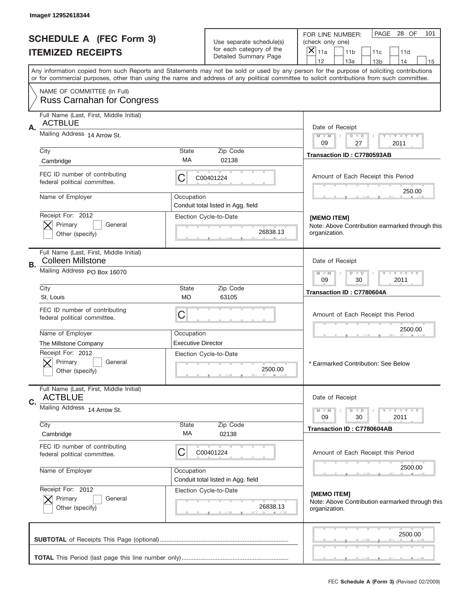|                                | Image# 12952618344                                                  |                                                                                                                                                                                                                                                                                         |                                                      |                                                                                              |
|--------------------------------|---------------------------------------------------------------------|-----------------------------------------------------------------------------------------------------------------------------------------------------------------------------------------------------------------------------------------------------------------------------------------|------------------------------------------------------|----------------------------------------------------------------------------------------------|
| <b>SCHEDULE A (FEC Form 3)</b> |                                                                     |                                                                                                                                                                                                                                                                                         | Use separate schedule(s)<br>for each category of the | PAGE<br>28 OF<br>101<br>FOR LINE NUMBER:<br>(check only one)                                 |
|                                | <b>ITEMIZED RECEIPTS</b>                                            |                                                                                                                                                                                                                                                                                         | Detailed Summary Page                                | $\times$<br>11a<br>11 <sub>b</sub><br>11d<br>11c<br>12<br>13a<br>14<br>13 <sub>b</sub><br>15 |
|                                |                                                                     | Any information copied from such Reports and Statements may not be sold or used by any person for the purpose of soliciting contributions<br>or for commercial purposes, other than using the name and address of any political committee to solicit contributions from such committee. |                                                      |                                                                                              |
|                                | NAME OF COMMITTEE (In Full)<br><b>Russ Carnahan for Congress</b>    |                                                                                                                                                                                                                                                                                         |                                                      |                                                                                              |
|                                | Full Name (Last, First, Middle Initial)                             |                                                                                                                                                                                                                                                                                         |                                                      |                                                                                              |
| Α.                             | <b>ACTBLUE</b>                                                      |                                                                                                                                                                                                                                                                                         |                                                      | Date of Receipt                                                                              |
|                                | Mailing Address 14 Arrow St.                                        |                                                                                                                                                                                                                                                                                         |                                                      | Y TY TY TY<br>$M$ M<br>$D$ $D$                                                               |
|                                | City                                                                | <b>State</b>                                                                                                                                                                                                                                                                            | Zip Code                                             | 09<br>27<br>2011                                                                             |
|                                | Cambridge                                                           | МA                                                                                                                                                                                                                                                                                      | 02138                                                | Transaction ID: C7780593AB                                                                   |
|                                | FEC ID number of contributing<br>federal political committee.       | С                                                                                                                                                                                                                                                                                       | C00401224                                            | Amount of Each Receipt this Period                                                           |
|                                | Name of Employer                                                    | Occupation                                                                                                                                                                                                                                                                              |                                                      | 250.00                                                                                       |
|                                |                                                                     | Conduit total listed in Agg. field                                                                                                                                                                                                                                                      |                                                      |                                                                                              |
|                                | Receipt For: 2012                                                   |                                                                                                                                                                                                                                                                                         | Election Cycle-to-Date                               | [MEMO ITEM]                                                                                  |
|                                | Primary<br>General<br>Other (specify)                               |                                                                                                                                                                                                                                                                                         | 26838.13                                             | Note: Above Contribution earmarked through this<br>organization.                             |
|                                |                                                                     |                                                                                                                                                                                                                                                                                         |                                                      |                                                                                              |
| В.                             | Full Name (Last, First, Middle Initial)<br><b>Colleen Millstone</b> |                                                                                                                                                                                                                                                                                         |                                                      | Date of Receipt                                                                              |
|                                | Mailing Address PO Box 16070                                        | $D$ $D$<br><b>TEY TEY TEY</b><br>$M - M$<br>09<br>30<br>2011                                                                                                                                                                                                                            |                                                      |                                                                                              |
|                                | City                                                                | <b>State</b>                                                                                                                                                                                                                                                                            | Zip Code                                             |                                                                                              |
|                                | St. Louis                                                           | МO                                                                                                                                                                                                                                                                                      | 63105                                                | Transaction ID: C7780604A                                                                    |
|                                | FEC ID number of contributing<br>federal political committee.       | C                                                                                                                                                                                                                                                                                       |                                                      | Amount of Each Receipt this Period                                                           |
|                                | Name of Employer                                                    | Occupation                                                                                                                                                                                                                                                                              |                                                      | 2500.00                                                                                      |
|                                | The Millstone Company                                               | <b>Executive Director</b>                                                                                                                                                                                                                                                               |                                                      |                                                                                              |
|                                | Receipt For: 2012<br>General<br>Primary<br>Other (specify)          |                                                                                                                                                                                                                                                                                         | Election Cycle-to-Date<br>2500.00                    | * Earmarked Contribution: See Below                                                          |
|                                | Full Name (Last, First, Middle Initial)                             |                                                                                                                                                                                                                                                                                         |                                                      |                                                                                              |
| C.                             | <b>ACTBLUE</b>                                                      |                                                                                                                                                                                                                                                                                         |                                                      | Date of Receipt                                                                              |
|                                | Mailing Address 14 Arrow St.                                        |                                                                                                                                                                                                                                                                                         |                                                      | $D$ $D$<br>$M - M$<br>$T - Y$ $T - Y$ $T - Y$                                                |
|                                | City                                                                | State                                                                                                                                                                                                                                                                                   | Zip Code                                             | 09<br>30<br>2011                                                                             |
|                                | Cambridge                                                           | МA                                                                                                                                                                                                                                                                                      | 02138                                                | Transaction ID: C7780604AB                                                                   |
|                                | FEC ID number of contributing<br>federal political committee.       | C                                                                                                                                                                                                                                                                                       | C00401224                                            | Amount of Each Receipt this Period                                                           |
|                                | Name of Employer                                                    | Occupation                                                                                                                                                                                                                                                                              |                                                      | 2500.00                                                                                      |
|                                |                                                                     |                                                                                                                                                                                                                                                                                         | Conduit total listed in Agg. field                   |                                                                                              |
|                                | Receipt For: 2012                                                   |                                                                                                                                                                                                                                                                                         | Election Cycle-to-Date                               | [MEMO ITEM]                                                                                  |
|                                | Primary<br>General<br>Other (specify)                               |                                                                                                                                                                                                                                                                                         | 26838.13                                             | Note: Above Contribution earmarked through this<br>organization.                             |
|                                |                                                                     |                                                                                                                                                                                                                                                                                         |                                                      | 2500.00                                                                                      |
|                                |                                                                     |                                                                                                                                                                                                                                                                                         |                                                      |                                                                                              |
|                                |                                                                     |                                                                                                                                                                                                                                                                                         |                                                      |                                                                                              |
|                                |                                                                     |                                                                                                                                                                                                                                                                                         |                                                      | FEC Schedule A (Form 3) (Revised 02/2009)                                                    |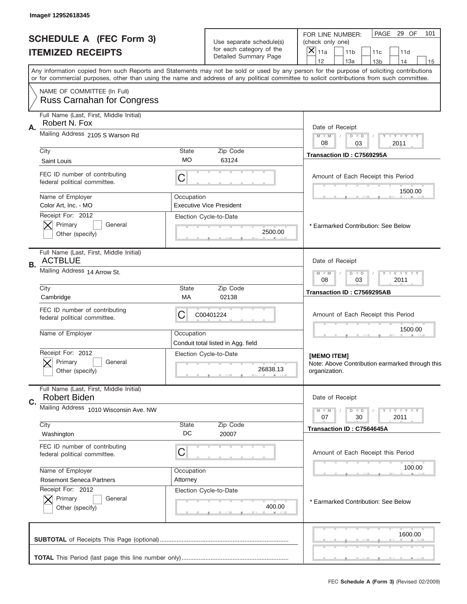|                                                            | Image# 12952618345                                               |                                                                                                                                                                                                                                                                                         |                                                      |                                                                                          |
|------------------------------------------------------------|------------------------------------------------------------------|-----------------------------------------------------------------------------------------------------------------------------------------------------------------------------------------------------------------------------------------------------------------------------------------|------------------------------------------------------|------------------------------------------------------------------------------------------|
| <b>SCHEDULE A (FEC Form 3)</b><br><b>ITEMIZED RECEIPTS</b> |                                                                  |                                                                                                                                                                                                                                                                                         | Use separate schedule(s)<br>for each category of the | PAGE 29 OF<br>101<br>FOR LINE NUMBER:<br>(check only one)<br>×<br>11a<br>11 <sub>b</sub> |
|                                                            |                                                                  |                                                                                                                                                                                                                                                                                         | Detailed Summary Page                                | 11c<br>11d<br>12<br>13a<br>14<br>13 <sub>b</sub><br>15                                   |
|                                                            |                                                                  | Any information copied from such Reports and Statements may not be sold or used by any person for the purpose of soliciting contributions<br>or for commercial purposes, other than using the name and address of any political committee to solicit contributions from such committee. |                                                      |                                                                                          |
|                                                            | NAME OF COMMITTEE (In Full)<br><b>Russ Carnahan for Congress</b> |                                                                                                                                                                                                                                                                                         |                                                      |                                                                                          |
|                                                            | Full Name (Last, First, Middle Initial)                          |                                                                                                                                                                                                                                                                                         |                                                      |                                                                                          |
| Α.                                                         | Robert N. Fox<br>Mailing Address 2105 S Warson Rd                | Date of Receipt                                                                                                                                                                                                                                                                         |                                                      |                                                                                          |
|                                                            |                                                                  |                                                                                                                                                                                                                                                                                         |                                                      | $M - M$<br><b>LEY LEY LEY</b><br>$D$ $D$<br>08<br>03<br>2011                             |
|                                                            | City<br>Saint Louis                                              | State<br>МO                                                                                                                                                                                                                                                                             | Zip Code<br>63124                                    | Transaction ID: C7569295A                                                                |
|                                                            | FEC ID number of contributing<br>federal political committee.    | C                                                                                                                                                                                                                                                                                       |                                                      | Amount of Each Receipt this Period                                                       |
|                                                            | Name of Employer                                                 | Occupation                                                                                                                                                                                                                                                                              |                                                      | 1500.00                                                                                  |
|                                                            | Color Art, Inc. - MO                                             |                                                                                                                                                                                                                                                                                         | <b>Executive Vice President</b>                      |                                                                                          |
|                                                            | Receipt For: 2012<br>Primary<br>General<br>Other (specify)       |                                                                                                                                                                                                                                                                                         | Election Cycle-to-Date<br>2500.00                    | * Earmarked Contribution: See Below                                                      |
| В.                                                         | Full Name (Last, First, Middle Initial)<br><b>ACTBLUE</b>        |                                                                                                                                                                                                                                                                                         |                                                      | Date of Receipt                                                                          |
|                                                            | Mailing Address 14 Arrow St.                                     | <b>LY LY LY</b><br>$M - M$<br>$D$ $D$<br>08<br>03<br>2011                                                                                                                                                                                                                               |                                                      |                                                                                          |
|                                                            | City<br>Cambridge                                                | State<br>МA                                                                                                                                                                                                                                                                             | Zip Code<br>02138                                    | Transaction ID: C7569295AB                                                               |
|                                                            | FEC ID number of contributing<br>federal political committee.    | C                                                                                                                                                                                                                                                                                       | C00401224                                            | Amount of Each Receipt this Period                                                       |
|                                                            | Name of Employer                                                 | Occupation                                                                                                                                                                                                                                                                              | Conduit total listed in Agg. field                   | 1500.00                                                                                  |
|                                                            | Receipt For: 2012<br>General<br>Primary<br>Other (specify)       |                                                                                                                                                                                                                                                                                         | Election Cycle-to-Date<br>26838.13                   | [MEMO ITEM]<br>Note: Above Contribution earmarked through this<br>organization.          |
|                                                            | Full Name (Last, First, Middle Initial)                          |                                                                                                                                                                                                                                                                                         |                                                      |                                                                                          |
| C.                                                         | <b>Robert Biden</b><br>Mailing Address 1010 Wisconsin Ave. NW    |                                                                                                                                                                                                                                                                                         |                                                      | Date of Receipt<br><b>LYLYLY</b>                                                         |
|                                                            |                                                                  |                                                                                                                                                                                                                                                                                         |                                                      | $M - M$<br>$D$ $D$<br>2011<br>07<br>30                                                   |
|                                                            | City<br>Washington                                               | State<br>DC                                                                                                                                                                                                                                                                             | Zip Code<br>20007                                    | Transaction ID: C7564645A                                                                |
|                                                            | FEC ID number of contributing<br>federal political committee.    | C                                                                                                                                                                                                                                                                                       |                                                      | Amount of Each Receipt this Period                                                       |
|                                                            | Name of Employer                                                 | Occupation                                                                                                                                                                                                                                                                              |                                                      | 100.00                                                                                   |
|                                                            | <b>Rosemont Seneca Partners</b><br>Receipt For: 2012             | Attorney                                                                                                                                                                                                                                                                                | Election Cycle-to-Date                               |                                                                                          |
|                                                            | Primary<br>General<br>Other (specify)                            |                                                                                                                                                                                                                                                                                         | 400.00                                               | * Earmarked Contribution: See Below                                                      |
|                                                            |                                                                  |                                                                                                                                                                                                                                                                                         |                                                      | 1600.00                                                                                  |
|                                                            |                                                                  |                                                                                                                                                                                                                                                                                         |                                                      |                                                                                          |
|                                                            |                                                                  |                                                                                                                                                                                                                                                                                         |                                                      | FEC Schedule A (Form 3) (Revised 02/2009)                                                |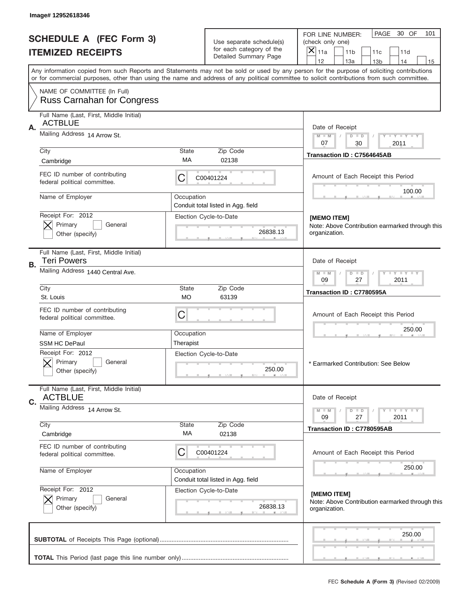| Image# 12952618346                                                  |                                                                                                                                                                                                                                                                                         |                                                      |                                                                                              |  |  |  |  |
|---------------------------------------------------------------------|-----------------------------------------------------------------------------------------------------------------------------------------------------------------------------------------------------------------------------------------------------------------------------------------|------------------------------------------------------|----------------------------------------------------------------------------------------------|--|--|--|--|
| <b>SCHEDULE A (FEC Form 3)</b>                                      |                                                                                                                                                                                                                                                                                         | Use separate schedule(s)<br>for each category of the | PAGE<br>30 OF<br>101<br>FOR LINE NUMBER:<br>(check only one)                                 |  |  |  |  |
| <b>ITEMIZED RECEIPTS</b>                                            |                                                                                                                                                                                                                                                                                         | Detailed Summary Page                                | $\times$<br>11a<br>11 <sub>b</sub><br>11d<br>11c<br>12<br>13a<br>14<br>13 <sub>b</sub><br>15 |  |  |  |  |
|                                                                     | Any information copied from such Reports and Statements may not be sold or used by any person for the purpose of soliciting contributions<br>or for commercial purposes, other than using the name and address of any political committee to solicit contributions from such committee. |                                                      |                                                                                              |  |  |  |  |
| NAME OF COMMITTEE (In Full)<br><b>Russ Carnahan for Congress</b>    |                                                                                                                                                                                                                                                                                         |                                                      |                                                                                              |  |  |  |  |
| Full Name (Last, First, Middle Initial)                             |                                                                                                                                                                                                                                                                                         |                                                      |                                                                                              |  |  |  |  |
| <b>ACTBLUE</b><br>Α.                                                |                                                                                                                                                                                                                                                                                         |                                                      | Date of Receipt                                                                              |  |  |  |  |
| Mailing Address 14 Arrow St.                                        |                                                                                                                                                                                                                                                                                         |                                                      | Y TY TY TY<br>$M$ M<br>$D$ $D$                                                               |  |  |  |  |
| City                                                                | <b>State</b>                                                                                                                                                                                                                                                                            | Zip Code                                             | 07<br>30<br>2011                                                                             |  |  |  |  |
| Cambridge                                                           | МA                                                                                                                                                                                                                                                                                      | 02138                                                | Transaction ID: C7564645AB                                                                   |  |  |  |  |
| FEC ID number of contributing<br>federal political committee.       | С                                                                                                                                                                                                                                                                                       | C00401224                                            | Amount of Each Receipt this Period                                                           |  |  |  |  |
| Name of Employer                                                    | Occupation                                                                                                                                                                                                                                                                              |                                                      | 100.00                                                                                       |  |  |  |  |
| Receipt For: 2012                                                   |                                                                                                                                                                                                                                                                                         | Conduit total listed in Agg. field                   |                                                                                              |  |  |  |  |
| Primary<br>General                                                  |                                                                                                                                                                                                                                                                                         | Election Cycle-to-Date                               | [MEMO ITEM]<br>Note: Above Contribution earmarked through this                               |  |  |  |  |
| Other (specify)                                                     |                                                                                                                                                                                                                                                                                         | 26838.13                                             | organization.                                                                                |  |  |  |  |
| Full Name (Last, First, Middle Initial)<br><b>Teri Powers</b><br>В. |                                                                                                                                                                                                                                                                                         |                                                      | Date of Receipt                                                                              |  |  |  |  |
| Mailing Address 1440 Central Ave.                                   | $D$ $D$<br>$Y - Y - Y - Y$<br>$M - M$<br>09<br>27<br>2011                                                                                                                                                                                                                               |                                                      |                                                                                              |  |  |  |  |
| City<br>St. Louis                                                   | <b>State</b><br>МO                                                                                                                                                                                                                                                                      | Zip Code<br>63139                                    | Transaction ID: C7780595A                                                                    |  |  |  |  |
| FEC ID number of contributing<br>federal political committee.       | C                                                                                                                                                                                                                                                                                       |                                                      | Amount of Each Receipt this Period                                                           |  |  |  |  |
| Name of Employer                                                    | Occupation                                                                                                                                                                                                                                                                              |                                                      |                                                                                              |  |  |  |  |
| <b>SSM HC DePaul</b>                                                | Therapist                                                                                                                                                                                                                                                                               |                                                      |                                                                                              |  |  |  |  |
| Receipt For: 2012<br>General<br>Primary<br>Other (specify)          |                                                                                                                                                                                                                                                                                         | Election Cycle-to-Date<br>250.00                     | * Earmarked Contribution: See Below                                                          |  |  |  |  |
| Full Name (Last, First, Middle Initial)<br><b>ACTBLUE</b>           |                                                                                                                                                                                                                                                                                         |                                                      | Date of Receipt                                                                              |  |  |  |  |
| C.<br>Mailing Address 14 Arrow St.                                  |                                                                                                                                                                                                                                                                                         |                                                      |                                                                                              |  |  |  |  |
|                                                                     |                                                                                                                                                                                                                                                                                         |                                                      | $D$ $D$<br>$T - Y = Y - T Y$<br>$M - M$<br>09<br>27<br>2011                                  |  |  |  |  |
| City<br>Cambridge                                                   | State<br>МA                                                                                                                                                                                                                                                                             | Zip Code<br>02138                                    | Transaction ID: C7780595AB                                                                   |  |  |  |  |
| FEC ID number of contributing<br>federal political committee.       | С                                                                                                                                                                                                                                                                                       | C00401224                                            | Amount of Each Receipt this Period                                                           |  |  |  |  |
| Name of Employer                                                    | Occupation                                                                                                                                                                                                                                                                              | Conduit total listed in Agg. field                   | 250.00                                                                                       |  |  |  |  |
| Receipt For: 2012                                                   |                                                                                                                                                                                                                                                                                         | Election Cycle-to-Date                               | [MEMO ITEM]                                                                                  |  |  |  |  |
| Primary<br>General<br>Other (specify)                               |                                                                                                                                                                                                                                                                                         | 26838.13                                             | Note: Above Contribution earmarked through this<br>organization.                             |  |  |  |  |
|                                                                     |                                                                                                                                                                                                                                                                                         |                                                      | 250.00                                                                                       |  |  |  |  |
|                                                                     |                                                                                                                                                                                                                                                                                         |                                                      |                                                                                              |  |  |  |  |
|                                                                     |                                                                                                                                                                                                                                                                                         |                                                      |                                                                                              |  |  |  |  |
|                                                                     |                                                                                                                                                                                                                                                                                         |                                                      | FEC Schedule A (Form 3) (Revised 02/2009)                                                    |  |  |  |  |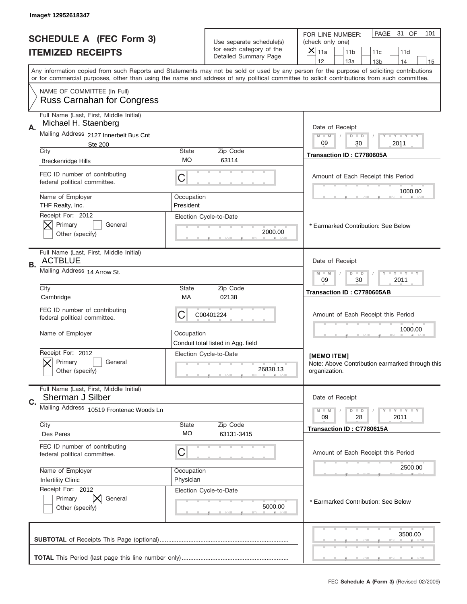|                                                            | Image# 12952618347                                               |                                                            |                                                      |                                                                                                                                                                                                                                                                                         |
|------------------------------------------------------------|------------------------------------------------------------------|------------------------------------------------------------|------------------------------------------------------|-----------------------------------------------------------------------------------------------------------------------------------------------------------------------------------------------------------------------------------------------------------------------------------------|
| <b>SCHEDULE A (FEC Form 3)</b><br><b>ITEMIZED RECEIPTS</b> |                                                                  |                                                            | Use separate schedule(s)<br>for each category of the | PAGE<br>31 OF<br>101<br>FOR LINE NUMBER:<br>(check only one)<br>×<br>11a<br>11 <sub>b</sub><br>11c<br>11d                                                                                                                                                                               |
|                                                            |                                                                  |                                                            | Detailed Summary Page                                | 12<br>13a<br>13 <sub>b</sub><br>14<br>15                                                                                                                                                                                                                                                |
|                                                            |                                                                  |                                                            |                                                      | Any information copied from such Reports and Statements may not be sold or used by any person for the purpose of soliciting contributions<br>or for commercial purposes, other than using the name and address of any political committee to solicit contributions from such committee. |
|                                                            | NAME OF COMMITTEE (In Full)<br><b>Russ Carnahan for Congress</b> |                                                            |                                                      |                                                                                                                                                                                                                                                                                         |
|                                                            | Full Name (Last, First, Middle Initial)                          |                                                            |                                                      |                                                                                                                                                                                                                                                                                         |
| Α.                                                         | Michael H. Staenberg                                             |                                                            |                                                      | Date of Receipt                                                                                                                                                                                                                                                                         |
|                                                            | Mailing Address 2127 Innerbelt Bus Cnt<br>Ste 200                |                                                            |                                                      | $M - M$<br><b>LEY LEY LEY</b><br>$D$ $D$<br>09<br>30<br>2011                                                                                                                                                                                                                            |
|                                                            | City                                                             | State                                                      | Zip Code                                             | Transaction ID: C7780605A                                                                                                                                                                                                                                                               |
|                                                            | <b>Breckenridge Hills</b>                                        | МO                                                         | 63114                                                |                                                                                                                                                                                                                                                                                         |
|                                                            | FEC ID number of contributing<br>federal political committee.    | C                                                          |                                                      | Amount of Each Receipt this Period<br>1000.00                                                                                                                                                                                                                                           |
|                                                            | Name of Employer                                                 | Occupation                                                 |                                                      |                                                                                                                                                                                                                                                                                         |
|                                                            | THF Realty, Inc.<br>Receipt For: 2012                            | President                                                  | Election Cycle-to-Date                               |                                                                                                                                                                                                                                                                                         |
|                                                            | Primary<br>General<br>Other (specify)                            |                                                            | 2000.00                                              | * Earmarked Contribution: See Below                                                                                                                                                                                                                                                     |
|                                                            |                                                                  |                                                            |                                                      |                                                                                                                                                                                                                                                                                         |
| В.                                                         | Full Name (Last, First, Middle Initial)<br><b>ACTBLUE</b>        |                                                            |                                                      | Date of Receipt                                                                                                                                                                                                                                                                         |
|                                                            | Mailing Address 14 Arrow St.                                     | <b>LEY LEY LEY</b><br>$M$ M<br>$D$ $D$<br>09<br>30<br>2011 |                                                      |                                                                                                                                                                                                                                                                                         |
|                                                            | City<br>Cambridge                                                | State<br>МA                                                | Zip Code<br>02138                                    | Transaction ID: C7780605AB                                                                                                                                                                                                                                                              |
|                                                            | FEC ID number of contributing<br>federal political committee.    | C<br>C00401224                                             | Amount of Each Receipt this Period                   |                                                                                                                                                                                                                                                                                         |
|                                                            | Name of Employer                                                 | Occupation                                                 | Conduit total listed in Agg. field                   | 1000.00                                                                                                                                                                                                                                                                                 |
|                                                            | Receipt For: 2012                                                |                                                            | Election Cycle-to-Date                               | [MEMO ITEM]                                                                                                                                                                                                                                                                             |
|                                                            | General<br>Primary<br>Other (specify)                            |                                                            | 26838.13                                             | Note: Above Contribution earmarked through this<br>organization.                                                                                                                                                                                                                        |
|                                                            | Full Name (Last, First, Middle Initial)                          |                                                            |                                                      |                                                                                                                                                                                                                                                                                         |
| C.                                                         | Sherman J Silber                                                 |                                                            |                                                      | Date of Receipt                                                                                                                                                                                                                                                                         |
|                                                            | Mailing Address 10519 Frontenac Woods Ln                         |                                                            |                                                      | <b>LYLYLY</b><br>$M - M$<br>$D$ $D$<br>2011<br>09<br>28                                                                                                                                                                                                                                 |
|                                                            | City                                                             | <b>State</b>                                               | Zip Code                                             | Transaction ID: C7780615A                                                                                                                                                                                                                                                               |
|                                                            | Des Peres                                                        | МO                                                         | 63131-3415                                           |                                                                                                                                                                                                                                                                                         |
|                                                            | FEC ID number of contributing<br>federal political committee.    | C                                                          |                                                      | Amount of Each Receipt this Period                                                                                                                                                                                                                                                      |
|                                                            | Name of Employer                                                 | Occupation                                                 |                                                      | 2500.00                                                                                                                                                                                                                                                                                 |
|                                                            | <b>Infertility Clinic</b><br>Receipt For: 2012                   | Physician                                                  |                                                      |                                                                                                                                                                                                                                                                                         |
|                                                            | Primary<br>General                                               |                                                            | Election Cycle-to-Date                               | * Earmarked Contribution: See Below                                                                                                                                                                                                                                                     |
|                                                            | Other (specify)                                                  |                                                            | 5000.00                                              |                                                                                                                                                                                                                                                                                         |
|                                                            |                                                                  |                                                            |                                                      | 3500.00                                                                                                                                                                                                                                                                                 |
|                                                            |                                                                  |                                                            |                                                      |                                                                                                                                                                                                                                                                                         |
|                                                            |                                                                  |                                                            |                                                      |                                                                                                                                                                                                                                                                                         |
|                                                            |                                                                  |                                                            |                                                      | FEC Schedule A (Form 3) (Revised 02/2009)                                                                                                                                                                                                                                               |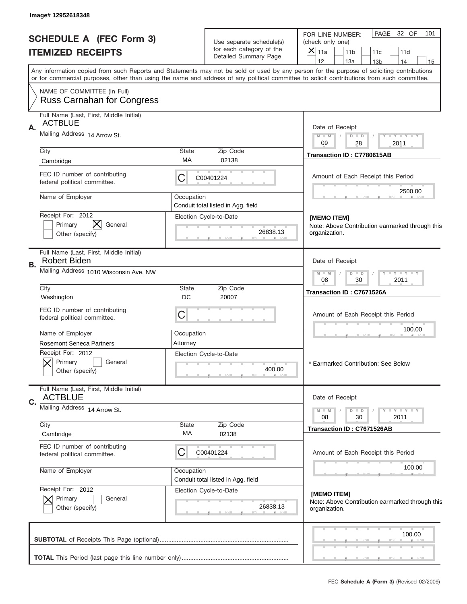| Image# 12952618348                                                   |                                                                                                                                                                                                                                                                                         |                        |                                                      |                                     |                                                              |                        |                            |    |
|----------------------------------------------------------------------|-----------------------------------------------------------------------------------------------------------------------------------------------------------------------------------------------------------------------------------------------------------------------------------------|------------------------|------------------------------------------------------|-------------------------------------|--------------------------------------------------------------|------------------------|----------------------------|----|
| <b>SCHEDULE A (FEC Form 3)</b>                                       |                                                                                                                                                                                                                                                                                         |                        | Use separate schedule(s)<br>for each category of the |                                     | PAGE<br>32 OF<br>101<br>FOR LINE NUMBER:<br>(check only one) |                        |                            |    |
| <b>ITEMIZED RECEIPTS</b>                                             |                                                                                                                                                                                                                                                                                         |                        | Detailed Summary Page                                | $\times$<br>11a<br>12               | 11 <sub>b</sub><br>13a                                       | 11c<br>13 <sub>b</sub> | 11d<br>14                  | 15 |
|                                                                      | Any information copied from such Reports and Statements may not be sold or used by any person for the purpose of soliciting contributions<br>or for commercial purposes, other than using the name and address of any political committee to solicit contributions from such committee. |                        |                                                      |                                     |                                                              |                        |                            |    |
| NAME OF COMMITTEE (In Full)                                          | <b>Russ Carnahan for Congress</b>                                                                                                                                                                                                                                                       |                        |                                                      |                                     |                                                              |                        |                            |    |
| Full Name (Last, First, Middle Initial)                              |                                                                                                                                                                                                                                                                                         |                        |                                                      |                                     |                                                              |                        |                            |    |
| <b>ACTBLUE</b><br>Α.                                                 |                                                                                                                                                                                                                                                                                         |                        |                                                      |                                     | Date of Receipt                                              |                        |                            |    |
| Mailing Address 14 Arrow St.                                         |                                                                                                                                                                                                                                                                                         |                        |                                                      | $M$ M<br>09                         | $D$ $D$                                                      |                        | Y FY FY FY                 |    |
| City                                                                 |                                                                                                                                                                                                                                                                                         | <b>State</b>           | Zip Code                                             |                                     | 28<br>Transaction ID: C7780615AB                             |                        | 2011                       |    |
| Cambridge                                                            |                                                                                                                                                                                                                                                                                         | МA                     | 02138                                                |                                     |                                                              |                        |                            |    |
| FEC ID number of contributing<br>federal political committee.        |                                                                                                                                                                                                                                                                                         | С                      | C00401224                                            |                                     | Amount of Each Receipt this Period                           |                        |                            |    |
| Name of Employer                                                     |                                                                                                                                                                                                                                                                                         | Occupation             |                                                      |                                     |                                                              |                        | 2500.00                    |    |
|                                                                      |                                                                                                                                                                                                                                                                                         |                        |                                                      |                                     |                                                              |                        |                            |    |
| Receipt For: 2012<br>⋉<br>Primary                                    | General                                                                                                                                                                                                                                                                                 | Election Cycle-to-Date |                                                      | [MEMO ITEM]                         | Note: Above Contribution earmarked through this              |                        |                            |    |
| Other (specify)                                                      |                                                                                                                                                                                                                                                                                         |                        | 26838.13                                             | organization.                       |                                                              |                        |                            |    |
| Full Name (Last, First, Middle Initial)<br><b>Robert Biden</b><br>В. |                                                                                                                                                                                                                                                                                         |                        |                                                      |                                     | Date of Receipt                                              |                        |                            |    |
|                                                                      | Mailing Address 1010 Wisconsin Ave. NW                                                                                                                                                                                                                                                  |                        |                                                      |                                     | $D$ $D$<br>30                                                |                        | <b>TEY TEY TEY</b><br>2011 |    |
| City<br>Washington                                                   |                                                                                                                                                                                                                                                                                         | <b>State</b><br>DC     | Zip Code<br>20007                                    |                                     | Transaction ID: C7671526A                                    |                        |                            |    |
| FEC ID number of contributing<br>federal political committee.        |                                                                                                                                                                                                                                                                                         | C                      |                                                      |                                     | Amount of Each Receipt this Period                           |                        |                            |    |
| Name of Employer                                                     |                                                                                                                                                                                                                                                                                         | Occupation             |                                                      |                                     |                                                              | 100.00                 |                            |    |
| <b>Rosemont Seneca Partners</b>                                      |                                                                                                                                                                                                                                                                                         | Attorney               |                                                      |                                     |                                                              |                        |                            |    |
| Receipt For: 2012<br>Primary<br>Other (specify)                      | General                                                                                                                                                                                                                                                                                 |                        | Election Cycle-to-Date<br>400.00                     | * Earmarked Contribution: See Below |                                                              |                        |                            |    |
| Full Name (Last, First, Middle Initial)<br><b>ACTBLUE</b>            |                                                                                                                                                                                                                                                                                         |                        |                                                      |                                     | Date of Receipt                                              |                        |                            |    |
| C.<br>Mailing Address 14 Arrow St.                                   |                                                                                                                                                                                                                                                                                         |                        |                                                      |                                     |                                                              |                        |                            |    |
|                                                                      |                                                                                                                                                                                                                                                                                         |                        |                                                      | $M - M$<br>08                       | $D$ $D$<br>30                                                |                        | $T + Y = Y + Y$<br>2011    |    |
| City<br>Cambridge                                                    |                                                                                                                                                                                                                                                                                         | State<br>МA            | Zip Code<br>02138                                    |                                     | Transaction ID: C7671526AB                                   |                        |                            |    |
| FEC ID number of contributing<br>federal political committee.        |                                                                                                                                                                                                                                                                                         | С                      | C00401224                                            |                                     | Amount of Each Receipt this Period                           |                        |                            |    |
| Name of Employer                                                     |                                                                                                                                                                                                                                                                                         | Occupation             | Conduit total listed in Agg. field                   |                                     |                                                              |                        | 100.00                     |    |
| Receipt For: 2012<br>Primary<br>Other (specify)                      | General                                                                                                                                                                                                                                                                                 | Election Cycle-to-Date | 26838.13                                             | [MEMO ITEM]<br>organization.        | Note: Above Contribution earmarked through this              |                        |                            |    |
|                                                                      |                                                                                                                                                                                                                                                                                         |                        |                                                      |                                     |                                                              |                        | 100.00                     |    |
|                                                                      |                                                                                                                                                                                                                                                                                         |                        |                                                      |                                     |                                                              |                        |                            |    |
|                                                                      |                                                                                                                                                                                                                                                                                         |                        |                                                      |                                     | FEC Schedule A (Form 3) (Revised 02/2009)                    |                        |                            |    |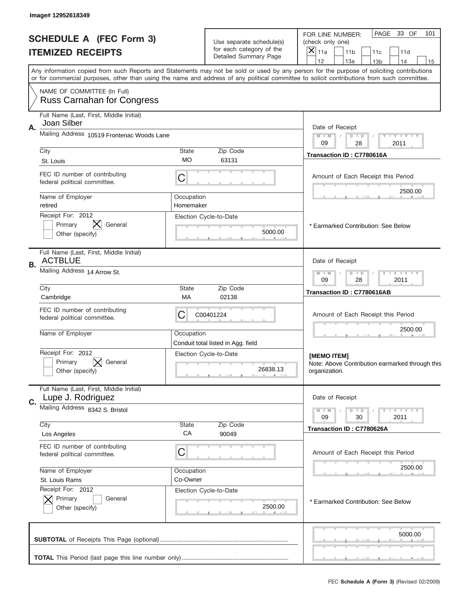|                                                            | Image# 12952618349                                               |                                                                                                                                                                                                                                                                                         |                                                      |                                                                                                           |
|------------------------------------------------------------|------------------------------------------------------------------|-----------------------------------------------------------------------------------------------------------------------------------------------------------------------------------------------------------------------------------------------------------------------------------------|------------------------------------------------------|-----------------------------------------------------------------------------------------------------------|
| <b>SCHEDULE A (FEC Form 3)</b><br><b>ITEMIZED RECEIPTS</b> |                                                                  |                                                                                                                                                                                                                                                                                         | Use separate schedule(s)<br>for each category of the | PAGE<br>33 OF<br>101<br>FOR LINE NUMBER:<br>(check only one)<br>×<br>11a<br>11 <sub>b</sub><br>11c<br>11d |
|                                                            |                                                                  |                                                                                                                                                                                                                                                                                         | Detailed Summary Page                                | 12<br>13a<br>14<br>13 <sub>b</sub><br>15                                                                  |
|                                                            |                                                                  | Any information copied from such Reports and Statements may not be sold or used by any person for the purpose of soliciting contributions<br>or for commercial purposes, other than using the name and address of any political committee to solicit contributions from such committee. |                                                      |                                                                                                           |
|                                                            | NAME OF COMMITTEE (In Full)<br><b>Russ Carnahan for Congress</b> |                                                                                                                                                                                                                                                                                         |                                                      |                                                                                                           |
|                                                            | Full Name (Last, First, Middle Initial)                          |                                                                                                                                                                                                                                                                                         |                                                      |                                                                                                           |
| А.                                                         | Joan Silber                                                      |                                                                                                                                                                                                                                                                                         |                                                      | Date of Receipt                                                                                           |
|                                                            | Mailing Address 10519 Frontenac Woods Lane                       |                                                                                                                                                                                                                                                                                         |                                                      | $M - M$<br><b>LEY LEY LEY</b><br>$D$ $D$<br>09<br>28<br>2011                                              |
|                                                            | City                                                             | State                                                                                                                                                                                                                                                                                   | Zip Code                                             | Transaction ID: C7780616A                                                                                 |
|                                                            | St. Louis                                                        | МO                                                                                                                                                                                                                                                                                      | 63131                                                |                                                                                                           |
|                                                            | FEC ID number of contributing<br>federal political committee.    | C                                                                                                                                                                                                                                                                                       |                                                      | Amount of Each Receipt this Period<br>2500.00                                                             |
|                                                            | Name of Employer                                                 | Occupation                                                                                                                                                                                                                                                                              |                                                      |                                                                                                           |
|                                                            | retired<br>Receipt For: 2012                                     | Homemaker                                                                                                                                                                                                                                                                               | Election Cycle-to-Date                               |                                                                                                           |
|                                                            | Primary<br>General                                               |                                                                                                                                                                                                                                                                                         |                                                      | * Earmarked Contribution: See Below                                                                       |
|                                                            | Other (specify)                                                  |                                                                                                                                                                                                                                                                                         | 5000.00                                              |                                                                                                           |
| В.                                                         | Full Name (Last, First, Middle Initial)<br><b>ACTBLUE</b>        |                                                                                                                                                                                                                                                                                         |                                                      | Date of Receipt                                                                                           |
|                                                            | Mailing Address 14 Arrow St.                                     | <b>LY LY LY</b><br>$M - M$<br>$D$ $D$<br>09<br>28<br>2011                                                                                                                                                                                                                               |                                                      |                                                                                                           |
|                                                            | City<br>Cambridge                                                | State<br>МA                                                                                                                                                                                                                                                                             | Zip Code<br>02138                                    | Transaction ID: C7780616AB                                                                                |
|                                                            | FEC ID number of contributing<br>federal political committee.    | C                                                                                                                                                                                                                                                                                       | C00401224                                            | Amount of Each Receipt this Period                                                                        |
|                                                            | Name of Employer                                                 | Occupation                                                                                                                                                                                                                                                                              | Conduit total listed in Agg. field                   | 2500.00                                                                                                   |
|                                                            | Receipt For: 2012                                                |                                                                                                                                                                                                                                                                                         | Election Cycle-to-Date                               | [MEMO ITEM]                                                                                               |
|                                                            | General<br>Primary<br>Other (specify)                            |                                                                                                                                                                                                                                                                                         | 26838.13                                             | Note: Above Contribution earmarked through this<br>organization.                                          |
|                                                            | Full Name (Last, First, Middle Initial)                          |                                                                                                                                                                                                                                                                                         |                                                      |                                                                                                           |
| C.                                                         | Lupe J. Rodriguez                                                |                                                                                                                                                                                                                                                                                         |                                                      | Date of Receipt                                                                                           |
|                                                            | Mailing Address 8342 S. Bristol                                  |                                                                                                                                                                                                                                                                                         |                                                      | <b>LYLYLY</b><br>$M - M$<br>$D$ $D$<br>2011<br>09<br>30                                                   |
|                                                            | City                                                             | State                                                                                                                                                                                                                                                                                   | Zip Code                                             | Transaction ID: C7780626A                                                                                 |
|                                                            | Los Angeles                                                      | CA                                                                                                                                                                                                                                                                                      | 90049                                                |                                                                                                           |
|                                                            | FEC ID number of contributing<br>federal political committee.    | C                                                                                                                                                                                                                                                                                       |                                                      | Amount of Each Receipt this Period                                                                        |
|                                                            | Name of Employer                                                 | Occupation                                                                                                                                                                                                                                                                              |                                                      | 2500.00                                                                                                   |
|                                                            | St. Louis Rams<br>Receipt For: 2012                              | Co-Owner                                                                                                                                                                                                                                                                                |                                                      |                                                                                                           |
|                                                            | Primary<br>General<br>Other (specify)                            |                                                                                                                                                                                                                                                                                         | Election Cycle-to-Date<br>2500.00                    | * Earmarked Contribution: See Below                                                                       |
|                                                            |                                                                  |                                                                                                                                                                                                                                                                                         |                                                      | 5000.00                                                                                                   |
|                                                            |                                                                  |                                                                                                                                                                                                                                                                                         |                                                      |                                                                                                           |
|                                                            |                                                                  |                                                                                                                                                                                                                                                                                         |                                                      | FEC Schedule A (Form 3) (Revised 02/2009)                                                                 |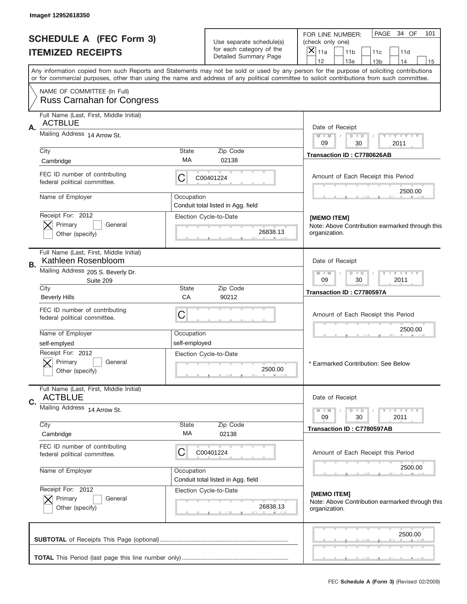| Image# 12952618350                                                   |                                                                                                                                           |                                                   |                                                                                                                                            |  |  |  |  |
|----------------------------------------------------------------------|-------------------------------------------------------------------------------------------------------------------------------------------|---------------------------------------------------|--------------------------------------------------------------------------------------------------------------------------------------------|--|--|--|--|
| <b>SCHEDULE A (FEC Form 3)</b><br><b>ITEMIZED RECEIPTS</b>           |                                                                                                                                           | Use separate schedule(s)                          | PAGE<br>34 OF<br>101<br>FOR LINE NUMBER:<br>(check only one)                                                                               |  |  |  |  |
|                                                                      |                                                                                                                                           | for each category of the<br>Detailed Summary Page | $\times$<br>11a<br>11 <sub>b</sub><br>11d<br>11c<br>12<br>13a<br>14<br>13 <sub>b</sub><br>15                                               |  |  |  |  |
|                                                                      | Any information copied from such Reports and Statements may not be sold or used by any person for the purpose of soliciting contributions |                                                   |                                                                                                                                            |  |  |  |  |
| NAME OF COMMITTEE (In Full)                                          |                                                                                                                                           |                                                   | or for commercial purposes, other than using the name and address of any political committee to solicit contributions from such committee. |  |  |  |  |
| <b>Russ Carnahan for Congress</b>                                    |                                                                                                                                           |                                                   |                                                                                                                                            |  |  |  |  |
| Full Name (Last, First, Middle Initial)<br><b>ACTBLUE</b><br>Α.      |                                                                                                                                           |                                                   | Date of Receipt                                                                                                                            |  |  |  |  |
| Mailing Address 14 Arrow St.                                         |                                                                                                                                           |                                                   | Y TY TY TY<br>$M$ M<br>$D$ $D$<br>09<br>30<br>2011                                                                                         |  |  |  |  |
| City                                                                 | <b>State</b>                                                                                                                              | Zip Code                                          | Transaction ID: C7780626AB                                                                                                                 |  |  |  |  |
| Cambridge                                                            | МA                                                                                                                                        | 02138                                             |                                                                                                                                            |  |  |  |  |
| FEC ID number of contributing<br>federal political committee.        | С                                                                                                                                         | C00401224                                         | Amount of Each Receipt this Period                                                                                                         |  |  |  |  |
| Name of Employer                                                     | Occupation                                                                                                                                | Conduit total listed in Agg. field                | 2500.00                                                                                                                                    |  |  |  |  |
| Receipt For: 2012                                                    |                                                                                                                                           | Election Cycle-to-Date                            | [MEMO ITEM]                                                                                                                                |  |  |  |  |
| Primary<br>General<br>Other (specify)                                |                                                                                                                                           | 26838.13                                          | Note: Above Contribution earmarked through this<br>organization.                                                                           |  |  |  |  |
| Full Name (Last, First, Middle Initial)<br>Kathleen Rosenbloom<br>В. |                                                                                                                                           |                                                   | Date of Receipt                                                                                                                            |  |  |  |  |
| Mailing Address 205 S. Beverly Dr.<br>Suite 209                      |                                                                                                                                           |                                                   | $D$ $D$<br><b>TAN TANK TANK</b><br>$M - M$<br>09<br>30<br>2011                                                                             |  |  |  |  |
| City<br><b>Beverly Hills</b>                                         | <b>State</b><br>CA                                                                                                                        | Zip Code<br>90212                                 | Transaction ID: C7780597A                                                                                                                  |  |  |  |  |
| FEC ID number of contributing<br>federal political committee.        | C                                                                                                                                         |                                                   | Amount of Each Receipt this Period                                                                                                         |  |  |  |  |
| Name of Employer                                                     | Occupation                                                                                                                                |                                                   | 2500.00                                                                                                                                    |  |  |  |  |
| self-emplyed<br>Receipt For: 2012                                    | self-employed                                                                                                                             |                                                   |                                                                                                                                            |  |  |  |  |
| General<br>Primary<br>Other (specify)                                |                                                                                                                                           | Election Cycle-to-Date<br>2500.00                 | * Earmarked Contribution: See Below                                                                                                        |  |  |  |  |
| Full Name (Last, First, Middle Initial)<br><b>ACTBLUE</b>            |                                                                                                                                           |                                                   | Date of Receipt                                                                                                                            |  |  |  |  |
| C.<br>Mailing Address 14 Arrow St.                                   |                                                                                                                                           |                                                   | $D$ $D$<br>$M - M$<br><b>LY LY LY</b>                                                                                                      |  |  |  |  |
| City                                                                 | State                                                                                                                                     | Zip Code                                          | 09<br>30<br>2011                                                                                                                           |  |  |  |  |
| Cambridge                                                            | МA                                                                                                                                        | 02138                                             | Transaction ID: C7780597AB                                                                                                                 |  |  |  |  |
| FEC ID number of contributing<br>federal political committee.        | С                                                                                                                                         | C00401224                                         | Amount of Each Receipt this Period                                                                                                         |  |  |  |  |
| Name of Employer                                                     | Occupation                                                                                                                                | Conduit total listed in Agg. field                | 2500.00                                                                                                                                    |  |  |  |  |
| Receipt For: 2012                                                    |                                                                                                                                           | Election Cycle-to-Date                            | [MEMO ITEM]                                                                                                                                |  |  |  |  |
| Primary<br>General<br>Other (specify)                                |                                                                                                                                           | 26838.13                                          | Note: Above Contribution earmarked through this<br>organization.                                                                           |  |  |  |  |
|                                                                      |                                                                                                                                           |                                                   | 2500.00                                                                                                                                    |  |  |  |  |
|                                                                      |                                                                                                                                           |                                                   |                                                                                                                                            |  |  |  |  |
|                                                                      |                                                                                                                                           |                                                   |                                                                                                                                            |  |  |  |  |
|                                                                      |                                                                                                                                           |                                                   | FEC Schedule A (Form 3) (Revised 02/2009)                                                                                                  |  |  |  |  |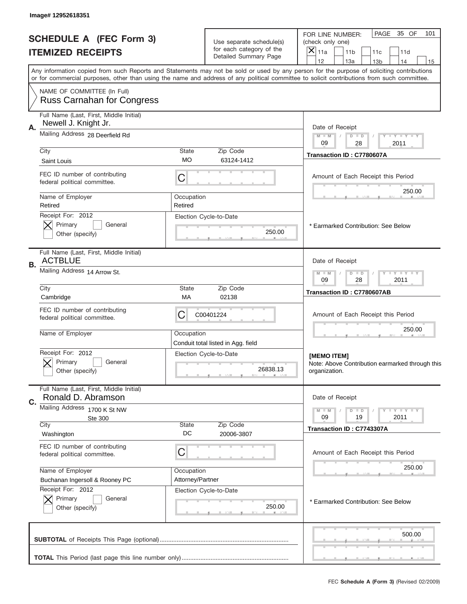|                                                            | Image# 12952618351                                               |                                                                                                                                                                                                                                                                                         |                                    |                                                                                       |
|------------------------------------------------------------|------------------------------------------------------------------|-----------------------------------------------------------------------------------------------------------------------------------------------------------------------------------------------------------------------------------------------------------------------------------------|------------------------------------|---------------------------------------------------------------------------------------|
| <b>SCHEDULE A (FEC Form 3)</b><br><b>ITEMIZED RECEIPTS</b> |                                                                  | Use separate schedule(s)<br>for each category of the                                                                                                                                                                                                                                    |                                    | PAGE<br>35 OF<br>101<br>FOR LINE NUMBER:<br>(check only one)<br>$\boldsymbol{\times}$ |
|                                                            |                                                                  |                                                                                                                                                                                                                                                                                         | Detailed Summary Page              | 11a<br>11 <sub>b</sub><br>11c<br>11d<br>12<br>13a<br>14<br>13 <sub>b</sub><br>15      |
|                                                            |                                                                  | Any information copied from such Reports and Statements may not be sold or used by any person for the purpose of soliciting contributions<br>or for commercial purposes, other than using the name and address of any political committee to solicit contributions from such committee. |                                    |                                                                                       |
|                                                            | NAME OF COMMITTEE (In Full)<br><b>Russ Carnahan for Congress</b> |                                                                                                                                                                                                                                                                                         |                                    |                                                                                       |
|                                                            | Full Name (Last, First, Middle Initial)                          |                                                                                                                                                                                                                                                                                         |                                    |                                                                                       |
| А.                                                         | Newell J. Knight Jr.                                             |                                                                                                                                                                                                                                                                                         |                                    | Date of Receipt                                                                       |
|                                                            | Mailing Address 28 Deerfield Rd                                  |                                                                                                                                                                                                                                                                                         |                                    | $M$ $M$<br>Y FY FY FY<br>$D$ $D$<br>09<br>28<br>2011                                  |
|                                                            | City                                                             | State                                                                                                                                                                                                                                                                                   | Zip Code                           | Transaction ID: C7780607A                                                             |
|                                                            | Saint Louis                                                      | <b>MO</b>                                                                                                                                                                                                                                                                               | 63124-1412                         |                                                                                       |
|                                                            | FEC ID number of contributing<br>federal political committee.    | C                                                                                                                                                                                                                                                                                       |                                    | Amount of Each Receipt this Period                                                    |
|                                                            | Name of Employer                                                 | Occupation                                                                                                                                                                                                                                                                              |                                    | 250.00                                                                                |
|                                                            | Retired<br>Receipt For: 2012                                     | Retired                                                                                                                                                                                                                                                                                 |                                    |                                                                                       |
|                                                            | Primary<br>General                                               |                                                                                                                                                                                                                                                                                         | Election Cycle-to-Date             | * Earmarked Contribution: See Below                                                   |
|                                                            | Other (specify)                                                  |                                                                                                                                                                                                                                                                                         | 250.00                             |                                                                                       |
| В.                                                         | Full Name (Last, First, Middle Initial)<br><b>ACTBLUE</b>        |                                                                                                                                                                                                                                                                                         |                                    | Date of Receipt                                                                       |
|                                                            | Mailing Address 14 Arrow St.                                     | <b>THEY THEY</b><br>$M - M$<br>$D$ $D$<br>09<br>28<br>2011                                                                                                                                                                                                                              |                                    |                                                                                       |
|                                                            | City<br>Cambridge                                                | <b>State</b><br>МA                                                                                                                                                                                                                                                                      | Zip Code<br>02138                  | Transaction ID: C7780607AB                                                            |
|                                                            | FEC ID number of contributing<br>federal political committee.    | C                                                                                                                                                                                                                                                                                       | C00401224                          | Amount of Each Receipt this Period                                                    |
|                                                            | Name of Employer                                                 | Occupation                                                                                                                                                                                                                                                                              | Conduit total listed in Agg. field | 250.00                                                                                |
|                                                            | Receipt For: 2012                                                |                                                                                                                                                                                                                                                                                         | Election Cycle-to-Date             | [MEMO ITEM]                                                                           |
|                                                            | General<br>Primary<br>Other (specify)                            |                                                                                                                                                                                                                                                                                         | 26838.13                           | Note: Above Contribution earmarked through this<br>organization.                      |
|                                                            | Full Name (Last, First, Middle Initial)                          |                                                                                                                                                                                                                                                                                         |                                    |                                                                                       |
| C.                                                         | Ronald D. Abramson<br>Mailing Address 1700 K St NW               |                                                                                                                                                                                                                                                                                         |                                    | Date of Receipt                                                                       |
|                                                            | Ste 300                                                          |                                                                                                                                                                                                                                                                                         |                                    | $I - Y - I - Y - I - Y$<br>$M - M$<br>$D$ $D$<br>09<br>19<br>2011                     |
|                                                            | City                                                             | <b>State</b><br>DC                                                                                                                                                                                                                                                                      | Zip Code                           | Transaction ID: C7743307A                                                             |
|                                                            | Washington                                                       |                                                                                                                                                                                                                                                                                         | 20006-3807                         |                                                                                       |
|                                                            | FEC ID number of contributing<br>federal political committee.    | C                                                                                                                                                                                                                                                                                       |                                    | Amount of Each Receipt this Period                                                    |
|                                                            | Name of Employer                                                 | Occupation                                                                                                                                                                                                                                                                              |                                    | 250.00                                                                                |
|                                                            | Buchanan Ingersoll & Rooney PC<br>Receipt For: 2012              | Attorney/Partner                                                                                                                                                                                                                                                                        | Election Cycle-to-Date             |                                                                                       |
|                                                            | Primary<br>General<br>Other (specify)                            |                                                                                                                                                                                                                                                                                         | 250.00                             | * Earmarked Contribution: See Below                                                   |
|                                                            |                                                                  |                                                                                                                                                                                                                                                                                         |                                    |                                                                                       |
|                                                            |                                                                  |                                                                                                                                                                                                                                                                                         |                                    | 500.00                                                                                |
|                                                            |                                                                  |                                                                                                                                                                                                                                                                                         |                                    |                                                                                       |
|                                                            |                                                                  |                                                                                                                                                                                                                                                                                         |                                    |                                                                                       |
|                                                            |                                                                  |                                                                                                                                                                                                                                                                                         |                                    | FEC Schedule A (Form 3) (Revised 02/2009)                                             |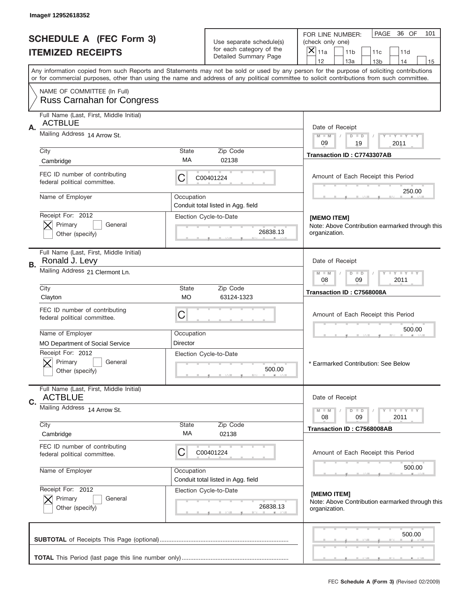| Image# 12952618352                                              |                                                                                                                                           |                                                   |                                                                                                                                            |  |  |  |  |
|-----------------------------------------------------------------|-------------------------------------------------------------------------------------------------------------------------------------------|---------------------------------------------------|--------------------------------------------------------------------------------------------------------------------------------------------|--|--|--|--|
| <b>SCHEDULE A (FEC Form 3)</b>                                  |                                                                                                                                           | Use separate schedule(s)                          | PAGE<br>36 OF<br>101<br>FOR LINE NUMBER:<br>(check only one)                                                                               |  |  |  |  |
| <b>ITEMIZED RECEIPTS</b>                                        |                                                                                                                                           | for each category of the<br>Detailed Summary Page | $\times$<br>11a<br>11 <sub>b</sub><br>11d<br>11c<br>12<br>13a<br>14<br>13 <sub>b</sub><br>15                                               |  |  |  |  |
|                                                                 | Any information copied from such Reports and Statements may not be sold or used by any person for the purpose of soliciting contributions |                                                   |                                                                                                                                            |  |  |  |  |
| NAME OF COMMITTEE (In Full)                                     |                                                                                                                                           |                                                   | or for commercial purposes, other than using the name and address of any political committee to solicit contributions from such committee. |  |  |  |  |
| <b>Russ Carnahan for Congress</b>                               |                                                                                                                                           |                                                   |                                                                                                                                            |  |  |  |  |
| Full Name (Last, First, Middle Initial)<br><b>ACTBLUE</b>       |                                                                                                                                           |                                                   |                                                                                                                                            |  |  |  |  |
| Α.<br>Mailing Address 14 Arrow St.                              |                                                                                                                                           |                                                   | Date of Receipt<br>Y TY TY TY<br>$M$ M<br>$D$ $D$                                                                                          |  |  |  |  |
| City                                                            | <b>State</b>                                                                                                                              | Zip Code                                          | 09<br>19<br>2011                                                                                                                           |  |  |  |  |
| Cambridge                                                       | МA                                                                                                                                        | 02138                                             | Transaction ID: C7743307AB                                                                                                                 |  |  |  |  |
| FEC ID number of contributing<br>federal political committee.   | С                                                                                                                                         | C00401224                                         | Amount of Each Receipt this Period                                                                                                         |  |  |  |  |
| Name of Employer                                                | Occupation                                                                                                                                |                                                   | 250.00                                                                                                                                     |  |  |  |  |
| Receipt For: 2012                                               | Conduit total listed in Agg. field                                                                                                        |                                                   |                                                                                                                                            |  |  |  |  |
| Primary<br>General                                              |                                                                                                                                           | Election Cycle-to-Date                            | [MEMO ITEM]<br>Note: Above Contribution earmarked through this                                                                             |  |  |  |  |
| Other (specify)                                                 |                                                                                                                                           | 26838.13                                          | organization.                                                                                                                              |  |  |  |  |
| Full Name (Last, First, Middle Initial)<br>Ronald J. Levy<br>В. |                                                                                                                                           |                                                   | Date of Receipt                                                                                                                            |  |  |  |  |
| Mailing Address 21 Clermont Ln.                                 | $D$ $D$<br><b>TEY TEY TEY</b><br>$M - M$<br>08<br>09<br>2011                                                                              |                                                   |                                                                                                                                            |  |  |  |  |
| City<br>Clayton                                                 | <b>State</b><br>МO                                                                                                                        | Zip Code<br>63124-1323                            | Transaction ID: C7568008A                                                                                                                  |  |  |  |  |
| FEC ID number of contributing<br>federal political committee.   | C                                                                                                                                         |                                                   | Amount of Each Receipt this Period                                                                                                         |  |  |  |  |
| Name of Employer                                                | Occupation                                                                                                                                |                                                   |                                                                                                                                            |  |  |  |  |
| <b>MO Department of Social Service</b>                          | Director                                                                                                                                  |                                                   |                                                                                                                                            |  |  |  |  |
| Receipt For: 2012<br>General<br>Primary<br>Other (specify)      |                                                                                                                                           | Election Cycle-to-Date<br>500.00                  | * Earmarked Contribution: See Below                                                                                                        |  |  |  |  |
| Full Name (Last, First, Middle Initial)<br><b>ACTBLUE</b>       |                                                                                                                                           |                                                   | Date of Receipt                                                                                                                            |  |  |  |  |
| C.<br>Mailing Address 14 Arrow St.                              |                                                                                                                                           |                                                   | $D$ $D$<br>$M - M$<br><b>LY LY LY</b>                                                                                                      |  |  |  |  |
| City                                                            | State                                                                                                                                     | Zip Code                                          | 08<br>09<br>2011                                                                                                                           |  |  |  |  |
| Cambridge                                                       | МA                                                                                                                                        | 02138                                             | Transaction ID: C7568008AB                                                                                                                 |  |  |  |  |
| FEC ID number of contributing<br>federal political committee.   | С                                                                                                                                         | C00401224                                         | Amount of Each Receipt this Period                                                                                                         |  |  |  |  |
| Name of Employer                                                | Occupation                                                                                                                                | Conduit total listed in Agg. field                | 500.00                                                                                                                                     |  |  |  |  |
| Receipt For: 2012<br>General                                    |                                                                                                                                           | Election Cycle-to-Date                            | [MEMO ITEM]                                                                                                                                |  |  |  |  |
| Primary<br>Other (specify)                                      |                                                                                                                                           | 26838.13                                          | Note: Above Contribution earmarked through this<br>organization.                                                                           |  |  |  |  |
|                                                                 |                                                                                                                                           |                                                   | 500.00                                                                                                                                     |  |  |  |  |
|                                                                 |                                                                                                                                           |                                                   |                                                                                                                                            |  |  |  |  |
|                                                                 |                                                                                                                                           |                                                   |                                                                                                                                            |  |  |  |  |
|                                                                 |                                                                                                                                           |                                                   | FEC Schedule A (Form 3) (Revised 02/2009)                                                                                                  |  |  |  |  |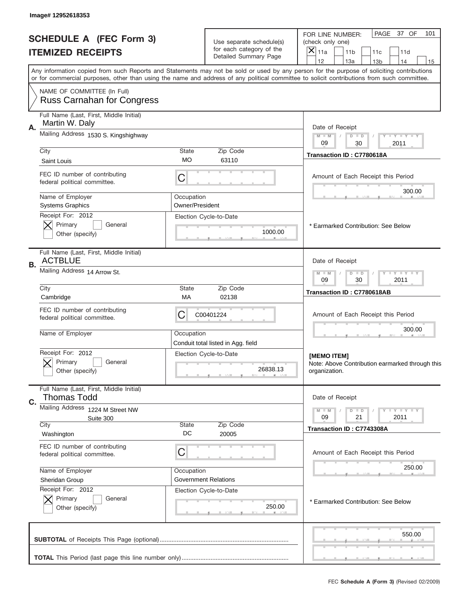|                          | Image# 12952618353                                               |                                                              |                                                      |                                                                                                                                                                                                                                                                                         |
|--------------------------|------------------------------------------------------------------|--------------------------------------------------------------|------------------------------------------------------|-----------------------------------------------------------------------------------------------------------------------------------------------------------------------------------------------------------------------------------------------------------------------------------------|
|                          | <b>SCHEDULE A (FEC Form 3)</b>                                   |                                                              | Use separate schedule(s)<br>for each category of the | PAGE<br>37 OF<br>101<br>FOR LINE NUMBER:<br>(check only one)<br>×<br>11a<br>11 <sub>b</sub>                                                                                                                                                                                             |
| <b>ITEMIZED RECEIPTS</b> |                                                                  |                                                              | Detailed Summary Page                                | 11c<br>11d<br>12<br>13a<br>14<br>13 <sub>b</sub><br>15                                                                                                                                                                                                                                  |
|                          |                                                                  |                                                              |                                                      | Any information copied from such Reports and Statements may not be sold or used by any person for the purpose of soliciting contributions<br>or for commercial purposes, other than using the name and address of any political committee to solicit contributions from such committee. |
|                          | NAME OF COMMITTEE (In Full)<br><b>Russ Carnahan for Congress</b> |                                                              |                                                      |                                                                                                                                                                                                                                                                                         |
|                          | Full Name (Last, First, Middle Initial)                          |                                                              |                                                      |                                                                                                                                                                                                                                                                                         |
| Α.                       | Martin W. Daly                                                   |                                                              |                                                      | Date of Receipt                                                                                                                                                                                                                                                                         |
|                          | Mailing Address 1530 S. Kingshighway                             | $M - M$<br><b>LEY LEY LEY</b><br>$D$ $D$<br>09<br>30<br>2011 |                                                      |                                                                                                                                                                                                                                                                                         |
|                          | City                                                             | <b>State</b>                                                 | Zip Code                                             | Transaction ID: C7780618A                                                                                                                                                                                                                                                               |
|                          | Saint Louis                                                      | МO                                                           | 63110                                                |                                                                                                                                                                                                                                                                                         |
|                          | FEC ID number of contributing<br>federal political committee.    | C                                                            |                                                      | Amount of Each Receipt this Period<br>300.00                                                                                                                                                                                                                                            |
|                          | Name of Employer                                                 | Occupation                                                   |                                                      |                                                                                                                                                                                                                                                                                         |
|                          | <b>Systems Graphics</b><br>Receipt For: 2012                     | Owner/President                                              |                                                      |                                                                                                                                                                                                                                                                                         |
|                          | Primary<br>General                                               |                                                              | Election Cycle-to-Date                               | * Earmarked Contribution: See Below                                                                                                                                                                                                                                                     |
|                          | Other (specify)                                                  |                                                              | 1000.00                                              |                                                                                                                                                                                                                                                                                         |
| В.                       | Full Name (Last, First, Middle Initial)<br><b>ACTBLUE</b>        |                                                              |                                                      | Date of Receipt                                                                                                                                                                                                                                                                         |
|                          | Mailing Address 14 Arrow St.                                     | <b>LEY LEY LEY</b><br>$M - M$<br>$D$ $D$<br>09<br>30<br>2011 |                                                      |                                                                                                                                                                                                                                                                                         |
|                          | City<br>Cambridge                                                | State<br>МA                                                  | Zip Code<br>02138                                    | Transaction ID: C7780618AB                                                                                                                                                                                                                                                              |
|                          | FEC ID number of contributing<br>federal political committee.    | C                                                            | C00401224                                            | Amount of Each Receipt this Period                                                                                                                                                                                                                                                      |
|                          | Name of Employer                                                 | Occupation                                                   | Conduit total listed in Agg. field                   | 300.00                                                                                                                                                                                                                                                                                  |
|                          | Receipt For: 2012<br>General<br>Primary                          |                                                              | Election Cycle-to-Date<br>26838.13                   | [MEMO ITEM]<br>Note: Above Contribution earmarked through this                                                                                                                                                                                                                          |
|                          | Other (specify)                                                  |                                                              |                                                      | organization.                                                                                                                                                                                                                                                                           |
|                          | Full Name (Last, First, Middle Initial)<br><b>Thomas Todd</b>    |                                                              |                                                      | Date of Receipt                                                                                                                                                                                                                                                                         |
| C.                       | Mailing Address 1224 M Street NW                                 |                                                              |                                                      | <b>LYLYLY</b><br>$M - M$<br>$D$ $D$                                                                                                                                                                                                                                                     |
|                          | Suite 300<br>City                                                | <b>State</b>                                                 | Zip Code                                             | 2011<br>09<br>21                                                                                                                                                                                                                                                                        |
|                          | Washington                                                       | DC                                                           | 20005                                                | Transaction ID: C7743308A                                                                                                                                                                                                                                                               |
|                          | FEC ID number of contributing<br>federal political committee.    | C                                                            |                                                      | Amount of Each Receipt this Period                                                                                                                                                                                                                                                      |
|                          | Name of Employer                                                 | Occupation                                                   |                                                      | 250.00                                                                                                                                                                                                                                                                                  |
|                          | Sheridan Group                                                   |                                                              | <b>Government Relations</b>                          |                                                                                                                                                                                                                                                                                         |
|                          | Receipt For: 2012                                                |                                                              | Election Cycle-to-Date                               |                                                                                                                                                                                                                                                                                         |
|                          | Primary<br>General<br>Other (specify)                            |                                                              | 250.00                                               | * Earmarked Contribution: See Below                                                                                                                                                                                                                                                     |
|                          |                                                                  |                                                              |                                                      | 550.00                                                                                                                                                                                                                                                                                  |
|                          |                                                                  |                                                              |                                                      |                                                                                                                                                                                                                                                                                         |
|                          |                                                                  |                                                              |                                                      | FEC Schedule A (Form 3) (Revised 02/2009)                                                                                                                                                                                                                                               |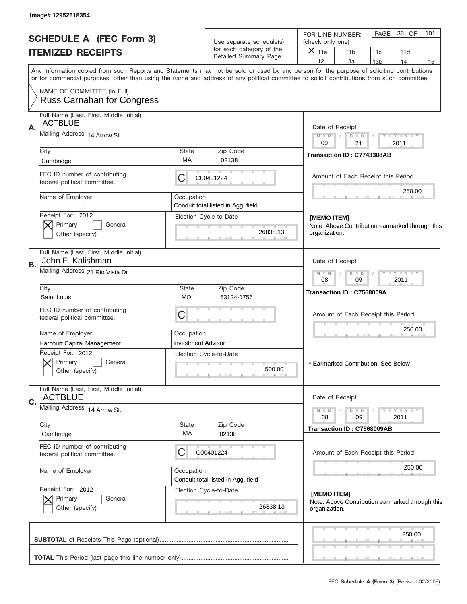| Image# 12952618354                                                 |                                                                                                                                                                                                                                                                                         |                                                   |                                                                                              |  |  |  |
|--------------------------------------------------------------------|-----------------------------------------------------------------------------------------------------------------------------------------------------------------------------------------------------------------------------------------------------------------------------------------|---------------------------------------------------|----------------------------------------------------------------------------------------------|--|--|--|
| <b>SCHEDULE A (FEC Form 3)</b>                                     |                                                                                                                                                                                                                                                                                         | Use separate schedule(s)                          | PAGE<br>38 OF<br>101<br>FOR LINE NUMBER:<br>(check only one)                                 |  |  |  |
| <b>ITEMIZED RECEIPTS</b>                                           |                                                                                                                                                                                                                                                                                         | for each category of the<br>Detailed Summary Page | $\times$<br>11a<br>11 <sub>b</sub><br>11d<br>11c<br>12<br>13a<br>14<br>13 <sub>b</sub><br>15 |  |  |  |
|                                                                    | Any information copied from such Reports and Statements may not be sold or used by any person for the purpose of soliciting contributions<br>or for commercial purposes, other than using the name and address of any political committee to solicit contributions from such committee. |                                                   |                                                                                              |  |  |  |
| NAME OF COMMITTEE (In Full)                                        |                                                                                                                                                                                                                                                                                         |                                                   |                                                                                              |  |  |  |
| <b>Russ Carnahan for Congress</b>                                  |                                                                                                                                                                                                                                                                                         |                                                   |                                                                                              |  |  |  |
| Full Name (Last, First, Middle Initial)<br><b>ACTBLUE</b>          |                                                                                                                                                                                                                                                                                         |                                                   |                                                                                              |  |  |  |
| Α.<br>Mailing Address 14 Arrow St.                                 |                                                                                                                                                                                                                                                                                         |                                                   | Date of Receipt<br>$M$ M<br>$D$ $D$<br>Y FY FY FY                                            |  |  |  |
| City                                                               | <b>State</b>                                                                                                                                                                                                                                                                            | Zip Code                                          | 09<br>21<br>2011                                                                             |  |  |  |
| Cambridge                                                          | МA                                                                                                                                                                                                                                                                                      | 02138                                             | Transaction ID: C7743308AB                                                                   |  |  |  |
| FEC ID number of contributing<br>federal political committee.      | С                                                                                                                                                                                                                                                                                       | C00401224                                         | Amount of Each Receipt this Period                                                           |  |  |  |
| Name of Employer                                                   | Occupation                                                                                                                                                                                                                                                                              |                                                   | 250.00                                                                                       |  |  |  |
| Receipt For: 2012                                                  | Conduit total listed in Agg. field                                                                                                                                                                                                                                                      |                                                   |                                                                                              |  |  |  |
| Primary<br>General                                                 |                                                                                                                                                                                                                                                                                         | Election Cycle-to-Date                            | [MEMO ITEM]<br>Note: Above Contribution earmarked through this                               |  |  |  |
| Other (specify)                                                    |                                                                                                                                                                                                                                                                                         | 26838.13                                          | organization.                                                                                |  |  |  |
| Full Name (Last, First, Middle Initial)<br>John F. Kalishman<br>В. |                                                                                                                                                                                                                                                                                         |                                                   | Date of Receipt                                                                              |  |  |  |
| Mailing Address 21 Rio Vista Dr                                    |                                                                                                                                                                                                                                                                                         |                                                   |                                                                                              |  |  |  |
| City<br>Saint Louis                                                | <b>State</b><br>МO                                                                                                                                                                                                                                                                      | Zip Code<br>63124-1756                            | Transaction ID: C7568009A                                                                    |  |  |  |
| FEC ID number of contributing<br>federal political committee.      | C                                                                                                                                                                                                                                                                                       |                                                   | Amount of Each Receipt this Period                                                           |  |  |  |
| Name of Employer                                                   | Occupation                                                                                                                                                                                                                                                                              |                                                   | 250.00                                                                                       |  |  |  |
| Harcourt Capital Management                                        | <b>Investment Advisor</b>                                                                                                                                                                                                                                                               |                                                   |                                                                                              |  |  |  |
| Receipt For: 2012<br>General<br>Primary<br>Other (specify)         |                                                                                                                                                                                                                                                                                         | Election Cycle-to-Date<br>500.00                  | * Earmarked Contribution: See Below                                                          |  |  |  |
| Full Name (Last, First, Middle Initial)<br><b>ACTBLUE</b>          |                                                                                                                                                                                                                                                                                         |                                                   | Date of Receipt                                                                              |  |  |  |
| C.<br>Mailing Address 14 Arrow St.                                 |                                                                                                                                                                                                                                                                                         |                                                   |                                                                                              |  |  |  |
|                                                                    |                                                                                                                                                                                                                                                                                         |                                                   | $D$ $D$<br>$M - M$<br><b>LY LY LY</b><br>08<br>09<br>2011                                    |  |  |  |
| City<br>Cambridge                                                  | State<br>МA                                                                                                                                                                                                                                                                             | Zip Code<br>02138                                 | Transaction ID: C7568009AB                                                                   |  |  |  |
| FEC ID number of contributing<br>federal political committee.      | С                                                                                                                                                                                                                                                                                       | C00401224                                         | Amount of Each Receipt this Period                                                           |  |  |  |
| Name of Employer                                                   | Occupation                                                                                                                                                                                                                                                                              | Conduit total listed in Agg. field                | 250.00                                                                                       |  |  |  |
| Receipt For: 2012                                                  |                                                                                                                                                                                                                                                                                         | Election Cycle-to-Date                            | [MEMO ITEM]                                                                                  |  |  |  |
| Primary<br>General<br>Other (specify)                              |                                                                                                                                                                                                                                                                                         | 26838.13                                          | Note: Above Contribution earmarked through this<br>organization.                             |  |  |  |
|                                                                    |                                                                                                                                                                                                                                                                                         |                                                   | 250.00                                                                                       |  |  |  |
|                                                                    |                                                                                                                                                                                                                                                                                         |                                                   |                                                                                              |  |  |  |
|                                                                    |                                                                                                                                                                                                                                                                                         |                                                   |                                                                                              |  |  |  |
|                                                                    |                                                                                                                                                                                                                                                                                         |                                                   | FEC Schedule A (Form 3) (Revised 02/2009)                                                    |  |  |  |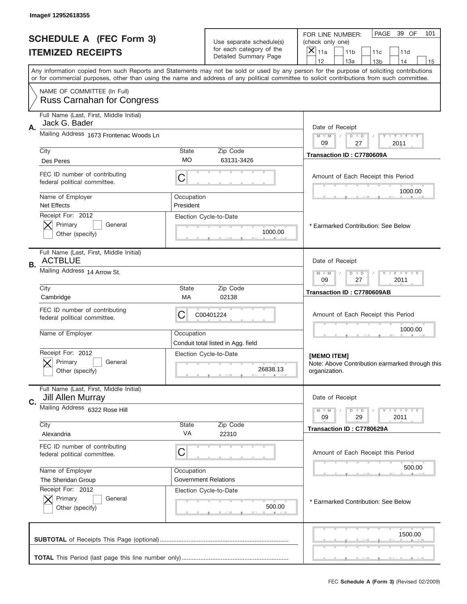|                          | Image# 12952618355                                               |                                                           |                                                       |                                                                                                                                                                                                                                                                                         |
|--------------------------|------------------------------------------------------------------|-----------------------------------------------------------|-------------------------------------------------------|-----------------------------------------------------------------------------------------------------------------------------------------------------------------------------------------------------------------------------------------------------------------------------------------|
|                          | <b>SCHEDULE A (FEC Form 3)</b>                                   |                                                           | Use separate schedule(s)<br>for each category of the  | PAGE<br>39 OF<br>101<br>FOR LINE NUMBER:<br>(check only one)<br>X                                                                                                                                                                                                                       |
| <b>ITEMIZED RECEIPTS</b> |                                                                  |                                                           | Detailed Summary Page                                 | 11a<br>11 <sub>b</sub><br>11c<br>11d<br>12<br>13a<br>14<br>13 <sub>b</sub><br>15                                                                                                                                                                                                        |
|                          |                                                                  |                                                           |                                                       | Any information copied from such Reports and Statements may not be sold or used by any person for the purpose of soliciting contributions<br>or for commercial purposes, other than using the name and address of any political committee to solicit contributions from such committee. |
|                          | NAME OF COMMITTEE (In Full)<br><b>Russ Carnahan for Congress</b> |                                                           |                                                       |                                                                                                                                                                                                                                                                                         |
|                          | Full Name (Last, First, Middle Initial)                          |                                                           |                                                       |                                                                                                                                                                                                                                                                                         |
| Α.                       | Jack G. Bader<br>Mailing Address 1673 Frontenac Woods Ln         |                                                           |                                                       | Date of Receipt<br>$M - M$<br>Y FY FY FY<br>$D$ $D$                                                                                                                                                                                                                                     |
|                          | City                                                             | <b>State</b>                                              | Zip Code                                              | 09<br>27<br>2011                                                                                                                                                                                                                                                                        |
|                          | Des Peres                                                        | <b>MO</b>                                                 | 63131-3426                                            | Transaction ID: C7780609A                                                                                                                                                                                                                                                               |
|                          | FEC ID number of contributing<br>federal political committee.    | С                                                         |                                                       | Amount of Each Receipt this Period                                                                                                                                                                                                                                                      |
|                          | Name of Employer<br><b>Net Effects</b>                           | Occupation<br>President                                   |                                                       | 1000.00                                                                                                                                                                                                                                                                                 |
|                          | Receipt For: 2012                                                |                                                           | Election Cycle-to-Date                                |                                                                                                                                                                                                                                                                                         |
|                          | Primary<br>General<br>Other (specify)                            |                                                           | 1000.00                                               | * Earmarked Contribution: See Below                                                                                                                                                                                                                                                     |
| В.                       | Full Name (Last, First, Middle Initial)<br><b>ACTBLUE</b>        |                                                           |                                                       | Date of Receipt                                                                                                                                                                                                                                                                         |
|                          | Mailing Address 14 Arrow St.                                     | <b>LY LY LY</b><br>$M - M$<br>$D$ $D$<br>09<br>27<br>2011 |                                                       |                                                                                                                                                                                                                                                                                         |
|                          | City<br>Cambridge                                                | <b>State</b><br>МA                                        | Zip Code<br>02138                                     | Transaction ID: C7780609AB                                                                                                                                                                                                                                                              |
|                          | FEC ID number of contributing<br>federal political committee.    | C                                                         | C00401224                                             | Amount of Each Receipt this Period                                                                                                                                                                                                                                                      |
|                          | Name of Employer                                                 | Occupation                                                | Conduit total listed in Agg. field                    | 1000.00                                                                                                                                                                                                                                                                                 |
|                          | Receipt For: 2012<br>Primary<br>General<br>Other (specify)       |                                                           | Election Cycle-to-Date<br>26838.13                    | [MEMO ITEM]<br>Note: Above Contribution earmarked through this<br>organization.                                                                                                                                                                                                         |
|                          | Full Name (Last, First, Middle Initial)                          |                                                           |                                                       |                                                                                                                                                                                                                                                                                         |
| C.                       | <b>Jill Allen Murray</b><br>Mailing Address 6322 Rose Hill       |                                                           |                                                       | Date of Receipt                                                                                                                                                                                                                                                                         |
|                          |                                                                  |                                                           |                                                       | $\mathbf{I}$ $\mathbf{Y}$ $\mathbf{I}$ $\mathbf{Y}$ $\mathbf{I}$ $\mathbf{Y}$<br>$M - M$<br>$D$ $D$<br>09<br>29<br>2011                                                                                                                                                                 |
|                          | City<br>Alexandria                                               | State<br>VA                                               | Zip Code<br>22310                                     | Transaction ID: C7780629A                                                                                                                                                                                                                                                               |
|                          | FEC ID number of contributing<br>federal political committee.    | C                                                         |                                                       | Amount of Each Receipt this Period                                                                                                                                                                                                                                                      |
|                          | Name of Employer                                                 | Occupation                                                |                                                       | 500.00                                                                                                                                                                                                                                                                                  |
|                          | The Sheridan Group<br>Receipt For: 2012                          |                                                           | <b>Government Relations</b><br>Election Cycle-to-Date |                                                                                                                                                                                                                                                                                         |
|                          | Primary<br>General<br>Other (specify)                            |                                                           | 500.00                                                | * Earmarked Contribution: See Below                                                                                                                                                                                                                                                     |
|                          |                                                                  |                                                           |                                                       | 1500.00                                                                                                                                                                                                                                                                                 |
|                          |                                                                  |                                                           |                                                       |                                                                                                                                                                                                                                                                                         |
|                          |                                                                  |                                                           |                                                       | FEC Schedule A (Form 3) (Revised 02/2009)                                                                                                                                                                                                                                               |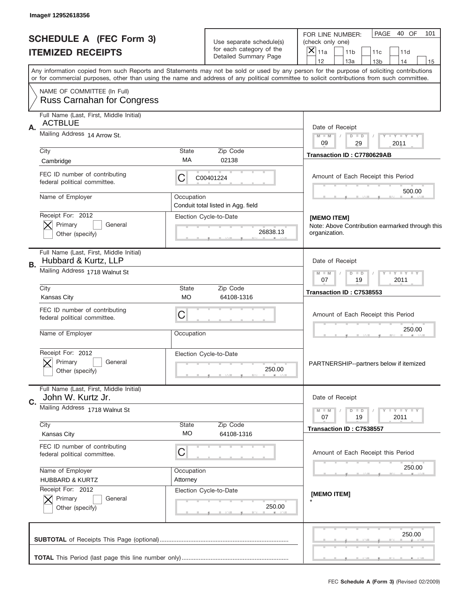|    | Image# 12952618356                                               |                                                              |                                                           |                                                                                                                                                                                                                                                                                                                                     |
|----|------------------------------------------------------------------|--------------------------------------------------------------|-----------------------------------------------------------|-------------------------------------------------------------------------------------------------------------------------------------------------------------------------------------------------------------------------------------------------------------------------------------------------------------------------------------|
|    | <b>SCHEDULE A (FEC Form 3)</b>                                   |                                                              | Use separate schedule(s)                                  | PAGE 40 OF<br>101<br>FOR LINE NUMBER:<br>(check only one)                                                                                                                                                                                                                                                                           |
|    | <b>ITEMIZED RECEIPTS</b>                                         |                                                              | for each category of the<br>Detailed Summary Page         | $\times$<br>11a<br>11 <sub>b</sub><br>11c<br>11d                                                                                                                                                                                                                                                                                    |
|    |                                                                  |                                                              |                                                           | 12<br>13a<br>14<br>13 <sub>b</sub><br>15<br>Any information copied from such Reports and Statements may not be sold or used by any person for the purpose of soliciting contributions<br>or for commercial purposes, other than using the name and address of any political committee to solicit contributions from such committee. |
|    | NAME OF COMMITTEE (In Full)<br><b>Russ Carnahan for Congress</b> |                                                              |                                                           |                                                                                                                                                                                                                                                                                                                                     |
| Α. | Full Name (Last, First, Middle Initial)<br><b>ACTBLUE</b>        |                                                              |                                                           | Date of Receipt                                                                                                                                                                                                                                                                                                                     |
|    | Mailing Address 14 Arrow St.                                     | $M - M$<br>$D$ $D$<br>Y FY FY FY<br>09<br>29<br>2011         |                                                           |                                                                                                                                                                                                                                                                                                                                     |
|    | City<br>Cambridge                                                | State<br>МA                                                  | Zip Code<br>02138                                         | Transaction ID: C7780629AB                                                                                                                                                                                                                                                                                                          |
|    | FEC ID number of contributing<br>federal political committee.    | С                                                            | C00401224                                                 | Amount of Each Receipt this Period<br>500.00                                                                                                                                                                                                                                                                                        |
|    | Name of Employer                                                 | Occupation                                                   | Conduit total listed in Agg. field                        |                                                                                                                                                                                                                                                                                                                                     |
|    | Receipt For: 2012<br>Primary<br>General<br>Other (specify)       |                                                              | Election Cycle-to-Date<br>26838.13                        | [MEMO ITEM]<br>Note: Above Contribution earmarked through this<br>organization.                                                                                                                                                                                                                                                     |
| В. | Full Name (Last, First, Middle Initial)<br>Hubbard & Kurtz, LLP  |                                                              |                                                           | Date of Receipt                                                                                                                                                                                                                                                                                                                     |
|    | Mailing Address 1718 Walnut St                                   | $D$ $D$<br><b>TEY TEY TEY</b><br>$M - M$<br>07<br>19<br>2011 |                                                           |                                                                                                                                                                                                                                                                                                                                     |
|    | City<br><b>Kansas City</b>                                       | State<br>МO                                                  | Zip Code<br>64108-1316                                    | Transaction ID: C7538553                                                                                                                                                                                                                                                                                                            |
|    | FEC ID number of contributing<br>federal political committee.    | C                                                            |                                                           | Amount of Each Receipt this Period                                                                                                                                                                                                                                                                                                  |
|    | Name of Employer                                                 | Occupation                                                   |                                                           | 250.00                                                                                                                                                                                                                                                                                                                              |
|    | Receipt For: 2012<br>General<br>Primary<br>Other (specify)       |                                                              | Election Cycle-to-Date<br>250.00                          | PARTNERSHIP--partners below if itemized                                                                                                                                                                                                                                                                                             |
| C. | Full Name (Last, First, Middle Initial)<br>John W. Kurtz Jr.     |                                                              |                                                           | Date of Receipt                                                                                                                                                                                                                                                                                                                     |
|    | Mailing Address 1718 Walnut St                                   | Zip Code                                                     | $D$ $D$<br>$M - M$<br>$T + Y = Y + Y$<br>19<br>2011<br>07 |                                                                                                                                                                                                                                                                                                                                     |
|    | City<br>Kansas City                                              | State<br>МO                                                  | 64108-1316                                                | Transaction ID: C7538557                                                                                                                                                                                                                                                                                                            |
|    | FEC ID number of contributing<br>federal political committee.    | C                                                            |                                                           | Amount of Each Receipt this Period                                                                                                                                                                                                                                                                                                  |
|    | Name of Employer<br><b>HUBBARD &amp; KURTZ</b>                   | Occupation<br>Attorney                                       |                                                           | 250.00                                                                                                                                                                                                                                                                                                                              |
|    | Receipt For: 2012<br>Primary<br>General<br>Other (specify)       |                                                              | Election Cycle-to-Date<br>250.00                          | [MEMO ITEM]                                                                                                                                                                                                                                                                                                                         |
|    |                                                                  |                                                              |                                                           | 250.00                                                                                                                                                                                                                                                                                                                              |
|    |                                                                  |                                                              |                                                           |                                                                                                                                                                                                                                                                                                                                     |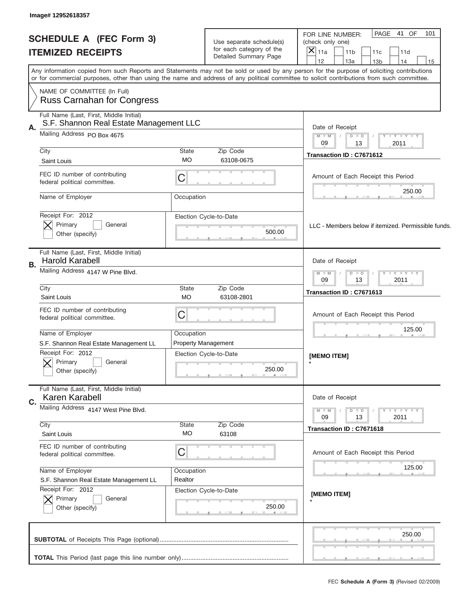| Image# 12952618357                                                                 |             |                                                   |                                                                                                                                                                                                                                                                                         |
|------------------------------------------------------------------------------------|-------------|---------------------------------------------------|-----------------------------------------------------------------------------------------------------------------------------------------------------------------------------------------------------------------------------------------------------------------------------------------|
|                                                                                    |             |                                                   | PAGE 41 OF<br>101<br>FOR LINE NUMBER:                                                                                                                                                                                                                                                   |
| <b>SCHEDULE A (FEC Form 3)</b>                                                     |             | Use separate schedule(s)                          | (check only one)                                                                                                                                                                                                                                                                        |
| <b>ITEMIZED RECEIPTS</b>                                                           |             | for each category of the<br>Detailed Summary Page | ×<br>11a<br>11 <sub>b</sub><br>11c<br>11d                                                                                                                                                                                                                                               |
|                                                                                    |             |                                                   | 12<br>13a<br>13 <sub>b</sub><br>14<br>15                                                                                                                                                                                                                                                |
|                                                                                    |             |                                                   | Any information copied from such Reports and Statements may not be sold or used by any person for the purpose of soliciting contributions<br>or for commercial purposes, other than using the name and address of any political committee to solicit contributions from such committee. |
| NAME OF COMMITTEE (In Full)<br><b>Russ Carnahan for Congress</b>                   |             |                                                   |                                                                                                                                                                                                                                                                                         |
|                                                                                    |             |                                                   |                                                                                                                                                                                                                                                                                         |
| Full Name (Last, First, Middle Initial)<br>S.F. Shannon Real Estate Management LLC |             |                                                   | Date of Receipt                                                                                                                                                                                                                                                                         |
| Mailing Address PO Box 4675                                                        |             |                                                   | $M$ $M$<br>Y LY LY LY<br>$D$ $D$                                                                                                                                                                                                                                                        |
|                                                                                    |             |                                                   | 13<br>2011<br>09                                                                                                                                                                                                                                                                        |
| City                                                                               | State<br>МO | Zip Code<br>63108-0675                            | Transaction ID: C7671612                                                                                                                                                                                                                                                                |
| Saint Louis                                                                        |             |                                                   |                                                                                                                                                                                                                                                                                         |
| FEC ID number of contributing<br>federal political committee.                      | C           |                                                   | Amount of Each Receipt this Period                                                                                                                                                                                                                                                      |
| Name of Employer                                                                   | Occupation  |                                                   | 250.00                                                                                                                                                                                                                                                                                  |
| Receipt For: 2012                                                                  |             |                                                   |                                                                                                                                                                                                                                                                                         |
| Primary<br>General                                                                 |             | Election Cycle-to-Date                            |                                                                                                                                                                                                                                                                                         |
| Other (specify)                                                                    |             | 500.00                                            | LLC - Members below if itemized. Permissible funds.                                                                                                                                                                                                                                     |
|                                                                                    |             |                                                   |                                                                                                                                                                                                                                                                                         |
| Full Name (Last, First, Middle Initial)<br><b>Harold Karabell</b>                  |             |                                                   | Date of Receipt                                                                                                                                                                                                                                                                         |
| В.                                                                                 |             |                                                   |                                                                                                                                                                                                                                                                                         |
| Mailing Address 4147 W Pine Blvd.                                                  |             |                                                   | $D$ $D$<br>$Y - Y - Y - Y - Y$<br>$M - M$<br>13<br>2011<br>09                                                                                                                                                                                                                           |
| City                                                                               | State       | Zip Code                                          |                                                                                                                                                                                                                                                                                         |
| Saint Louis                                                                        | <b>MO</b>   | 63108-2801                                        | Transaction ID: C7671613                                                                                                                                                                                                                                                                |
| FEC ID number of contributing                                                      |             |                                                   |                                                                                                                                                                                                                                                                                         |
| federal political committee.                                                       | C           |                                                   | Amount of Each Receipt this Period                                                                                                                                                                                                                                                      |
|                                                                                    |             |                                                   |                                                                                                                                                                                                                                                                                         |
| Name of Employer                                                                   | Occupation  |                                                   | 125.00                                                                                                                                                                                                                                                                                  |
| S.F. Shannon Real Estate Management LL                                             |             | <b>Property Management</b>                        |                                                                                                                                                                                                                                                                                         |
| Receipt For: 2012                                                                  |             | Election Cycle-to-Date                            | [MEMO ITEM]                                                                                                                                                                                                                                                                             |
| General<br>Primary                                                                 |             |                                                   |                                                                                                                                                                                                                                                                                         |
| Other (specify)                                                                    |             | 250.00                                            |                                                                                                                                                                                                                                                                                         |
|                                                                                    |             |                                                   |                                                                                                                                                                                                                                                                                         |
| Full Name (Last, First, Middle Initial)                                            |             |                                                   | Date of Receipt                                                                                                                                                                                                                                                                         |
| Karen Karabell                                                                     |             |                                                   |                                                                                                                                                                                                                                                                                         |
| Mailing Address 4147 West Pine Blvd.                                               |             |                                                   | $M - M$<br>Y FY FY FY<br>$D$ $D$<br>09<br>2011<br>13                                                                                                                                                                                                                                    |
| City                                                                               | State       | Zip Code                                          |                                                                                                                                                                                                                                                                                         |
| Saint Louis                                                                        | МO          | 63108                                             | Transaction ID: C7671618                                                                                                                                                                                                                                                                |
| FEC ID number of contributing                                                      |             |                                                   |                                                                                                                                                                                                                                                                                         |
| federal political committee.                                                       | C           |                                                   | Amount of Each Receipt this Period                                                                                                                                                                                                                                                      |
|                                                                                    |             |                                                   |                                                                                                                                                                                                                                                                                         |
| Name of Employer                                                                   | Occupation  |                                                   | 125.00                                                                                                                                                                                                                                                                                  |
| S.F. Shannon Real Estate Management LL                                             | Realtor     |                                                   |                                                                                                                                                                                                                                                                                         |
| Receipt For: 2012                                                                  |             | Election Cycle-to-Date                            |                                                                                                                                                                                                                                                                                         |
| Primary<br>General                                                                 |             |                                                   | [MEMO ITEM]                                                                                                                                                                                                                                                                             |
| Other (specify)                                                                    |             | 250.00                                            |                                                                                                                                                                                                                                                                                         |
|                                                                                    |             |                                                   |                                                                                                                                                                                                                                                                                         |
|                                                                                    |             |                                                   |                                                                                                                                                                                                                                                                                         |
|                                                                                    |             |                                                   | 250.00                                                                                                                                                                                                                                                                                  |
|                                                                                    |             |                                                   |                                                                                                                                                                                                                                                                                         |
|                                                                                    |             |                                                   |                                                                                                                                                                                                                                                                                         |
|                                                                                    |             |                                                   |                                                                                                                                                                                                                                                                                         |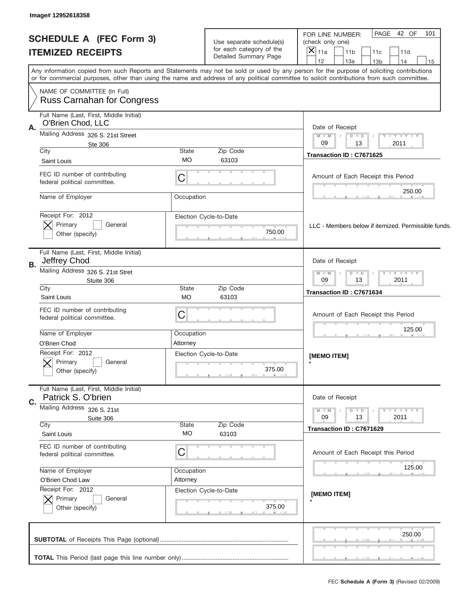|    | Image# 12952618358                                               |                           |                                                   |                                                                                                                                                                                                                                                                                         |  |
|----|------------------------------------------------------------------|---------------------------|---------------------------------------------------|-----------------------------------------------------------------------------------------------------------------------------------------------------------------------------------------------------------------------------------------------------------------------------------------|--|
|    |                                                                  |                           |                                                   | PAGE 42 OF<br>101<br>FOR LINE NUMBER:                                                                                                                                                                                                                                                   |  |
|    | <b>SCHEDULE A (FEC Form 3)</b>                                   |                           | Use separate schedule(s)                          | (check only one)                                                                                                                                                                                                                                                                        |  |
|    | <b>ITEMIZED RECEIPTS</b>                                         |                           | for each category of the<br>Detailed Summary Page | $ \mathsf{\bar{X}} _{\mathsf{11a}}$<br>11 <sub>b</sub><br>11c<br>11d                                                                                                                                                                                                                    |  |
|    |                                                                  |                           |                                                   | 12<br>13a<br>13 <sub>b</sub><br>14<br>15                                                                                                                                                                                                                                                |  |
|    |                                                                  |                           |                                                   | Any information copied from such Reports and Statements may not be sold or used by any person for the purpose of soliciting contributions<br>or for commercial purposes, other than using the name and address of any political committee to solicit contributions from such committee. |  |
|    | NAME OF COMMITTEE (In Full)<br><b>Russ Carnahan for Congress</b> |                           |                                                   |                                                                                                                                                                                                                                                                                         |  |
|    | Full Name (Last, First, Middle Initial)                          |                           |                                                   |                                                                                                                                                                                                                                                                                         |  |
| Α. | O'Brien Chod, LLC                                                |                           |                                                   | Date of Receipt                                                                                                                                                                                                                                                                         |  |
|    | Mailing Address 326 S. 21st Street                               |                           |                                                   | $M$ $M$<br>Y FY FY FY<br>$D$ $D$                                                                                                                                                                                                                                                        |  |
|    | Ste 306                                                          |                           |                                                   | 2011<br>09<br>13                                                                                                                                                                                                                                                                        |  |
|    | City<br>Saint Louis                                              | State<br><b>MO</b>        | Zip Code<br>63103                                 | Transaction ID: C7671625                                                                                                                                                                                                                                                                |  |
|    |                                                                  |                           |                                                   |                                                                                                                                                                                                                                                                                         |  |
|    | FEC ID number of contributing<br>federal political committee.    | С                         |                                                   | Amount of Each Receipt this Period                                                                                                                                                                                                                                                      |  |
|    | Name of Employer                                                 | Occupation                |                                                   | 250.00                                                                                                                                                                                                                                                                                  |  |
|    |                                                                  |                           |                                                   |                                                                                                                                                                                                                                                                                         |  |
|    | Receipt For: 2012                                                |                           | Election Cycle-to-Date                            |                                                                                                                                                                                                                                                                                         |  |
|    | Primary<br>General<br>Other (specify)                            |                           | 750.00                                            | LLC - Members below if itemized. Permissible funds.                                                                                                                                                                                                                                     |  |
|    |                                                                  |                           |                                                   |                                                                                                                                                                                                                                                                                         |  |
| В. | Full Name (Last, First, Middle Initial)<br>Jeffrey Chod          |                           |                                                   | Date of Receipt                                                                                                                                                                                                                                                                         |  |
|    | Mailing Address 326 S. 21st Stret                                |                           |                                                   | $Y - Y - Y - Y - Y$<br>$M - M$<br>$D$ $D$                                                                                                                                                                                                                                               |  |
|    | Stuite 306                                                       | 13<br>2011<br>09          |                                                   |                                                                                                                                                                                                                                                                                         |  |
|    | City<br>Saint Louis                                              | <b>State</b><br><b>MO</b> | Zip Code<br>63103                                 | Transaction ID: C7671634                                                                                                                                                                                                                                                                |  |
|    | FEC ID number of contributing                                    |                           |                                                   |                                                                                                                                                                                                                                                                                         |  |
|    | federal political committee.                                     | С                         |                                                   | Amount of Each Receipt this Period                                                                                                                                                                                                                                                      |  |
|    |                                                                  |                           |                                                   | 125.00                                                                                                                                                                                                                                                                                  |  |
|    | Name of Employer                                                 | Occupation                |                                                   |                                                                                                                                                                                                                                                                                         |  |
|    | O'Brien Chod                                                     | Attorney                  |                                                   |                                                                                                                                                                                                                                                                                         |  |
|    | Receipt For: 2012                                                |                           | Election Cycle-to-Date                            | [MEMO ITEM]                                                                                                                                                                                                                                                                             |  |
|    | Primary<br>General                                               |                           | 375.00                                            |                                                                                                                                                                                                                                                                                         |  |
|    | Other (specify)                                                  |                           |                                                   |                                                                                                                                                                                                                                                                                         |  |
|    | Full Name (Last, First, Middle Initial)<br>Patrick S. O'brien    |                           |                                                   | Date of Receipt                                                                                                                                                                                                                                                                         |  |
| C. | Mailing Address 326 S. 21st                                      |                           |                                                   | Y FY FY FY<br>$M - M$<br>$D$ $D$                                                                                                                                                                                                                                                        |  |
|    | Suite 306                                                        |                           |                                                   | 09<br>2011<br>13                                                                                                                                                                                                                                                                        |  |
|    | City                                                             | State                     | Zip Code                                          | Transaction ID: C7671629                                                                                                                                                                                                                                                                |  |
|    | Saint Louis                                                      | МO                        | 63103                                             |                                                                                                                                                                                                                                                                                         |  |
|    | FEC ID number of contributing                                    | С                         |                                                   | Amount of Each Receipt this Period                                                                                                                                                                                                                                                      |  |
|    | federal political committee.                                     |                           |                                                   |                                                                                                                                                                                                                                                                                         |  |
|    | Name of Employer                                                 | Occupation                |                                                   | 125.00                                                                                                                                                                                                                                                                                  |  |
|    | O'Brien Chod Law                                                 | Attorney                  |                                                   |                                                                                                                                                                                                                                                                                         |  |
|    | Receipt For: 2012                                                |                           | Election Cycle-to-Date                            | [MEMO ITEM]                                                                                                                                                                                                                                                                             |  |
|    | Primary<br>General                                               |                           |                                                   |                                                                                                                                                                                                                                                                                         |  |
|    | Other (specify)                                                  |                           | 375.00                                            |                                                                                                                                                                                                                                                                                         |  |
|    |                                                                  |                           |                                                   | 250.00                                                                                                                                                                                                                                                                                  |  |
|    |                                                                  |                           |                                                   |                                                                                                                                                                                                                                                                                         |  |
|    |                                                                  |                           |                                                   |                                                                                                                                                                                                                                                                                         |  |
|    |                                                                  |                           |                                                   |                                                                                                                                                                                                                                                                                         |  |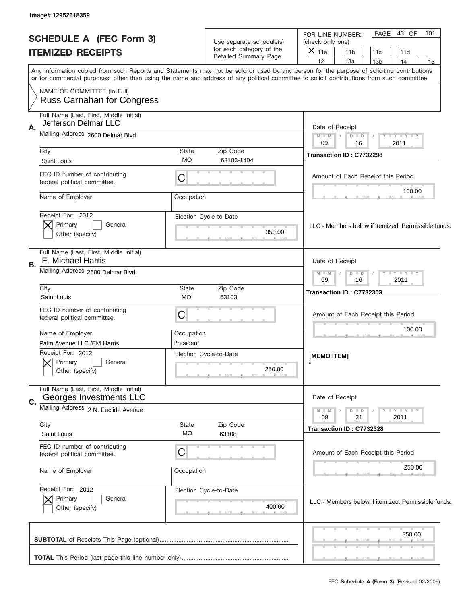| Image# 12952618359                                                 |                                                                                                                                                                                                                                                                                         |                                                                               |                                                                                                                                                              |
|--------------------------------------------------------------------|-----------------------------------------------------------------------------------------------------------------------------------------------------------------------------------------------------------------------------------------------------------------------------------------|-------------------------------------------------------------------------------|--------------------------------------------------------------------------------------------------------------------------------------------------------------|
| <b>SCHEDULE A (FEC Form 3)</b><br><b>ITEMIZED RECEIPTS</b>         |                                                                                                                                                                                                                                                                                         | Use separate schedule(s)<br>for each category of the<br>Detailed Summary Page | PAGE<br>43 OF<br>101<br>FOR LINE NUMBER:<br>(check only one)<br>$\times$<br>11a<br>11 <sub>b</sub><br>11c<br>11d<br>12<br>13a<br>14<br>13 <sub>b</sub><br>15 |
|                                                                    | Any information copied from such Reports and Statements may not be sold or used by any person for the purpose of soliciting contributions<br>or for commercial purposes, other than using the name and address of any political committee to solicit contributions from such committee. |                                                                               |                                                                                                                                                              |
| NAME OF COMMITTEE (In Full)<br><b>Russ Carnahan for Congress</b>   |                                                                                                                                                                                                                                                                                         |                                                                               |                                                                                                                                                              |
| Full Name (Last, First, Middle Initial)                            |                                                                                                                                                                                                                                                                                         |                                                                               |                                                                                                                                                              |
| Jefferson Delmar LLC<br>Α.<br>Mailing Address 2600 Delmar Blvd     |                                                                                                                                                                                                                                                                                         |                                                                               | Date of Receipt<br>$M - M$<br>Y FY FY FY<br>$D$ $D$<br>09<br>2011<br>16                                                                                      |
| City<br>Saint Louis                                                | State<br><b>MO</b>                                                                                                                                                                                                                                                                      | Zip Code<br>63103-1404                                                        | Transaction ID: C7732298                                                                                                                                     |
| FEC ID number of contributing<br>federal political committee.      | C                                                                                                                                                                                                                                                                                       |                                                                               | Amount of Each Receipt this Period                                                                                                                           |
| Name of Employer                                                   | Occupation                                                                                                                                                                                                                                                                              |                                                                               | 100.00                                                                                                                                                       |
| Receipt For: 2012<br>Primary<br>General<br>Other (specify)         |                                                                                                                                                                                                                                                                                         | Election Cycle-to-Date<br>350.00                                              | LLC - Members below if itemized. Permissible funds.                                                                                                          |
| Full Name (Last, First, Middle Initial)<br>E. Michael Harris       |                                                                                                                                                                                                                                                                                         |                                                                               | Date of Receipt                                                                                                                                              |
| В.<br>Mailing Address 2600 Delmar Blvd.                            |                                                                                                                                                                                                                                                                                         |                                                                               | $D$ $D$<br>$Y - Y - Y - Y$<br>$M - M$<br>09<br>16<br>2011                                                                                                    |
| City<br>Saint Louis                                                | State<br><b>MO</b>                                                                                                                                                                                                                                                                      | Zip Code<br>63103                                                             | Transaction ID: C7732303                                                                                                                                     |
| FEC ID number of contributing<br>federal political committee.      | C                                                                                                                                                                                                                                                                                       |                                                                               | Amount of Each Receipt this Period                                                                                                                           |
| Name of Employer<br>Palm Avenue LLC / EM Harris                    | Occupation<br>President                                                                                                                                                                                                                                                                 |                                                                               | 100.00                                                                                                                                                       |
| Receipt For: 2012<br>Primary<br>General<br>Other (specify)         |                                                                                                                                                                                                                                                                                         | Election Cycle-to-Date<br>250.00                                              | [MEMO ITEM]                                                                                                                                                  |
| Full Name (Last, First, Middle Initial)<br>Georges Investments LLC |                                                                                                                                                                                                                                                                                         |                                                                               | Date of Receipt                                                                                                                                              |
| C.<br>Mailing Address 2 N. Euclide Avenue                          |                                                                                                                                                                                                                                                                                         |                                                                               | Y - Y - Y - Y<br>$M - M$<br>$D$ $D$                                                                                                                          |
| City<br>Saint Louis                                                | State<br>MO                                                                                                                                                                                                                                                                             | Zip Code<br>63108                                                             | 09<br>21<br>2011<br>Transaction ID: C7732328                                                                                                                 |
| FEC ID number of contributing<br>federal political committee.      | C                                                                                                                                                                                                                                                                                       |                                                                               | Amount of Each Receipt this Period                                                                                                                           |
| Name of Employer                                                   | Occupation                                                                                                                                                                                                                                                                              |                                                                               | 250.00                                                                                                                                                       |
| Receipt For: 2012<br>Primary<br>General<br>Other (specify)         |                                                                                                                                                                                                                                                                                         | Election Cycle-to-Date<br>400.00                                              | LLC - Members below if itemized. Permissible funds.                                                                                                          |
|                                                                    |                                                                                                                                                                                                                                                                                         |                                                                               | 350.00                                                                                                                                                       |
|                                                                    |                                                                                                                                                                                                                                                                                         |                                                                               |                                                                                                                                                              |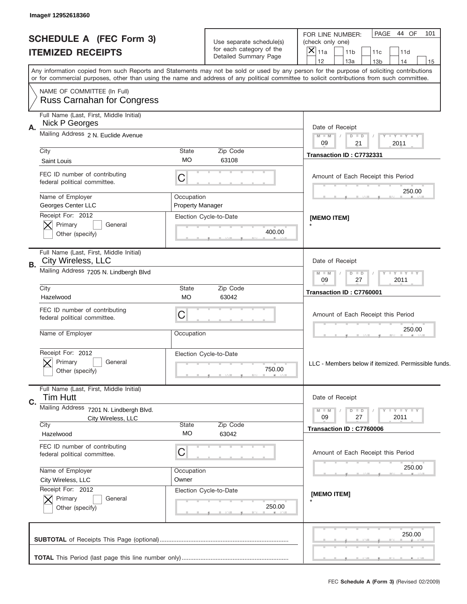| Image# 12952618360                                                               |                                                             |                                  |                                                                                                                                                                                                                                                                                         |  |
|----------------------------------------------------------------------------------|-------------------------------------------------------------|----------------------------------|-----------------------------------------------------------------------------------------------------------------------------------------------------------------------------------------------------------------------------------------------------------------------------------------|--|
| <b>SCHEDULE A (FEC Form 3)</b>                                                   |                                                             | Use separate schedule(s)         | PAGE 44 OF<br>101<br>FOR LINE NUMBER:<br>(check only one)                                                                                                                                                                                                                               |  |
| <b>ITEMIZED RECEIPTS</b>                                                         |                                                             | for each category of the         | $\times$<br>11a<br>11 <sub>b</sub><br>11c<br>11d                                                                                                                                                                                                                                        |  |
|                                                                                  |                                                             | Detailed Summary Page            | 12<br>13a<br>14<br>13 <sub>b</sub><br>15                                                                                                                                                                                                                                                |  |
|                                                                                  |                                                             |                                  | Any information copied from such Reports and Statements may not be sold or used by any person for the purpose of soliciting contributions<br>or for commercial purposes, other than using the name and address of any political committee to solicit contributions from such committee. |  |
| NAME OF COMMITTEE (In Full)<br><b>Russ Carnahan for Congress</b>                 |                                                             |                                  |                                                                                                                                                                                                                                                                                         |  |
| Full Name (Last, First, Middle Initial)<br>Nick P Georges<br>Α.                  |                                                             |                                  | Date of Receipt                                                                                                                                                                                                                                                                         |  |
| Mailing Address 2 N. Euclide Avenue                                              |                                                             |                                  | $M$ $M$<br>Y FY FY FY<br>$D$ $D$<br>09<br>21<br>2011                                                                                                                                                                                                                                    |  |
| City<br>Saint Louis                                                              | <b>State</b><br><b>MO</b>                                   | Zip Code<br>63108                | Transaction ID: C7732331                                                                                                                                                                                                                                                                |  |
| FEC ID number of contributing<br>federal political committee.                    | C                                                           |                                  | Amount of Each Receipt this Period<br>250.00                                                                                                                                                                                                                                            |  |
| Name of Employer<br>Georges Center LLC                                           | Occupation<br><b>Property Manager</b>                       |                                  |                                                                                                                                                                                                                                                                                         |  |
| Receipt For: 2012<br>Primary<br>General<br>Other (specify)                       |                                                             | Election Cycle-to-Date<br>400.00 | [MEMO ITEM]                                                                                                                                                                                                                                                                             |  |
| Full Name (Last, First, Middle Initial)<br>City Wireless, LLC<br>В.              |                                                             |                                  | Date of Receipt                                                                                                                                                                                                                                                                         |  |
| Mailing Address 7205 N. Lindbergh Blvd                                           | $M$ M<br>$Y - Y - Y - Y - Y$<br>$D$ $D$<br>27<br>2011<br>09 |                                  |                                                                                                                                                                                                                                                                                         |  |
| City<br>Hazelwood                                                                | <b>State</b><br><b>MO</b>                                   | Zip Code<br>63042                | Transaction ID: C7760001                                                                                                                                                                                                                                                                |  |
|                                                                                  |                                                             |                                  |                                                                                                                                                                                                                                                                                         |  |
| FEC ID number of contributing<br>federal political committee.                    | C                                                           |                                  | Amount of Each Receipt this Period                                                                                                                                                                                                                                                      |  |
| Name of Employer                                                                 | Occupation                                                  |                                  | 250.00                                                                                                                                                                                                                                                                                  |  |
| Receipt For: 2012<br>General<br>Primary<br>Other (specify)                       |                                                             | Election Cycle-to-Date<br>750.00 | LLC - Members below if itemized. Permissible funds.                                                                                                                                                                                                                                     |  |
| Full Name (Last, First, Middle Initial)<br><b>Tim Hutt</b><br>C.                 |                                                             |                                  | Date of Receipt                                                                                                                                                                                                                                                                         |  |
| Mailing Address<br>7201 N. Lindbergh Blvd.<br>City Wireless, LLC                 |                                                             |                                  |                                                                                                                                                                                                                                                                                         |  |
| City<br>Hazelwood                                                                | State<br><b>MO</b>                                          | Zip Code<br>63042                | Transaction ID: C7760006                                                                                                                                                                                                                                                                |  |
| FEC ID number of contributing<br>federal political committee.                    | C                                                           |                                  | Amount of Each Receipt this Period                                                                                                                                                                                                                                                      |  |
| Name of Employer                                                                 | Occupation<br>Owner                                         |                                  | 250.00                                                                                                                                                                                                                                                                                  |  |
| City Wireless, LLC<br>Receipt For: 2012<br>Primary<br>General<br>Other (specify) |                                                             | Election Cycle-to-Date<br>250.00 | [MEMO ITEM]                                                                                                                                                                                                                                                                             |  |
|                                                                                  |                                                             |                                  | 250.00                                                                                                                                                                                                                                                                                  |  |
|                                                                                  |                                                             |                                  |                                                                                                                                                                                                                                                                                         |  |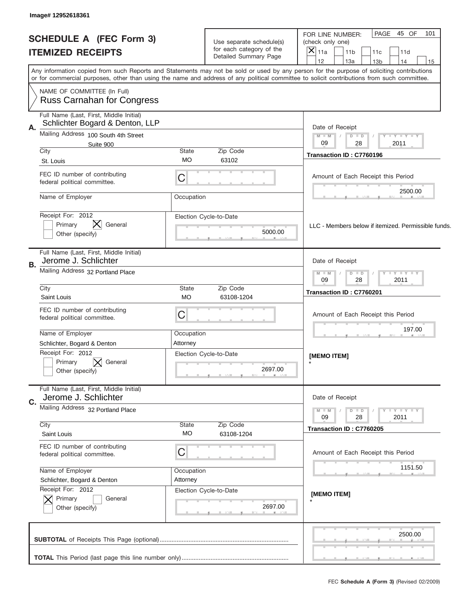| Image# 12952618361                                                               |                                   |                                                      |                                                                                                                                                                                                                                                                                         |  |  |
|----------------------------------------------------------------------------------|-----------------------------------|------------------------------------------------------|-----------------------------------------------------------------------------------------------------------------------------------------------------------------------------------------------------------------------------------------------------------------------------------------|--|--|
| <b>SCHEDULE A (FEC Form 3)</b>                                                   |                                   |                                                      | PAGE 45 OF<br>101<br>FOR LINE NUMBER:                                                                                                                                                                                                                                                   |  |  |
|                                                                                  |                                   | Use separate schedule(s)<br>for each category of the | (check only one)                                                                                                                                                                                                                                                                        |  |  |
| <b>ITEMIZED RECEIPTS</b>                                                         |                                   | Detailed Summary Page                                | $\times$<br>11a<br>11 <sub>b</sub><br>11c<br>11d                                                                                                                                                                                                                                        |  |  |
|                                                                                  |                                   |                                                      | 12<br>13a<br>13 <sub>b</sub><br>14<br>15                                                                                                                                                                                                                                                |  |  |
|                                                                                  |                                   |                                                      | Any information copied from such Reports and Statements may not be sold or used by any person for the purpose of soliciting contributions<br>or for commercial purposes, other than using the name and address of any political committee to solicit contributions from such committee. |  |  |
| NAME OF COMMITTEE (In Full)<br><b>Russ Carnahan for Congress</b>                 |                                   |                                                      |                                                                                                                                                                                                                                                                                         |  |  |
| Full Name (Last, First, Middle Initial)<br>Schlichter Bogard & Denton, LLP<br>Α. |                                   |                                                      | Date of Receipt                                                                                                                                                                                                                                                                         |  |  |
| Mailing Address 100 South 4th Street<br>Suite 900                                |                                   |                                                      | Y FY FY FY<br>$M - M$<br>$D$ $D$<br>09<br>2011<br>28                                                                                                                                                                                                                                    |  |  |
| City                                                                             | <b>State</b>                      | Zip Code                                             | Transaction ID: C7760196                                                                                                                                                                                                                                                                |  |  |
| St. Louis                                                                        | <b>MO</b>                         | 63102                                                |                                                                                                                                                                                                                                                                                         |  |  |
| FEC ID number of contributing<br>federal political committee.                    | С                                 |                                                      | Amount of Each Receipt this Period                                                                                                                                                                                                                                                      |  |  |
| Name of Employer                                                                 | Occupation                        |                                                      | 2500.00                                                                                                                                                                                                                                                                                 |  |  |
|                                                                                  |                                   |                                                      |                                                                                                                                                                                                                                                                                         |  |  |
| Receipt For: 2012                                                                |                                   | Election Cycle-to-Date                               |                                                                                                                                                                                                                                                                                         |  |  |
| Primary<br>General                                                               |                                   | 5000.00                                              | LLC - Members below if itemized. Permissible funds.                                                                                                                                                                                                                                     |  |  |
| Other (specify)                                                                  |                                   |                                                      |                                                                                                                                                                                                                                                                                         |  |  |
| Full Name (Last, First, Middle Initial)<br>Jerome J. Schlichter                  |                                   |                                                      | Date of Receipt                                                                                                                                                                                                                                                                         |  |  |
| В.<br>Mailing Address 32 Portland Place                                          |                                   |                                                      | $Y - Y - Y - Y - Y$<br>$M - M$<br>$D$ $D$                                                                                                                                                                                                                                               |  |  |
|                                                                                  |                                   |                                                      | 09<br>28<br>2011                                                                                                                                                                                                                                                                        |  |  |
| City<br>Saint Louis                                                              | <b>State</b><br><b>MO</b>         | Zip Code<br>63108-1204                               | Transaction ID: C7760201                                                                                                                                                                                                                                                                |  |  |
| FEC ID number of contributing                                                    |                                   |                                                      |                                                                                                                                                                                                                                                                                         |  |  |
| federal political committee.                                                     | С                                 |                                                      | Amount of Each Receipt this Period                                                                                                                                                                                                                                                      |  |  |
| Name of Employer                                                                 | Occupation                        |                                                      | 197.00                                                                                                                                                                                                                                                                                  |  |  |
| Schlichter, Bogard & Denton                                                      | Attorney                          |                                                      |                                                                                                                                                                                                                                                                                         |  |  |
| Receipt For: 2012                                                                |                                   | Election Cycle-to-Date                               |                                                                                                                                                                                                                                                                                         |  |  |
| Primary<br>General                                                               |                                   |                                                      | [MEMO ITEM]                                                                                                                                                                                                                                                                             |  |  |
| Other (specify)                                                                  |                                   | 2697.00                                              |                                                                                                                                                                                                                                                                                         |  |  |
| Full Name (Last, First, Middle Initial)                                          |                                   |                                                      |                                                                                                                                                                                                                                                                                         |  |  |
| Jerome J. Schlichter<br>C.                                                       |                                   |                                                      | Date of Receipt                                                                                                                                                                                                                                                                         |  |  |
|                                                                                  | Mailing Address 32 Portland Place |                                                      |                                                                                                                                                                                                                                                                                         |  |  |
| City                                                                             | State                             | Zip Code                                             | 09<br>28<br>2011                                                                                                                                                                                                                                                                        |  |  |
| Saint Louis                                                                      | МO                                | 63108-1204                                           | Transaction ID: C7760205                                                                                                                                                                                                                                                                |  |  |
| FEC ID number of contributing                                                    |                                   |                                                      |                                                                                                                                                                                                                                                                                         |  |  |
| federal political committee.                                                     | С                                 |                                                      | Amount of Each Receipt this Period                                                                                                                                                                                                                                                      |  |  |
| Name of Employer                                                                 | Occupation                        |                                                      | 1151.50                                                                                                                                                                                                                                                                                 |  |  |
| Schlichter, Bogard & Denton                                                      | Attorney                          |                                                      |                                                                                                                                                                                                                                                                                         |  |  |
| Receipt For: 2012                                                                |                                   | Election Cycle-to-Date                               | [MEMO ITEM]                                                                                                                                                                                                                                                                             |  |  |
| Primary<br>General                                                               |                                   |                                                      |                                                                                                                                                                                                                                                                                         |  |  |
| Other (specify)                                                                  |                                   | 2697.00                                              |                                                                                                                                                                                                                                                                                         |  |  |
|                                                                                  |                                   |                                                      |                                                                                                                                                                                                                                                                                         |  |  |
|                                                                                  |                                   |                                                      | 2500.00                                                                                                                                                                                                                                                                                 |  |  |
|                                                                                  |                                   |                                                      |                                                                                                                                                                                                                                                                                         |  |  |
|                                                                                  |                                   |                                                      | ______                                                                                                                                                                                                                                                                                  |  |  |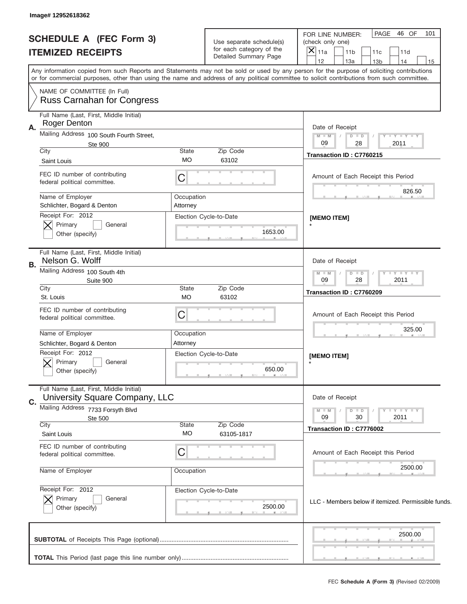| Image# 12952618362                                               |                                                                                                                                                                                                                                                                                                                                     |                                                                               |                                                                                                                                      |  |  |
|------------------------------------------------------------------|-------------------------------------------------------------------------------------------------------------------------------------------------------------------------------------------------------------------------------------------------------------------------------------------------------------------------------------|-------------------------------------------------------------------------------|--------------------------------------------------------------------------------------------------------------------------------------|--|--|
| <b>SCHEDULE A (FEC Form 3)</b><br><b>ITEMIZED RECEIPTS</b>       |                                                                                                                                                                                                                                                                                                                                     | Use separate schedule(s)<br>for each category of the<br>Detailed Summary Page | PAGE<br>46 OF<br>101<br>FOR LINE NUMBER:<br>(check only one)<br>$ \mathsf{\bar{X}} _{\mathsf{11a}}$<br>11 <sub>b</sub><br>11c<br>11d |  |  |
|                                                                  | 12<br>13a<br>14<br>13 <sub>b</sub><br>15<br>Any information copied from such Reports and Statements may not be sold or used by any person for the purpose of soliciting contributions<br>or for commercial purposes, other than using the name and address of any political committee to solicit contributions from such committee. |                                                                               |                                                                                                                                      |  |  |
| NAME OF COMMITTEE (In Full)<br><b>Russ Carnahan for Congress</b> |                                                                                                                                                                                                                                                                                                                                     |                                                                               |                                                                                                                                      |  |  |
| Full Name (Last, First, Middle Initial)                          |                                                                                                                                                                                                                                                                                                                                     |                                                                               |                                                                                                                                      |  |  |
| <b>Roger Denton</b><br>Α.                                        |                                                                                                                                                                                                                                                                                                                                     |                                                                               | Date of Receipt                                                                                                                      |  |  |
| Mailing Address 100 South Fourth Street,                         |                                                                                                                                                                                                                                                                                                                                     |                                                                               |                                                                                                                                      |  |  |
| <b>Ste 900</b>                                                   |                                                                                                                                                                                                                                                                                                                                     |                                                                               | 09<br>2011<br>28                                                                                                                     |  |  |
| City<br>Saint Louis                                              | State<br><b>MO</b>                                                                                                                                                                                                                                                                                                                  | Zip Code<br>63102                                                             | Transaction ID: C7760215                                                                                                             |  |  |
| FEC ID number of contributing<br>federal political committee.    | C                                                                                                                                                                                                                                                                                                                                   |                                                                               | Amount of Each Receipt this Period                                                                                                   |  |  |
| Name of Employer                                                 | Occupation                                                                                                                                                                                                                                                                                                                          |                                                                               | 826.50                                                                                                                               |  |  |
| Schlichter, Bogard & Denton                                      | Attorney                                                                                                                                                                                                                                                                                                                            |                                                                               |                                                                                                                                      |  |  |
| Receipt For: 2012                                                |                                                                                                                                                                                                                                                                                                                                     | Election Cycle-to-Date                                                        | [MEMO ITEM]                                                                                                                          |  |  |
| Primary<br>General<br>Other (specify)                            |                                                                                                                                                                                                                                                                                                                                     | 1653.00                                                                       |                                                                                                                                      |  |  |
| Full Name (Last, First, Middle Initial)<br>Nelson G. Wolff<br>В. |                                                                                                                                                                                                                                                                                                                                     |                                                                               | Date of Receipt                                                                                                                      |  |  |
| Mailing Address 100 South 4th<br>Suite 900                       |                                                                                                                                                                                                                                                                                                                                     |                                                                               | $D$ $D$<br>$Y - Y - Y - Y$<br>$M - M$<br>09<br>28<br>2011                                                                            |  |  |
| City<br>St. Louis                                                | State<br><b>MO</b>                                                                                                                                                                                                                                                                                                                  | Zip Code<br>63102                                                             | Transaction ID: C7760209                                                                                                             |  |  |
| FEC ID number of contributing<br>federal political committee.    | C                                                                                                                                                                                                                                                                                                                                   |                                                                               | Amount of Each Receipt this Period                                                                                                   |  |  |
| Name of Employer                                                 | Occupation                                                                                                                                                                                                                                                                                                                          | 325.00                                                                        |                                                                                                                                      |  |  |
| Schlichter, Bogard & Denton                                      | Attorney                                                                                                                                                                                                                                                                                                                            |                                                                               |                                                                                                                                      |  |  |
| Receipt For: 2012                                                |                                                                                                                                                                                                                                                                                                                                     | Election Cycle-to-Date                                                        | [MEMO ITEM]                                                                                                                          |  |  |
| General<br>Primary<br>Other (specify)                            |                                                                                                                                                                                                                                                                                                                                     | 650.00                                                                        |                                                                                                                                      |  |  |
| Full Name (Last, First, Middle Initial)                          |                                                                                                                                                                                                                                                                                                                                     |                                                                               |                                                                                                                                      |  |  |
| University Square Company, LLC<br>C.                             |                                                                                                                                                                                                                                                                                                                                     |                                                                               | Date of Receipt                                                                                                                      |  |  |
| Mailing Address<br>7733 Forsyth Blvd<br>Ste 500                  |                                                                                                                                                                                                                                                                                                                                     |                                                                               | Y - Y - Y - Y<br>$M - M$<br>$D$ $D$<br>09<br>30<br>2011                                                                              |  |  |
| City                                                             | State                                                                                                                                                                                                                                                                                                                               | Zip Code                                                                      | Transaction ID: C7776002                                                                                                             |  |  |
| Saint Louis                                                      | MO                                                                                                                                                                                                                                                                                                                                  | 63105-1817                                                                    |                                                                                                                                      |  |  |
| FEC ID number of contributing<br>federal political committee.    | C                                                                                                                                                                                                                                                                                                                                   |                                                                               | Amount of Each Receipt this Period                                                                                                   |  |  |
| Name of Employer                                                 | Occupation                                                                                                                                                                                                                                                                                                                          |                                                                               | 2500.00                                                                                                                              |  |  |
| Receipt For: 2012                                                |                                                                                                                                                                                                                                                                                                                                     | Election Cycle-to-Date                                                        |                                                                                                                                      |  |  |
| Primary<br>General<br>Other (specify)                            |                                                                                                                                                                                                                                                                                                                                     | 2500.00                                                                       | LLC - Members below if itemized. Permissible funds.                                                                                  |  |  |
|                                                                  |                                                                                                                                                                                                                                                                                                                                     |                                                                               | 2500.00                                                                                                                              |  |  |
|                                                                  |                                                                                                                                                                                                                                                                                                                                     |                                                                               |                                                                                                                                      |  |  |
|                                                                  |                                                                                                                                                                                                                                                                                                                                     |                                                                               |                                                                                                                                      |  |  |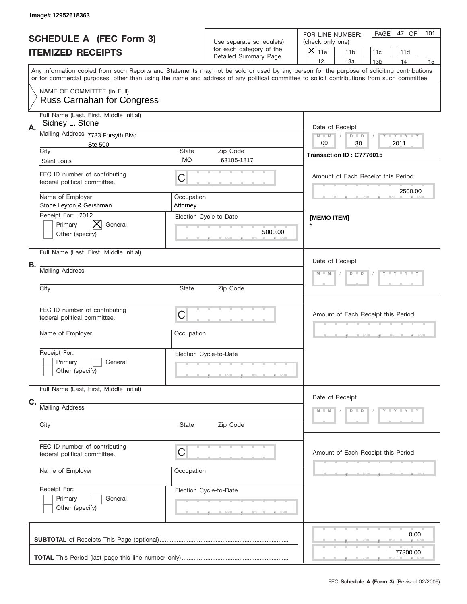|    | Image# 12952618363                                                |                                                           |                                                                               |                                                                                                                                                                                                                                                                                                                                     |
|----|-------------------------------------------------------------------|-----------------------------------------------------------|-------------------------------------------------------------------------------|-------------------------------------------------------------------------------------------------------------------------------------------------------------------------------------------------------------------------------------------------------------------------------------------------------------------------------------|
|    | <b>SCHEDULE A (FEC Form 3)</b><br><b>ITEMIZED RECEIPTS</b>        |                                                           | Use separate schedule(s)<br>for each category of the<br>Detailed Summary Page | PAGE 47 OF<br>101<br>FOR LINE NUMBER:<br>(check only one)<br>$\overline{X} _{11a}$<br>11 <sub>b</sub><br>11c<br>11d                                                                                                                                                                                                                 |
|    |                                                                   |                                                           |                                                                               | 12<br>13a<br>13 <sub>b</sub><br>14<br>15<br>Any information copied from such Reports and Statements may not be sold or used by any person for the purpose of soliciting contributions<br>or for commercial purposes, other than using the name and address of any political committee to solicit contributions from such committee. |
|    | NAME OF COMMITTEE (In Full)<br><b>Russ Carnahan for Congress</b>  |                                                           |                                                                               |                                                                                                                                                                                                                                                                                                                                     |
| Α. | Full Name (Last, First, Middle Initial)<br>Sidney L. Stone        |                                                           |                                                                               | Date of Receipt                                                                                                                                                                                                                                                                                                                     |
|    | Mailing Address 7733 Forsyth Blvd<br><b>Ste 500</b>               | <b>LY LY LY</b><br>$M - M$<br>$D$ $D$<br>09<br>30<br>2011 |                                                                               |                                                                                                                                                                                                                                                                                                                                     |
|    | City<br>Saint Louis                                               | State<br><b>MO</b>                                        | Zip Code<br>63105-1817                                                        | Transaction ID: C7776015                                                                                                                                                                                                                                                                                                            |
|    | FEC ID number of contributing<br>federal political committee.     | C                                                         |                                                                               | Amount of Each Receipt this Period                                                                                                                                                                                                                                                                                                  |
|    | Name of Employer<br>Stone Leyton & Gershman                       | Occupation<br>Attorney                                    |                                                                               | 2500.00                                                                                                                                                                                                                                                                                                                             |
|    | Receipt For: 2012<br>IХ.<br>General<br>Primary<br>Other (specify) |                                                           | Election Cycle-to-Date<br>5000.00                                             | [MEMO ITEM]                                                                                                                                                                                                                                                                                                                         |
|    | Full Name (Last, First, Middle Initial)                           |                                                           |                                                                               | Date of Receipt                                                                                                                                                                                                                                                                                                                     |
| В. | <b>Mailing Address</b>                                            | Y LY LY LY<br>$M$ $M$<br>$D$ $D$                          |                                                                               |                                                                                                                                                                                                                                                                                                                                     |
|    | City                                                              | State                                                     |                                                                               |                                                                                                                                                                                                                                                                                                                                     |
|    | FEC ID number of contributing<br>federal political committee.     | Amount of Each Receipt this Period                        |                                                                               |                                                                                                                                                                                                                                                                                                                                     |
|    | Name of Employer                                                  | Occupation                                                |                                                                               |                                                                                                                                                                                                                                                                                                                                     |
|    | Receipt For:<br>Primary<br>General<br>Other (specify)             |                                                           | Election Cycle-to-Date                                                        |                                                                                                                                                                                                                                                                                                                                     |
|    | Full Name (Last, First, Middle Initial)                           |                                                           |                                                                               | Date of Receipt                                                                                                                                                                                                                                                                                                                     |
| C. | <b>Mailing Address</b><br>City<br>Zip Code<br><b>State</b>        |                                                           |                                                                               | Y TY TY TY<br>$M - M$<br>$D$ $D$                                                                                                                                                                                                                                                                                                    |
|    |                                                                   |                                                           |                                                                               |                                                                                                                                                                                                                                                                                                                                     |
|    | FEC ID number of contributing<br>federal political committee.     | C                                                         |                                                                               | Amount of Each Receipt this Period                                                                                                                                                                                                                                                                                                  |
|    | Name of Employer                                                  | Occupation                                                |                                                                               |                                                                                                                                                                                                                                                                                                                                     |
|    | Receipt For:<br>Primary<br>General<br>Other (specify)             |                                                           | Election Cycle-to-Date                                                        |                                                                                                                                                                                                                                                                                                                                     |
|    |                                                                   |                                                           |                                                                               | 0.00<br>77300.00                                                                                                                                                                                                                                                                                                                    |
|    |                                                                   |                                                           |                                                                               |                                                                                                                                                                                                                                                                                                                                     |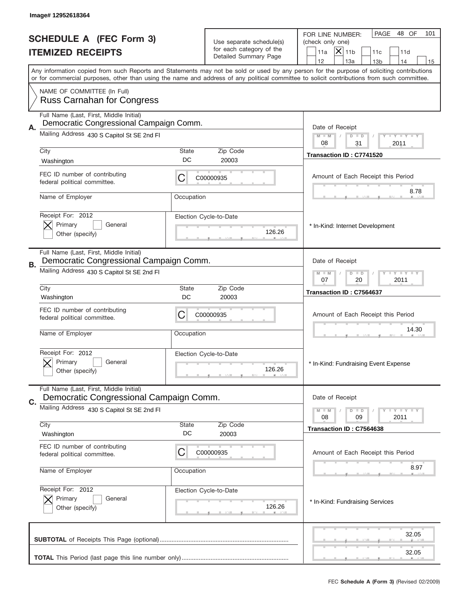|    | Image# 12952618364                                                                    |                                                                                                                                                                                                                                                                                                                                     |                                                                               |                                                                                                                                     |
|----|---------------------------------------------------------------------------------------|-------------------------------------------------------------------------------------------------------------------------------------------------------------------------------------------------------------------------------------------------------------------------------------------------------------------------------------|-------------------------------------------------------------------------------|-------------------------------------------------------------------------------------------------------------------------------------|
|    | <b>SCHEDULE A (FEC Form 3)</b><br><b>ITEMIZED RECEIPTS</b>                            |                                                                                                                                                                                                                                                                                                                                     | Use separate schedule(s)<br>for each category of the<br>Detailed Summary Page | PAGE<br>48 OF<br>101<br>FOR LINE NUMBER:<br>(check only one)<br>$ \boldsymbol{\mathsf{X}} $<br>11 <sub>b</sub><br>11a<br>11c<br>11d |
|    |                                                                                       | 12<br>13a<br>14<br>13 <sub>b</sub><br>15<br>Any information copied from such Reports and Statements may not be sold or used by any person for the purpose of soliciting contributions<br>or for commercial purposes, other than using the name and address of any political committee to solicit contributions from such committee. |                                                                               |                                                                                                                                     |
|    | NAME OF COMMITTEE (In Full)<br><b>Russ Carnahan for Congress</b>                      |                                                                                                                                                                                                                                                                                                                                     |                                                                               |                                                                                                                                     |
|    | Full Name (Last, First, Middle Initial)                                               |                                                                                                                                                                                                                                                                                                                                     |                                                                               |                                                                                                                                     |
| А. | Democratic Congressional Campaign Comm.<br>Mailing Address 430 S Capitol St SE 2nd FI |                                                                                                                                                                                                                                                                                                                                     |                                                                               | Date of Receipt<br><b>LY LY LY</b><br>$M - M$<br>$D$ $D$<br>08<br>31<br>2011                                                        |
|    | City                                                                                  | State                                                                                                                                                                                                                                                                                                                               | Zip Code                                                                      | Transaction ID: C7741520                                                                                                            |
|    | Washington                                                                            | DC                                                                                                                                                                                                                                                                                                                                  | 20003                                                                         |                                                                                                                                     |
|    | FEC ID number of contributing<br>federal political committee.                         | C                                                                                                                                                                                                                                                                                                                                   | C00000935                                                                     | Amount of Each Receipt this Period                                                                                                  |
|    | Name of Employer                                                                      | Occupation                                                                                                                                                                                                                                                                                                                          |                                                                               | 8.78                                                                                                                                |
|    | Receipt For: 2012<br>Primary<br>General<br>Other (specify)                            |                                                                                                                                                                                                                                                                                                                                     | Election Cycle-to-Date<br>126.26                                              | * In-Kind: Internet Development                                                                                                     |
| В. | Full Name (Last, First, Middle Initial)<br>Democratic Congressional Campaign Comm.    |                                                                                                                                                                                                                                                                                                                                     |                                                                               | Date of Receipt                                                                                                                     |
|    | Mailing Address 430 S Capitol St SE 2nd FI                                            | <b>LYLYLY</b><br>$M$ M<br>$D$ $D$<br>07<br>2011<br>20                                                                                                                                                                                                                                                                               |                                                                               |                                                                                                                                     |
|    | City<br>Washington                                                                    | State<br>DC                                                                                                                                                                                                                                                                                                                         | Zip Code<br>20003                                                             | Transaction ID: C7564637                                                                                                            |
|    | FEC ID number of contributing<br>federal political committee.                         | C                                                                                                                                                                                                                                                                                                                                   | C00000935                                                                     | Amount of Each Receipt this Period                                                                                                  |
|    | Name of Employer                                                                      | Occupation                                                                                                                                                                                                                                                                                                                          |                                                                               | 14.30                                                                                                                               |
|    | Receipt For: 2012<br>General<br>Primary<br>Other (specify)                            |                                                                                                                                                                                                                                                                                                                                     | Election Cycle-to-Date<br>126.26                                              | * In-Kind: Fundraising Event Expense                                                                                                |
|    | Full Name (Last, First, Middle Initial)<br>Democratic Congressional Campaign Comm.    |                                                                                                                                                                                                                                                                                                                                     |                                                                               | Date of Receipt                                                                                                                     |
| C. | Mailing Address 430 S Capitol St SE 2nd FI                                            |                                                                                                                                                                                                                                                                                                                                     |                                                                               | $M$ M<br>$D$ $D$<br>$\Box$ $\Upsilon$ $\Box$ $\Upsilon$ $\Upsilon$ $\Upsilon$                                                       |
|    | City                                                                                  | State                                                                                                                                                                                                                                                                                                                               | Zip Code                                                                      | 09<br>2011<br>08                                                                                                                    |
|    | Washington                                                                            | DC                                                                                                                                                                                                                                                                                                                                  | 20003                                                                         | Transaction ID: C7564638                                                                                                            |
|    | FEC ID number of contributing<br>federal political committee.                         | C                                                                                                                                                                                                                                                                                                                                   | C00000935                                                                     | Amount of Each Receipt this Period                                                                                                  |
|    | Name of Employer                                                                      | Occupation                                                                                                                                                                                                                                                                                                                          |                                                                               | 8.97                                                                                                                                |
|    | Receipt For: 2012                                                                     |                                                                                                                                                                                                                                                                                                                                     | Election Cycle-to-Date                                                        |                                                                                                                                     |
|    | Primary<br>General<br>Other (specify)                                                 |                                                                                                                                                                                                                                                                                                                                     | 126.26                                                                        | * In-Kind: Fundraising Services                                                                                                     |
|    |                                                                                       |                                                                                                                                                                                                                                                                                                                                     |                                                                               | 32.05<br>32.05                                                                                                                      |
|    |                                                                                       |                                                                                                                                                                                                                                                                                                                                     |                                                                               |                                                                                                                                     |
|    |                                                                                       |                                                                                                                                                                                                                                                                                                                                     |                                                                               | FEC Schedule A (Form 3) (Revised 02/2009)                                                                                           |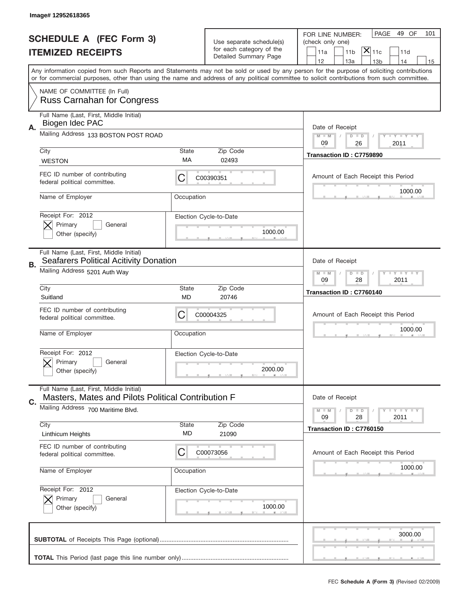|    | Image# 12952618365                                                                            |             |                                                      |                                                                                                                                                                                                                                                                                         |
|----|-----------------------------------------------------------------------------------------------|-------------|------------------------------------------------------|-----------------------------------------------------------------------------------------------------------------------------------------------------------------------------------------------------------------------------------------------------------------------------------------|
|    | <b>SCHEDULE A (FEC Form 3)</b>                                                                |             |                                                      | PAGE<br>49 OF<br>101<br>FOR LINE NUMBER:                                                                                                                                                                                                                                                |
|    | <b>ITEMIZED RECEIPTS</b>                                                                      |             | Use separate schedule(s)<br>for each category of the | (check only one)<br>$ \mathsf{\overline{X}} _{\mathsf{11c}}$<br>11 <sub>b</sub><br>11a<br>11d                                                                                                                                                                                           |
|    |                                                                                               |             | Detailed Summary Page                                | 12<br>13a<br>13 <sub>b</sub><br>14<br>15                                                                                                                                                                                                                                                |
|    |                                                                                               |             |                                                      | Any information copied from such Reports and Statements may not be sold or used by any person for the purpose of soliciting contributions<br>or for commercial purposes, other than using the name and address of any political committee to solicit contributions from such committee. |
|    | NAME OF COMMITTEE (In Full)<br><b>Russ Carnahan for Congress</b>                              |             |                                                      |                                                                                                                                                                                                                                                                                         |
| А. | Full Name (Last, First, Middle Initial)<br>Biogen Idec PAC                                    |             |                                                      | Date of Receipt                                                                                                                                                                                                                                                                         |
|    | Mailing Address 133 BOSTON POST ROAD                                                          |             |                                                      | <b>LYLYLY</b><br>$M - M$<br>$D$ $D$<br>09<br>26<br>2011                                                                                                                                                                                                                                 |
|    | City<br><b>WESTON</b>                                                                         | State<br>МA | Zip Code<br>02493                                    | Transaction ID: C7759890                                                                                                                                                                                                                                                                |
|    | FEC ID number of contributing<br>federal political committee.                                 | C           | C00390351                                            | Amount of Each Receipt this Period                                                                                                                                                                                                                                                      |
|    | Name of Employer                                                                              | Occupation  |                                                      | 1000.00                                                                                                                                                                                                                                                                                 |
|    | Receipt For: 2012<br>Primary<br>General<br>Other (specify)                                    |             | Election Cycle-to-Date<br>1000.00                    |                                                                                                                                                                                                                                                                                         |
| В. | Full Name (Last, First, Middle Initial)<br><b>Seafarers Political Acitivity Donation</b>      |             |                                                      | Date of Receipt                                                                                                                                                                                                                                                                         |
|    | Mailing Address 5201 Auth Way                                                                 |             |                                                      | <b>LYLYLY</b><br>$M - M$<br>$D$ $D$<br>09<br>28<br>2011                                                                                                                                                                                                                                 |
|    | City<br>Suitland                                                                              | State<br>MD | Zip Code<br>20746                                    | Transaction ID: C7760140                                                                                                                                                                                                                                                                |
|    | FEC ID number of contributing<br>federal political committee.                                 | C           | C00004325                                            | Amount of Each Receipt this Period                                                                                                                                                                                                                                                      |
|    | Name of Employer                                                                              | Occupation  |                                                      | 1000.00                                                                                                                                                                                                                                                                                 |
|    | Receipt For: 2012<br>Primary<br>General                                                       |             | Election Cycle-to-Date                               |                                                                                                                                                                                                                                                                                         |
|    | Other (specify)                                                                               |             | 2000.00                                              |                                                                                                                                                                                                                                                                                         |
| C. | Full Name (Last, First, Middle Initial)<br>Masters, Mates and Pilots Political Contribution F |             |                                                      | Date of Receipt                                                                                                                                                                                                                                                                         |
|    | Mailing Address 700 Maritime Blvd.                                                            |             |                                                      | <b>LEY LEY LEY</b><br>$M - M$<br>$D$ $D$<br>09<br>28<br>2011                                                                                                                                                                                                                            |
|    | City<br><b>Linthicum Heights</b>                                                              | State<br>MD | Zip Code<br>21090                                    | Transaction ID: C7760150                                                                                                                                                                                                                                                                |
|    | FEC ID number of contributing<br>federal political committee.                                 | C           | C00073056                                            | Amount of Each Receipt this Period                                                                                                                                                                                                                                                      |
|    | Name of Employer                                                                              | Occupation  |                                                      | 1000.00                                                                                                                                                                                                                                                                                 |
|    | Receipt For: 2012<br>Primary<br>General<br>Other (specify)                                    |             | Election Cycle-to-Date<br>1000.00                    |                                                                                                                                                                                                                                                                                         |
|    |                                                                                               |             |                                                      | 3000.00                                                                                                                                                                                                                                                                                 |
|    |                                                                                               |             |                                                      |                                                                                                                                                                                                                                                                                         |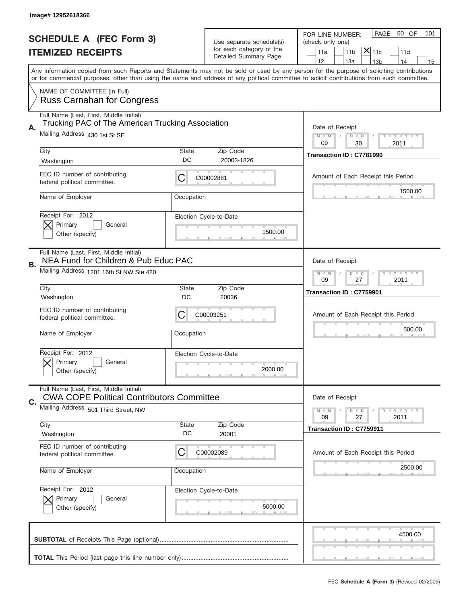|    | Image# 12952618366                                                                           |             |                                                      |                                                                                                                                                                                                                                                                                         |
|----|----------------------------------------------------------------------------------------------|-------------|------------------------------------------------------|-----------------------------------------------------------------------------------------------------------------------------------------------------------------------------------------------------------------------------------------------------------------------------------------|
|    | <b>SCHEDULE A (FEC Form 3)</b>                                                               |             |                                                      | PAGE<br>50 OF<br>101<br>FOR LINE NUMBER:                                                                                                                                                                                                                                                |
|    | <b>ITEMIZED RECEIPTS</b>                                                                     |             | Use separate schedule(s)<br>for each category of the | (check only one)<br>$ \mathsf{\overline{X}} _{\mathsf{11c}}$<br>11 <sub>b</sub><br>11a<br>11d                                                                                                                                                                                           |
|    |                                                                                              |             | Detailed Summary Page                                | 12<br>13a<br>13 <sub>b</sub><br>14<br>15                                                                                                                                                                                                                                                |
|    |                                                                                              |             |                                                      | Any information copied from such Reports and Statements may not be sold or used by any person for the purpose of soliciting contributions<br>or for commercial purposes, other than using the name and address of any political committee to solicit contributions from such committee. |
|    | NAME OF COMMITTEE (In Full)<br><b>Russ Carnahan for Congress</b>                             |             |                                                      |                                                                                                                                                                                                                                                                                         |
|    | Full Name (Last, First, Middle Initial)<br>Trucking PAC of The American Trucking Association |             |                                                      |                                                                                                                                                                                                                                                                                         |
| Α. | Mailing Address 430 1st St SE                                                                |             |                                                      | Date of Receipt<br>$M - M$<br><b>LYLYLY</b><br>$D$ $D$<br>09<br>2011<br>30                                                                                                                                                                                                              |
|    | City                                                                                         | State<br>DC | Zip Code                                             | Transaction ID: C7781990                                                                                                                                                                                                                                                                |
|    | Washington                                                                                   |             | 20003-1826                                           |                                                                                                                                                                                                                                                                                         |
|    | FEC ID number of contributing<br>federal political committee.                                | C           | C00002881                                            | Amount of Each Receipt this Period                                                                                                                                                                                                                                                      |
|    | Name of Employer                                                                             | Occupation  |                                                      | 1500.00                                                                                                                                                                                                                                                                                 |
|    | Receipt For: 2012<br>Primary<br>General                                                      |             | Election Cycle-to-Date                               |                                                                                                                                                                                                                                                                                         |
|    | Other (specify)                                                                              |             | 1500.00                                              |                                                                                                                                                                                                                                                                                         |
|    | Full Name (Last, First, Middle Initial)<br>NEA Fund for Children & Pub Educ PAC              |             |                                                      | Date of Receipt                                                                                                                                                                                                                                                                         |
| В. | Mailing Address 1201 16th St NW Ste 420                                                      |             |                                                      | <b>LYLYLY</b><br>$M - M$<br>$D$ $D$<br>09<br>27<br>2011                                                                                                                                                                                                                                 |
|    | City                                                                                         | State       | Zip Code                                             |                                                                                                                                                                                                                                                                                         |
|    | Washington                                                                                   | DC          | 20036                                                | Transaction ID: C7759901                                                                                                                                                                                                                                                                |
|    | FEC ID number of contributing<br>federal political committee.                                | C           | C00003251                                            | Amount of Each Receipt this Period                                                                                                                                                                                                                                                      |
|    |                                                                                              |             |                                                      |                                                                                                                                                                                                                                                                                         |
|    | Name of Employer                                                                             | Occupation  |                                                      | 500.00                                                                                                                                                                                                                                                                                  |
|    | Receipt For: 2012                                                                            |             | Election Cycle-to-Date                               |                                                                                                                                                                                                                                                                                         |
|    | Primary<br>General<br>Other (specify)                                                        |             | 2000.00                                              |                                                                                                                                                                                                                                                                                         |
|    |                                                                                              |             |                                                      |                                                                                                                                                                                                                                                                                         |
| C. | Full Name (Last, First, Middle Initial)<br><b>CWA COPE Political Contributors Committee</b>  |             |                                                      | Date of Receipt                                                                                                                                                                                                                                                                         |
|    | Mailing Address 501 Third Street, NW                                                         |             |                                                      | <b>LY LY LY</b><br>$M - M$<br>$D$ $D$<br>09<br>2011<br>27                                                                                                                                                                                                                               |
|    | City                                                                                         | State       | Zip Code                                             | Transaction ID: C7759911                                                                                                                                                                                                                                                                |
|    | Washington                                                                                   | DC          | 20001                                                |                                                                                                                                                                                                                                                                                         |
|    | FEC ID number of contributing<br>federal political committee.                                | C           | C00002089                                            | Amount of Each Receipt this Period                                                                                                                                                                                                                                                      |
|    | Name of Employer                                                                             | Occupation  |                                                      | 2500.00                                                                                                                                                                                                                                                                                 |
|    | Receipt For: 2012                                                                            |             | Election Cycle-to-Date                               |                                                                                                                                                                                                                                                                                         |
|    | Primary<br>General<br>Other (specify)                                                        |             | 5000.00                                              |                                                                                                                                                                                                                                                                                         |
|    |                                                                                              |             |                                                      | 4500.00                                                                                                                                                                                                                                                                                 |
|    |                                                                                              |             |                                                      |                                                                                                                                                                                                                                                                                         |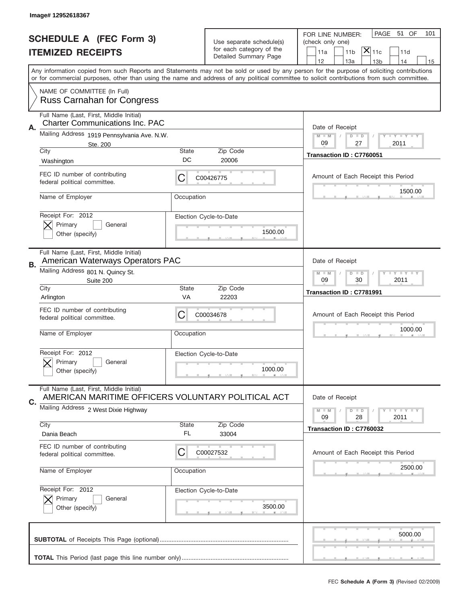|    | Image# 12952618367                                                                            |             |                                                      |                                                                                                                                                                                                                                                                                         |
|----|-----------------------------------------------------------------------------------------------|-------------|------------------------------------------------------|-----------------------------------------------------------------------------------------------------------------------------------------------------------------------------------------------------------------------------------------------------------------------------------------|
|    | <b>SCHEDULE A (FEC Form 3)</b>                                                                |             |                                                      | PAGE<br>51 OF<br>101<br>FOR LINE NUMBER:                                                                                                                                                                                                                                                |
|    |                                                                                               |             | Use separate schedule(s)<br>for each category of the | (check only one)<br>$\overline{ {\mathsf X} }_{\text{11c}}$                                                                                                                                                                                                                             |
|    | <b>ITEMIZED RECEIPTS</b>                                                                      |             | Detailed Summary Page                                | 11a<br>11 <sub>b</sub><br>11d<br>12<br>13a<br>14<br>13 <sub>b</sub><br>15                                                                                                                                                                                                               |
|    |                                                                                               |             |                                                      | Any information copied from such Reports and Statements may not be sold or used by any person for the purpose of soliciting contributions<br>or for commercial purposes, other than using the name and address of any political committee to solicit contributions from such committee. |
|    | NAME OF COMMITTEE (In Full)<br><b>Russ Carnahan for Congress</b>                              |             |                                                      |                                                                                                                                                                                                                                                                                         |
| Α. | Full Name (Last, First, Middle Initial)<br><b>Charter Communications Inc. PAC</b>             |             |                                                      | Date of Receipt                                                                                                                                                                                                                                                                         |
|    | Mailing Address 1919 Pennsylvania Ave. N.W.<br>Ste. 200                                       |             |                                                      | $M - M$<br><b>LY LY LY</b><br>$D$ $D$<br>09<br>2011<br>27                                                                                                                                                                                                                               |
|    | City<br>Washington                                                                            | State<br>DC | Zip Code<br>20006                                    | Transaction ID: C7760051                                                                                                                                                                                                                                                                |
|    | FEC ID number of contributing<br>federal political committee.                                 | C           | C00426775                                            | Amount of Each Receipt this Period                                                                                                                                                                                                                                                      |
|    | Name of Employer                                                                              | Occupation  |                                                      | 1500.00                                                                                                                                                                                                                                                                                 |
|    | Receipt For: 2012<br>Primary<br>General<br>Other (specify)                                    |             | Election Cycle-to-Date<br>1500.00                    |                                                                                                                                                                                                                                                                                         |
| В. | Full Name (Last, First, Middle Initial)<br>American Waterways Operators PAC                   |             |                                                      | Date of Receipt                                                                                                                                                                                                                                                                         |
|    | Mailing Address 801 N. Quincy St.<br>Suite 200                                                |             |                                                      | <b>LY LY LY</b><br>$M - M$<br>$D$ $D$<br>09<br>30<br>2011                                                                                                                                                                                                                               |
|    | City<br>Arlington                                                                             | State<br>VA | Zip Code<br>22203                                    | Transaction ID: C7781991                                                                                                                                                                                                                                                                |
|    | FEC ID number of contributing<br>federal political committee.                                 | C           | C00034678                                            | Amount of Each Receipt this Period                                                                                                                                                                                                                                                      |
|    |                                                                                               |             |                                                      | 1000.00                                                                                                                                                                                                                                                                                 |
|    | Name of Employer                                                                              | Occupation  |                                                      |                                                                                                                                                                                                                                                                                         |
|    | Receipt For: 2012<br>General<br>Primary<br>Other (specify)                                    |             | Election Cycle-to-Date<br>1000.00                    |                                                                                                                                                                                                                                                                                         |
|    | Full Name (Last, First, Middle Initial)<br>AMERICAN MARITIME OFFICERS VOLUNTARY POLITICAL ACT |             |                                                      | Date of Receipt                                                                                                                                                                                                                                                                         |
| C. | Mailing Address 2 West Dixie Highway                                                          |             |                                                      | $I - Y - I - Y - I - Y$<br>$M - M$<br>$D$ $D$<br>09<br>2011<br>28                                                                                                                                                                                                                       |
|    | City<br>Dania Beach                                                                           | State<br>FL | Zip Code<br>33004                                    | Transaction ID: C7760032                                                                                                                                                                                                                                                                |
|    | FEC ID number of contributing<br>federal political committee.                                 | C           | C00027532                                            | Amount of Each Receipt this Period                                                                                                                                                                                                                                                      |
|    | Name of Employer                                                                              | Occupation  |                                                      | 2500.00                                                                                                                                                                                                                                                                                 |
|    | Receipt For: 2012<br>Primary<br>General<br>Other (specify)                                    |             | Election Cycle-to-Date<br>3500.00                    |                                                                                                                                                                                                                                                                                         |
|    |                                                                                               |             |                                                      | 5000.00                                                                                                                                                                                                                                                                                 |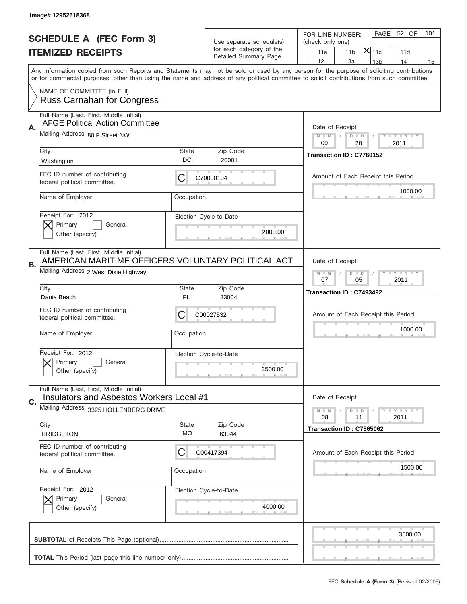|    | Image# 12952618368                                                                                                                    |                    |                                                   |                                                                                                                                                                                       |
|----|---------------------------------------------------------------------------------------------------------------------------------------|--------------------|---------------------------------------------------|---------------------------------------------------------------------------------------------------------------------------------------------------------------------------------------|
|    | <b>SCHEDULE A (FEC Form 3)</b>                                                                                                        |                    | Use separate schedule(s)                          | PAGE 52 OF<br>101<br>FOR LINE NUMBER:<br>(check only one)                                                                                                                             |
|    | <b>ITEMIZED RECEIPTS</b>                                                                                                              |                    | for each category of the<br>Detailed Summary Page | $ \overline{\mathsf{X}} _{\mathsf{11c}}$<br>11d<br>11a<br>11 <sub>b</sub>                                                                                                             |
|    |                                                                                                                                       |                    |                                                   | 12<br>13a<br>14<br>13 <sub>b</sub><br>15<br>Any information copied from such Reports and Statements may not be sold or used by any person for the purpose of soliciting contributions |
|    |                                                                                                                                       |                    |                                                   | or for commercial purposes, other than using the name and address of any political committee to solicit contributions from such committee.                                            |
|    | NAME OF COMMITTEE (In Full)<br><b>Russ Carnahan for Congress</b>                                                                      |                    |                                                   |                                                                                                                                                                                       |
| Α. | Full Name (Last, First, Middle Initial)<br><b>AFGE Political Action Committee</b>                                                     |                    |                                                   | Date of Receipt                                                                                                                                                                       |
|    | Mailing Address 80 F Street NW                                                                                                        |                    |                                                   | $M - M$<br><b>LY LY LY</b><br>$D$ $D$<br>09<br>28<br>2011                                                                                                                             |
|    | City<br>Washington                                                                                                                    | State<br>DC        | Zip Code<br>20001                                 | Transaction ID: C7760152                                                                                                                                                              |
|    | FEC ID number of contributing<br>federal political committee.                                                                         | C                  | C70000104                                         | Amount of Each Receipt this Period                                                                                                                                                    |
|    | Name of Employer                                                                                                                      | Occupation         |                                                   | 1000.00                                                                                                                                                                               |
|    | Receipt For: 2012<br>Primary<br>General<br>Other (specify)                                                                            |                    | Election Cycle-to-Date<br>2000.00                 |                                                                                                                                                                                       |
| В. | Full Name (Last, First, Middle Initial)<br>AMERICAN MARITIME OFFICERS VOLUNTARY POLITICAL ACT<br>Mailing Address 2 West Dixie Highway |                    |                                                   | Date of Receipt                                                                                                                                                                       |
|    |                                                                                                                                       |                    |                                                   | $M$ M<br>$D$ $D$<br><b>LY LY LY</b><br>07<br>05<br>2011                                                                                                                               |
|    | City<br>Dania Beach                                                                                                                   | State<br>FL        | Zip Code<br>33004                                 | Transaction ID: C7493492                                                                                                                                                              |
|    |                                                                                                                                       |                    |                                                   |                                                                                                                                                                                       |
|    | FEC ID number of contributing<br>federal political committee.                                                                         | C                  | C00027532                                         | Amount of Each Receipt this Period                                                                                                                                                    |
|    | Name of Employer                                                                                                                      | Occupation         |                                                   | 1000.00                                                                                                                                                                               |
|    | Receipt For: 2012<br>Primary<br>General<br>Other (specify)                                                                            |                    | Election Cycle-to-Date<br>3500.00                 |                                                                                                                                                                                       |
|    | Full Name (Last, First, Middle Initial)<br>Insulators and Asbestos Workers Local #1                                                   |                    |                                                   | Date of Receipt                                                                                                                                                                       |
| C. | Mailing Address 3325 HOLLENBERG DRIVE                                                                                                 |                    |                                                   | $I - Y - I - Y - I - Y$<br>$M - M$<br>$D$ $D$                                                                                                                                         |
|    | City<br><b>BRIDGETON</b>                                                                                                              | <b>State</b><br>МO | Zip Code<br>63044                                 | 2011<br>08<br>11<br>Transaction ID: C7565062                                                                                                                                          |
|    | FEC ID number of contributing<br>federal political committee.                                                                         | C                  | C00417394                                         | Amount of Each Receipt this Period                                                                                                                                                    |
|    | Name of Employer                                                                                                                      | Occupation         |                                                   | 1500.00                                                                                                                                                                               |
|    | Receipt For: 2012<br>Primary<br>General<br>Other (specify)                                                                            |                    | Election Cycle-to-Date<br>4000.00                 |                                                                                                                                                                                       |
|    |                                                                                                                                       |                    |                                                   | 3500.00                                                                                                                                                                               |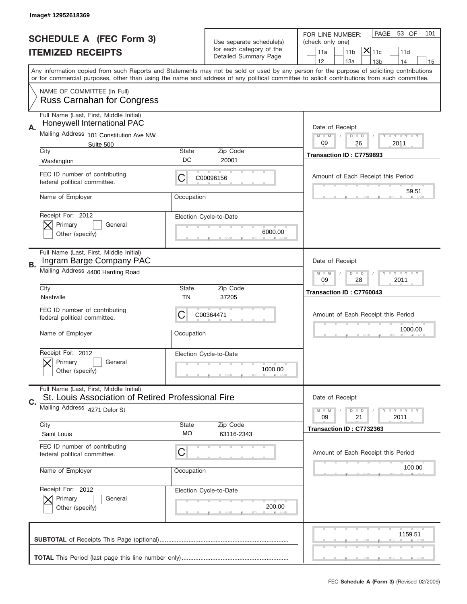|    | Image#12952618369                                                                             |                    |                                                      |                                                                                                                                                                                                                                                                                         |
|----|-----------------------------------------------------------------------------------------------|--------------------|------------------------------------------------------|-----------------------------------------------------------------------------------------------------------------------------------------------------------------------------------------------------------------------------------------------------------------------------------------|
|    | <b>SCHEDULE A (FEC Form 3)</b>                                                                |                    |                                                      | PAGE<br>53 OF<br>101<br>FOR LINE NUMBER:                                                                                                                                                                                                                                                |
|    | <b>ITEMIZED RECEIPTS</b>                                                                      |                    | Use separate schedule(s)<br>for each category of the | (check only one)<br>$ \mathsf{\overline{X}} _{\mathsf{11c}}$<br>11 <sub>b</sub><br>11a<br>11d                                                                                                                                                                                           |
|    |                                                                                               |                    | Detailed Summary Page                                | 12<br>13a<br>14<br>13 <sub>b</sub><br>15                                                                                                                                                                                                                                                |
|    |                                                                                               |                    |                                                      | Any information copied from such Reports and Statements may not be sold or used by any person for the purpose of soliciting contributions<br>or for commercial purposes, other than using the name and address of any political committee to solicit contributions from such committee. |
|    | NAME OF COMMITTEE (In Full)<br><b>Russ Carnahan for Congress</b>                              |                    |                                                      |                                                                                                                                                                                                                                                                                         |
| Α. | Full Name (Last, First, Middle Initial)<br>Honeywell International PAC                        |                    |                                                      | Date of Receipt                                                                                                                                                                                                                                                                         |
|    | Mailing Address 101 Constitution Ave NW<br>Suite 500                                          |                    |                                                      | <b>LY LY LY</b><br>$M - M$<br>$D$ $D$<br>09<br>26<br>2011                                                                                                                                                                                                                               |
|    | City<br>Washington                                                                            | <b>State</b><br>DC | Zip Code<br>20001                                    | Transaction ID: C7759893                                                                                                                                                                                                                                                                |
|    | FEC ID number of contributing<br>federal political committee.                                 | С                  | C00096156                                            | Amount of Each Receipt this Period                                                                                                                                                                                                                                                      |
|    | Name of Employer                                                                              | Occupation         |                                                      | 59.51                                                                                                                                                                                                                                                                                   |
|    | Receipt For: 2012<br>Primary<br>General<br>Other (specify)                                    |                    | Election Cycle-to-Date<br>6000.00                    |                                                                                                                                                                                                                                                                                         |
| В. | Full Name (Last, First, Middle Initial)<br>Ingram Barge Company PAC                           |                    |                                                      | Date of Receipt                                                                                                                                                                                                                                                                         |
|    | Mailing Address 4400 Harding Road                                                             |                    |                                                      | <b>LEY LEY LEY</b><br>$M$ M<br>$D$ $D$<br>09<br>28<br>2011                                                                                                                                                                                                                              |
|    | City<br>Nashville                                                                             | <b>State</b><br>TN | Zip Code<br>37205                                    | Transaction ID: C7760043                                                                                                                                                                                                                                                                |
|    | FEC ID number of contributing<br>federal political committee.                                 | С                  | C00364471                                            | Amount of Each Receipt this Period                                                                                                                                                                                                                                                      |
|    |                                                                                               |                    |                                                      | 1000.00                                                                                                                                                                                                                                                                                 |
|    | Name of Employer                                                                              | Occupation         |                                                      |                                                                                                                                                                                                                                                                                         |
|    | Receipt For: 2012<br>Primary<br>General<br>Other (specify)                                    |                    | Election Cycle-to-Date<br>1000.00                    |                                                                                                                                                                                                                                                                                         |
|    | Full Name (Last, First, Middle Initial)<br>St. Louis Association of Retired Professional Fire |                    |                                                      | Date of Receipt                                                                                                                                                                                                                                                                         |
| C. | Mailing Address 4271 Delor St                                                                 |                    |                                                      | $I - Y - I - Y - I - Y$<br>$M - M$<br>$D$ $D$<br>21<br>2011<br>09                                                                                                                                                                                                                       |
|    | City<br>Saint Louis                                                                           | <b>State</b><br>MO | Zip Code<br>63116-2343                               | Transaction ID: C7732363                                                                                                                                                                                                                                                                |
|    | FEC ID number of contributing<br>federal political committee.                                 | С                  |                                                      | Amount of Each Receipt this Period                                                                                                                                                                                                                                                      |
|    | Name of Employer                                                                              | Occupation         |                                                      | 100.00                                                                                                                                                                                                                                                                                  |
|    | Receipt For: 2012<br>Primary<br>General<br>Other (specify)                                    |                    | Election Cycle-to-Date<br>200.00                     |                                                                                                                                                                                                                                                                                         |
|    |                                                                                               |                    |                                                      | 1159.51                                                                                                                                                                                                                                                                                 |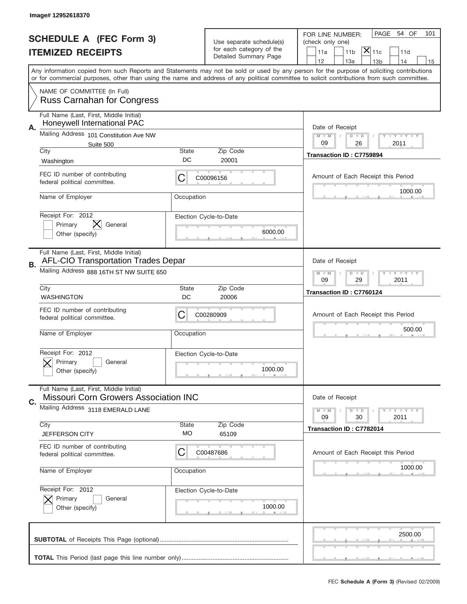|    | Image#12952618370                                                                       |                    |                                                   |                                                                                                                                                                                                                                                                                         |
|----|-----------------------------------------------------------------------------------------|--------------------|---------------------------------------------------|-----------------------------------------------------------------------------------------------------------------------------------------------------------------------------------------------------------------------------------------------------------------------------------------|
|    | <b>SCHEDULE A (FEC Form 3)</b>                                                          |                    | Use separate schedule(s)                          | PAGE<br>54 OF<br>101<br>FOR LINE NUMBER:<br>(check only one)                                                                                                                                                                                                                            |
|    | <b>ITEMIZED RECEIPTS</b>                                                                |                    | for each category of the<br>Detailed Summary Page | $\mathsf{\bar{X}}\vert_{\mathsf{11c}}$<br>11a<br>11 <sub>b</sub><br>11d                                                                                                                                                                                                                 |
|    |                                                                                         |                    |                                                   | 12<br>13a<br>14<br>13 <sub>b</sub><br>15                                                                                                                                                                                                                                                |
|    |                                                                                         |                    |                                                   | Any information copied from such Reports and Statements may not be sold or used by any person for the purpose of soliciting contributions<br>or for commercial purposes, other than using the name and address of any political committee to solicit contributions from such committee. |
|    | NAME OF COMMITTEE (In Full)<br><b>Russ Carnahan for Congress</b>                        |                    |                                                   |                                                                                                                                                                                                                                                                                         |
|    | Full Name (Last, First, Middle Initial)<br>Honeywell International PAC                  |                    |                                                   | Date of Receipt                                                                                                                                                                                                                                                                         |
| Α. | Mailing Address 101 Constitution Ave NW                                                 |                    |                                                   | $M - M$<br><b>LY LY LY</b><br>$D$ $D$<br>09<br>26<br>2011                                                                                                                                                                                                                               |
|    | Suite 500<br>City                                                                       | State              | Zip Code                                          | Transaction ID: C7759894                                                                                                                                                                                                                                                                |
|    | Washington                                                                              | DC                 | 20001                                             |                                                                                                                                                                                                                                                                                         |
|    | FEC ID number of contributing<br>federal political committee.                           | С                  | C00096156                                         | Amount of Each Receipt this Period                                                                                                                                                                                                                                                      |
|    | Name of Employer                                                                        | Occupation         |                                                   | 1000.00                                                                                                                                                                                                                                                                                 |
|    | Receipt For: 2012<br>IХ.                                                                |                    | Election Cycle-to-Date                            |                                                                                                                                                                                                                                                                                         |
|    | Primary<br>General<br>Other (specify)                                                   |                    | 6000.00                                           |                                                                                                                                                                                                                                                                                         |
| В. | Full Name (Last, First, Middle Initial)<br><b>AFL-CIO Transportation Trades Depar</b>   |                    |                                                   | Date of Receipt                                                                                                                                                                                                                                                                         |
|    | Mailing Address 888 16TH ST NW SUITE 650                                                |                    |                                                   | <b>LYLYLY</b><br>$M$ $M$<br>$D$ $D$<br>09<br>29<br>2011                                                                                                                                                                                                                                 |
|    | City<br><b>WASHINGTON</b>                                                               | <b>State</b><br>DC | Zip Code<br>20006                                 | Transaction ID: C7760124                                                                                                                                                                                                                                                                |
|    | FEC ID number of contributing                                                           |                    |                                                   |                                                                                                                                                                                                                                                                                         |
|    | federal political committee.                                                            | С                  | C00280909                                         | Amount of Each Receipt this Period                                                                                                                                                                                                                                                      |
|    | Name of Employer                                                                        | Occupation         |                                                   | 500.00                                                                                                                                                                                                                                                                                  |
|    | Receipt For: 2012<br>Primary<br>General                                                 |                    | Election Cycle-to-Date                            |                                                                                                                                                                                                                                                                                         |
|    | Other (specify)                                                                         |                    | 1000.00                                           |                                                                                                                                                                                                                                                                                         |
| C. | Full Name (Last, First, Middle Initial)<br><b>Missouri Corn Growers Association INC</b> |                    |                                                   | Date of Receipt                                                                                                                                                                                                                                                                         |
|    | Mailing Address 3118 EMERALD LANE                                                       |                    |                                                   | $I - Y - I - Y - I - Y$<br>$M - M$<br>$D$ $D$<br>09<br>2011<br>30                                                                                                                                                                                                                       |
|    | City                                                                                    | State              | Zip Code                                          | Transaction ID: C7782014                                                                                                                                                                                                                                                                |
|    | JEFFERSON CITY                                                                          | МO                 | 65109                                             |                                                                                                                                                                                                                                                                                         |
|    | FEC ID number of contributing<br>federal political committee.                           | C                  | C00487686                                         | Amount of Each Receipt this Period                                                                                                                                                                                                                                                      |
|    | Name of Employer                                                                        | Occupation         |                                                   | 1000.00                                                                                                                                                                                                                                                                                 |
|    | Receipt For: 2012                                                                       |                    | Election Cycle-to-Date                            |                                                                                                                                                                                                                                                                                         |
|    | Primary<br>General<br>Other (specify)                                                   |                    | 1000.00                                           |                                                                                                                                                                                                                                                                                         |
|    |                                                                                         |                    |                                                   | 2500.00                                                                                                                                                                                                                                                                                 |
|    |                                                                                         |                    |                                                   |                                                                                                                                                                                                                                                                                         |
|    |                                                                                         |                    |                                                   |                                                                                                                                                                                                                                                                                         |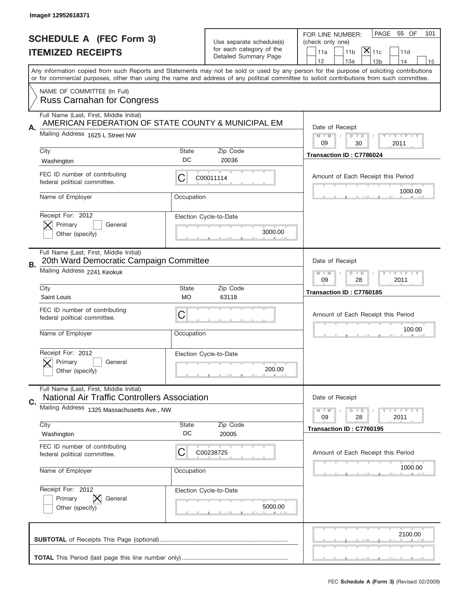|    | Image# 12952618371                                                                             |                    |                                                                               |                                                                                                                                                                                                                                                                                                                                     |
|----|------------------------------------------------------------------------------------------------|--------------------|-------------------------------------------------------------------------------|-------------------------------------------------------------------------------------------------------------------------------------------------------------------------------------------------------------------------------------------------------------------------------------------------------------------------------------|
|    | <b>SCHEDULE A (FEC Form 3)</b><br><b>ITEMIZED RECEIPTS</b>                                     |                    | Use separate schedule(s)<br>for each category of the<br>Detailed Summary Page | PAGE<br>55 OF<br>101<br>FOR LINE NUMBER:<br>(check only one)<br>$ \mathsf{\overline{X}} _{\mathsf{11c}}$<br>11 <sub>b</sub><br>11a<br>11d                                                                                                                                                                                           |
|    |                                                                                                |                    |                                                                               | 12<br>13a<br>13 <sub>b</sub><br>14<br>15<br>Any information copied from such Reports and Statements may not be sold or used by any person for the purpose of soliciting contributions<br>or for commercial purposes, other than using the name and address of any political committee to solicit contributions from such committee. |
|    | NAME OF COMMITTEE (In Full)<br><b>Russ Carnahan for Congress</b>                               |                    |                                                                               |                                                                                                                                                                                                                                                                                                                                     |
| Α. | Full Name (Last, First, Middle Initial)<br>AMERICAN FEDERATION OF STATE COUNTY & MUNICIPAL EM  |                    |                                                                               | Date of Receipt                                                                                                                                                                                                                                                                                                                     |
|    | Mailing Address 1625 L Street NW                                                               |                    |                                                                               | $M - M$<br><b>LEY LEY LEY</b><br>$D$ $D$<br>09<br>30<br>2011                                                                                                                                                                                                                                                                        |
|    | City<br>Washington                                                                             | State<br>DC        | Zip Code<br>20036                                                             | Transaction ID: C7786024                                                                                                                                                                                                                                                                                                            |
|    | FEC ID number of contributing<br>federal political committee.                                  | C                  | C00011114                                                                     | Amount of Each Receipt this Period                                                                                                                                                                                                                                                                                                  |
|    | Name of Employer                                                                               | Occupation         |                                                                               | 1000.00                                                                                                                                                                                                                                                                                                                             |
|    | Receipt For: 2012<br>Primary<br>General<br>Other (specify)                                     |                    | Election Cycle-to-Date<br>3000.00                                             |                                                                                                                                                                                                                                                                                                                                     |
| В. | Full Name (Last, First, Middle Initial)<br>20th Ward Democratic Campaign Committee             |                    |                                                                               | Date of Receipt                                                                                                                                                                                                                                                                                                                     |
|    | Mailing Address 2241 Keokuk                                                                    |                    |                                                                               | <b>LEY LEY LEY</b><br>$M - M$<br>$D$ $D$<br>09<br>28<br>2011                                                                                                                                                                                                                                                                        |
|    | City<br>Saint Louis                                                                            | <b>State</b><br>МO | Zip Code<br>63118                                                             | Transaction ID: C7760185                                                                                                                                                                                                                                                                                                            |
|    | FEC ID number of contributing<br>federal political committee.                                  | C                  |                                                                               | Amount of Each Receipt this Period                                                                                                                                                                                                                                                                                                  |
|    |                                                                                                |                    |                                                                               |                                                                                                                                                                                                                                                                                                                                     |
|    | Name of Employer                                                                               | Occupation         |                                                                               | 100.00                                                                                                                                                                                                                                                                                                                              |
|    | Receipt For: 2012<br>Primary<br>General<br>Other (specify)                                     |                    | Election Cycle-to-Date<br>200.00                                              |                                                                                                                                                                                                                                                                                                                                     |
|    | Full Name (Last, First, Middle Initial)<br><b>National Air Traffic Controllers Association</b> |                    |                                                                               | Date of Receipt                                                                                                                                                                                                                                                                                                                     |
| C. | Mailing Address 1325 Massachusetts Ave., NW                                                    |                    |                                                                               | $M - M$<br>$D$ $D$<br><b>LYLYLY</b><br>09<br>2011<br>28                                                                                                                                                                                                                                                                             |
|    | City<br>Washington                                                                             | State<br>DC        | Zip Code<br>20005                                                             | Transaction ID: C7760195                                                                                                                                                                                                                                                                                                            |
|    | FEC ID number of contributing<br>federal political committee.                                  | C                  | C00238725                                                                     | Amount of Each Receipt this Period                                                                                                                                                                                                                                                                                                  |
|    | Name of Employer                                                                               | Occupation         |                                                                               | 1000.00                                                                                                                                                                                                                                                                                                                             |
|    | Receipt For: 2012<br>Primary<br>General<br>Other (specify)                                     |                    | Election Cycle-to-Date<br>5000.00                                             |                                                                                                                                                                                                                                                                                                                                     |
|    |                                                                                                |                    |                                                                               | 2100.00                                                                                                                                                                                                                                                                                                                             |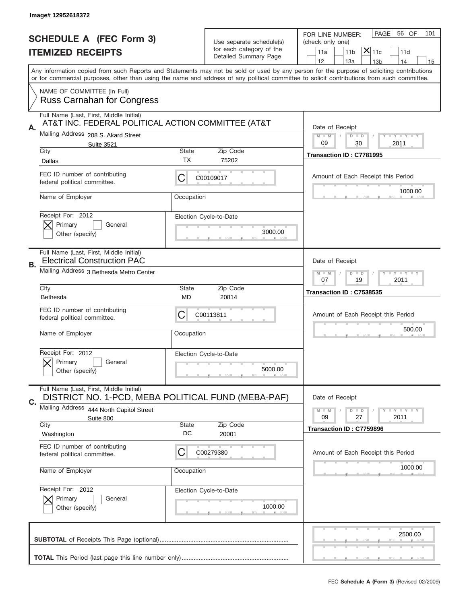|    | Image# 12952618372                                                                            |              |                                                   |                                                                                                                                                                                                                                                                                         |
|----|-----------------------------------------------------------------------------------------------|--------------|---------------------------------------------------|-----------------------------------------------------------------------------------------------------------------------------------------------------------------------------------------------------------------------------------------------------------------------------------------|
|    | <b>SCHEDULE A (FEC Form 3)</b>                                                                |              | Use separate schedule(s)                          | PAGE<br>56 OF<br>101<br>FOR LINE NUMBER:<br>(check only one)                                                                                                                                                                                                                            |
|    | <b>ITEMIZED RECEIPTS</b>                                                                      |              | for each category of the<br>Detailed Summary Page | $ \overline{\mathsf{X}} _{\mathsf{11c}}$<br>11d<br>11a<br>11 <sub>b</sub>                                                                                                                                                                                                               |
|    |                                                                                               |              |                                                   | 12<br>13a<br>14<br>13 <sub>b</sub><br>15                                                                                                                                                                                                                                                |
|    |                                                                                               |              |                                                   | Any information copied from such Reports and Statements may not be sold or used by any person for the purpose of soliciting contributions<br>or for commercial purposes, other than using the name and address of any political committee to solicit contributions from such committee. |
|    | NAME OF COMMITTEE (In Full)<br><b>Russ Carnahan for Congress</b>                              |              |                                                   |                                                                                                                                                                                                                                                                                         |
|    | Full Name (Last, First, Middle Initial)<br>AT&T INC. FEDERAL POLITICAL ACTION COMMITTEE (AT&T |              |                                                   |                                                                                                                                                                                                                                                                                         |
| Α. | Mailing Address 208 S. Akard Street                                                           |              |                                                   | Date of Receipt<br>$M - M$<br><b>LY LY LY</b><br>$D$ $D$                                                                                                                                                                                                                                |
|    | <b>Suite 3521</b>                                                                             |              |                                                   | 09<br>30<br>2011                                                                                                                                                                                                                                                                        |
|    | City<br>Dallas                                                                                | State<br>ТX  | Zip Code<br>75202                                 | Transaction ID: C7781995                                                                                                                                                                                                                                                                |
|    | FEC ID number of contributing<br>federal political committee.                                 | C            | C00109017                                         | Amount of Each Receipt this Period                                                                                                                                                                                                                                                      |
|    | Name of Employer                                                                              | Occupation   |                                                   | 1000.00                                                                                                                                                                                                                                                                                 |
|    | Receipt For: 2012<br>Primary<br>General                                                       |              | Election Cycle-to-Date                            |                                                                                                                                                                                                                                                                                         |
|    | Other (specify)                                                                               |              | 3000.00                                           |                                                                                                                                                                                                                                                                                         |
| В. | Full Name (Last, First, Middle Initial)<br><b>Electrical Construction PAC</b>                 |              |                                                   | Date of Receipt                                                                                                                                                                                                                                                                         |
|    | Mailing Address 3 Bethesda Metro Center                                                       |              |                                                   | <b>LEYTEY LEY</b><br>$M - M$<br>$D$ $D$<br>07<br>19<br>2011                                                                                                                                                                                                                             |
|    | City<br>Bethesda                                                                              | State<br>MD  | Zip Code<br>20814                                 | Transaction ID: C7538535                                                                                                                                                                                                                                                                |
|    | FEC ID number of contributing<br>federal political committee.                                 | C            | C00113811                                         | Amount of Each Receipt this Period                                                                                                                                                                                                                                                      |
|    | Name of Employer                                                                              | Occupation   |                                                   | 500.00                                                                                                                                                                                                                                                                                  |
|    | Receipt For: 2012                                                                             |              | Election Cycle-to-Date                            |                                                                                                                                                                                                                                                                                         |
|    | General<br>Primary<br>Other (specify)                                                         |              | 5000.00                                           |                                                                                                                                                                                                                                                                                         |
| C. | Full Name (Last, First, Middle Initial)<br>DISTRICT NO. 1-PCD, MEBA POLITICAL FUND (MEBA-PAF) |              |                                                   | Date of Receipt                                                                                                                                                                                                                                                                         |
|    | Mailing Address<br>444 North Capitol Street<br>Suite 800                                      |              |                                                   | <b>LYLYLY</b><br>$M - M$<br>$D$ $D$<br>09<br>2011<br>27                                                                                                                                                                                                                                 |
|    | City                                                                                          | <b>State</b> | Zip Code                                          | Transaction ID: C7759896                                                                                                                                                                                                                                                                |
|    | Washington                                                                                    | DC           | 20001                                             |                                                                                                                                                                                                                                                                                         |
|    | FEC ID number of contributing<br>federal political committee.                                 | C            | C00279380                                         | Amount of Each Receipt this Period                                                                                                                                                                                                                                                      |
|    | Name of Employer                                                                              | Occupation   |                                                   | 1000.00                                                                                                                                                                                                                                                                                 |
|    | Receipt For: 2012<br>Primary<br>General                                                       |              | Election Cycle-to-Date                            |                                                                                                                                                                                                                                                                                         |
|    | Other (specify)                                                                               |              | 1000.00                                           |                                                                                                                                                                                                                                                                                         |
|    |                                                                                               |              |                                                   | 2500.00                                                                                                                                                                                                                                                                                 |
|    |                                                                                               |              |                                                   |                                                                                                                                                                                                                                                                                         |
|    |                                                                                               |              |                                                   |                                                                                                                                                                                                                                                                                         |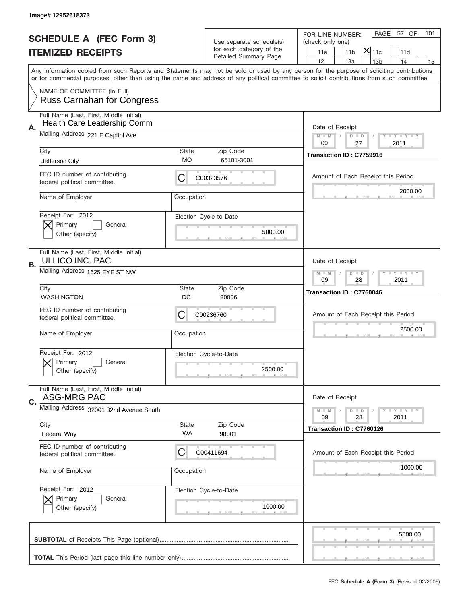| Image# 12952618373 |                                                                        |             |                                                                               |                                                                                                                                                                                                                                                                                         |
|--------------------|------------------------------------------------------------------------|-------------|-------------------------------------------------------------------------------|-----------------------------------------------------------------------------------------------------------------------------------------------------------------------------------------------------------------------------------------------------------------------------------------|
|                    | <b>SCHEDULE A (FEC Form 3)</b><br><b>ITEMIZED RECEIPTS</b>             |             | Use separate schedule(s)<br>for each category of the<br>Detailed Summary Page | PAGE 57 OF<br>101<br>FOR LINE NUMBER:<br>(check only one)<br>$ \overline{\mathsf{X}} _{\mathsf{11c}}$<br>11 <sub>b</sub><br>11d<br>11a<br>12<br>13a<br>13 <sub>b</sub><br>14<br>15                                                                                                      |
|                    |                                                                        |             |                                                                               | Any information copied from such Reports and Statements may not be sold or used by any person for the purpose of soliciting contributions<br>or for commercial purposes, other than using the name and address of any political committee to solicit contributions from such committee. |
|                    | NAME OF COMMITTEE (In Full)<br><b>Russ Carnahan for Congress</b>       |             |                                                                               |                                                                                                                                                                                                                                                                                         |
| Α.                 | Full Name (Last, First, Middle Initial)<br>Health Care Leadership Comm |             |                                                                               | Date of Receipt                                                                                                                                                                                                                                                                         |
|                    | Mailing Address 221 E Capitol Ave                                      |             |                                                                               | $M - M$<br><b>LY LY LY</b><br>$D$ $D$<br>09<br>2011<br>27                                                                                                                                                                                                                               |
|                    | City<br>Jefferson City                                                 | State<br>МO | Zip Code<br>65101-3001                                                        | Transaction ID: C7759916                                                                                                                                                                                                                                                                |
|                    | FEC ID number of contributing<br>federal political committee.          | C           | C00323576                                                                     | Amount of Each Receipt this Period                                                                                                                                                                                                                                                      |
|                    | Name of Employer                                                       | Occupation  |                                                                               | 2000.00                                                                                                                                                                                                                                                                                 |
|                    | Receipt For: 2012<br>Primary<br>General<br>Other (specify)             |             | Election Cycle-to-Date<br>5000.00                                             |                                                                                                                                                                                                                                                                                         |
| В.                 | Full Name (Last, First, Middle Initial)<br><b>ULLICO INC. PAC</b>      |             |                                                                               | Date of Receipt                                                                                                                                                                                                                                                                         |
|                    | Mailing Address 1625 EYE ST NW                                         |             |                                                                               | <b>LY LY LY</b><br>$M - M$<br>$D$ $D$<br>09<br>28<br>2011                                                                                                                                                                                                                               |
|                    | City<br><b>WASHINGTON</b>                                              | State<br>DC | Zip Code<br>20006                                                             | Transaction ID: C7760046                                                                                                                                                                                                                                                                |
|                    |                                                                        |             |                                                                               |                                                                                                                                                                                                                                                                                         |
|                    | FEC ID number of contributing<br>federal political committee.          | C           | C00236760                                                                     | Amount of Each Receipt this Period                                                                                                                                                                                                                                                      |
|                    | Name of Employer                                                       | Occupation  |                                                                               | 2500.00                                                                                                                                                                                                                                                                                 |
|                    | Receipt For: 2012<br>Primary<br>General<br>Other (specify)             |             | Election Cycle-to-Date<br>2500.00                                             |                                                                                                                                                                                                                                                                                         |
|                    | Full Name (Last, First, Middle Initial)<br>ASG-MRG PAC                 |             |                                                                               | Date of Receipt                                                                                                                                                                                                                                                                         |
|                    | Mailing Address 32001 32nd Avenue South                                |             |                                                                               | $I - Y - I - Y - I - Y$<br>$M - M$<br>$D$ $D$<br>09<br>2011<br>28                                                                                                                                                                                                                       |
|                    | City<br>Federal Way                                                    | State<br>WA | Zip Code<br>98001                                                             | Transaction ID: C7760126                                                                                                                                                                                                                                                                |
|                    | FEC ID number of contributing<br>federal political committee.          | C           | C00411694                                                                     | Amount of Each Receipt this Period                                                                                                                                                                                                                                                      |
|                    | Name of Employer                                                       | Occupation  |                                                                               | 1000.00                                                                                                                                                                                                                                                                                 |
|                    | Receipt For: 2012<br>Primary<br>General<br>Other (specify)             |             | Election Cycle-to-Date<br>1000.00                                             |                                                                                                                                                                                                                                                                                         |
| C.                 |                                                                        |             |                                                                               | 5500.00                                                                                                                                                                                                                                                                                 |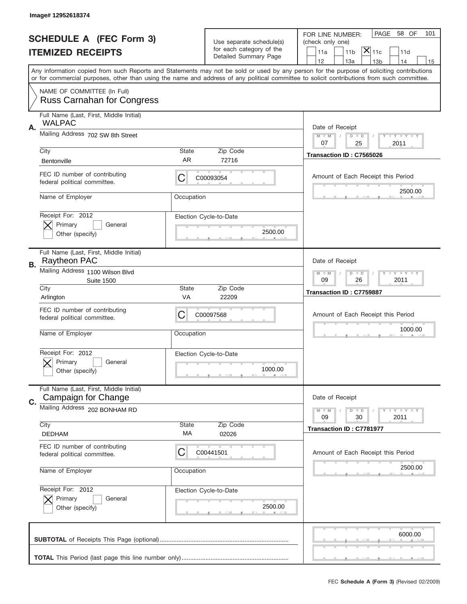|    | Image# 12952618374                                               |                    |                                                      |                                                                                                                                                                                                                                                                                         |
|----|------------------------------------------------------------------|--------------------|------------------------------------------------------|-----------------------------------------------------------------------------------------------------------------------------------------------------------------------------------------------------------------------------------------------------------------------------------------|
|    | <b>SCHEDULE A (FEC Form 3)</b>                                   |                    |                                                      | PAGE<br>58 OF<br>101<br>FOR LINE NUMBER:                                                                                                                                                                                                                                                |
|    |                                                                  |                    | Use separate schedule(s)<br>for each category of the | (check only one)<br>$ \overline{\mathsf{X}} _{\mathsf{11c}}$                                                                                                                                                                                                                            |
|    | <b>ITEMIZED RECEIPTS</b>                                         |                    | Detailed Summary Page                                | 11 <sub>b</sub><br>11a<br>11d<br>12<br>13a<br>14<br>13 <sub>b</sub><br>15                                                                                                                                                                                                               |
|    |                                                                  |                    |                                                      | Any information copied from such Reports and Statements may not be sold or used by any person for the purpose of soliciting contributions<br>or for commercial purposes, other than using the name and address of any political committee to solicit contributions from such committee. |
|    | NAME OF COMMITTEE (In Full)<br><b>Russ Carnahan for Congress</b> |                    |                                                      |                                                                                                                                                                                                                                                                                         |
| Α. | Full Name (Last, First, Middle Initial)<br><b>WALPAC</b>         |                    |                                                      | Date of Receipt                                                                                                                                                                                                                                                                         |
|    | Mailing Address 702 SW 8th Street                                |                    |                                                      | <b>LY LY LY</b><br>$M - M$<br>$D$ $D$<br>07<br>2011<br>25                                                                                                                                                                                                                               |
|    | City<br>Bentonville                                              | <b>State</b><br>AR | Zip Code<br>72716                                    | Transaction ID: C7565026                                                                                                                                                                                                                                                                |
|    | FEC ID number of contributing<br>federal political committee.    | С                  | C00093054                                            | Amount of Each Receipt this Period<br>2500.00                                                                                                                                                                                                                                           |
|    | Name of Employer                                                 | Occupation         |                                                      |                                                                                                                                                                                                                                                                                         |
|    | Receipt For: 2012<br>Primary<br>General<br>Other (specify)       |                    | Election Cycle-to-Date<br>2500.00                    |                                                                                                                                                                                                                                                                                         |
| В. | Full Name (Last, First, Middle Initial)<br>Raytheon PAC          |                    |                                                      | Date of Receipt                                                                                                                                                                                                                                                                         |
|    | Mailing Address 1100 Wilson Blvd<br><b>Suite 1500</b>            |                    |                                                      | <b>LYLYLY</b><br>$M$ $M$<br>$D$ $D$<br>09<br>26<br>2011                                                                                                                                                                                                                                 |
|    | City<br>Arlington                                                | <b>State</b><br>VA | Zip Code<br>22209                                    | Transaction ID: C7759887                                                                                                                                                                                                                                                                |
|    | FEC ID number of contributing<br>federal political committee.    | С                  | C00097568                                            | Amount of Each Receipt this Period                                                                                                                                                                                                                                                      |
|    | Name of Employer                                                 | Occupation         |                                                      | 1000.00                                                                                                                                                                                                                                                                                 |
|    | Receipt For: 2012<br>General<br>Primary<br>Other (specify)       |                    | Election Cycle-to-Date<br>1000.00                    |                                                                                                                                                                                                                                                                                         |
| C. | Full Name (Last, First, Middle Initial)<br>Campaign for Change   |                    |                                                      | Date of Receipt                                                                                                                                                                                                                                                                         |
|    | Mailing Address 202 BONHAM RD                                    |                    |                                                      | <b>LYLYLY</b><br>$M - M$<br>$D$ $D$<br>09<br>30<br>2011                                                                                                                                                                                                                                 |
|    | City<br><b>DEDHAM</b>                                            | State<br>МA        | Zip Code<br>02026                                    | Transaction ID: C7781977                                                                                                                                                                                                                                                                |
|    | FEC ID number of contributing<br>federal political committee.    | С                  | C00441501                                            | Amount of Each Receipt this Period                                                                                                                                                                                                                                                      |
|    | Name of Employer                                                 | Occupation         |                                                      | 2500.00                                                                                                                                                                                                                                                                                 |
|    | Receipt For: 2012<br>Primary<br>General<br>Other (specify)       |                    | Election Cycle-to-Date<br>2500.00                    |                                                                                                                                                                                                                                                                                         |
|    |                                                                  |                    |                                                      | 6000.00                                                                                                                                                                                                                                                                                 |
|    |                                                                  |                    |                                                      |                                                                                                                                                                                                                                                                                         |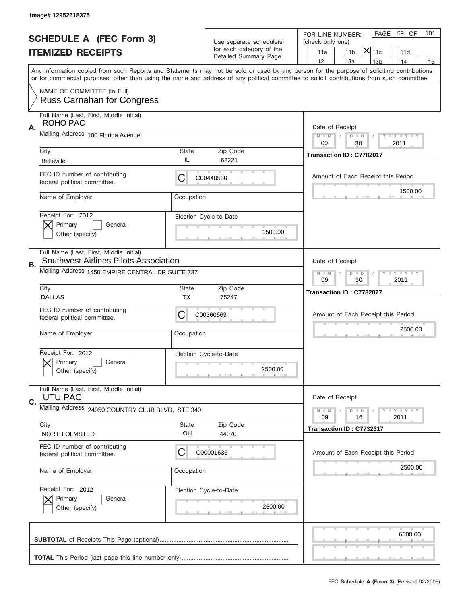|           | Image# 12952618375                                                                      |             |                                                      |                                                                                                                                                                                                                                                                                         |
|-----------|-----------------------------------------------------------------------------------------|-------------|------------------------------------------------------|-----------------------------------------------------------------------------------------------------------------------------------------------------------------------------------------------------------------------------------------------------------------------------------------|
|           | <b>SCHEDULE A (FEC Form 3)</b>                                                          |             |                                                      | PAGE 59 OF<br>101<br>FOR LINE NUMBER:                                                                                                                                                                                                                                                   |
|           | <b>ITEMIZED RECEIPTS</b>                                                                |             | Use separate schedule(s)<br>for each category of the | (check only one)<br>$ \mathsf{X} _{\mathsf{11c}}$<br>11 <sub>b</sub><br>11d<br>11a                                                                                                                                                                                                      |
|           |                                                                                         |             | Detailed Summary Page                                | 12<br>13a<br>13 <sub>b</sub><br>14<br>15                                                                                                                                                                                                                                                |
|           |                                                                                         |             |                                                      | Any information copied from such Reports and Statements may not be sold or used by any person for the purpose of soliciting contributions<br>or for commercial purposes, other than using the name and address of any political committee to solicit contributions from such committee. |
|           | NAME OF COMMITTEE (In Full)<br><b>Russ Carnahan for Congress</b>                        |             |                                                      |                                                                                                                                                                                                                                                                                         |
| Α.        | Full Name (Last, First, Middle Initial)<br>ROHO PAC                                     |             |                                                      | Date of Receipt                                                                                                                                                                                                                                                                         |
|           | Mailing Address 100 Florida Avenue                                                      |             |                                                      | $M - M$<br><b>LY LY LY</b><br>$D$ $D$<br>09<br>30<br>2011                                                                                                                                                                                                                               |
|           | City                                                                                    | State       | Zip Code                                             | Transaction ID: C7782017                                                                                                                                                                                                                                                                |
|           | <b>Belleville</b>                                                                       | IL          | 62221                                                |                                                                                                                                                                                                                                                                                         |
|           | FEC ID number of contributing<br>federal political committee.                           | C           | C00448530                                            | Amount of Each Receipt this Period<br>1500.00                                                                                                                                                                                                                                           |
|           | Name of Employer                                                                        | Occupation  |                                                      |                                                                                                                                                                                                                                                                                         |
|           | Receipt For: 2012                                                                       |             | Election Cycle-to-Date                               |                                                                                                                                                                                                                                                                                         |
|           | Primary<br>General<br>Other (specify)                                                   |             | 1500.00                                              |                                                                                                                                                                                                                                                                                         |
|           |                                                                                         |             |                                                      |                                                                                                                                                                                                                                                                                         |
| <b>B.</b> | Full Name (Last, First, Middle Initial)<br><b>Southwest Airlines Pilots Association</b> |             |                                                      | Date of Receipt                                                                                                                                                                                                                                                                         |
|           | Mailing Address 1450 EMPIRE CENTRAL DR SUITE 737                                        |             |                                                      | <b>LY LY LY</b><br>$M$ $M$<br>$D$ $D$                                                                                                                                                                                                                                                   |
|           | City                                                                                    | State       | Zip Code                                             | 09<br>30<br>2011                                                                                                                                                                                                                                                                        |
|           | <b>DALLAS</b>                                                                           | ТX          | 75247                                                | Transaction ID: C7782077                                                                                                                                                                                                                                                                |
|           |                                                                                         |             |                                                      |                                                                                                                                                                                                                                                                                         |
|           | FEC ID number of contributing<br>federal political committee.                           | С           | C00360669                                            | Amount of Each Receipt this Period                                                                                                                                                                                                                                                      |
|           | Name of Employer                                                                        | Occupation  |                                                      | 2500.00                                                                                                                                                                                                                                                                                 |
|           | Receipt For: 2012                                                                       |             | Election Cycle-to-Date                               |                                                                                                                                                                                                                                                                                         |
|           | General<br>Primary                                                                      |             |                                                      |                                                                                                                                                                                                                                                                                         |
|           | Other (specify)                                                                         |             | 2500.00                                              |                                                                                                                                                                                                                                                                                         |
|           | Full Name (Last, First, Middle Initial)<br><b>UTU PAC</b>                               |             |                                                      | Date of Receipt                                                                                                                                                                                                                                                                         |
| C.        | Mailing Address 24950 COUNTRY CLUB BLVD, STE 340                                        |             |                                                      | <b>LYLYLY</b><br>$M - M$<br>$D$ $D$                                                                                                                                                                                                                                                     |
|           | City                                                                                    |             |                                                      | 09<br>2011<br>16                                                                                                                                                                                                                                                                        |
|           | NORTH OLMSTED                                                                           | State<br>OH | Zip Code<br>44070                                    | Transaction ID: C7732317                                                                                                                                                                                                                                                                |
|           | FEC ID number of contributing<br>federal political committee.                           | C           | C00001636                                            | Amount of Each Receipt this Period                                                                                                                                                                                                                                                      |
|           | Name of Employer                                                                        | Occupation  |                                                      | 2500.00                                                                                                                                                                                                                                                                                 |
|           | Receipt For: 2012                                                                       |             | Election Cycle-to-Date                               |                                                                                                                                                                                                                                                                                         |
|           | Primary<br>General                                                                      |             |                                                      |                                                                                                                                                                                                                                                                                         |
|           | Other (specify)                                                                         |             | 2500.00                                              |                                                                                                                                                                                                                                                                                         |
|           |                                                                                         |             |                                                      | 6500.00                                                                                                                                                                                                                                                                                 |
|           |                                                                                         |             |                                                      |                                                                                                                                                                                                                                                                                         |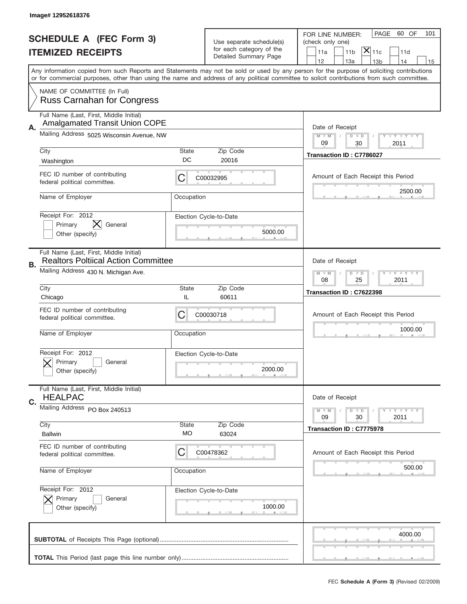|    | Image# 12952618376                                                                    |             |                                                                               |                                                                                                                                                                                                                                                                                         |
|----|---------------------------------------------------------------------------------------|-------------|-------------------------------------------------------------------------------|-----------------------------------------------------------------------------------------------------------------------------------------------------------------------------------------------------------------------------------------------------------------------------------------|
|    | <b>SCHEDULE A (FEC Form 3)</b><br><b>ITEMIZED RECEIPTS</b>                            |             | Use separate schedule(s)<br>for each category of the<br>Detailed Summary Page | PAGE<br>60 OF<br>101<br>FOR LINE NUMBER:<br>(check only one)<br>$ \mathsf{\overline{X}} _{\mathsf{11c}}$<br>11 <sub>b</sub><br>11a<br>11d<br>12<br>13a<br>13 <sub>b</sub><br>14<br>15                                                                                                   |
|    |                                                                                       |             |                                                                               | Any information copied from such Reports and Statements may not be sold or used by any person for the purpose of soliciting contributions<br>or for commercial purposes, other than using the name and address of any political committee to solicit contributions from such committee. |
|    | NAME OF COMMITTEE (In Full)<br><b>Russ Carnahan for Congress</b>                      |             |                                                                               |                                                                                                                                                                                                                                                                                         |
| Α. | Full Name (Last, First, Middle Initial)<br><b>Amalgamated Transit Union COPE</b>      |             |                                                                               | Date of Receipt                                                                                                                                                                                                                                                                         |
|    | Mailing Address 5025 Wisconsin Avenue, NW                                             |             |                                                                               | $M - M$<br><b>LYLYLY</b><br>$D$ $D$<br>09<br>30<br>2011                                                                                                                                                                                                                                 |
|    | City<br>Washington                                                                    | State<br>DC | Zip Code<br>20016                                                             | Transaction ID: C7786027                                                                                                                                                                                                                                                                |
|    | FEC ID number of contributing<br>federal political committee.                         | C           | C00032995                                                                     | Amount of Each Receipt this Period                                                                                                                                                                                                                                                      |
|    | Name of Employer                                                                      | Occupation  |                                                                               | 2500.00                                                                                                                                                                                                                                                                                 |
|    | Receipt For: 2012<br>General<br>Primary<br>Other (specify)                            |             | Election Cycle-to-Date<br>5000.00                                             |                                                                                                                                                                                                                                                                                         |
|    | Full Name (Last, First, Middle Initial)<br><b>Realtors Poltiical Action Committee</b> |             |                                                                               | Date of Receipt                                                                                                                                                                                                                                                                         |
| В. | Mailing Address 430 N. Michigan Ave.                                                  |             |                                                                               | <b>LYLYLY</b><br>$M - M$<br>$D$ $D$<br>08<br>25<br>2011                                                                                                                                                                                                                                 |
|    | City<br>Chicago                                                                       | State<br>IL | Zip Code<br>60611                                                             | Transaction ID: C7622398                                                                                                                                                                                                                                                                |
|    |                                                                                       |             |                                                                               |                                                                                                                                                                                                                                                                                         |
|    | FEC ID number of contributing<br>federal political committee.                         | C           | C00030718                                                                     | Amount of Each Receipt this Period                                                                                                                                                                                                                                                      |
|    | Name of Employer                                                                      | Occupation  |                                                                               | 1000.00                                                                                                                                                                                                                                                                                 |
|    | Receipt For: 2012<br>Primary<br>General<br>Other (specify)                            |             | Election Cycle-to-Date<br>2000.00                                             |                                                                                                                                                                                                                                                                                         |
|    | Full Name (Last, First, Middle Initial)<br><b>HEALPAC</b>                             |             |                                                                               | Date of Receipt                                                                                                                                                                                                                                                                         |
| C. | Mailing Address PO Box 240513                                                         |             |                                                                               | $T + Y = Y + Y$<br>$M$ $M$<br>$D$ $D$<br>09<br>30<br>2011                                                                                                                                                                                                                               |
|    | City<br><b>Ballwin</b>                                                                | State<br>МO | Zip Code<br>63024                                                             | Transaction ID: C7775978                                                                                                                                                                                                                                                                |
|    | FEC ID number of contributing<br>federal political committee.                         | C           | C00478362                                                                     | Amount of Each Receipt this Period                                                                                                                                                                                                                                                      |
|    | Name of Employer                                                                      | Occupation  |                                                                               | 500.00                                                                                                                                                                                                                                                                                  |
|    | Receipt For: 2012<br>Primary<br>General<br>Other (specify)                            |             | Election Cycle-to-Date<br>1000.00                                             |                                                                                                                                                                                                                                                                                         |
|    |                                                                                       |             |                                                                               | 4000.00                                                                                                                                                                                                                                                                                 |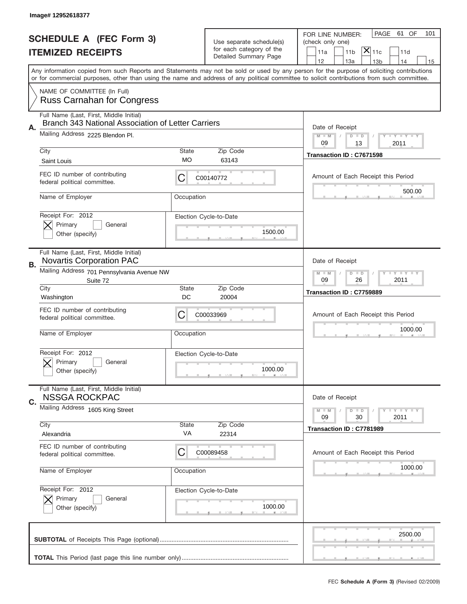|                                | Image# 12952618377                                                                            |             |                                                      |                                                                                                                                                                                                                                                                                         |
|--------------------------------|-----------------------------------------------------------------------------------------------|-------------|------------------------------------------------------|-----------------------------------------------------------------------------------------------------------------------------------------------------------------------------------------------------------------------------------------------------------------------------------------|
| <b>SCHEDULE A (FEC Form 3)</b> |                                                                                               |             |                                                      | PAGE<br>61 OF<br>101<br>FOR LINE NUMBER:                                                                                                                                                                                                                                                |
| <b>ITEMIZED RECEIPTS</b>       |                                                                                               |             | Use separate schedule(s)<br>for each category of the | (check only one)<br>$ \overline{\mathsf{X}} _{\mathsf{11c}}$<br>11 <sub>b</sub><br>11a<br>11d                                                                                                                                                                                           |
|                                |                                                                                               |             | Detailed Summary Page                                | 12<br>13a<br>14<br>13 <sub>b</sub><br>15                                                                                                                                                                                                                                                |
|                                |                                                                                               |             |                                                      | Any information copied from such Reports and Statements may not be sold or used by any person for the purpose of soliciting contributions<br>or for commercial purposes, other than using the name and address of any political committee to solicit contributions from such committee. |
|                                | NAME OF COMMITTEE (In Full)<br><b>Russ Carnahan for Congress</b>                              |             |                                                      |                                                                                                                                                                                                                                                                                         |
|                                | Full Name (Last, First, Middle Initial)<br>Branch 343 National Association of Letter Carriers |             |                                                      |                                                                                                                                                                                                                                                                                         |
| А.                             | Mailing Address 2225 Blendon Pl.                                                              |             |                                                      | Date of Receipt<br>$M - M$<br><b>LEY LEY LEY</b><br>$D$ $D$<br>09<br>13<br>2011                                                                                                                                                                                                         |
|                                | City<br>Saint Louis                                                                           | State<br>MO | Zip Code<br>63143                                    | Transaction ID: C7671598                                                                                                                                                                                                                                                                |
|                                | FEC ID number of contributing<br>federal political committee.                                 | C           | C00140772                                            | Amount of Each Receipt this Period                                                                                                                                                                                                                                                      |
|                                | Name of Employer                                                                              | Occupation  |                                                      | 500.00                                                                                                                                                                                                                                                                                  |
|                                | Receipt For: 2012<br>Primary<br>General<br>Other (specify)                                    |             | Election Cycle-to-Date<br>1500.00                    |                                                                                                                                                                                                                                                                                         |
| В.                             | Full Name (Last, First, Middle Initial)<br><b>Novartis Corporation PAC</b>                    |             |                                                      | Date of Receipt                                                                                                                                                                                                                                                                         |
|                                | Mailing Address 701 Pennsylvania Avenue NW<br>Suite 72                                        |             |                                                      | <b>LEY LEY LEY</b><br>$M - M$<br>$D$ $D$<br>09<br>26<br>2011                                                                                                                                                                                                                            |
|                                | City                                                                                          | State       | Zip Code                                             | Transaction ID: C7759889                                                                                                                                                                                                                                                                |
|                                | Washington                                                                                    | DC          | 20004                                                |                                                                                                                                                                                                                                                                                         |
|                                | FEC ID number of contributing<br>federal political committee.                                 | C           | C00033969                                            | Amount of Each Receipt this Period                                                                                                                                                                                                                                                      |
|                                | Name of Employer                                                                              | Occupation  |                                                      | 1000.00                                                                                                                                                                                                                                                                                 |
|                                | Receipt For: 2012<br>Primary<br>General<br>Other (specify)                                    |             | Election Cycle-to-Date<br>1000.00                    |                                                                                                                                                                                                                                                                                         |
|                                | Full Name (Last, First, Middle Initial)<br><b>NSSGA ROCKPAC</b>                               |             |                                                      | Date of Receipt                                                                                                                                                                                                                                                                         |
| C.                             | Mailing Address 1605 King Street                                                              |             |                                                      | <b>LYLYLY</b><br>$D$ $D$<br>$M - M$<br>09<br>2011<br>30                                                                                                                                                                                                                                 |
|                                | City<br>Alexandria                                                                            | State<br>VA | Zip Code<br>22314                                    | Transaction ID: C7781989                                                                                                                                                                                                                                                                |
|                                | FEC ID number of contributing<br>federal political committee.                                 | C           | C00089458                                            | Amount of Each Receipt this Period                                                                                                                                                                                                                                                      |
|                                | Name of Employer                                                                              | Occupation  |                                                      | 1000.00                                                                                                                                                                                                                                                                                 |
|                                | Receipt For: 2012<br>Primary<br>General<br>Other (specify)                                    |             | Election Cycle-to-Date<br>1000.00                    |                                                                                                                                                                                                                                                                                         |
|                                |                                                                                               |             |                                                      | 2500.00                                                                                                                                                                                                                                                                                 |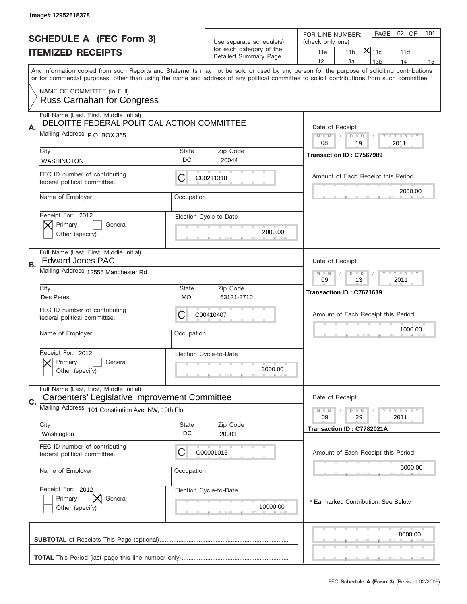|    | Image# 12952618378                                                                       |                                                                                                                                                                                                                                                                                         |                                                                               |                                                                                                                                                                                   |  |  |
|----|------------------------------------------------------------------------------------------|-----------------------------------------------------------------------------------------------------------------------------------------------------------------------------------------------------------------------------------------------------------------------------------------|-------------------------------------------------------------------------------|-----------------------------------------------------------------------------------------------------------------------------------------------------------------------------------|--|--|
|    | <b>SCHEDULE A (FEC Form 3)</b><br><b>ITEMIZED RECEIPTS</b>                               |                                                                                                                                                                                                                                                                                         | Use separate schedule(s)<br>for each category of the<br>Detailed Summary Page | PAGE 62 OF<br>101<br>FOR LINE NUMBER:<br>(check only one)<br>$\overline{ {\mathsf X} }_{\text{11c}}$<br>11a<br>11 <sub>b</sub><br>11d<br>12<br>13a<br>13 <sub>b</sub><br>14<br>15 |  |  |
|    |                                                                                          | Any information copied from such Reports and Statements may not be sold or used by any person for the purpose of soliciting contributions<br>or for commercial purposes, other than using the name and address of any political committee to solicit contributions from such committee. |                                                                               |                                                                                                                                                                                   |  |  |
|    | NAME OF COMMITTEE (In Full)<br><b>Russ Carnahan for Congress</b>                         |                                                                                                                                                                                                                                                                                         |                                                                               |                                                                                                                                                                                   |  |  |
|    | Full Name (Last, First, Middle Initial)<br>DELOITTE FEDERAL POLITICAL ACTION COMMITTEE   |                                                                                                                                                                                                                                                                                         |                                                                               |                                                                                                                                                                                   |  |  |
| Α. | Mailing Address P.O. BOX 365                                                             |                                                                                                                                                                                                                                                                                         |                                                                               | Date of Receipt<br>$M - M$<br><b>LY LY LY</b><br>$D$ $D$<br>08<br>19<br>2011                                                                                                      |  |  |
|    | City                                                                                     | State<br>DC                                                                                                                                                                                                                                                                             | Zip Code<br>20044                                                             | Transaction ID: C7567989                                                                                                                                                          |  |  |
|    | <b>WASHINGTON</b><br>FEC ID number of contributing<br>federal political committee.       | С                                                                                                                                                                                                                                                                                       | C00211318                                                                     | Amount of Each Receipt this Period                                                                                                                                                |  |  |
|    | Name of Employer                                                                         | Occupation                                                                                                                                                                                                                                                                              |                                                                               | 2000.00                                                                                                                                                                           |  |  |
|    | Receipt For: 2012<br>Primary<br>General<br>Other (specify)                               |                                                                                                                                                                                                                                                                                         | Election Cycle-to-Date<br>2000.00                                             |                                                                                                                                                                                   |  |  |
| В. | Full Name (Last, First, Middle Initial)<br><b>Edward Jones PAC</b>                       |                                                                                                                                                                                                                                                                                         |                                                                               | Date of Receipt                                                                                                                                                                   |  |  |
|    | Mailing Address 12555 Manchester Rd                                                      |                                                                                                                                                                                                                                                                                         |                                                                               | <b>LEYTEY LEY</b><br>$M - M$<br>$D$ $D$<br>09<br>13<br>2011                                                                                                                       |  |  |
|    | City<br>Des Peres                                                                        | State<br><b>MO</b>                                                                                                                                                                                                                                                                      | Zip Code<br>63131-3710                                                        | Transaction ID: C7671619                                                                                                                                                          |  |  |
|    | FEC ID number of contributing<br>federal political committee.                            | C<br>C00410407                                                                                                                                                                                                                                                                          |                                                                               | Amount of Each Receipt this Period                                                                                                                                                |  |  |
|    | Name of Employer                                                                         | Occupation                                                                                                                                                                                                                                                                              |                                                                               | 1000.00                                                                                                                                                                           |  |  |
|    | Receipt For: 2012<br>Primary<br>General<br>Other (specify)                               |                                                                                                                                                                                                                                                                                         | Election Cycle-to-Date<br>3000.00                                             |                                                                                                                                                                                   |  |  |
|    | Full Name (Last, First, Middle Initial)<br>Carpenters' Legislative Improvement Committee |                                                                                                                                                                                                                                                                                         |                                                                               | Date of Receipt                                                                                                                                                                   |  |  |
| C. | Mailing Address 101 Constitution Ave. NW, 10th Flo                                       |                                                                                                                                                                                                                                                                                         |                                                                               | $I - Y - I - Y - I - Y$<br>$M - M$<br>$D$ $D$                                                                                                                                     |  |  |
|    | City<br>Washington                                                                       | State<br>DC                                                                                                                                                                                                                                                                             | Zip Code<br>20001                                                             | 29<br>2011<br>09<br>Transaction ID: C7782021A                                                                                                                                     |  |  |
|    | FEC ID number of contributing<br>federal political committee.                            | С                                                                                                                                                                                                                                                                                       | C00001016                                                                     | Amount of Each Receipt this Period                                                                                                                                                |  |  |
|    | Name of Employer<br>Occupation                                                           |                                                                                                                                                                                                                                                                                         |                                                                               | 5000.00                                                                                                                                                                           |  |  |
|    | Receipt For: 2012<br>Primary<br>General<br>Other (specify)                               |                                                                                                                                                                                                                                                                                         | Election Cycle-to-Date<br>10000.00                                            | * Earmarked Contribution: See Below                                                                                                                                               |  |  |
|    |                                                                                          | 8000.00                                                                                                                                                                                                                                                                                 |                                                                               |                                                                                                                                                                                   |  |  |
|    | FEC Schedule A (Form 3) (Revised 02/2009)                                                |                                                                                                                                                                                                                                                                                         |                                                                               |                                                                                                                                                                                   |  |  |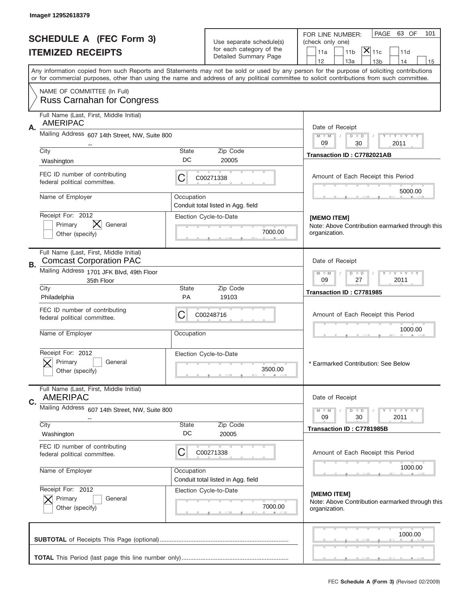|    | Image# 12952618379                                                        |                                   |                                                              |                                                                                                                                                                                                                                                                                         |
|----|---------------------------------------------------------------------------|-----------------------------------|--------------------------------------------------------------|-----------------------------------------------------------------------------------------------------------------------------------------------------------------------------------------------------------------------------------------------------------------------------------------|
|    | <b>SCHEDULE A (FEC Form 3)</b><br><b>ITEMIZED RECEIPTS</b>                |                                   | Use separate schedule(s)<br>for each category of the         | PAGE<br>63 OF<br>101<br>FOR LINE NUMBER:<br>(check only one)<br>$ \mathsf{\overline{X}} _{\mathsf{11c}}$<br>11 <sub>b</sub><br>11d<br>11a                                                                                                                                               |
|    |                                                                           |                                   | Detailed Summary Page                                        | 12<br>14<br>13a<br>13 <sub>b</sub><br>15                                                                                                                                                                                                                                                |
|    |                                                                           |                                   |                                                              | Any information copied from such Reports and Statements may not be sold or used by any person for the purpose of soliciting contributions<br>or for commercial purposes, other than using the name and address of any political committee to solicit contributions from such committee. |
|    | NAME OF COMMITTEE (In Full)<br><b>Russ Carnahan for Congress</b>          |                                   |                                                              |                                                                                                                                                                                                                                                                                         |
|    | Full Name (Last, First, Middle Initial)<br><b>AMERIPAC</b>                |                                   |                                                              |                                                                                                                                                                                                                                                                                         |
| Α. | Mailing Address 607 14th Street, NW, Suite 800                            |                                   |                                                              | Date of Receipt<br>$M$ M<br>$T - Y = -Y$<br>$D$ $D$                                                                                                                                                                                                                                     |
|    | City                                                                      | State                             | Zip Code                                                     | 09<br>30<br>2011                                                                                                                                                                                                                                                                        |
|    | Washington                                                                | DC                                | 20005                                                        | Transaction ID: C7782021AB                                                                                                                                                                                                                                                              |
|    | FEC ID number of contributing<br>federal political committee.             | C                                 | C00271338                                                    | Amount of Each Receipt this Period                                                                                                                                                                                                                                                      |
|    | Name of Employer                                                          | Occupation                        |                                                              | 5000.00                                                                                                                                                                                                                                                                                 |
|    | Receipt For: 2012                                                         |                                   | Conduit total listed in Agg. field<br>Election Cycle-to-Date | [MEMO ITEM]                                                                                                                                                                                                                                                                             |
|    | General<br>Primary                                                        |                                   |                                                              | Note: Above Contribution earmarked through this                                                                                                                                                                                                                                         |
|    | Other (specify)                                                           |                                   | 7000.00                                                      | organization.                                                                                                                                                                                                                                                                           |
| В. | Full Name (Last, First, Middle Initial)<br><b>Comcast Corporation PAC</b> |                                   |                                                              | Date of Receipt                                                                                                                                                                                                                                                                         |
|    | Mailing Address 1701 JFK Blvd, 49th Floor<br>35th Floor                   |                                   |                                                              | $D$ $D$<br>$Y - Y - Y - Y - Y$<br>$M - M$<br>$\sqrt{2}$<br>09<br>27<br>2011                                                                                                                                                                                                             |
|    | City                                                                      | State<br><b>PA</b>                | Zip Code<br>19103                                            | Transaction ID: C7781985                                                                                                                                                                                                                                                                |
|    | Philadelphia<br>FEC ID number of contributing                             |                                   |                                                              |                                                                                                                                                                                                                                                                                         |
|    | federal political committee.                                              | C                                 | C00248716                                                    | Amount of Each Receipt this Period                                                                                                                                                                                                                                                      |
|    | Name of Employer                                                          | Occupation                        |                                                              | 1000.00                                                                                                                                                                                                                                                                                 |
|    | Receipt For: 2012<br>General<br>Primary<br>Other (specify)                | Election Cycle-to-Date<br>3500.00 |                                                              |                                                                                                                                                                                                                                                                                         |
|    | Full Name (Last, First, Middle Initial)<br><b>AMERIPAC</b>                |                                   |                                                              | Date of Receipt                                                                                                                                                                                                                                                                         |
| C. | Mailing Address<br>607 14th Street, NW, Suite 800                         |                                   |                                                              | <b>LYLYLY</b><br>$M - M$<br>$D$ $D$                                                                                                                                                                                                                                                     |
|    |                                                                           |                                   |                                                              | 09<br>30<br>2011                                                                                                                                                                                                                                                                        |
|    | City<br>Washington                                                        | State<br>DC                       | Zip Code<br>20005                                            | Transaction ID: C7781985B                                                                                                                                                                                                                                                               |
|    | FEC ID number of contributing<br>federal political committee.             | C                                 | C00271338                                                    | Amount of Each Receipt this Period                                                                                                                                                                                                                                                      |
|    | Name of Employer                                                          | Occupation                        | Conduit total listed in Agg. field                           | 1000.00                                                                                                                                                                                                                                                                                 |
|    | Receipt For: 2012                                                         |                                   | Election Cycle-to-Date                                       |                                                                                                                                                                                                                                                                                         |
|    | Primary<br>General<br>Other (specify)                                     |                                   | 7000.00                                                      | [MEMO ITEM]<br>Note: Above Contribution earmarked through this<br>organization.                                                                                                                                                                                                         |
|    |                                                                           |                                   |                                                              | 1000.00                                                                                                                                                                                                                                                                                 |
|    |                                                                           |                                   |                                                              |                                                                                                                                                                                                                                                                                         |
|    |                                                                           |                                   |                                                              |                                                                                                                                                                                                                                                                                         |
|    |                                                                           |                                   |                                                              | FEC Schedule A (Form 3) (Revised 02/2009)                                                                                                                                                                                                                                               |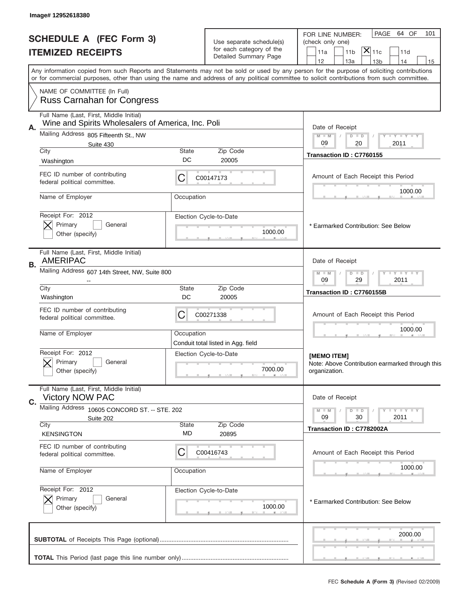|    | Image# 12952618380                                                |                    |                                                                               |                                                                                                                                                                                                                                                                                                                                     |  |  |
|----|-------------------------------------------------------------------|--------------------|-------------------------------------------------------------------------------|-------------------------------------------------------------------------------------------------------------------------------------------------------------------------------------------------------------------------------------------------------------------------------------------------------------------------------------|--|--|
|    | <b>SCHEDULE A (FEC Form 3)</b><br><b>ITEMIZED RECEIPTS</b>        |                    | Use separate schedule(s)<br>for each category of the<br>Detailed Summary Page | 64 OF<br>PAGE<br>101<br>FOR LINE NUMBER:<br>(check only one)<br>$\overline{\mathsf{x}} _{\text{11c}}$<br>11 <sub>b</sub><br>11d<br>11a                                                                                                                                                                                              |  |  |
|    |                                                                   |                    |                                                                               | 12<br>13a<br>14<br>13 <sub>b</sub><br>15<br>Any information copied from such Reports and Statements may not be sold or used by any person for the purpose of soliciting contributions<br>or for commercial purposes, other than using the name and address of any political committee to solicit contributions from such committee. |  |  |
|    | NAME OF COMMITTEE (In Full)<br><b>Russ Carnahan for Congress</b>  |                    |                                                                               |                                                                                                                                                                                                                                                                                                                                     |  |  |
|    | Full Name (Last, First, Middle Initial)                           |                    |                                                                               |                                                                                                                                                                                                                                                                                                                                     |  |  |
| А. | Wine and Spirits Wholesalers of America, Inc. Poli                |                    |                                                                               | Date of Receipt                                                                                                                                                                                                                                                                                                                     |  |  |
|    | Mailing Address 805 Fifteenth St., NW                             |                    |                                                                               | <b>LEY LEY LEY</b><br>$M - M$<br>$D$ $D$<br>09<br>20<br>2011                                                                                                                                                                                                                                                                        |  |  |
|    | Suite 430<br>City                                                 | <b>State</b>       | Zip Code                                                                      | Transaction ID: C7760155                                                                                                                                                                                                                                                                                                            |  |  |
|    | Washington                                                        | DC                 | 20005                                                                         |                                                                                                                                                                                                                                                                                                                                     |  |  |
|    | FEC ID number of contributing<br>federal political committee.     | С                  | C00147173                                                                     | Amount of Each Receipt this Period                                                                                                                                                                                                                                                                                                  |  |  |
|    | Name of Employer                                                  | Occupation         |                                                                               | 1000.00                                                                                                                                                                                                                                                                                                                             |  |  |
|    | Receipt For: 2012<br>Primary<br>General<br>Other (specify)        |                    | Election Cycle-to-Date<br>1000.00                                             | * Earmarked Contribution: See Below                                                                                                                                                                                                                                                                                                 |  |  |
| В. | Full Name (Last, First, Middle Initial)<br><b>AMERIPAC</b>        |                    |                                                                               | Date of Receipt                                                                                                                                                                                                                                                                                                                     |  |  |
|    | Mailing Address 607 14th Street, NW, Suite 800                    |                    |                                                                               | <b>LEY LEY LEY</b><br>$M - M$<br>$D$ $D$<br>09<br>29<br>2011                                                                                                                                                                                                                                                                        |  |  |
|    | City<br>Washington                                                | <b>State</b><br>DC | Zip Code<br>20005                                                             | Transaction ID: C7760155B                                                                                                                                                                                                                                                                                                           |  |  |
|    | FEC ID number of contributing<br>federal political committee.     | С<br>C00271338     |                                                                               | Amount of Each Receipt this Period                                                                                                                                                                                                                                                                                                  |  |  |
|    | Name of Employer                                                  | Occupation         | Conduit total listed in Agg. field                                            | 1000.00                                                                                                                                                                                                                                                                                                                             |  |  |
|    | Receipt For: 2012<br>Primary<br>General<br>Other (specify)        |                    | Election Cycle-to-Date<br>7000.00                                             | [MEMO ITEM]<br>Note: Above Contribution earmarked through this<br>organization.                                                                                                                                                                                                                                                     |  |  |
|    | Full Name (Last, First, Middle Initial)<br><b>Victory NOW PAC</b> |                    |                                                                               | Date of Receipt                                                                                                                                                                                                                                                                                                                     |  |  |
| C. | Mailing Address 10605 CONCORD ST. -- STE. 202                     |                    |                                                                               | <b>LYLYLY</b><br>$M - M$<br>$D$ $D$                                                                                                                                                                                                                                                                                                 |  |  |
|    | Suite 202                                                         |                    |                                                                               | 2011<br>09<br>30                                                                                                                                                                                                                                                                                                                    |  |  |
|    | City<br><b>KENSINGTON</b>                                         | <b>State</b><br>MD | Zip Code<br>20895                                                             | Transaction ID: C7782002A                                                                                                                                                                                                                                                                                                           |  |  |
|    | FEC ID number of contributing<br>federal political committee.     | С                  | C00416743                                                                     | Amount of Each Receipt this Period                                                                                                                                                                                                                                                                                                  |  |  |
|    | Name of Employer                                                  | Occupation         |                                                                               | 1000.00                                                                                                                                                                                                                                                                                                                             |  |  |
|    | Receipt For: 2012                                                 |                    | Election Cycle-to-Date                                                        |                                                                                                                                                                                                                                                                                                                                     |  |  |
|    | Primary<br>General<br>Other (specify)                             |                    | 1000.00                                                                       | * Earmarked Contribution: See Below                                                                                                                                                                                                                                                                                                 |  |  |
|    |                                                                   |                    |                                                                               | 2000.00                                                                                                                                                                                                                                                                                                                             |  |  |
|    | FEC Schedule A (Form 3) (Revised 02/2009)                         |                    |                                                                               |                                                                                                                                                                                                                                                                                                                                     |  |  |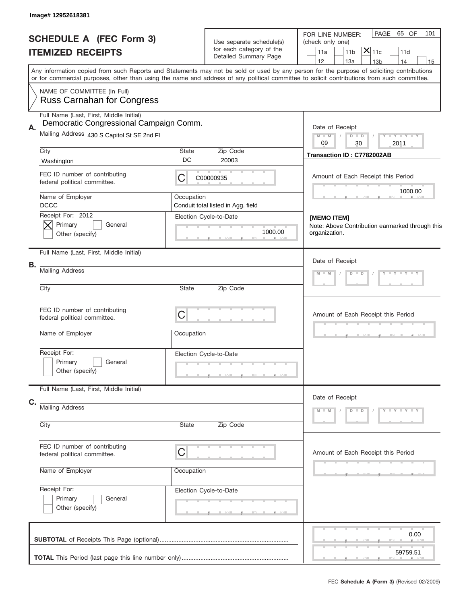|    | Image# 12952618381                                                                                                                        |             |                                                                               |                                                                                                                                            |
|----|-------------------------------------------------------------------------------------------------------------------------------------------|-------------|-------------------------------------------------------------------------------|--------------------------------------------------------------------------------------------------------------------------------------------|
|    | <b>SCHEDULE A (FEC Form 3)</b><br><b>ITEMIZED RECEIPTS</b>                                                                                |             | Use separate schedule(s)<br>for each category of the<br>Detailed Summary Page | PAGE 65 OF<br>101<br>FOR LINE NUMBER:<br>(check only one)<br>$ \mathsf{\overline{X}} _{\mathsf{11c}}$<br>11a<br>11 <sub>b</sub><br>11d     |
|    | Any information copied from such Reports and Statements may not be sold or used by any person for the purpose of soliciting contributions |             |                                                                               | 12<br>13a<br>14<br>13 <sub>b</sub><br>15                                                                                                   |
|    | NAME OF COMMITTEE (In Full)<br><b>Russ Carnahan for Congress</b>                                                                          |             |                                                                               | or for commercial purposes, other than using the name and address of any political committee to solicit contributions from such committee. |
|    | Full Name (Last, First, Middle Initial)                                                                                                   |             |                                                                               |                                                                                                                                            |
| Α. | Democratic Congressional Campaign Comm.<br>Mailing Address 430 S Capitol St SE 2nd FI                                                     |             |                                                                               | Date of Receipt<br>Y LY LY LY<br>$M$ M<br>$D$ $D$<br>09<br>2011<br>30                                                                      |
|    | City<br>Washington                                                                                                                        | State<br>DC | Zip Code<br>20003                                                             | Transaction ID: C7782002AB                                                                                                                 |
|    | FEC ID number of contributing<br>federal political committee.                                                                             | C           | C00000935                                                                     | Amount of Each Receipt this Period                                                                                                         |
|    | Name of Employer<br><b>DCCC</b>                                                                                                           | Occupation  | Conduit total listed in Agg. field                                            | 1000.00                                                                                                                                    |
|    | Receipt For: 2012<br>Primary<br>General<br>Other (specify)                                                                                |             | Election Cycle-to-Date<br>1000.00                                             | <b>IMEMO ITEM1</b><br>Note: Above Contribution earmarked through this<br>organization.                                                     |
|    | Full Name (Last, First, Middle Initial)                                                                                                   |             |                                                                               | Date of Receipt                                                                                                                            |
| В. | <b>Mailing Address</b>                                                                                                                    |             |                                                                               | $Y = Y = Y + Y$<br>$M$ $M$<br>$D$ $D$                                                                                                      |
|    | City                                                                                                                                      |             |                                                                               |                                                                                                                                            |
|    | FEC ID number of contributing<br>C<br>federal political committee.                                                                        |             | Amount of Each Receipt this Period                                            |                                                                                                                                            |
|    | Name of Employer                                                                                                                          | Occupation  |                                                                               |                                                                                                                                            |
|    | Receipt For:<br>Primary<br>General<br>Other (specify)                                                                                     |             | Election Cycle-to-Date                                                        |                                                                                                                                            |
|    | Full Name (Last, First, Middle Initial)                                                                                                   |             |                                                                               |                                                                                                                                            |
| C. | <b>Mailing Address</b>                                                                                                                    |             |                                                                               | Date of Receipt<br>$D$ $D$<br>$Y - Y - Y - Y - Y$<br>$M - M$                                                                               |
|    | City                                                                                                                                      | State       | Zip Code                                                                      |                                                                                                                                            |
|    | FEC ID number of contributing<br>federal political committee.                                                                             | C           |                                                                               | Amount of Each Receipt this Period                                                                                                         |
|    | Name of Employer                                                                                                                          | Occupation  |                                                                               |                                                                                                                                            |
|    | Receipt For:<br>Primary<br>General<br>Other (specify)                                                                                     |             | Election Cycle-to-Date                                                        |                                                                                                                                            |
|    |                                                                                                                                           |             |                                                                               | 0.00<br>59759.51                                                                                                                           |
|    |                                                                                                                                           |             |                                                                               |                                                                                                                                            |
|    |                                                                                                                                           |             |                                                                               | FEC Schedule A (Form 3) (Revised 02/2009)                                                                                                  |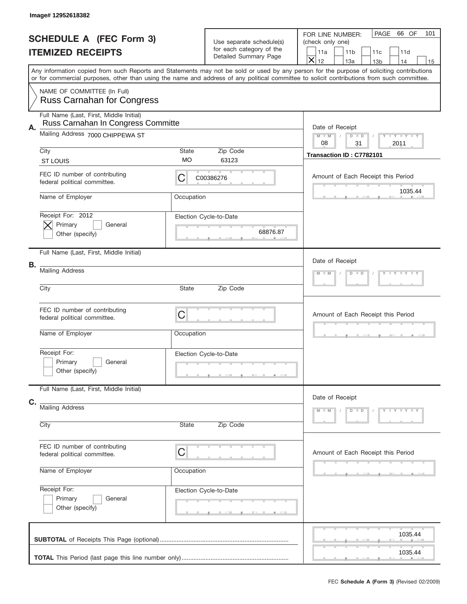|    | Image# 12952618382                                                                                                                                                                                                                                                                      |                    |                                                                               |                                                                                                                                                                             |
|----|-----------------------------------------------------------------------------------------------------------------------------------------------------------------------------------------------------------------------------------------------------------------------------------------|--------------------|-------------------------------------------------------------------------------|-----------------------------------------------------------------------------------------------------------------------------------------------------------------------------|
|    | <b>SCHEDULE A (FEC Form 3)</b><br><b>ITEMIZED RECEIPTS</b>                                                                                                                                                                                                                              |                    | Use separate schedule(s)<br>for each category of the<br>Detailed Summary Page | PAGE<br>66 OF<br>101<br>FOR LINE NUMBER:<br>(check only one)<br>11 <sub>b</sub><br>11a<br>11c<br>11d<br>$\overline{\mathsf{x}}$<br>12<br>13a<br>14<br>13 <sub>b</sub><br>15 |
|    | Any information copied from such Reports and Statements may not be sold or used by any person for the purpose of soliciting contributions<br>or for commercial purposes, other than using the name and address of any political committee to solicit contributions from such committee. |                    |                                                                               |                                                                                                                                                                             |
|    | NAME OF COMMITTEE (In Full)<br><b>Russ Carnahan for Congress</b>                                                                                                                                                                                                                        |                    |                                                                               |                                                                                                                                                                             |
| Α. | Full Name (Last, First, Middle Initial)<br>Russ Carnahan In Congress Committe                                                                                                                                                                                                           |                    |                                                                               | Date of Receipt                                                                                                                                                             |
|    | Mailing Address 7000 CHIPPEWA ST                                                                                                                                                                                                                                                        |                    |                                                                               | Y TY TY TY<br>$M - M$<br>$D$ $D$<br>08<br>31<br>2011                                                                                                                        |
|    | City<br><b>ST LOUIS</b>                                                                                                                                                                                                                                                                 | <b>State</b><br>МO | Zip Code<br>63123                                                             | Transaction ID: C7782101                                                                                                                                                    |
|    | FEC ID number of contributing<br>federal political committee.                                                                                                                                                                                                                           | С                  | C00386276                                                                     | Amount of Each Receipt this Period                                                                                                                                          |
|    | Name of Employer                                                                                                                                                                                                                                                                        | Occupation         |                                                                               | 1035.44                                                                                                                                                                     |
|    | Receipt For: 2012<br>Primary<br>General<br>Other (specify)                                                                                                                                                                                                                              |                    | Election Cycle-to-Date<br>68876.87                                            |                                                                                                                                                                             |
|    | Full Name (Last, First, Middle Initial)                                                                                                                                                                                                                                                 |                    |                                                                               | Date of Receipt                                                                                                                                                             |
| В. | <b>Mailing Address</b>                                                                                                                                                                                                                                                                  |                    |                                                                               | Y TY TY TY<br>$M - M$<br>$D$ $D$                                                                                                                                            |
|    | City                                                                                                                                                                                                                                                                                    | State              | Zip Code                                                                      |                                                                                                                                                                             |
|    | FEC ID number of contributing<br>federal political committee.                                                                                                                                                                                                                           | C                  |                                                                               | Amount of Each Receipt this Period                                                                                                                                          |
|    | Name of Employer                                                                                                                                                                                                                                                                        | Occupation         |                                                                               |                                                                                                                                                                             |
|    | Receipt For:<br>Primary<br>General<br>Other (specify)                                                                                                                                                                                                                                   |                    | Election Cycle-to-Date                                                        |                                                                                                                                                                             |
| C. | Full Name (Last, First, Middle Initial)                                                                                                                                                                                                                                                 |                    |                                                                               | Date of Receipt                                                                                                                                                             |
|    | <b>Mailing Address</b><br>City<br>Zip Code<br>State                                                                                                                                                                                                                                     |                    |                                                                               | Y - Y - Y - Y<br>$M - M$<br>$D$ $D$                                                                                                                                         |
|    | FEC ID number of contributing<br>federal political committee.                                                                                                                                                                                                                           | C                  |                                                                               | Amount of Each Receipt this Period                                                                                                                                          |
|    | Name of Employer                                                                                                                                                                                                                                                                        | Occupation         |                                                                               |                                                                                                                                                                             |
|    | Receipt For:<br>Primary<br>General<br>Other (specify)                                                                                                                                                                                                                                   |                    | Election Cycle-to-Date                                                        |                                                                                                                                                                             |
|    |                                                                                                                                                                                                                                                                                         |                    |                                                                               | 1035.44                                                                                                                                                                     |
|    |                                                                                                                                                                                                                                                                                         |                    |                                                                               | 1035.44                                                                                                                                                                     |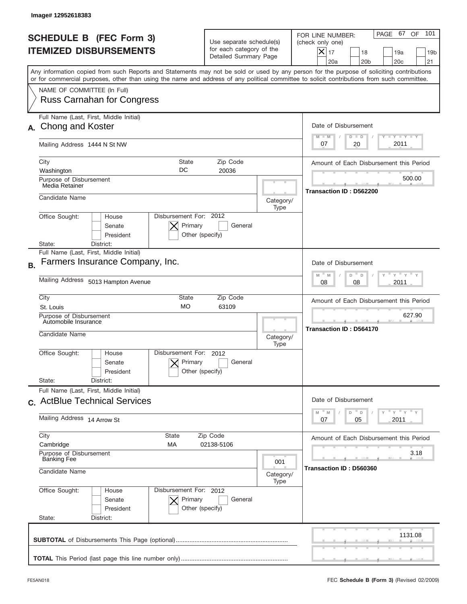|                                                                 | Image#12952618383                                                                                                                                                                                                                                                                       |                                                                               |                   |                                                                                                                                                              |
|-----------------------------------------------------------------|-----------------------------------------------------------------------------------------------------------------------------------------------------------------------------------------------------------------------------------------------------------------------------------------|-------------------------------------------------------------------------------|-------------------|--------------------------------------------------------------------------------------------------------------------------------------------------------------|
| <b>SCHEDULE B (FEC Form 3)</b><br><b>ITEMIZED DISBURSEMENTS</b> |                                                                                                                                                                                                                                                                                         | Use separate schedule(s)<br>for each category of the<br>Detailed Summary Page |                   | 101<br>PAGE 67<br>OF<br>FOR LINE NUMBER:<br>(check only one)<br>$X _{17}$<br>18<br>19a<br>19 <sub>b</sub><br>20a<br>20 <sub>b</sub><br>20 <sub>c</sub><br>21 |
|                                                                 | Any information copied from such Reports and Statements may not be sold or used by any person for the purpose of soliciting contributions<br>or for commercial purposes, other than using the name and address of any political committee to solicit contributions from such committee. |                                                                               |                   |                                                                                                                                                              |
|                                                                 | NAME OF COMMITTEE (In Full)<br><b>Russ Carnahan for Congress</b>                                                                                                                                                                                                                        |                                                                               |                   |                                                                                                                                                              |
|                                                                 | Full Name (Last, First, Middle Initial)<br>Chong and Koster                                                                                                                                                                                                                             |                                                                               |                   | Date of Disbursement<br><b>LYLYLY</b><br>$M - M$<br>$D$ $D$                                                                                                  |
|                                                                 | Mailing Address 1444 N St NW                                                                                                                                                                                                                                                            |                                                                               |                   | 2011<br>20<br>07                                                                                                                                             |
|                                                                 | City<br><b>State</b><br>DC<br>Washington                                                                                                                                                                                                                                                | Zip Code<br>20036                                                             |                   | Amount of Each Disbursement this Period                                                                                                                      |
|                                                                 | Purpose of Disbursement<br>Media Retainer                                                                                                                                                                                                                                               |                                                                               |                   | 500.00<br>Transaction ID: D562200                                                                                                                            |
|                                                                 | Candidate Name                                                                                                                                                                                                                                                                          |                                                                               | Category/<br>Type |                                                                                                                                                              |
|                                                                 | Disbursement For: 2012<br>Office Sought:<br>House<br>Primary<br>Senate<br>Other (specify)<br>President<br>State:<br>District:                                                                                                                                                           | General                                                                       |                   |                                                                                                                                                              |
| <b>B.</b>                                                       | Full Name (Last, First, Middle Initial)<br>Farmers Insurance Company, Inc.                                                                                                                                                                                                              |                                                                               |                   | Date of Disbursement                                                                                                                                         |
|                                                                 | Mailing Address 5013 Hampton Avenue                                                                                                                                                                                                                                                     | $M - M$<br>$Y = Y$<br>D<br>D<br>2011<br>08<br>08                              |                   |                                                                                                                                                              |
|                                                                 | City<br>State<br><b>MO</b><br>St. Louis                                                                                                                                                                                                                                                 | Amount of Each Disbursement this Period                                       |                   |                                                                                                                                                              |
|                                                                 | Purpose of Disbursement<br>Automobile Insurance<br>Candidate Name                                                                                                                                                                                                                       |                                                                               |                   | 627.90<br><b>Transaction ID: D564170</b>                                                                                                                     |
|                                                                 | Disbursement For:<br>Office Sought:<br>House<br>Primary<br>Senate<br>Other (specify)<br>President<br>State:<br>District:                                                                                                                                                                | 2012<br>General                                                               | Type              |                                                                                                                                                              |
|                                                                 | Full Name (Last, First, Middle Initial)                                                                                                                                                                                                                                                 |                                                                               |                   |                                                                                                                                                              |
|                                                                 | c. ActBlue Technical Services                                                                                                                                                                                                                                                           |                                                                               |                   | Date of Disbursement<br>≡ү ≡ү ≡ү<br>$-M$<br>D<br>M<br>D                                                                                                      |
|                                                                 | Mailing Address 14 Arrow St                                                                                                                                                                                                                                                             | Zip Code                                                                      |                   | 2011<br>07<br>05                                                                                                                                             |
|                                                                 | City<br>State<br>Cambridge<br>МA                                                                                                                                                                                                                                                        | 02138-5106                                                                    |                   | Amount of Each Disbursement this Period                                                                                                                      |
|                                                                 | Purpose of Disbursement<br><b>Banking Fee</b><br>Candidate Name                                                                                                                                                                                                                         |                                                                               |                   | 3.18<br>Transaction ID: D560360                                                                                                                              |
|                                                                 | Office Sought:<br>Disbursement For: 2012<br>House<br>Senate<br>Primary<br>President<br>Other (specify)<br>State:<br>District:                                                                                                                                                           | General                                                                       | Type              |                                                                                                                                                              |
|                                                                 |                                                                                                                                                                                                                                                                                         |                                                                               |                   | 1131.08                                                                                                                                                      |
|                                                                 |                                                                                                                                                                                                                                                                                         |                                                                               |                   |                                                                                                                                                              |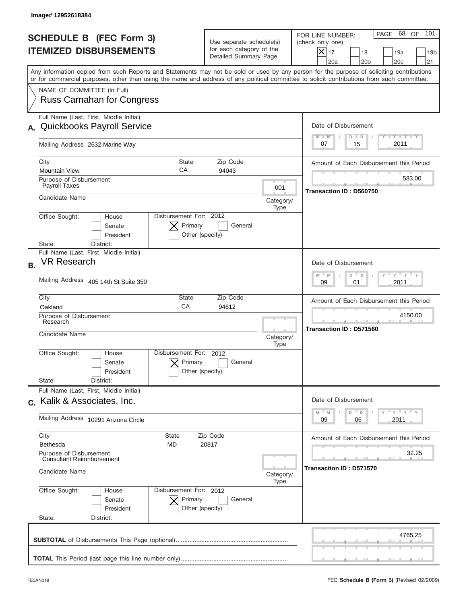|           | Image# 12952618384                                                                                                                                                                                                                                                                      |                                                                               |                                    |                                                                                                                                                                     |
|-----------|-----------------------------------------------------------------------------------------------------------------------------------------------------------------------------------------------------------------------------------------------------------------------------------------|-------------------------------------------------------------------------------|------------------------------------|---------------------------------------------------------------------------------------------------------------------------------------------------------------------|
|           | <b>SCHEDULE B (FEC Form 3)</b><br><b>ITEMIZED DISBURSEMENTS</b>                                                                                                                                                                                                                         | Use separate schedule(s)<br>for each category of the<br>Detailed Summary Page |                                    | 101<br>PAGE 68 OF<br>FOR LINE NUMBER:<br>(check only one)<br>$ \mathsf{X} _{17}$<br>18<br>19a<br>19 <sub>b</sub><br>20a<br>20 <sub>b</sub><br>20 <sub>c</sub><br>21 |
|           | Any information copied from such Reports and Statements may not be sold or used by any person for the purpose of soliciting contributions<br>or for commercial purposes, other than using the name and address of any political committee to solicit contributions from such committee. |                                                                               |                                    |                                                                                                                                                                     |
|           | NAME OF COMMITTEE (In Full)<br><b>Russ Carnahan for Congress</b>                                                                                                                                                                                                                        |                                                                               |                                    |                                                                                                                                                                     |
| А.        | Full Name (Last, First, Middle Initial)<br><b>Quickbooks Payroll Service</b>                                                                                                                                                                                                            |                                                                               |                                    | Date of Disbursement<br>Y TY TY TY<br>$M - M$<br>$D$ $D$                                                                                                            |
|           | Mailing Address 2632 Marine Way                                                                                                                                                                                                                                                         |                                                                               |                                    | 2011<br>15<br>07                                                                                                                                                    |
|           | City<br><b>State</b><br>CA<br><b>Mountain View</b>                                                                                                                                                                                                                                      | Zip Code<br>94043                                                             |                                    | Amount of Each Disbursement this Period                                                                                                                             |
|           | Purpose of Disbursement<br>Payroll Taxes                                                                                                                                                                                                                                                |                                                                               | 001                                | 583.00<br>Transaction ID: D560750                                                                                                                                   |
|           | Candidate Name                                                                                                                                                                                                                                                                          |                                                                               | Category/<br>Type                  |                                                                                                                                                                     |
|           | Disbursement For: 2012<br>Office Sought:<br>House<br>Primary<br>Senate<br>President<br>Other (specify)                                                                                                                                                                                  | General                                                                       |                                    |                                                                                                                                                                     |
|           | District:<br>State:<br>Full Name (Last, First, Middle Initial)                                                                                                                                                                                                                          |                                                                               |                                    |                                                                                                                                                                     |
| <b>B.</b> | <b>VR Research</b>                                                                                                                                                                                                                                                                      |                                                                               |                                    | Date of Disbursement<br>ү " ү " ү "<br>$M - M$<br>D<br>$\mathsf D$                                                                                                  |
|           | Mailing Address 405 14th St Suite 350                                                                                                                                                                                                                                                   | 2011<br>09<br>01                                                              |                                    |                                                                                                                                                                     |
|           | City<br>State<br>CA<br>Oakland                                                                                                                                                                                                                                                          | Zip Code<br>94612                                                             |                                    | Amount of Each Disbursement this Period                                                                                                                             |
|           | Purpose of Disbursement<br>Research                                                                                                                                                                                                                                                     |                                                                               | 4150.00<br>Transaction ID: D571560 |                                                                                                                                                                     |
|           | Candidate Name                                                                                                                                                                                                                                                                          |                                                                               | Category/<br>Type                  |                                                                                                                                                                     |
|           | Disbursement For:<br>Office Sought:<br>House<br>Primary<br>Senate<br>Other (specify)<br>President                                                                                                                                                                                       | 2012<br>General                                                               |                                    |                                                                                                                                                                     |
|           | State:<br>District:<br>Full Name (Last, First, Middle Initial)                                                                                                                                                                                                                          |                                                                               |                                    |                                                                                                                                                                     |
|           | c. Kalik & Associates, Inc.                                                                                                                                                                                                                                                             |                                                                               |                                    | Date of Disbursement                                                                                                                                                |
|           | Mailing Address 10291 Arizona Circle                                                                                                                                                                                                                                                    |                                                                               |                                    | $\gamma$ = $\gamma$ = $\gamma$ = $\gamma$<br>$\mathbb M$<br>D<br>M<br>D<br>2011<br>09<br>06                                                                         |
|           | City<br>State<br>Bethesda<br>MD                                                                                                                                                                                                                                                         | Zip Code<br>20817                                                             |                                    | Amount of Each Disbursement this Period                                                                                                                             |
|           | Purpose of Disbursement<br><b>Consultant Reimnbursement</b><br>Candidate Name                                                                                                                                                                                                           |                                                                               |                                    | 32.25<br>Transaction ID: D571570                                                                                                                                    |
|           |                                                                                                                                                                                                                                                                                         |                                                                               | Category/<br>Type                  |                                                                                                                                                                     |
|           | Office Sought:<br>Disbursement For: 2012<br>House<br>Senate<br>Primary<br>President<br>Other (specify)                                                                                                                                                                                  | General                                                                       |                                    |                                                                                                                                                                     |
|           | State:<br>District:                                                                                                                                                                                                                                                                     |                                                                               |                                    |                                                                                                                                                                     |
|           |                                                                                                                                                                                                                                                                                         |                                                                               |                                    | 4765.25                                                                                                                                                             |
|           |                                                                                                                                                                                                                                                                                         |                                                                               |                                    |                                                                                                                                                                     |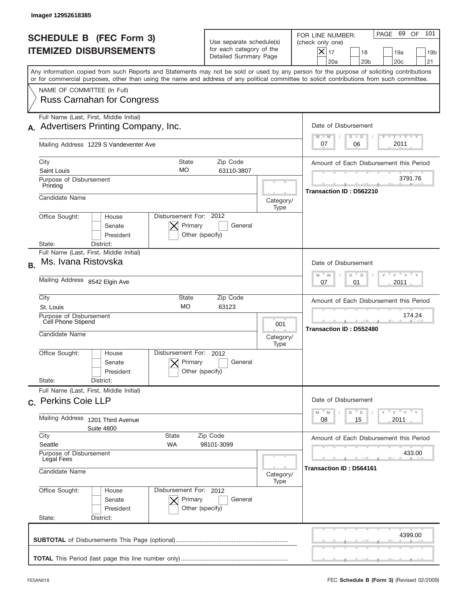|           | Image# 12952618385                                                                                                                                                                                                                                                                      |                                                                               |                   |                                                                                                                                                                     |
|-----------|-----------------------------------------------------------------------------------------------------------------------------------------------------------------------------------------------------------------------------------------------------------------------------------------|-------------------------------------------------------------------------------|-------------------|---------------------------------------------------------------------------------------------------------------------------------------------------------------------|
|           | <b>SCHEDULE B (FEC Form 3)</b><br><b>ITEMIZED DISBURSEMENTS</b>                                                                                                                                                                                                                         | Use separate schedule(s)<br>for each category of the<br>Detailed Summary Page |                   | 101<br>PAGE 69 OF<br>FOR LINE NUMBER:<br>(check only one)<br>$ \mathsf{X} _{17}$<br>18<br>19a<br>19 <sub>b</sub><br>20a<br>20 <sub>b</sub><br>20 <sub>c</sub><br>21 |
|           | Any information copied from such Reports and Statements may not be sold or used by any person for the purpose of soliciting contributions<br>or for commercial purposes, other than using the name and address of any political committee to solicit contributions from such committee. |                                                                               |                   |                                                                                                                                                                     |
|           | NAME OF COMMITTEE (In Full)<br><b>Russ Carnahan for Congress</b>                                                                                                                                                                                                                        |                                                                               |                   |                                                                                                                                                                     |
|           | Full Name (Last, First, Middle Initial)<br>Advertisers Printing Company, Inc.                                                                                                                                                                                                           |                                                                               |                   | Date of Disbursement                                                                                                                                                |
|           | Mailing Address 1229 S Vandeventer Ave                                                                                                                                                                                                                                                  |                                                                               |                   | <b>TANK TANK</b><br>$M - M$<br>$D$ $D$<br>2011<br>07<br>06                                                                                                          |
|           | City<br><b>State</b>                                                                                                                                                                                                                                                                    | Zip Code                                                                      |                   | Amount of Each Disbursement this Period                                                                                                                             |
|           | MO<br>Saint Louis<br>Purpose of Disbursement                                                                                                                                                                                                                                            | 63110-3807                                                                    |                   | 3791.76                                                                                                                                                             |
|           | Printing                                                                                                                                                                                                                                                                                |                                                                               |                   | Transaction ID: D562210                                                                                                                                             |
|           | Candidate Name                                                                                                                                                                                                                                                                          |                                                                               | Category/<br>Type |                                                                                                                                                                     |
|           | Disbursement For: 2012<br>Office Sought:<br>House<br>Primary<br>Senate<br>President<br>Other (specify)                                                                                                                                                                                  | General                                                                       |                   |                                                                                                                                                                     |
|           | District:<br>State:<br>Full Name (Last, First, Middle Initial)                                                                                                                                                                                                                          |                                                                               |                   |                                                                                                                                                                     |
| <b>B.</b> | Ms. Ivana Ristovska                                                                                                                                                                                                                                                                     |                                                                               |                   | Date of Disbursement                                                                                                                                                |
|           | Mailing Address 8542 Elgin Ave                                                                                                                                                                                                                                                          | $-\gamma + \gamma +$<br>$M - M$<br>D<br>D<br>2011<br>07<br>01                 |                   |                                                                                                                                                                     |
|           | City<br>State<br><b>MO</b><br>St. Louis                                                                                                                                                                                                                                                 | Zip Code<br>63123                                                             |                   | Amount of Each Disbursement this Period                                                                                                                             |
|           | Purpose of Disbursement<br>Cell Phone Stipend                                                                                                                                                                                                                                           |                                                                               | 001               | 174.24                                                                                                                                                              |
|           | Candidate Name                                                                                                                                                                                                                                                                          |                                                                               | Category/<br>Type | Transaction ID: D552480                                                                                                                                             |
|           | Disbursement For:<br>Office Sought:<br>House<br>Primary<br>Senate<br>Other (specify)<br>President                                                                                                                                                                                       | 2012<br>General                                                               |                   |                                                                                                                                                                     |
|           | State:<br>District:<br>Full Name (Last, First, Middle Initial)                                                                                                                                                                                                                          |                                                                               |                   |                                                                                                                                                                     |
|           | c. Perkins Coie LLP                                                                                                                                                                                                                                                                     |                                                                               |                   | Date of Disbursement<br>$\gamma$ = $\gamma$ = $\gamma$ = $\gamma$                                                                                                   |
|           | Mailing Address 1201 Third Avenue<br><b>Suite 4800</b>                                                                                                                                                                                                                                  |                                                                               |                   | $-M$<br>M<br>D<br>D<br>2011<br>08<br>15                                                                                                                             |
|           | City<br>State<br>Seattle<br>WA                                                                                                                                                                                                                                                          | Zip Code<br>98101-3099                                                        |                   | Amount of Each Disbursement this Period                                                                                                                             |
|           | Purpose of Disbursement<br>Legal Fees                                                                                                                                                                                                                                                   |                                                                               |                   | 433.00                                                                                                                                                              |
|           | Candidate Name                                                                                                                                                                                                                                                                          |                                                                               | Category/<br>Type | Transaction ID: D564161                                                                                                                                             |
|           | Office Sought:<br>Disbursement For: 2012<br>House<br>Senate<br>Primary<br>President<br>Other (specify)                                                                                                                                                                                  | General                                                                       |                   |                                                                                                                                                                     |
|           | State:<br>District:                                                                                                                                                                                                                                                                     |                                                                               |                   |                                                                                                                                                                     |
|           |                                                                                                                                                                                                                                                                                         |                                                                               |                   | 4399.00                                                                                                                                                             |
|           |                                                                                                                                                                                                                                                                                         |                                                                               |                   |                                                                                                                                                                     |
|           |                                                                                                                                                                                                                                                                                         |                                                                               |                   |                                                                                                                                                                     |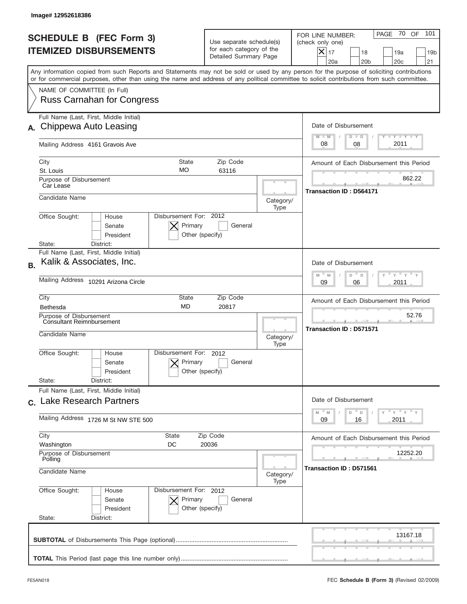|           | Image#12952618386                                                                                                                                                                                                                                                                       |                                                                               |                                                                                       |                                                                                                                                                              |
|-----------|-----------------------------------------------------------------------------------------------------------------------------------------------------------------------------------------------------------------------------------------------------------------------------------------|-------------------------------------------------------------------------------|---------------------------------------------------------------------------------------|--------------------------------------------------------------------------------------------------------------------------------------------------------------|
|           | <b>SCHEDULE B (FEC Form 3)</b><br><b>ITEMIZED DISBURSEMENTS</b>                                                                                                                                                                                                                         | Use separate schedule(s)<br>for each category of the<br>Detailed Summary Page |                                                                                       | 70 OF<br>101<br>PAGE<br>FOR LINE NUMBER:<br>(check only one)<br>$X _{17}$<br>18<br>19a<br>19 <sub>b</sub><br>20a<br>20 <sub>b</sub><br>20 <sub>c</sub><br>21 |
|           | Any information copied from such Reports and Statements may not be sold or used by any person for the purpose of soliciting contributions<br>or for commercial purposes, other than using the name and address of any political committee to solicit contributions from such committee. |                                                                               |                                                                                       |                                                                                                                                                              |
|           | NAME OF COMMITTEE (In Full)<br><b>Russ Carnahan for Congress</b>                                                                                                                                                                                                                        |                                                                               |                                                                                       |                                                                                                                                                              |
|           | Full Name (Last, First, Middle Initial)                                                                                                                                                                                                                                                 |                                                                               |                                                                                       |                                                                                                                                                              |
| А.        | Chippewa Auto Leasing                                                                                                                                                                                                                                                                   |                                                                               |                                                                                       | Date of Disbursement                                                                                                                                         |
|           | Mailing Address 4161 Gravois Ave                                                                                                                                                                                                                                                        |                                                                               |                                                                                       | $T - Y$ $T - Y$<br>$M - M$<br>$D$ $D$<br>2011<br>08<br>08                                                                                                    |
|           | City<br><b>State</b>                                                                                                                                                                                                                                                                    | Zip Code                                                                      |                                                                                       | Amount of Each Disbursement this Period                                                                                                                      |
|           | <b>MO</b><br>St. Louis                                                                                                                                                                                                                                                                  | 63116                                                                         |                                                                                       | 862.22                                                                                                                                                       |
|           | Purpose of Disbursement<br>Car Lease<br>Candidate Name                                                                                                                                                                                                                                  |                                                                               |                                                                                       | <b>Transaction ID: D564171</b>                                                                                                                               |
|           |                                                                                                                                                                                                                                                                                         |                                                                               | Category/<br>Type                                                                     |                                                                                                                                                              |
|           | Disbursement For: 2012<br>Office Sought:<br>House<br>Primary<br>Senate<br>President<br>Other (specify)<br>State:<br>District:                                                                                                                                                           | General                                                                       |                                                                                       |                                                                                                                                                              |
|           | Full Name (Last, First, Middle Initial)                                                                                                                                                                                                                                                 |                                                                               |                                                                                       |                                                                                                                                                              |
| <b>B.</b> | Kalik & Associates, Inc.                                                                                                                                                                                                                                                                |                                                                               |                                                                                       | Date of Disbursement                                                                                                                                         |
|           | Mailing Address 10291 Arizona Circle                                                                                                                                                                                                                                                    |                                                                               | $\cdots$ $\gamma$ $\cdots$ $\gamma$ $\cdots$<br>$M - M$<br>D<br>D<br>2011<br>09<br>06 |                                                                                                                                                              |
|           | City<br>State                                                                                                                                                                                                                                                                           | Zip Code                                                                      |                                                                                       | Amount of Each Disbursement this Period                                                                                                                      |
|           | <b>MD</b><br>Bethesda                                                                                                                                                                                                                                                                   | 20817                                                                         |                                                                                       |                                                                                                                                                              |
|           | Purpose of Disbursement<br>Consultant Reimnbursement<br>Candidate Name                                                                                                                                                                                                                  |                                                                               |                                                                                       | 52.76<br><b>Transaction ID: D571571</b>                                                                                                                      |
|           | Disbursement For:<br>Office Sought:<br>House<br>Primary<br>Senate<br>Other (specify)<br>President<br>State:<br>District:                                                                                                                                                                | 2012<br>General                                                               | Type                                                                                  |                                                                                                                                                              |
|           | Full Name (Last, First, Middle Initial)                                                                                                                                                                                                                                                 |                                                                               |                                                                                       |                                                                                                                                                              |
|           | c. Lake Research Partners                                                                                                                                                                                                                                                               |                                                                               |                                                                                       | Date of Disbursement                                                                                                                                         |
|           | Mailing Address 1726 M St NW STE 500                                                                                                                                                                                                                                                    |                                                                               |                                                                                       | $\gamma$ = $\gamma$ = $\gamma$ = $\gamma$<br>M<br>$\mathbb M$<br>D<br>D<br>2011<br>09<br>16                                                                  |
|           | City<br>State                                                                                                                                                                                                                                                                           | Zip Code                                                                      |                                                                                       | Amount of Each Disbursement this Period                                                                                                                      |
|           | Washington<br>DC<br>20036<br>Purpose of Disbursement<br>Polling                                                                                                                                                                                                                         |                                                                               |                                                                                       | 12252.20                                                                                                                                                     |
|           | Candidate Name                                                                                                                                                                                                                                                                          |                                                                               |                                                                                       | Transaction ID: D571561                                                                                                                                      |
|           | Office Sought:<br>Disbursement For: 2012<br>House<br>Senate<br>Primary<br>President<br>Other (specify)<br>State:<br>District:                                                                                                                                                           | General                                                                       |                                                                                       |                                                                                                                                                              |
|           |                                                                                                                                                                                                                                                                                         |                                                                               |                                                                                       | 13167.18                                                                                                                                                     |
|           |                                                                                                                                                                                                                                                                                         |                                                                               |                                                                                       |                                                                                                                                                              |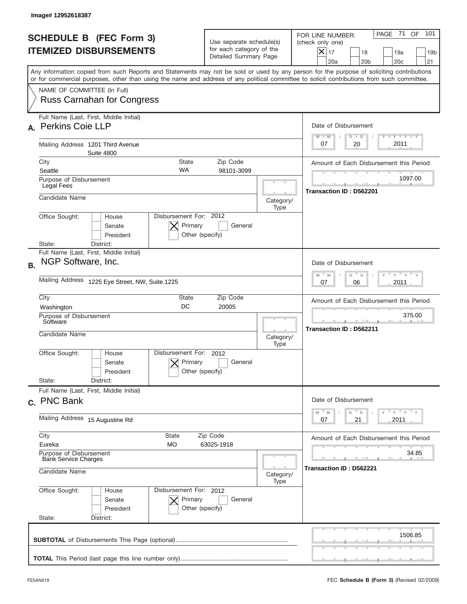|                                                                 | Image# 12952618387                                                                                                                                                                                                                                                                      |                                                                                                                    |                         |                                                                                                                                                              |
|-----------------------------------------------------------------|-----------------------------------------------------------------------------------------------------------------------------------------------------------------------------------------------------------------------------------------------------------------------------------------|--------------------------------------------------------------------------------------------------------------------|-------------------------|--------------------------------------------------------------------------------------------------------------------------------------------------------------|
| <b>SCHEDULE B (FEC Form 3)</b><br><b>ITEMIZED DISBURSEMENTS</b> |                                                                                                                                                                                                                                                                                         | Use separate schedule(s)<br>for each category of the<br>Detailed Summary Page                                      |                         | 101<br>PAGE 71<br>OF<br>FOR LINE NUMBER:<br>(check only one)<br>$X _{17}$<br>18<br>19a<br>19 <sub>b</sub><br>20a<br>20 <sub>b</sub><br>20 <sub>c</sub><br>21 |
|                                                                 | Any information copied from such Reports and Statements may not be sold or used by any person for the purpose of soliciting contributions<br>or for commercial purposes, other than using the name and address of any political committee to solicit contributions from such committee. |                                                                                                                    |                         |                                                                                                                                                              |
|                                                                 | NAME OF COMMITTEE (In Full)<br><b>Russ Carnahan for Congress</b>                                                                                                                                                                                                                        |                                                                                                                    |                         |                                                                                                                                                              |
| А.                                                              | Full Name (Last, First, Middle Initial)<br><b>Perkins Coie LLP</b>                                                                                                                                                                                                                      |                                                                                                                    |                         | Date of Disbursement<br>Y TY TY TY<br>$M - M$<br>$D$ $D$                                                                                                     |
|                                                                 | Mailing Address 1201 Third Avenue<br><b>Suite 4800</b>                                                                                                                                                                                                                                  |                                                                                                                    |                         | 2011<br>20<br>07                                                                                                                                             |
|                                                                 | City<br>State                                                                                                                                                                                                                                                                           | Zip Code                                                                                                           |                         | Amount of Each Disbursement this Period                                                                                                                      |
|                                                                 | <b>WA</b><br>Seattle<br>Purpose of Disbursement<br>Legal Fees                                                                                                                                                                                                                           | 98101-3099                                                                                                         |                         | 1097.00                                                                                                                                                      |
|                                                                 | Candidate Name                                                                                                                                                                                                                                                                          |                                                                                                                    | Category/<br>Type       | Transaction ID: D562201                                                                                                                                      |
|                                                                 | Disbursement For: 2012<br>Office Sought:<br>House<br>Primary<br>Senate<br>Other (specify)<br>President<br>State:<br>District:                                                                                                                                                           | General                                                                                                            |                         |                                                                                                                                                              |
| <b>B.</b>                                                       | Full Name (Last, First, Middle Initial)<br>NGP Software, Inc.                                                                                                                                                                                                                           |                                                                                                                    |                         | Date of Disbursement<br>$\cdots$ $\gamma$ $\cdots$ $\gamma$ $\cdots$<br>$M - M$<br>D<br>D                                                                    |
|                                                                 | Mailing Address 1225 Eye Street, NW, Suite 1225                                                                                                                                                                                                                                         | 2011<br>07<br>06                                                                                                   |                         |                                                                                                                                                              |
|                                                                 | City<br>State<br>DC<br>Washington                                                                                                                                                                                                                                                       | Zip Code<br>20005                                                                                                  |                         | Amount of Each Disbursement this Period                                                                                                                      |
|                                                                 | Purpose of Disbursement<br>Software                                                                                                                                                                                                                                                     |                                                                                                                    |                         | 375.00<br><b>Transaction ID: D562211</b>                                                                                                                     |
|                                                                 | Candidate Name<br>Category/<br>Type                                                                                                                                                                                                                                                     |                                                                                                                    |                         |                                                                                                                                                              |
|                                                                 | Disbursement For:<br>Office Sought:<br>House<br>Primary<br>Senate<br>Other (specify)<br>President                                                                                                                                                                                       | 2012<br>General                                                                                                    |                         |                                                                                                                                                              |
|                                                                 | State:<br>District:                                                                                                                                                                                                                                                                     |                                                                                                                    |                         |                                                                                                                                                              |
|                                                                 | Full Name (Last, First, Middle Initial)<br>c. PNC Bank                                                                                                                                                                                                                                  |                                                                                                                    |                         | Date of Disbursement                                                                                                                                         |
|                                                                 | Mailing Address 15 Augustine Rd                                                                                                                                                                                                                                                         | $\overline{Y}$ $\overline{Y}$ $\overline{Y}$ $\overline{Y}$ $\overline{Y}$<br>M<br>D<br>M<br>D<br>2011<br>07<br>21 |                         |                                                                                                                                                              |
|                                                                 | City<br>State<br>Eureka<br>МO                                                                                                                                                                                                                                                           | Zip Code<br>63025-1918                                                                                             |                         | Amount of Each Disbursement this Period                                                                                                                      |
|                                                                 | Purpose of Disbursement<br><b>Bank Service Charges</b>                                                                                                                                                                                                                                  |                                                                                                                    | 34.85                   |                                                                                                                                                              |
|                                                                 | Candidate Name                                                                                                                                                                                                                                                                          | Category/<br>Type                                                                                                  | Transaction ID: D562221 |                                                                                                                                                              |
|                                                                 | Office Sought:<br>Disbursement For: 2012<br>House<br>Senate<br>Primary<br>President<br>Other (specify)<br>State:<br>District:                                                                                                                                                           | General                                                                                                            |                         |                                                                                                                                                              |
|                                                                 |                                                                                                                                                                                                                                                                                         |                                                                                                                    |                         | 1506.85                                                                                                                                                      |
|                                                                 |                                                                                                                                                                                                                                                                                         |                                                                                                                    |                         |                                                                                                                                                              |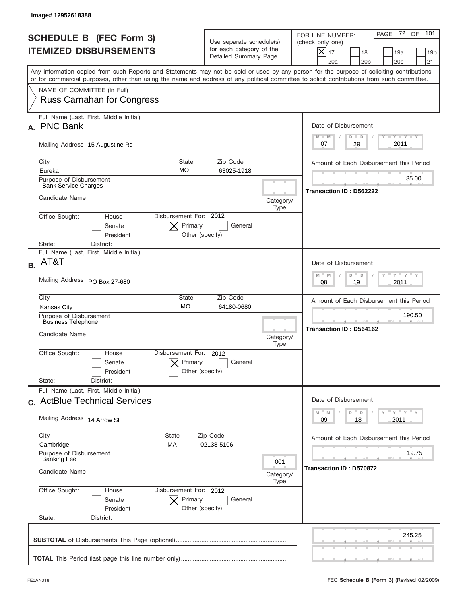|                                                                 | Image# 12952618388                                                                                                                                                                                                                                                                      |                                                                               |                   |                                                                                                                                                           |
|-----------------------------------------------------------------|-----------------------------------------------------------------------------------------------------------------------------------------------------------------------------------------------------------------------------------------------------------------------------------------|-------------------------------------------------------------------------------|-------------------|-----------------------------------------------------------------------------------------------------------------------------------------------------------|
| <b>SCHEDULE B (FEC Form 3)</b><br><b>ITEMIZED DISBURSEMENTS</b> |                                                                                                                                                                                                                                                                                         | Use separate schedule(s)<br>for each category of the<br>Detailed Summary Page |                   | PAGE 72 OF<br>101<br>FOR LINE NUMBER:<br>(check only one)<br>$X _{17}$<br>18<br>19a<br>19 <sub>b</sub><br>20a<br>20 <sub>b</sub><br>20 <sub>c</sub><br>21 |
|                                                                 | Any information copied from such Reports and Statements may not be sold or used by any person for the purpose of soliciting contributions<br>or for commercial purposes, other than using the name and address of any political committee to solicit contributions from such committee. |                                                                               |                   |                                                                                                                                                           |
|                                                                 | NAME OF COMMITTEE (In Full)<br><b>Russ Carnahan for Congress</b>                                                                                                                                                                                                                        |                                                                               |                   |                                                                                                                                                           |
| А.                                                              | Full Name (Last, First, Middle Initial)<br><b>PNC Bank</b>                                                                                                                                                                                                                              |                                                                               |                   | Date of Disbursement<br>$T - Y$ $T - Y$<br>$M - M$<br>$D$ $D$                                                                                             |
|                                                                 | Mailing Address 15 Augustine Rd                                                                                                                                                                                                                                                         |                                                                               |                   | 2011<br>29<br>07                                                                                                                                          |
|                                                                 | City<br><b>State</b><br>MO<br>Eureka                                                                                                                                                                                                                                                    | Zip Code<br>63025-1918                                                        |                   | Amount of Each Disbursement this Period                                                                                                                   |
|                                                                 | Purpose of Disbursement<br><b>Bank Service Charges</b>                                                                                                                                                                                                                                  |                                                                               |                   | 35.00                                                                                                                                                     |
|                                                                 | Candidate Name                                                                                                                                                                                                                                                                          |                                                                               | Category/<br>Type | Transaction ID: D562222                                                                                                                                   |
|                                                                 | Disbursement For: 2012<br>Office Sought:<br>House<br>Primary<br>Senate<br>Other (specify)<br>President<br>State:<br>District:                                                                                                                                                           | General                                                                       |                   |                                                                                                                                                           |
| <b>B.</b>                                                       | Full Name (Last, First, Middle Initial)<br>AT&T                                                                                                                                                                                                                                         |                                                                               |                   | Date of Disbursement                                                                                                                                      |
|                                                                 | Mailing Address PO Box 27-680                                                                                                                                                                                                                                                           | $M - M$<br>≡ γ ≡ γ ≡<br>D<br>D<br>2011<br>08<br>19                            |                   |                                                                                                                                                           |
|                                                                 | City<br>State<br><b>MO</b><br>Kansas City                                                                                                                                                                                                                                               | Amount of Each Disbursement this Period                                       |                   |                                                                                                                                                           |
|                                                                 | Purpose of Disbursement<br><b>Business Telephone</b><br>Candidate Name                                                                                                                                                                                                                  |                                                                               |                   | 190.50<br>Transaction ID: D564162                                                                                                                         |
|                                                                 | Disbursement For:                                                                                                                                                                                                                                                                       | 2012                                                                          | Category/<br>Type |                                                                                                                                                           |
|                                                                 | Office Sought:<br>House<br>Primary<br>Senate<br>Other (specify)<br>President                                                                                                                                                                                                            | General                                                                       |                   |                                                                                                                                                           |
|                                                                 | State:<br>District:<br>Full Name (Last, First, Middle Initial)                                                                                                                                                                                                                          |                                                                               |                   |                                                                                                                                                           |
|                                                                 | c. ActBlue Technical Services                                                                                                                                                                                                                                                           |                                                                               |                   | Date of Disbursement                                                                                                                                      |
|                                                                 | Mailing Address 14 Arrow St                                                                                                                                                                                                                                                             |                                                                               |                   | ≡ү ≡ү ≡ү<br>$M - M$<br>D<br>D<br>2011<br>09<br>18                                                                                                         |
|                                                                 | City<br>State<br>Cambridge<br>МA                                                                                                                                                                                                                                                        | Zip Code<br>02138-5106                                                        |                   | Amount of Each Disbursement this Period                                                                                                                   |
|                                                                 | Purpose of Disbursement<br><b>Banking Fee</b>                                                                                                                                                                                                                                           |                                                                               |                   | 19.75                                                                                                                                                     |
|                                                                 | 001<br>Candidate Name<br>Category/                                                                                                                                                                                                                                                      |                                                                               |                   | Transaction ID: D570872                                                                                                                                   |
|                                                                 | Office Sought:<br>Disbursement For: 2012<br>House<br>Senate<br>Primary<br>President<br>Other (specify)<br>State:<br>District:                                                                                                                                                           | General                                                                       | Type              |                                                                                                                                                           |
|                                                                 |                                                                                                                                                                                                                                                                                         |                                                                               |                   | 245.25                                                                                                                                                    |
|                                                                 |                                                                                                                                                                                                                                                                                         |                                                                               |                   |                                                                                                                                                           |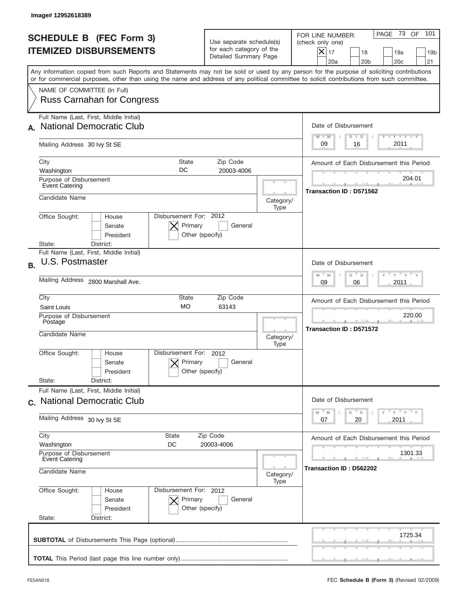|           | Image# 12952618389                                                                                                                                                                                                                                                                      |                                                                               |                   |                                                                                                                                                           |
|-----------|-----------------------------------------------------------------------------------------------------------------------------------------------------------------------------------------------------------------------------------------------------------------------------------------|-------------------------------------------------------------------------------|-------------------|-----------------------------------------------------------------------------------------------------------------------------------------------------------|
|           | <b>SCHEDULE B (FEC Form 3)</b><br><b>ITEMIZED DISBURSEMENTS</b>                                                                                                                                                                                                                         | Use separate schedule(s)<br>for each category of the<br>Detailed Summary Page |                   | PAGE 73 OF<br>101<br>FOR LINE NUMBER:<br>(check only one)<br>$X _{17}$<br>18<br>19a<br>19 <sub>b</sub><br>20a<br>20 <sub>b</sub><br>20 <sub>c</sub><br>21 |
|           | Any information copied from such Reports and Statements may not be sold or used by any person for the purpose of soliciting contributions<br>or for commercial purposes, other than using the name and address of any political committee to solicit contributions from such committee. |                                                                               |                   |                                                                                                                                                           |
|           | NAME OF COMMITTEE (In Full)<br><b>Russ Carnahan for Congress</b>                                                                                                                                                                                                                        |                                                                               |                   |                                                                                                                                                           |
|           | Full Name (Last, First, Middle Initial)<br><b>National Democratic Club</b>                                                                                                                                                                                                              |                                                                               |                   | Date of Disbursement                                                                                                                                      |
|           | Mailing Address 30 lvy St SE                                                                                                                                                                                                                                                            |                                                                               |                   | Y TY TY TY<br>$M - M$<br>$D$ $D$<br>2011<br>09<br>16                                                                                                      |
|           | City<br><b>State</b><br>DC<br>Washington                                                                                                                                                                                                                                                | Zip Code<br>20003-4006                                                        |                   | Amount of Each Disbursement this Period                                                                                                                   |
|           | Purpose of Disbursement<br>Event Catering                                                                                                                                                                                                                                               |                                                                               |                   | 204.01<br>Transaction ID: D571562                                                                                                                         |
|           | Candidate Name                                                                                                                                                                                                                                                                          |                                                                               | Category/<br>Type |                                                                                                                                                           |
|           | Disbursement For: 2012<br>Office Sought:<br>House<br>Primary<br>Senate<br>Other (specify)<br>President<br>District:<br>State:                                                                                                                                                           | General                                                                       |                   |                                                                                                                                                           |
| <b>B.</b> | Full Name (Last, First, Middle Initial)<br>U.S. Postmaster                                                                                                                                                                                                                              |                                                                               |                   | Date of Disbursement<br>$\cdots$ $\gamma$ $\cdots$ $\gamma$ $\cdots$ $\gamma$<br>$M - M$<br>D<br>D                                                        |
|           | Mailing Address 2800 Marshall Ave.                                                                                                                                                                                                                                                      | 2011<br>09<br>06                                                              |                   |                                                                                                                                                           |
|           | City<br>State<br><b>MO</b><br>Saint Louis                                                                                                                                                                                                                                               | Zip Code<br>63143                                                             |                   | Amount of Each Disbursement this Period<br>220.00                                                                                                         |
|           | Purpose of Disbursement<br>Postage<br>Candidate Name                                                                                                                                                                                                                                    |                                                                               | Category/<br>Type | Transaction ID: D571572                                                                                                                                   |
|           | Disbursement For:<br>Office Sought:<br>House<br>Primary<br>Senate<br>Other (specify)<br>President                                                                                                                                                                                       | 2012<br>General                                                               |                   |                                                                                                                                                           |
|           | State:<br>District:<br>Full Name (Last, First, Middle Initial)<br>c. National Democratic Club                                                                                                                                                                                           |                                                                               |                   | Date of Disbursement                                                                                                                                      |
|           | Mailing Address 30 lvy St SE                                                                                                                                                                                                                                                            |                                                                               |                   | $\overline{Y}$ $\overline{Y}$ $\overline{Y}$ $\overline{Y}$ $\overline{Y}$<br>D<br>M<br>M<br>D<br>2011<br>07<br>20                                        |
|           | City<br>State<br>Washington<br>DC                                                                                                                                                                                                                                                       | Zip Code<br>20003-4006                                                        |                   | Amount of Each Disbursement this Period                                                                                                                   |
|           | Purpose of Disbursement<br><b>Event Catering</b><br>Candidate Name                                                                                                                                                                                                                      |                                                                               | Category/<br>Type | 1301.33<br>Transaction ID: D562202                                                                                                                        |
|           | Office Sought:<br>Disbursement For: 2012<br>House<br>Senate<br>Primary<br>President<br>Other (specify)<br>State:<br>District:                                                                                                                                                           | General                                                                       |                   |                                                                                                                                                           |
|           |                                                                                                                                                                                                                                                                                         |                                                                               |                   | 1725.34                                                                                                                                                   |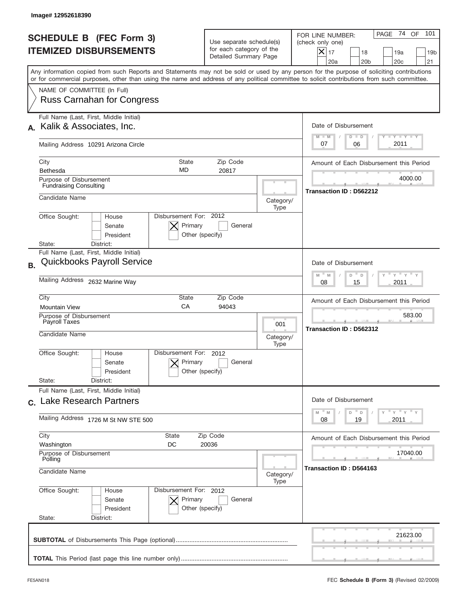|           | Image#12952618390                                                                                                                                                                                                                                                                       |                                                                               |                          |                                                                                                                                                                     |
|-----------|-----------------------------------------------------------------------------------------------------------------------------------------------------------------------------------------------------------------------------------------------------------------------------------------|-------------------------------------------------------------------------------|--------------------------|---------------------------------------------------------------------------------------------------------------------------------------------------------------------|
|           | <b>SCHEDULE B (FEC Form 3)</b><br><b>ITEMIZED DISBURSEMENTS</b>                                                                                                                                                                                                                         | Use separate schedule(s)<br>for each category of the<br>Detailed Summary Page |                          | PAGE 74 OF<br>101<br>FOR LINE NUMBER:<br>(check only one)<br>$ \mathsf{X} _{17}$<br>18<br>19a<br>19 <sub>b</sub><br>20a<br>20 <sub>b</sub><br>20 <sub>c</sub><br>21 |
|           | Any information copied from such Reports and Statements may not be sold or used by any person for the purpose of soliciting contributions<br>or for commercial purposes, other than using the name and address of any political committee to solicit contributions from such committee. |                                                                               |                          |                                                                                                                                                                     |
|           | NAME OF COMMITTEE (In Full)<br><b>Russ Carnahan for Congress</b>                                                                                                                                                                                                                        |                                                                               |                          |                                                                                                                                                                     |
|           | Full Name (Last, First, Middle Initial)                                                                                                                                                                                                                                                 |                                                                               |                          |                                                                                                                                                                     |
|           | Kalik & Associates, Inc.                                                                                                                                                                                                                                                                |                                                                               |                          | Date of Disbursement<br><b>TANK TANK</b><br>$M - M$<br>$D$ $D$                                                                                                      |
|           | Mailing Address 10291 Arizona Circle                                                                                                                                                                                                                                                    |                                                                               |                          | 2011<br>07<br>06                                                                                                                                                    |
|           | City<br><b>State</b>                                                                                                                                                                                                                                                                    | Zip Code                                                                      |                          | Amount of Each Disbursement this Period                                                                                                                             |
|           | <b>MD</b><br>Bethesda<br>Purpose of Disbursement                                                                                                                                                                                                                                        | 20817                                                                         |                          | 4000.00                                                                                                                                                             |
|           | <b>Fundraising Consulting</b>                                                                                                                                                                                                                                                           |                                                                               |                          | Transaction ID: D562212                                                                                                                                             |
|           | Candidate Name                                                                                                                                                                                                                                                                          |                                                                               | Category/<br>Type        |                                                                                                                                                                     |
|           | Disbursement For: 2012<br>Office Sought:<br>House<br>Primary<br>Senate<br>President<br>Other (specify)<br>District:<br>State:                                                                                                                                                           | General                                                                       |                          |                                                                                                                                                                     |
|           | Full Name (Last, First, Middle Initial)                                                                                                                                                                                                                                                 |                                                                               |                          |                                                                                                                                                                     |
| <b>B.</b> | <b>Quickbooks Payroll Service</b>                                                                                                                                                                                                                                                       |                                                                               |                          | Date of Disbursement                                                                                                                                                |
|           | Mailing Address 2632 Marine Way                                                                                                                                                                                                                                                         |                                                                               |                          | $-\gamma + \gamma +$<br>$M - M$<br>D<br>D<br>2011<br>08<br>15                                                                                                       |
|           | City<br>State<br>CA                                                                                                                                                                                                                                                                     | Zip Code                                                                      |                          | Amount of Each Disbursement this Period                                                                                                                             |
|           | <b>Mountain View</b><br>94043<br>Purpose of Disbursement                                                                                                                                                                                                                                |                                                                               |                          | 583.00                                                                                                                                                              |
|           | Payroll Taxes<br>Candidate Name                                                                                                                                                                                                                                                         |                                                                               | 001<br>Category/<br>Type | Transaction ID: D562312                                                                                                                                             |
|           | Disbursement For:<br>Office Sought:<br>House<br>Primary<br>Senate<br>Other (specify)<br>President<br>State:<br>District:                                                                                                                                                                | 2012<br>General                                                               |                          |                                                                                                                                                                     |
|           | Full Name (Last, First, Middle Initial)                                                                                                                                                                                                                                                 |                                                                               |                          |                                                                                                                                                                     |
|           | c. Lake Research Partners                                                                                                                                                                                                                                                               |                                                                               |                          | Date of Disbursement                                                                                                                                                |
|           | Mailing Address 1726 M St NW STE 500                                                                                                                                                                                                                                                    |                                                                               |                          | $\gamma$ = $\gamma$ = $\gamma$ = $\gamma$<br>$\mathbb M$<br>M<br>D<br>D<br>2011<br>08<br>19                                                                         |
|           | City<br>State                                                                                                                                                                                                                                                                           | Zip Code                                                                      |                          | Amount of Each Disbursement this Period                                                                                                                             |
|           | Washington<br>DC<br>20036<br>Purpose of Disbursement                                                                                                                                                                                                                                    |                                                                               |                          | 17040.00                                                                                                                                                            |
|           | Polling<br>Candidate Name                                                                                                                                                                                                                                                               |                                                                               |                          | Transaction ID: D564163                                                                                                                                             |
|           | Office Sought:<br>Disbursement For: 2012<br>House<br>Senate<br>Primary<br>President<br>Other (specify)<br>State:<br>District:                                                                                                                                                           | General                                                                       | Type                     |                                                                                                                                                                     |
|           |                                                                                                                                                                                                                                                                                         |                                                                               |                          |                                                                                                                                                                     |
|           |                                                                                                                                                                                                                                                                                         |                                                                               |                          | 21623.00                                                                                                                                                            |
|           |                                                                                                                                                                                                                                                                                         |                                                                               |                          |                                                                                                                                                                     |
|           |                                                                                                                                                                                                                                                                                         |                                                                               |                          |                                                                                                                                                                     |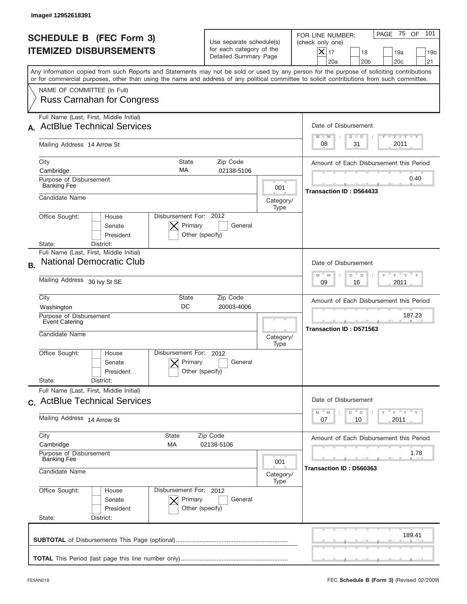|           | Image# 12952618391                                                                                                                                                                                                                                                                      |                                                                               |                   |                                                                                                                                                                   |
|-----------|-----------------------------------------------------------------------------------------------------------------------------------------------------------------------------------------------------------------------------------------------------------------------------------------|-------------------------------------------------------------------------------|-------------------|-------------------------------------------------------------------------------------------------------------------------------------------------------------------|
|           | <b>SCHEDULE B (FEC Form 3)</b><br><b>ITEMIZED DISBURSEMENTS</b>                                                                                                                                                                                                                         | Use separate schedule(s)<br>for each category of the<br>Detailed Summary Page |                   | PAGE 75<br>101<br>OF<br>FOR LINE NUMBER:<br>(check only one)<br>$\times$<br>17<br>18<br>19a<br>19 <sub>b</sub><br>20a<br>20 <sub>b</sub><br>20 <sub>c</sub><br>21 |
|           | Any information copied from such Reports and Statements may not be sold or used by any person for the purpose of soliciting contributions<br>or for commercial purposes, other than using the name and address of any political committee to solicit contributions from such committee. |                                                                               |                   |                                                                                                                                                                   |
|           | NAME OF COMMITTEE (In Full)<br><b>Russ Carnahan for Congress</b>                                                                                                                                                                                                                        |                                                                               |                   |                                                                                                                                                                   |
|           | Full Name (Last, First, Middle Initial)<br><b>ActBlue Technical Services</b>                                                                                                                                                                                                            |                                                                               |                   | Date of Disbursement<br>$T - Y$ $T - Y$<br>$M - M$<br>$D$ $D$                                                                                                     |
|           | Mailing Address 14 Arrow St                                                                                                                                                                                                                                                             |                                                                               |                   | 2011<br>31<br>08                                                                                                                                                  |
|           | City<br><b>State</b><br>MA<br>Cambridge                                                                                                                                                                                                                                                 | Zip Code<br>02138-5106                                                        |                   | Amount of Each Disbursement this Period                                                                                                                           |
|           | Purpose of Disbursement<br><b>Banking Fee</b>                                                                                                                                                                                                                                           |                                                                               | 001               | 0.40<br><b>Transaction ID: D564433</b>                                                                                                                            |
|           | Candidate Name                                                                                                                                                                                                                                                                          |                                                                               | Category/<br>Type |                                                                                                                                                                   |
|           | Disbursement For: 2012<br>Office Sought:<br>House<br>Primary<br>Senate<br>President<br>Other (specify)<br>State:<br>District:                                                                                                                                                           | General                                                                       |                   |                                                                                                                                                                   |
| <b>B.</b> | Full Name (Last, First, Middle Initial)<br><b>National Democratic Club</b>                                                                                                                                                                                                              |                                                                               |                   | Date of Disbursement                                                                                                                                              |
|           | Mailing Address 30 lvy St SE                                                                                                                                                                                                                                                            |                                                                               |                   | $M - M$<br>$Y = Y$<br>D<br>D<br>2011<br>09<br>16                                                                                                                  |
|           | City<br><b>State</b><br>Zip Code<br>DC<br>20003-4006<br>Washington<br>Purpose of Disbursement<br>Event Catering                                                                                                                                                                         |                                                                               |                   | Amount of Each Disbursement this Period                                                                                                                           |
|           |                                                                                                                                                                                                                                                                                         |                                                                               |                   | 187.23<br>Transaction ID: D571563                                                                                                                                 |
|           | Candidate Name                                                                                                                                                                                                                                                                          | Category/<br>Type                                                             |                   |                                                                                                                                                                   |
|           | Disbursement For: 2012<br>Office Sought:<br>House<br>Primary<br>Senate<br>Other (specify)<br>President                                                                                                                                                                                  | General                                                                       |                   |                                                                                                                                                                   |
|           | State:<br>District:<br>Full Name (Last, First, Middle Initial)                                                                                                                                                                                                                          |                                                                               |                   |                                                                                                                                                                   |
|           | c. ActBlue Technical Services                                                                                                                                                                                                                                                           |                                                                               |                   | Date of Disbursement                                                                                                                                              |
|           | Mailing Address 14 Arrow St                                                                                                                                                                                                                                                             |                                                                               |                   | ≡ γ ≡ γ ≡ γ<br>$-M$<br>M<br>D<br>D<br>2011<br>07<br>10                                                                                                            |
|           | City<br><b>State</b><br>Cambridge<br>МA                                                                                                                                                                                                                                                 | Zip Code<br>02138-5106                                                        |                   | Amount of Each Disbursement this Period                                                                                                                           |
|           | Purpose of Disbursement<br><b>Banking Fee</b>                                                                                                                                                                                                                                           |                                                                               |                   | 1.78<br>Transaction ID: D560363                                                                                                                                   |
|           | Candidate Name                                                                                                                                                                                                                                                                          |                                                                               |                   |                                                                                                                                                                   |
|           | Office Sought:<br>Disbursement For: 2012<br>House<br>Primary<br>Senate<br>President<br>Other (specify)<br>State:<br>District:                                                                                                                                                           | General                                                                       |                   |                                                                                                                                                                   |
|           |                                                                                                                                                                                                                                                                                         |                                                                               |                   | 189.41                                                                                                                                                            |
|           |                                                                                                                                                                                                                                                                                         |                                                                               |                   |                                                                                                                                                                   |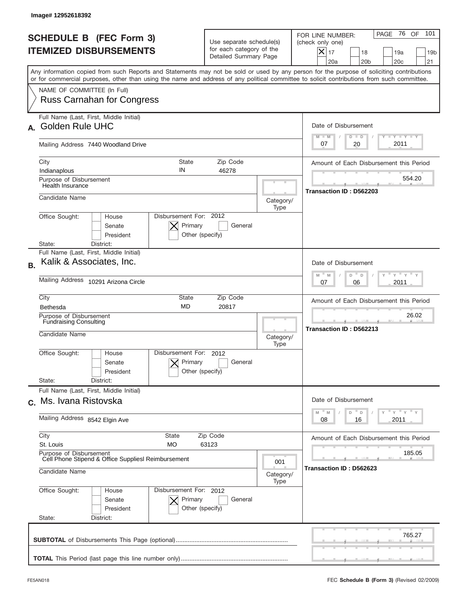|           | Image# 12952618392                                                                                                                                                                                                                                                                      |                                                                               |                                         |                                                                                                                                                              |
|-----------|-----------------------------------------------------------------------------------------------------------------------------------------------------------------------------------------------------------------------------------------------------------------------------------------|-------------------------------------------------------------------------------|-----------------------------------------|--------------------------------------------------------------------------------------------------------------------------------------------------------------|
|           | <b>SCHEDULE B (FEC Form 3)</b><br><b>ITEMIZED DISBURSEMENTS</b>                                                                                                                                                                                                                         | Use separate schedule(s)<br>for each category of the<br>Detailed Summary Page |                                         | 76 OF<br>101<br>PAGE<br>FOR LINE NUMBER:<br>(check only one)<br>$X _{17}$<br>18<br>19a<br>19 <sub>b</sub><br>20a<br>20 <sub>b</sub><br>20 <sub>c</sub><br>21 |
|           | Any information copied from such Reports and Statements may not be sold or used by any person for the purpose of soliciting contributions<br>or for commercial purposes, other than using the name and address of any political committee to solicit contributions from such committee. |                                                                               |                                         |                                                                                                                                                              |
|           | NAME OF COMMITTEE (In Full)<br><b>Russ Carnahan for Congress</b>                                                                                                                                                                                                                        |                                                                               |                                         |                                                                                                                                                              |
|           | Full Name (Last, First, Middle Initial)<br><b>Golden Rule UHC</b>                                                                                                                                                                                                                       |                                                                               |                                         | Date of Disbursement                                                                                                                                         |
|           | Mailing Address 7440 Woodland Drive                                                                                                                                                                                                                                                     |                                                                               |                                         | Y TY TY TY<br>$M - M$<br>$D$ $D$<br>2011<br>20<br>07                                                                                                         |
|           | City<br><b>State</b><br>IN<br>Indianaplous                                                                                                                                                                                                                                              | Zip Code<br>46278                                                             |                                         | Amount of Each Disbursement this Period                                                                                                                      |
|           | Purpose of Disbursement<br>Health Insurance                                                                                                                                                                                                                                             |                                                                               |                                         | 554.20<br>Transaction ID: D562203                                                                                                                            |
|           | Candidate Name                                                                                                                                                                                                                                                                          |                                                                               | Category/<br>Type                       |                                                                                                                                                              |
|           | Disbursement For: 2012<br>Office Sought:<br>House<br>Primary<br>Senate<br>President<br>Other (specify)<br>State:<br>District:                                                                                                                                                           | General                                                                       |                                         |                                                                                                                                                              |
| <b>B.</b> | Full Name (Last, First, Middle Initial)<br>Kalik & Associates, Inc.                                                                                                                                                                                                                     |                                                                               |                                         | Date of Disbursement                                                                                                                                         |
|           | Mailing Address 10291 Arizona Circle                                                                                                                                                                                                                                                    |                                                                               |                                         | $\cdots$ $\gamma$ $\cdots$ $\gamma$ $\cdots$<br>$-M$<br>M<br>D<br>D<br>2011<br>07<br>06                                                                      |
|           | City<br>State<br><b>MD</b><br>Bethesda                                                                                                                                                                                                                                                  | Zip Code<br>20817                                                             |                                         | Amount of Each Disbursement this Period                                                                                                                      |
|           | Purpose of Disbursement<br><b>Fundraising Consulting</b><br>Candidate Name                                                                                                                                                                                                              |                                                                               | Category/<br>Type                       | 26.02<br>Transaction ID: D562213                                                                                                                             |
|           | Disbursement For:<br>Office Sought:<br>House<br>Primary<br>Senate<br>Other (specify)<br>President<br>State:<br>District:                                                                                                                                                                | 2012<br>General                                                               |                                         |                                                                                                                                                              |
|           | Full Name (Last, First, Middle Initial)<br>c. Ms. Ivana Ristovska                                                                                                                                                                                                                       |                                                                               |                                         | Date of Disbursement                                                                                                                                         |
|           | Mailing Address 8542 Elgin Ave                                                                                                                                                                                                                                                          |                                                                               |                                         | $\cdots$ $\vdots$ $\cdots$ $\vdots$<br>M<br>D<br>M<br>D<br>2011<br>08<br>16                                                                                  |
|           | City<br>State<br>Zip Code<br>St. Louis<br>MO.<br>63123                                                                                                                                                                                                                                  |                                                                               | Amount of Each Disbursement this Period |                                                                                                                                                              |
|           | Purpose of Disbursement<br>Cell Phone Stipend & Office SuppliesI Reimbursement<br>Candidate Name                                                                                                                                                                                        |                                                                               |                                         | 185.05<br>Transaction ID: D562623                                                                                                                            |
|           | Office Sought:<br>Disbursement For: 2012<br>House                                                                                                                                                                                                                                       |                                                                               | Category/<br>Type                       |                                                                                                                                                              |
|           | Senate<br>Primary<br>President<br>Other (specify)<br>State:<br>District:                                                                                                                                                                                                                | General                                                                       |                                         |                                                                                                                                                              |
|           |                                                                                                                                                                                                                                                                                         |                                                                               |                                         | 765.27                                                                                                                                                       |
|           |                                                                                                                                                                                                                                                                                         |                                                                               |                                         |                                                                                                                                                              |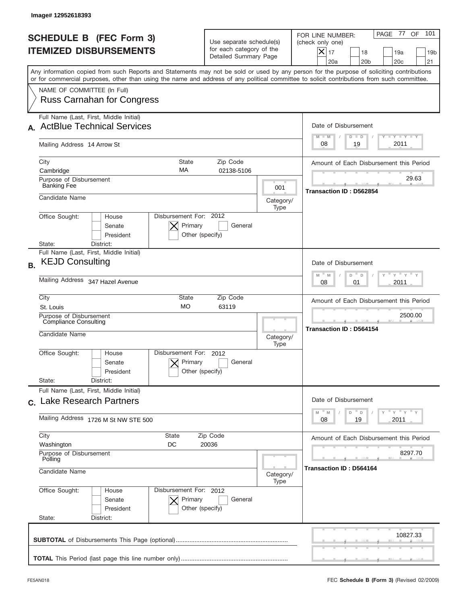|           | Image#12952618393                                                                                                                                                                                                                                                                       |                                                                               |                   |                                                                                                                                                                     |
|-----------|-----------------------------------------------------------------------------------------------------------------------------------------------------------------------------------------------------------------------------------------------------------------------------------------|-------------------------------------------------------------------------------|-------------------|---------------------------------------------------------------------------------------------------------------------------------------------------------------------|
|           | <b>SCHEDULE B (FEC Form 3)</b><br><b>ITEMIZED DISBURSEMENTS</b>                                                                                                                                                                                                                         | Use separate schedule(s)<br>for each category of the<br>Detailed Summary Page |                   | 101<br>PAGE 77 OF<br>FOR LINE NUMBER:<br>(check only one)<br>$ \mathsf{X} _{17}$<br>18<br>19a<br>19 <sub>b</sub><br>20a<br>20 <sub>b</sub><br>20 <sub>c</sub><br>21 |
|           | Any information copied from such Reports and Statements may not be sold or used by any person for the purpose of soliciting contributions<br>or for commercial purposes, other than using the name and address of any political committee to solicit contributions from such committee. |                                                                               |                   |                                                                                                                                                                     |
|           | NAME OF COMMITTEE (In Full)<br><b>Russ Carnahan for Congress</b>                                                                                                                                                                                                                        |                                                                               |                   |                                                                                                                                                                     |
|           | Full Name (Last, First, Middle Initial)                                                                                                                                                                                                                                                 |                                                                               |                   |                                                                                                                                                                     |
|           | <b>ActBlue Technical Services</b>                                                                                                                                                                                                                                                       |                                                                               |                   | Date of Disbursement                                                                                                                                                |
|           | Mailing Address 14 Arrow St                                                                                                                                                                                                                                                             |                                                                               |                   | Y TY TY TY<br>$M - M$<br>$D$ $D$<br>2011<br>19<br>08                                                                                                                |
|           | City<br><b>State</b>                                                                                                                                                                                                                                                                    | Zip Code                                                                      |                   | Amount of Each Disbursement this Period                                                                                                                             |
|           | MA<br>Cambridge<br>Purpose of Disbursement                                                                                                                                                                                                                                              | 02138-5106                                                                    |                   | 29.63                                                                                                                                                               |
|           | <b>Banking Fee</b>                                                                                                                                                                                                                                                                      |                                                                               | 001               | Transaction ID: D562854                                                                                                                                             |
|           | Candidate Name                                                                                                                                                                                                                                                                          |                                                                               | Category/<br>Type |                                                                                                                                                                     |
|           | Disbursement For: 2012<br>Office Sought:<br>House<br>Primary<br>Senate<br>President<br>Other (specify)<br>State:<br>District:                                                                                                                                                           | General                                                                       |                   |                                                                                                                                                                     |
| <b>B.</b> | Full Name (Last, First, Middle Initial)<br><b>KEJD Consulting</b>                                                                                                                                                                                                                       |                                                                               |                   | Date of Disbursement                                                                                                                                                |
|           | Mailing Address 347 Hazel Avenue                                                                                                                                                                                                                                                        |                                                                               |                   | ү " ү " ү "<br>$M - M$<br>D<br>$\mathsf D$<br>2011<br>08<br>01                                                                                                      |
|           | City<br>State                                                                                                                                                                                                                                                                           | Zip Code                                                                      |                   | Amount of Each Disbursement this Period                                                                                                                             |
|           | <b>MO</b><br>63119<br>St. Louis<br>Purpose of Disbursement                                                                                                                                                                                                                              |                                                                               |                   | 2500.00                                                                                                                                                             |
|           | <b>Compliance Consulting</b><br>Candidate Name                                                                                                                                                                                                                                          |                                                                               | Category/<br>Type | <b>Transaction ID: D564154</b>                                                                                                                                      |
|           | Disbursement For:<br>Office Sought:<br>House<br>Primary<br>Senate<br>Other (specify)<br>President<br>State:<br>District:                                                                                                                                                                | 2012<br>General                                                               |                   |                                                                                                                                                                     |
|           | Full Name (Last, First, Middle Initial)                                                                                                                                                                                                                                                 |                                                                               |                   |                                                                                                                                                                     |
|           | c. Lake Research Partners                                                                                                                                                                                                                                                               |                                                                               |                   | Date of Disbursement<br>$\gamma$ = $\gamma$ = $\gamma$ = $\gamma$<br>$\mathbb M$<br>M<br>D<br>D                                                                     |
|           | Mailing Address 1726 M St NW STE 500                                                                                                                                                                                                                                                    |                                                                               |                   | 2011<br>08<br>19                                                                                                                                                    |
|           | City<br>State                                                                                                                                                                                                                                                                           | Zip Code                                                                      |                   | Amount of Each Disbursement this Period                                                                                                                             |
|           | Washington<br>DC<br>20036<br>Purpose of Disbursement<br>Polling                                                                                                                                                                                                                         |                                                                               |                   | 8297.70                                                                                                                                                             |
|           | Candidate Name                                                                                                                                                                                                                                                                          |                                                                               |                   | Transaction ID: D564164                                                                                                                                             |
|           | Office Sought:<br>Disbursement For: 2012<br>House<br>Senate<br>Primary<br>President<br>Other (specify)<br>State:<br>District:                                                                                                                                                           | General                                                                       |                   |                                                                                                                                                                     |
|           |                                                                                                                                                                                                                                                                                         |                                                                               |                   | 10827.33                                                                                                                                                            |
|           |                                                                                                                                                                                                                                                                                         |                                                                               |                   |                                                                                                                                                                     |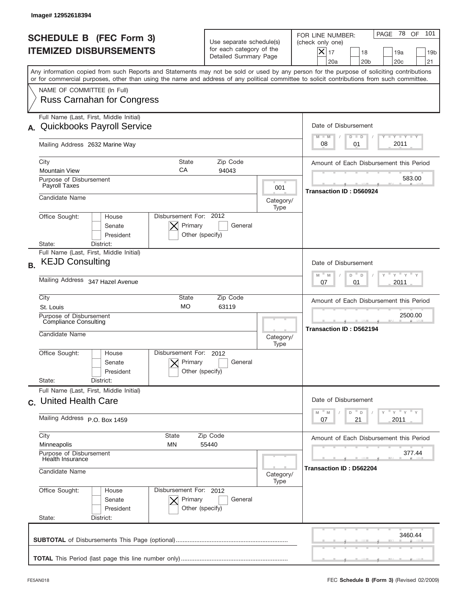|           | Image# 12952618394                                                                                                                                                                                                                                                                      |                                                                               |                                    |                                                                                                                                                                     |
|-----------|-----------------------------------------------------------------------------------------------------------------------------------------------------------------------------------------------------------------------------------------------------------------------------------------|-------------------------------------------------------------------------------|------------------------------------|---------------------------------------------------------------------------------------------------------------------------------------------------------------------|
|           | <b>SCHEDULE B (FEC Form 3)</b><br><b>ITEMIZED DISBURSEMENTS</b>                                                                                                                                                                                                                         | Use separate schedule(s)<br>for each category of the<br>Detailed Summary Page |                                    | PAGE 78 OF<br>101<br>FOR LINE NUMBER:<br>(check only one)<br>$ \mathsf{X} _{17}$<br>18<br>19a<br>19 <sub>b</sub><br>20a<br>20 <sub>b</sub><br>20 <sub>c</sub><br>21 |
|           | Any information copied from such Reports and Statements may not be sold or used by any person for the purpose of soliciting contributions<br>or for commercial purposes, other than using the name and address of any political committee to solicit contributions from such committee. |                                                                               |                                    |                                                                                                                                                                     |
|           | NAME OF COMMITTEE (In Full)<br><b>Russ Carnahan for Congress</b>                                                                                                                                                                                                                        |                                                                               |                                    |                                                                                                                                                                     |
| А.        | Full Name (Last, First, Middle Initial)<br><b>Quickbooks Payroll Service</b>                                                                                                                                                                                                            |                                                                               |                                    | Date of Disbursement<br>Y TY TY TY                                                                                                                                  |
|           | Mailing Address 2632 Marine Way                                                                                                                                                                                                                                                         |                                                                               |                                    | $M - M$<br>$D$ $D$<br>2011<br>08<br>01                                                                                                                              |
|           | City<br><b>State</b><br>CA<br><b>Mountain View</b>                                                                                                                                                                                                                                      | Zip Code<br>94043                                                             |                                    | Amount of Each Disbursement this Period                                                                                                                             |
|           | Purpose of Disbursement<br>Payroll Taxes                                                                                                                                                                                                                                                |                                                                               | 001                                | 583.00<br>Transaction ID: D560924                                                                                                                                   |
|           | Candidate Name                                                                                                                                                                                                                                                                          |                                                                               | Category/<br>Type                  |                                                                                                                                                                     |
|           | Disbursement For: 2012<br>Office Sought:<br>House<br>Primary<br>Senate<br>President<br>Other (specify)                                                                                                                                                                                  | General                                                                       |                                    |                                                                                                                                                                     |
| <b>B.</b> | State:<br>District:<br>Full Name (Last, First, Middle Initial)<br><b>KEJD Consulting</b>                                                                                                                                                                                                |                                                                               |                                    | Date of Disbursement<br>$-\gamma + \gamma +$<br>$M - M$<br>D<br>$\mathsf D$                                                                                         |
|           | Mailing Address 347 Hazel Avenue                                                                                                                                                                                                                                                        |                                                                               |                                    | 2011<br>07<br>01                                                                                                                                                    |
|           | City<br>State<br><b>MO</b><br>St. Louis                                                                                                                                                                                                                                                 | Zip Code<br>63119                                                             |                                    | Amount of Each Disbursement this Period                                                                                                                             |
|           | Purpose of Disbursement<br><b>Compliance Consulting</b><br>Candidate Name                                                                                                                                                                                                               | Category/<br>Type                                                             | 2500.00<br>Transaction ID: D562194 |                                                                                                                                                                     |
|           | Disbursement For:<br>Office Sought:<br>House<br>Primary<br>Senate<br>Other (specify)<br>President                                                                                                                                                                                       | 2012<br>General                                                               |                                    |                                                                                                                                                                     |
|           | State:<br>District:<br>Full Name (Last, First, Middle Initial)<br>c. United Health Care                                                                                                                                                                                                 |                                                                               |                                    | Date of Disbursement                                                                                                                                                |
|           | Mailing Address P.O. Box 1459                                                                                                                                                                                                                                                           |                                                                               |                                    | $\gamma$ = $\gamma$ = $\gamma$ = $\gamma$<br>D<br>M<br>M<br>D<br>2011<br>07<br>21                                                                                   |
|           | City<br>State<br>Zip Code<br>Minneapolis<br>ΜN<br>55440                                                                                                                                                                                                                                 |                                                                               |                                    | Amount of Each Disbursement this Period                                                                                                                             |
|           | Purpose of Disbursement<br><b>Health Insurance</b><br>Candidate Name                                                                                                                                                                                                                    |                                                                               | Category/                          | 377.44<br>Transaction ID: D562204                                                                                                                                   |
|           | Office Sought:<br>Disbursement For: 2012<br>House<br>Senate<br>Primary<br>President<br>Other (specify)<br>State:<br>District:                                                                                                                                                           | General                                                                       | Type                               |                                                                                                                                                                     |
|           |                                                                                                                                                                                                                                                                                         |                                                                               |                                    | 3460.44                                                                                                                                                             |
|           |                                                                                                                                                                                                                                                                                         |                                                                               |                                    |                                                                                                                                                                     |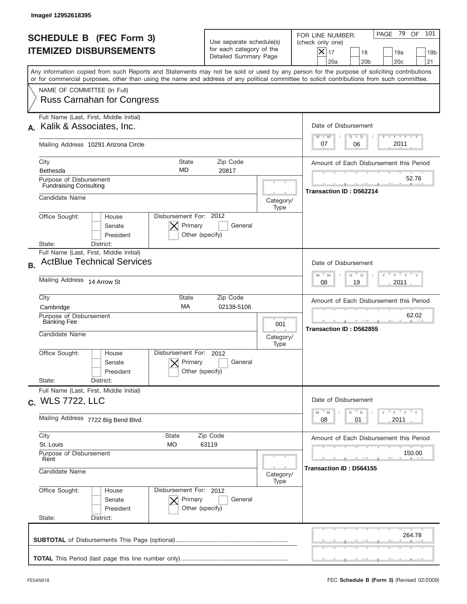|           | Image# 12952618395                                                                                                                                                                                                                                                                      |                                                                               |                   |                                                                                                                                                                     |
|-----------|-----------------------------------------------------------------------------------------------------------------------------------------------------------------------------------------------------------------------------------------------------------------------------------------|-------------------------------------------------------------------------------|-------------------|---------------------------------------------------------------------------------------------------------------------------------------------------------------------|
|           | <b>SCHEDULE B (FEC Form 3)</b><br><b>ITEMIZED DISBURSEMENTS</b>                                                                                                                                                                                                                         | Use separate schedule(s)<br>for each category of the<br>Detailed Summary Page |                   | PAGE 79 OF<br>101<br>FOR LINE NUMBER:<br>(check only one)<br>$ \mathsf{X} _{17}$<br>18<br>19a<br>19 <sub>b</sub><br>20a<br>20 <sub>b</sub><br>20 <sub>c</sub><br>21 |
|           | Any information copied from such Reports and Statements may not be sold or used by any person for the purpose of soliciting contributions<br>or for commercial purposes, other than using the name and address of any political committee to solicit contributions from such committee. |                                                                               |                   |                                                                                                                                                                     |
|           | NAME OF COMMITTEE (In Full)<br><b>Russ Carnahan for Congress</b>                                                                                                                                                                                                                        |                                                                               |                   |                                                                                                                                                                     |
|           | Full Name (Last, First, Middle Initial)                                                                                                                                                                                                                                                 |                                                                               |                   |                                                                                                                                                                     |
|           | Kalik & Associates, Inc.                                                                                                                                                                                                                                                                |                                                                               |                   | Date of Disbursement                                                                                                                                                |
|           | Mailing Address 10291 Arizona Circle                                                                                                                                                                                                                                                    |                                                                               |                   | Y TY TY TY<br>$M - M$<br>$D$ $D$<br>2011<br>07<br>06                                                                                                                |
|           | City<br><b>State</b>                                                                                                                                                                                                                                                                    | Zip Code                                                                      |                   | Amount of Each Disbursement this Period                                                                                                                             |
|           | <b>MD</b><br>Bethesda                                                                                                                                                                                                                                                                   | 20817                                                                         |                   | 52.76                                                                                                                                                               |
|           | Purpose of Disbursement<br><b>Fundraising Consulting</b>                                                                                                                                                                                                                                |                                                                               |                   | Transaction ID: D562214                                                                                                                                             |
|           | Candidate Name                                                                                                                                                                                                                                                                          |                                                                               | Category/<br>Type |                                                                                                                                                                     |
|           | Disbursement For: 2012<br>Office Sought:<br>House<br>Primary<br>Senate<br>President<br>Other (specify)<br>District:<br>State:                                                                                                                                                           | General                                                                       |                   |                                                                                                                                                                     |
|           | Full Name (Last, First, Middle Initial)                                                                                                                                                                                                                                                 |                                                                               |                   |                                                                                                                                                                     |
| <b>B.</b> | <b>ActBlue Technical Services</b>                                                                                                                                                                                                                                                       |                                                                               |                   | Date of Disbursement                                                                                                                                                |
|           | Mailing Address 14 Arrow St                                                                                                                                                                                                                                                             |                                                                               |                   | $-\gamma + \gamma +$<br>$M - M$<br>D<br>D<br>2011<br>08<br>19                                                                                                       |
|           | City<br>State                                                                                                                                                                                                                                                                           | Zip Code                                                                      |                   | Amount of Each Disbursement this Period                                                                                                                             |
|           | <b>MA</b><br>Cambridge<br>Purpose of Disbursement                                                                                                                                                                                                                                       | 02138-5106                                                                    |                   | 62.02                                                                                                                                                               |
|           | <b>Banking Fee</b>                                                                                                                                                                                                                                                                      | 001                                                                           |                   | Transaction ID: D562855                                                                                                                                             |
|           | Candidate Name                                                                                                                                                                                                                                                                          |                                                                               | Category/<br>Type |                                                                                                                                                                     |
|           | Disbursement For:<br>Office Sought:<br>House<br>Primary<br>Senate<br>Other (specify)<br>President<br>State:<br>District:                                                                                                                                                                | 2012<br>General                                                               |                   |                                                                                                                                                                     |
|           | Full Name (Last, First, Middle Initial)                                                                                                                                                                                                                                                 |                                                                               |                   |                                                                                                                                                                     |
|           | c. WLS 7722, LLC                                                                                                                                                                                                                                                                        |                                                                               |                   | Date of Disbursement<br>$Y$ $Y$ $Y$ $Y$ $Y$                                                                                                                         |
|           | Mailing Address 7722 Big Bend Blvd.                                                                                                                                                                                                                                                     |                                                                               |                   | $\mathbb M$<br>M<br>D<br>D<br>2011<br>08<br>01                                                                                                                      |
|           | City<br>State                                                                                                                                                                                                                                                                           | Zip Code                                                                      |                   | Amount of Each Disbursement this Period                                                                                                                             |
|           | St. Louis<br>МO<br>63119<br>Purpose of Disbursement                                                                                                                                                                                                                                     |                                                                               |                   | 150.00                                                                                                                                                              |
|           | Rent<br>Candidate Name                                                                                                                                                                                                                                                                  |                                                                               |                   | Transaction ID: D564155                                                                                                                                             |
|           | Office Sought:<br>Disbursement For: 2012<br>House<br>Senate<br>Primary<br>President<br>Other (specify)<br>State:<br>District:                                                                                                                                                           | General                                                                       | Type              |                                                                                                                                                                     |
|           |                                                                                                                                                                                                                                                                                         |                                                                               |                   |                                                                                                                                                                     |
|           |                                                                                                                                                                                                                                                                                         |                                                                               |                   | 264.78                                                                                                                                                              |
|           |                                                                                                                                                                                                                                                                                         |                                                                               |                   |                                                                                                                                                                     |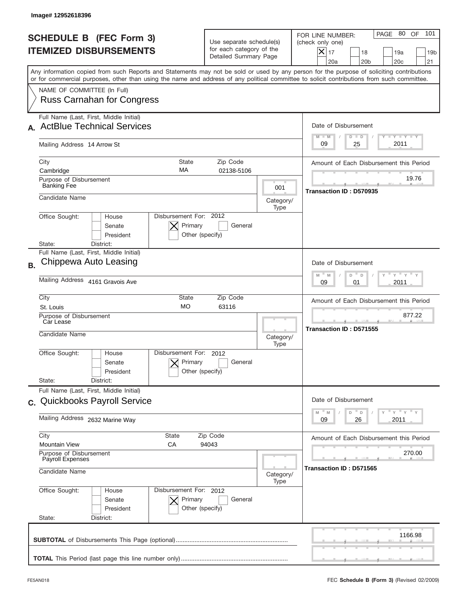|           | Image#12952618396                                                                                                                                                                                                                                                                       |                                                                               |                   |                                                                                                                                                                     |
|-----------|-----------------------------------------------------------------------------------------------------------------------------------------------------------------------------------------------------------------------------------------------------------------------------------------|-------------------------------------------------------------------------------|-------------------|---------------------------------------------------------------------------------------------------------------------------------------------------------------------|
|           | <b>SCHEDULE B (FEC Form 3)</b><br><b>ITEMIZED DISBURSEMENTS</b>                                                                                                                                                                                                                         | Use separate schedule(s)<br>for each category of the<br>Detailed Summary Page |                   | PAGE 80 OF<br>101<br>FOR LINE NUMBER:<br>(check only one)<br>$ \mathsf{X} _{17}$<br>18<br>19a<br>19 <sub>b</sub><br>20a<br>20 <sub>b</sub><br>20 <sub>c</sub><br>21 |
|           | Any information copied from such Reports and Statements may not be sold or used by any person for the purpose of soliciting contributions<br>or for commercial purposes, other than using the name and address of any political committee to solicit contributions from such committee. |                                                                               |                   |                                                                                                                                                                     |
|           | NAME OF COMMITTEE (In Full)<br><b>Russ Carnahan for Congress</b>                                                                                                                                                                                                                        |                                                                               |                   |                                                                                                                                                                     |
|           | Full Name (Last, First, Middle Initial)                                                                                                                                                                                                                                                 |                                                                               |                   |                                                                                                                                                                     |
|           | <b>ActBlue Technical Services</b>                                                                                                                                                                                                                                                       |                                                                               |                   | Date of Disbursement                                                                                                                                                |
|           | Mailing Address 14 Arrow St                                                                                                                                                                                                                                                             |                                                                               |                   | Y TY TY TY<br>$M - M$<br>$D$ $D$<br>2011<br>09<br>25                                                                                                                |
|           | City<br><b>State</b>                                                                                                                                                                                                                                                                    | Zip Code                                                                      |                   | Amount of Each Disbursement this Period                                                                                                                             |
|           | MA<br>Cambridge<br>Purpose of Disbursement                                                                                                                                                                                                                                              | 02138-5106                                                                    |                   | 19.76                                                                                                                                                               |
|           | <b>Banking Fee</b>                                                                                                                                                                                                                                                                      |                                                                               | 001               | Transaction ID: D570935                                                                                                                                             |
|           | Candidate Name                                                                                                                                                                                                                                                                          |                                                                               | Category/<br>Type |                                                                                                                                                                     |
|           | Disbursement For: 2012<br>Office Sought:<br>House<br>Primary<br>Senate<br>President<br>Other (specify)<br>State:<br>District:                                                                                                                                                           | General                                                                       |                   |                                                                                                                                                                     |
|           | Full Name (Last, First, Middle Initial)                                                                                                                                                                                                                                                 |                                                                               |                   |                                                                                                                                                                     |
| <b>B.</b> | Chippewa Auto Leasing                                                                                                                                                                                                                                                                   |                                                                               |                   | Date of Disbursement                                                                                                                                                |
|           | Mailing Address 4161 Gravois Ave                                                                                                                                                                                                                                                        |                                                                               |                   | ү – ү – ү –<br>$M - M$<br>D<br>$\mathsf D$<br>2011<br>09<br>01                                                                                                      |
|           | City<br>State<br><b>MO</b>                                                                                                                                                                                                                                                              | Zip Code                                                                      |                   | Amount of Each Disbursement this Period                                                                                                                             |
|           | St. Louis<br>Purpose of Disbursement                                                                                                                                                                                                                                                    | 63116                                                                         |                   | 877.22                                                                                                                                                              |
|           | Car Lease<br>Candidate Name                                                                                                                                                                                                                                                             |                                                                               | Category/<br>Type | Transaction ID: D571555                                                                                                                                             |
|           | Disbursement For:<br>Office Sought:<br>House<br>Primary<br>Senate<br>Other (specify)<br>President<br>State:<br>District:                                                                                                                                                                | 2012<br>General                                                               |                   |                                                                                                                                                                     |
|           | Full Name (Last, First, Middle Initial)                                                                                                                                                                                                                                                 |                                                                               |                   |                                                                                                                                                                     |
|           | c. Quickbooks Payroll Service                                                                                                                                                                                                                                                           |                                                                               |                   | Date of Disbursement<br>$\cdots$ $\vdots$ $\cdots$ $\vdots$                                                                                                         |
|           | Mailing Address 2632 Marine Way                                                                                                                                                                                                                                                         |                                                                               |                   | M<br>D<br>M<br>D<br>2011<br>09<br>26                                                                                                                                |
|           | City<br>State                                                                                                                                                                                                                                                                           | Zip Code                                                                      |                   | Amount of Each Disbursement this Period                                                                                                                             |
|           | <b>Mountain View</b><br>СA<br>94043<br>Purpose of Disbursement<br>Payroll Expenses                                                                                                                                                                                                      |                                                                               |                   | 270.00                                                                                                                                                              |
|           | Candidate Name                                                                                                                                                                                                                                                                          |                                                                               |                   | Transaction ID: D571565                                                                                                                                             |
|           | Office Sought:<br>Disbursement For: 2012<br>House<br>Senate<br>Primary<br>President<br>Other (specify)<br>State:<br>District:                                                                                                                                                           | General                                                                       |                   |                                                                                                                                                                     |
|           |                                                                                                                                                                                                                                                                                         |                                                                               |                   | 1166.98                                                                                                                                                             |
|           |                                                                                                                                                                                                                                                                                         |                                                                               |                   |                                                                                                                                                                     |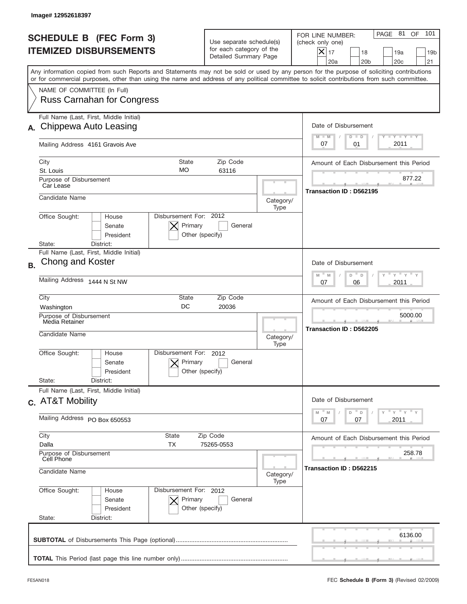|           | Image# 12952618397                                                                                                                                                                                                                                                                      |                                                                                       |                   |                                                                                                                                                                        |
|-----------|-----------------------------------------------------------------------------------------------------------------------------------------------------------------------------------------------------------------------------------------------------------------------------------------|---------------------------------------------------------------------------------------|-------------------|------------------------------------------------------------------------------------------------------------------------------------------------------------------------|
|           | <b>SCHEDULE B (FEC Form 3)</b><br><b>ITEMIZED DISBURSEMENTS</b>                                                                                                                                                                                                                         | Use separate schedule(s)<br>for each category of the<br>Detailed Summary Page         |                   | PAGE 81<br>OF<br>101<br>FOR LINE NUMBER:<br>(check only one)<br>$ \mathsf{X} _{17}$<br>18<br>19a<br>19 <sub>b</sub><br>20a<br>20 <sub>b</sub><br>20 <sub>c</sub><br>21 |
|           | Any information copied from such Reports and Statements may not be sold or used by any person for the purpose of soliciting contributions<br>or for commercial purposes, other than using the name and address of any political committee to solicit contributions from such committee. |                                                                                       |                   |                                                                                                                                                                        |
|           | NAME OF COMMITTEE (In Full)<br><b>Russ Carnahan for Congress</b>                                                                                                                                                                                                                        |                                                                                       |                   |                                                                                                                                                                        |
|           | Full Name (Last, First, Middle Initial)                                                                                                                                                                                                                                                 |                                                                                       |                   |                                                                                                                                                                        |
| А.        | Chippewa Auto Leasing                                                                                                                                                                                                                                                                   |                                                                                       |                   | Date of Disbursement<br><b>TANK TANK</b><br>$M - M$<br>$D$ $D$                                                                                                         |
|           | Mailing Address 4161 Gravois Ave                                                                                                                                                                                                                                                        |                                                                                       |                   | 2011<br>07<br>01                                                                                                                                                       |
|           | City<br><b>State</b>                                                                                                                                                                                                                                                                    | Zip Code                                                                              |                   | Amount of Each Disbursement this Period                                                                                                                                |
|           | <b>MO</b><br>St. Louis<br>Purpose of Disbursement                                                                                                                                                                                                                                       | 63116                                                                                 |                   | 877.22                                                                                                                                                                 |
|           | Car Lease                                                                                                                                                                                                                                                                               |                                                                                       |                   | Transaction ID: D562195                                                                                                                                                |
|           | Candidate Name                                                                                                                                                                                                                                                                          |                                                                                       | Category/<br>Type |                                                                                                                                                                        |
|           | Disbursement For: 2012<br>Office Sought:<br>House<br>Primary<br>Senate<br>President<br>Other (specify)<br>State:<br>District:                                                                                                                                                           | General                                                                               |                   |                                                                                                                                                                        |
|           | Full Name (Last, First, Middle Initial)                                                                                                                                                                                                                                                 |                                                                                       |                   |                                                                                                                                                                        |
| <b>B.</b> | Chong and Koster                                                                                                                                                                                                                                                                        |                                                                                       |                   | Date of Disbursement                                                                                                                                                   |
|           | Mailing Address 1444 N St NW                                                                                                                                                                                                                                                            | $\cdots$ $\gamma$ $\cdots$ $\gamma$ $\cdots$<br>$M - M$<br>D<br>D<br>2011<br>07<br>06 |                   |                                                                                                                                                                        |
|           | City<br>State                                                                                                                                                                                                                                                                           | Zip Code                                                                              |                   | Amount of Each Disbursement this Period                                                                                                                                |
|           | DC<br>20036<br>Washington<br>Purpose of Disbursement                                                                                                                                                                                                                                    |                                                                                       |                   | 5000.00                                                                                                                                                                |
|           | Media Retainer                                                                                                                                                                                                                                                                          |                                                                                       |                   | Transaction ID: D562205                                                                                                                                                |
|           | Candidate Name<br>Category/<br>Type                                                                                                                                                                                                                                                     |                                                                                       |                   |                                                                                                                                                                        |
|           | Disbursement For:<br>Office Sought:<br>House<br>Primary<br>Senate<br>Other (specify)<br>President                                                                                                                                                                                       | 2012<br>General                                                                       |                   |                                                                                                                                                                        |
|           | State:<br>District:<br>Full Name (Last, First, Middle Initial)                                                                                                                                                                                                                          |                                                                                       |                   |                                                                                                                                                                        |
|           | c. AT&T Mobility                                                                                                                                                                                                                                                                        |                                                                                       |                   | Date of Disbursement<br>γ <sup>=</sup> γ <sup>=</sup> γ <sup>=</sup> γ<br>M<br>M<br>D<br>D                                                                             |
|           | Mailing Address PO Box 650553                                                                                                                                                                                                                                                           | 2011<br>07<br>07                                                                      |                   |                                                                                                                                                                        |
|           | City<br>State<br>Dalla<br>ТX                                                                                                                                                                                                                                                            | Zip Code<br>75265-0553                                                                |                   | Amount of Each Disbursement this Period                                                                                                                                |
|           | Purpose of Disbursement                                                                                                                                                                                                                                                                 |                                                                                       |                   | 258.78                                                                                                                                                                 |
|           | Cell Phone<br>Candidate Name<br>Category/                                                                                                                                                                                                                                               |                                                                                       |                   | Transaction ID : D562215                                                                                                                                               |
|           | Office Sought:<br>Disbursement For: 2012<br>House<br>Senate<br>Primary<br>President<br>Other (specify)<br>State:<br>District:                                                                                                                                                           | General                                                                               | Type              |                                                                                                                                                                        |
|           |                                                                                                                                                                                                                                                                                         |                                                                                       |                   | 6136.00                                                                                                                                                                |
|           |                                                                                                                                                                                                                                                                                         |                                                                                       |                   |                                                                                                                                                                        |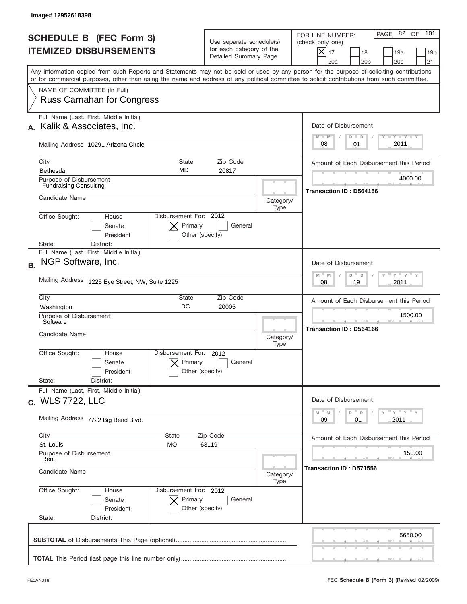|           | Image#12952618398                                                                                                                                                                                                                                                                       |                                                                               |                                                           |                                                                                                                                                           |
|-----------|-----------------------------------------------------------------------------------------------------------------------------------------------------------------------------------------------------------------------------------------------------------------------------------------|-------------------------------------------------------------------------------|-----------------------------------------------------------|-----------------------------------------------------------------------------------------------------------------------------------------------------------|
|           | <b>SCHEDULE B (FEC Form 3)</b><br><b>ITEMIZED DISBURSEMENTS</b>                                                                                                                                                                                                                         | Use separate schedule(s)<br>for each category of the<br>Detailed Summary Page |                                                           | PAGE 82 OF<br>101<br>FOR LINE NUMBER:<br>(check only one)<br>$X _{17}$<br>18<br>19a<br>19 <sub>b</sub><br>20a<br>20 <sub>b</sub><br>20 <sub>c</sub><br>21 |
|           | Any information copied from such Reports and Statements may not be sold or used by any person for the purpose of soliciting contributions<br>or for commercial purposes, other than using the name and address of any political committee to solicit contributions from such committee. |                                                                               |                                                           |                                                                                                                                                           |
|           | NAME OF COMMITTEE (In Full)<br><b>Russ Carnahan for Congress</b>                                                                                                                                                                                                                        |                                                                               |                                                           |                                                                                                                                                           |
|           | Full Name (Last, First, Middle Initial)                                                                                                                                                                                                                                                 |                                                                               |                                                           |                                                                                                                                                           |
|           | Kalik & Associates, Inc.                                                                                                                                                                                                                                                                |                                                                               |                                                           | Date of Disbursement                                                                                                                                      |
|           | Mailing Address 10291 Arizona Circle                                                                                                                                                                                                                                                    |                                                                               | $T - Y$ $T - Y$<br>$M - M$<br>$D$ $D$<br>2011<br>08<br>01 |                                                                                                                                                           |
|           | City<br><b>State</b>                                                                                                                                                                                                                                                                    | Zip Code                                                                      |                                                           | Amount of Each Disbursement this Period                                                                                                                   |
|           | MD<br><b>Bethesda</b>                                                                                                                                                                                                                                                                   | 20817                                                                         |                                                           |                                                                                                                                                           |
|           | Purpose of Disbursement<br><b>Fundraising Consulting</b>                                                                                                                                                                                                                                |                                                                               |                                                           | 4000.00<br>Transaction ID: D564156                                                                                                                        |
|           | Candidate Name                                                                                                                                                                                                                                                                          |                                                                               | Category/<br>Type                                         |                                                                                                                                                           |
|           | Disbursement For: 2012<br>Office Sought:<br>House<br>Primary<br>Senate<br>President<br>Other (specify)<br>State:<br>District:                                                                                                                                                           | General                                                                       |                                                           |                                                                                                                                                           |
| <b>B.</b> | Full Name (Last, First, Middle Initial)<br>NGP Software, Inc.                                                                                                                                                                                                                           |                                                                               |                                                           | Date of Disbursement<br>$\cdots$ $\gamma$ $\cdots$ $\gamma$ $\cdots$<br>$M - M$<br>D<br>D                                                                 |
|           | Mailing Address 1225 Eye Street, NW, Suite 1225                                                                                                                                                                                                                                         |                                                                               |                                                           | 2011<br>08<br>19                                                                                                                                          |
|           | City<br>State<br>DC<br>Washington                                                                                                                                                                                                                                                       | Zip Code<br>20005                                                             |                                                           | Amount of Each Disbursement this Period                                                                                                                   |
|           | Purpose of Disbursement<br>Software                                                                                                                                                                                                                                                     |                                                                               |                                                           | 1500.00                                                                                                                                                   |
|           | Candidate Name                                                                                                                                                                                                                                                                          |                                                                               | Category/<br>Type                                         | Transaction ID: D564166                                                                                                                                   |
|           | Disbursement For:<br>Office Sought:<br>House<br>Primary<br>Senate<br>Other (specify)<br>President<br>State:<br>District:                                                                                                                                                                | 2012<br>General                                                               |                                                           |                                                                                                                                                           |
|           | Full Name (Last, First, Middle Initial)                                                                                                                                                                                                                                                 |                                                                               |                                                           |                                                                                                                                                           |
|           | c. WLS 7722, LLC                                                                                                                                                                                                                                                                        |                                                                               |                                                           | Date of Disbursement                                                                                                                                      |
|           | Mailing Address 7722 Big Bend Blvd.                                                                                                                                                                                                                                                     |                                                                               |                                                           | $\gamma$ $\gamma$ $\gamma$ $\gamma$ $\gamma$<br>M<br>D<br>M<br>D<br>2011<br>09<br>01                                                                      |
|           | City<br>State                                                                                                                                                                                                                                                                           | Zip Code                                                                      |                                                           | Amount of Each Disbursement this Period                                                                                                                   |
|           | St. Louis<br>МO<br>63119<br>Purpose of Disbursement                                                                                                                                                                                                                                     |                                                                               |                                                           | 150.00                                                                                                                                                    |
|           | Rent<br>Candidate Name                                                                                                                                                                                                                                                                  |                                                                               |                                                           | Transaction ID: D571556                                                                                                                                   |
|           | Office Sought:<br>Disbursement For: 2012<br>House<br>Senate<br>Primary<br>President<br>Other (specify)<br>State:<br>District:                                                                                                                                                           | General                                                                       | Type                                                      |                                                                                                                                                           |
|           |                                                                                                                                                                                                                                                                                         |                                                                               |                                                           | 5650.00                                                                                                                                                   |
|           |                                                                                                                                                                                                                                                                                         |                                                                               |                                                           |                                                                                                                                                           |
|           |                                                                                                                                                                                                                                                                                         |                                                                               |                                                           |                                                                                                                                                           |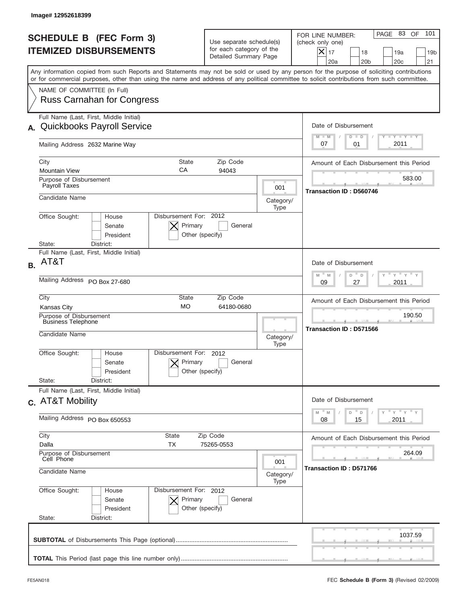|           | Image# 12952618399                                                                                                                                                                                                                                                                      |                                                                               |                         |                                                                                                                                                                     |
|-----------|-----------------------------------------------------------------------------------------------------------------------------------------------------------------------------------------------------------------------------------------------------------------------------------------|-------------------------------------------------------------------------------|-------------------------|---------------------------------------------------------------------------------------------------------------------------------------------------------------------|
|           | <b>SCHEDULE B (FEC Form 3)</b><br><b>ITEMIZED DISBURSEMENTS</b>                                                                                                                                                                                                                         | Use separate schedule(s)<br>for each category of the<br>Detailed Summary Page |                         | 101<br>PAGE 83 OF<br>FOR LINE NUMBER:<br>(check only one)<br>$ \mathsf{X} _{17}$<br>18<br>19a<br>19 <sub>b</sub><br>20a<br>20 <sub>b</sub><br>20 <sub>c</sub><br>21 |
|           | Any information copied from such Reports and Statements may not be sold or used by any person for the purpose of soliciting contributions<br>or for commercial purposes, other than using the name and address of any political committee to solicit contributions from such committee. |                                                                               |                         |                                                                                                                                                                     |
|           | NAME OF COMMITTEE (In Full)<br><b>Russ Carnahan for Congress</b>                                                                                                                                                                                                                        |                                                                               |                         |                                                                                                                                                                     |
|           | Full Name (Last, First, Middle Initial)                                                                                                                                                                                                                                                 |                                                                               |                         |                                                                                                                                                                     |
| А.        | <b>Quickbooks Payroll Service</b>                                                                                                                                                                                                                                                       |                                                                               |                         | Date of Disbursement<br>Y TY TY TY<br>$M - M$<br>$D$ $D$                                                                                                            |
|           | Mailing Address 2632 Marine Way                                                                                                                                                                                                                                                         |                                                                               |                         | 2011<br>07<br>01                                                                                                                                                    |
|           | City<br><b>State</b>                                                                                                                                                                                                                                                                    | Zip Code                                                                      |                         | Amount of Each Disbursement this Period                                                                                                                             |
|           | CA<br><b>Mountain View</b><br>Purpose of Disbursement                                                                                                                                                                                                                                   | 94043                                                                         |                         | 583.00                                                                                                                                                              |
|           | Payroll Taxes                                                                                                                                                                                                                                                                           |                                                                               | 001                     | Transaction ID: D560746                                                                                                                                             |
|           | Candidate Name                                                                                                                                                                                                                                                                          |                                                                               | Category/<br>Type       |                                                                                                                                                                     |
|           | Disbursement For: 2012<br>Office Sought:<br>House<br>Primary<br>Senate<br>President<br>Other (specify)<br>State:<br>District:                                                                                                                                                           | General                                                                       |                         |                                                                                                                                                                     |
|           | Full Name (Last, First, Middle Initial)                                                                                                                                                                                                                                                 |                                                                               |                         |                                                                                                                                                                     |
| <b>B.</b> | AT&T                                                                                                                                                                                                                                                                                    |                                                                               |                         | Date of Disbursement                                                                                                                                                |
|           | Mailing Address PO Box 27-680                                                                                                                                                                                                                                                           |                                                                               |                         | $-\gamma + \gamma +$<br>$M - M$<br>D<br>D<br>2011<br>09<br>27                                                                                                       |
|           | City<br>State<br><b>MO</b>                                                                                                                                                                                                                                                              | Zip Code                                                                      |                         | Amount of Each Disbursement this Period                                                                                                                             |
|           | 64180-0680<br><b>Kansas City</b><br>Purpose of Disbursement                                                                                                                                                                                                                             |                                                                               |                         | 190.50                                                                                                                                                              |
|           | <b>Business Telephone</b><br>Candidate Name                                                                                                                                                                                                                                             | Category/<br>Type                                                             | Transaction ID: D571566 |                                                                                                                                                                     |
|           | Disbursement For:<br>Office Sought:<br>House<br>Primary<br>Senate<br>Other (specify)<br>President<br>State:<br>District:                                                                                                                                                                | 2012<br>General                                                               |                         |                                                                                                                                                                     |
|           | Full Name (Last, First, Middle Initial)<br>c. AT&T Mobility                                                                                                                                                                                                                             |                                                                               |                         | Date of Disbursement                                                                                                                                                |
|           | Mailing Address PO Box 650553                                                                                                                                                                                                                                                           |                                                                               |                         | $Y$ $Y$ $Y$ $Y$ $Y$<br>$-M$<br>$\mathbb M$<br>D<br>D<br>2011<br>08<br>15                                                                                            |
|           | City<br>State                                                                                                                                                                                                                                                                           | Zip Code                                                                      |                         | Amount of Each Disbursement this Period                                                                                                                             |
|           | Dalla<br>TX<br>75265-0553<br>Purpose of Disbursement<br>Cell Phone                                                                                                                                                                                                                      |                                                                               |                         | 264.09                                                                                                                                                              |
|           | Candidate Name                                                                                                                                                                                                                                                                          |                                                                               |                         | Transaction ID: D571766                                                                                                                                             |
|           | Office Sought:<br>Disbursement For: 2012<br>House<br>Senate<br>Primary<br>President<br>Other (specify)<br>State:<br>District:                                                                                                                                                           | General                                                                       | Type                    |                                                                                                                                                                     |
|           |                                                                                                                                                                                                                                                                                         |                                                                               |                         | 1037.59                                                                                                                                                             |
|           |                                                                                                                                                                                                                                                                                         |                                                                               |                         |                                                                                                                                                                     |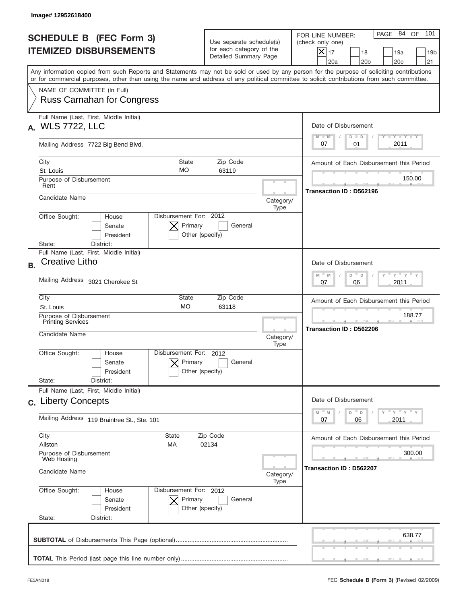| Image# 12952618400                                                                                                                                                                                                                                                                      |                                                                               |                   |                                                                                                                                                         |
|-----------------------------------------------------------------------------------------------------------------------------------------------------------------------------------------------------------------------------------------------------------------------------------------|-------------------------------------------------------------------------------|-------------------|---------------------------------------------------------------------------------------------------------------------------------------------------------|
| <b>SCHEDULE B (FEC Form 3)</b><br><b>ITEMIZED DISBURSEMENTS</b>                                                                                                                                                                                                                         | Use separate schedule(s)<br>for each category of the<br>Detailed Summary Page |                   | PAGE 84 OF<br>101<br>FOR LINE NUMBER:<br>(check only one)<br>$ \mathsf{X} _{17}$<br>18<br>19a<br>19 <sub>b</sub><br>20a<br>20 <sub>b</sub><br>20c<br>21 |
| Any information copied from such Reports and Statements may not be sold or used by any person for the purpose of soliciting contributions<br>or for commercial purposes, other than using the name and address of any political committee to solicit contributions from such committee. |                                                                               |                   |                                                                                                                                                         |
| NAME OF COMMITTEE (In Full)<br><b>Russ Carnahan for Congress</b>                                                                                                                                                                                                                        |                                                                               |                   |                                                                                                                                                         |
| Full Name (Last, First, Middle Initial)<br><b>WLS 7722, LLC</b><br>А.                                                                                                                                                                                                                   |                                                                               |                   | Date of Disbursement<br>Y TY TY TY                                                                                                                      |
| Mailing Address 7722 Big Bend Blvd.                                                                                                                                                                                                                                                     |                                                                               |                   | $M - M$<br>$D$ $D$<br>2011<br>07<br>01                                                                                                                  |
| City<br><b>State</b><br>MO<br>St. Louis                                                                                                                                                                                                                                                 | Zip Code<br>63119                                                             |                   | Amount of Each Disbursement this Period                                                                                                                 |
| Purpose of Disbursement<br>Rent                                                                                                                                                                                                                                                         |                                                                               |                   | 150.00<br>Transaction ID: D562196                                                                                                                       |
| Candidate Name                                                                                                                                                                                                                                                                          |                                                                               | Category/<br>Type |                                                                                                                                                         |
| Disbursement For: 2012<br>Office Sought:<br>House<br>Primary<br>Senate<br>President<br>State:<br>District:                                                                                                                                                                              | General<br>Other (specify)                                                    |                   |                                                                                                                                                         |
| Full Name (Last, First, Middle Initial)<br>Creative Litho<br><b>B.</b>                                                                                                                                                                                                                  |                                                                               |                   | Date of Disbursement<br>$Y$ $Y$ $Y$ $Y$<br>$M - M$<br>D<br>$\mathsf D$                                                                                  |
| Mailing Address 3021 Cherokee St                                                                                                                                                                                                                                                        |                                                                               |                   | 2011<br>07<br>06                                                                                                                                        |
| City<br>State<br><b>MO</b><br>St. Louis                                                                                                                                                                                                                                                 | Zip Code<br>63118                                                             |                   | Amount of Each Disbursement this Period<br>188.77                                                                                                       |
| Purpose of Disbursement<br><b>Printing Services</b><br>Candidate Name                                                                                                                                                                                                                   |                                                                               | Category/<br>Type | Transaction ID: D562206                                                                                                                                 |
| Disbursement For:<br>Office Sought:<br>House<br>Primary<br>Senate<br>President<br>State:<br>District:                                                                                                                                                                                   | 2012<br>General<br>Other (specify)                                            |                   |                                                                                                                                                         |
| Full Name (Last, First, Middle Initial)<br>c. Liberty Concepts                                                                                                                                                                                                                          |                                                                               |                   | Date of Disbursement                                                                                                                                    |
| Mailing Address 119 Braintree St., Ste. 101                                                                                                                                                                                                                                             |                                                                               |                   | $\overline{Y}$ $\overline{Y}$ $\overline{Y}$ $\overline{Y}$ $\overline{Y}$<br>M<br>D<br>M<br>D<br>2011<br>07<br>06                                      |
| City<br>State<br>Allston<br>МA                                                                                                                                                                                                                                                          | Zip Code<br>02134                                                             |                   |                                                                                                                                                         |
| Purpose of Disbursement<br>Web Hosting<br>Candidate Name                                                                                                                                                                                                                                |                                                                               | Category/<br>Type | 300.00<br>Transaction ID: D562207                                                                                                                       |
| Office Sought:<br>Disbursement For: 2012<br>House<br>Senate<br>Primary<br>President<br>State:<br>District:                                                                                                                                                                              | General<br>Other (specify)                                                    |                   |                                                                                                                                                         |
|                                                                                                                                                                                                                                                                                         |                                                                               |                   | 638.77                                                                                                                                                  |
|                                                                                                                                                                                                                                                                                         |                                                                               |                   |                                                                                                                                                         |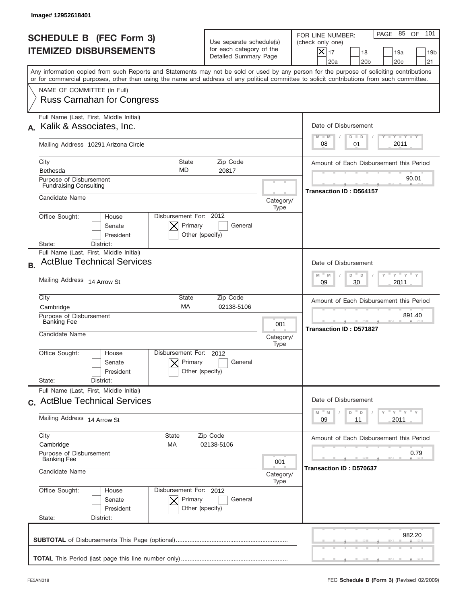|           | Image# 12952618401                                                                                                                                                                                                                                                                      |                                                                               |                   |                                                                                                                                                                   |
|-----------|-----------------------------------------------------------------------------------------------------------------------------------------------------------------------------------------------------------------------------------------------------------------------------------------|-------------------------------------------------------------------------------|-------------------|-------------------------------------------------------------------------------------------------------------------------------------------------------------------|
|           | <b>SCHEDULE B (FEC Form 3)</b><br><b>ITEMIZED DISBURSEMENTS</b>                                                                                                                                                                                                                         | Use separate schedule(s)<br>for each category of the<br>Detailed Summary Page |                   | 101<br>PAGE 85<br>OF<br>FOR LINE NUMBER:<br>(check only one)<br>$\times$<br>17<br>18<br>19a<br>19 <sub>b</sub><br>20a<br>20 <sub>b</sub><br>20 <sub>c</sub><br>21 |
|           | Any information copied from such Reports and Statements may not be sold or used by any person for the purpose of soliciting contributions<br>or for commercial purposes, other than using the name and address of any political committee to solicit contributions from such committee. |                                                                               |                   |                                                                                                                                                                   |
|           | NAME OF COMMITTEE (In Full)<br><b>Russ Carnahan for Congress</b>                                                                                                                                                                                                                        |                                                                               |                   |                                                                                                                                                                   |
|           | Full Name (Last, First, Middle Initial)<br>Kalik & Associates, Inc.                                                                                                                                                                                                                     |                                                                               |                   | Date of Disbursement<br><b>LYLYLY</b><br>$M - M$<br>$D$ $D$                                                                                                       |
|           | Mailing Address 10291 Arizona Circle                                                                                                                                                                                                                                                    |                                                                               |                   | 2011<br>08<br>01                                                                                                                                                  |
|           | City<br><b>State</b><br><b>MD</b><br>Bethesda                                                                                                                                                                                                                                           | Zip Code<br>20817                                                             |                   | Amount of Each Disbursement this Period                                                                                                                           |
|           | Purpose of Disbursement<br><b>Fundraising Consulting</b>                                                                                                                                                                                                                                |                                                                               |                   | 90.01<br><b>Transaction ID: D564157</b>                                                                                                                           |
|           | Candidate Name                                                                                                                                                                                                                                                                          |                                                                               | Category/<br>Type |                                                                                                                                                                   |
|           | Disbursement For: 2012<br>Office Sought:<br>House<br>Primary<br>Senate<br>President<br>Other (specify)<br>State:<br>District:                                                                                                                                                           |                                                                               |                   |                                                                                                                                                                   |
| <b>B.</b> | Full Name (Last, First, Middle Initial)<br><b>ActBlue Technical Services</b>                                                                                                                                                                                                            |                                                                               |                   | Date of Disbursement<br>$Y = Y$                                                                                                                                   |
|           | Mailing Address 14 Arrow St                                                                                                                                                                                                                                                             | $M - M$<br>D<br>D<br>2011<br>09<br>30                                         |                   |                                                                                                                                                                   |
|           | City<br>State<br>Zip Code<br>MA<br>02138-5106<br>Cambridge                                                                                                                                                                                                                              |                                                                               |                   | Amount of Each Disbursement this Period                                                                                                                           |
|           | Purpose of Disbursement<br><b>Banking Fee</b><br>Candidate Name                                                                                                                                                                                                                         |                                                                               |                   | 891.40<br><b>Transaction ID: D571827</b>                                                                                                                          |
|           |                                                                                                                                                                                                                                                                                         |                                                                               |                   |                                                                                                                                                                   |
|           | Disbursement For: 2012<br>Office Sought:<br>House<br>Primary<br>Senate<br>Other (specify)<br>President                                                                                                                                                                                  | General                                                                       |                   |                                                                                                                                                                   |
|           | State:<br>District:<br>Full Name (Last, First, Middle Initial)                                                                                                                                                                                                                          |                                                                               |                   |                                                                                                                                                                   |
|           | c. ActBlue Technical Services                                                                                                                                                                                                                                                           |                                                                               |                   | Date of Disbursement                                                                                                                                              |
|           | Mailing Address 14 Arrow St                                                                                                                                                                                                                                                             | ≡ γ ≡ γ ≡ γ<br>M<br>M<br>D<br>D<br>2011<br>09<br>11                           |                   |                                                                                                                                                                   |
|           | City<br>State<br>Cambridge<br>МA                                                                                                                                                                                                                                                        | Zip Code<br>02138-5106                                                        |                   | Amount of Each Disbursement this Period                                                                                                                           |
|           | Purpose of Disbursement<br><b>Banking Fee</b>                                                                                                                                                                                                                                           |                                                                               |                   | 0.79<br>Transaction ID: D570637                                                                                                                                   |
|           | Candidate Name<br>Category/<br>Type                                                                                                                                                                                                                                                     |                                                                               |                   |                                                                                                                                                                   |
|           | Office Sought:<br>Disbursement For: 2012<br>House<br>Primary<br>General<br>Senate<br>President<br>Other (specify)<br>State:<br>District:                                                                                                                                                |                                                                               |                   |                                                                                                                                                                   |
|           |                                                                                                                                                                                                                                                                                         |                                                                               |                   | 982.20                                                                                                                                                            |
|           |                                                                                                                                                                                                                                                                                         |                                                                               |                   |                                                                                                                                                                   |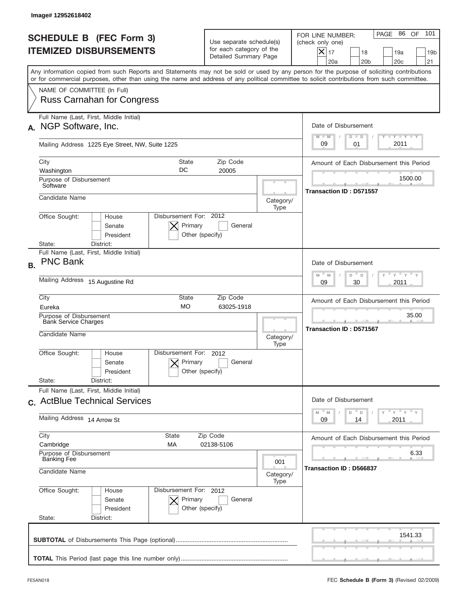|                | Image# 12952618402                                                       |                                                                  |                                                      |                                                                               |                                         |                                                                                                                                                                                                                                                                                         |
|----------------|--------------------------------------------------------------------------|------------------------------------------------------------------|------------------------------------------------------|-------------------------------------------------------------------------------|-----------------------------------------|-----------------------------------------------------------------------------------------------------------------------------------------------------------------------------------------------------------------------------------------------------------------------------------------|
|                |                                                                          | <b>SCHEDULE B (FEC Form 3)</b><br><b>ITEMIZED DISBURSEMENTS</b>  |                                                      | Use separate schedule(s)<br>for each category of the<br>Detailed Summary Page |                                         | 101<br>PAGE 86 OF<br>FOR LINE NUMBER:<br>(check only one)<br>$ \mathsf{X} _{17}$<br>18<br>19a<br>19 <sub>b</sub><br>20a<br>20 <sub>b</sub><br>20 <sub>c</sub><br>21                                                                                                                     |
|                |                                                                          |                                                                  |                                                      |                                                                               |                                         | Any information copied from such Reports and Statements may not be sold or used by any person for the purpose of soliciting contributions<br>or for commercial purposes, other than using the name and address of any political committee to solicit contributions from such committee. |
|                |                                                                          | NAME OF COMMITTEE (In Full)<br><b>Russ Carnahan for Congress</b> |                                                      |                                                                               |                                         |                                                                                                                                                                                                                                                                                         |
|                | NGP Software, Inc.                                                       | Full Name (Last, First, Middle Initial)                          |                                                      |                                                                               |                                         | Date of Disbursement                                                                                                                                                                                                                                                                    |
|                |                                                                          | Mailing Address 1225 Eye Street, NW, Suite 1225                  |                                                      |                                                                               |                                         | Y TY TY TY<br>$M - M$<br>$D$ $D$<br>2011<br>09<br>01                                                                                                                                                                                                                                    |
|                | City<br><b>State</b><br>Zip Code<br>DC<br>20005<br>Washington            |                                                                  |                                                      |                                                                               | Amount of Each Disbursement this Period |                                                                                                                                                                                                                                                                                         |
|                | Purpose of Disbursement<br>Software                                      |                                                                  |                                                      |                                                                               |                                         | 1500.00                                                                                                                                                                                                                                                                                 |
|                | Candidate Name                                                           |                                                                  |                                                      |                                                                               | Category/<br>Type                       | <b>Transaction ID: D571557</b>                                                                                                                                                                                                                                                          |
| State:         | Office Sought:                                                           | House<br>Senate<br>President<br>District:                        | Disbursement For: 2012<br>Primary<br>Other (specify) | General                                                                       |                                         |                                                                                                                                                                                                                                                                                         |
| <b>B.</b>      | <b>PNC Bank</b>                                                          | Full Name (Last, First, Middle Initial)                          |                                                      |                                                                               |                                         | Date of Disbursement<br>$-\gamma + \gamma +$<br>$M - M$<br>D<br>D                                                                                                                                                                                                                       |
|                | Mailing Address 15 Augustine Rd                                          |                                                                  |                                                      |                                                                               | 2011<br>09<br>30                        |                                                                                                                                                                                                                                                                                         |
| City<br>Eureka |                                                                          |                                                                  | State<br><b>MO</b>                                   | Zip Code<br>63025-1918                                                        |                                         | Amount of Each Disbursement this Period                                                                                                                                                                                                                                                 |
|                | Purpose of Disbursement<br><b>Bank Service Charges</b><br>Candidate Name |                                                                  |                                                      |                                                                               | Category/<br>Type                       | 35.00<br><b>Transaction ID: D571567</b>                                                                                                                                                                                                                                                 |
|                | Office Sought:                                                           | House<br>Senate<br>President                                     | Disbursement For:<br>Primary<br>Other (specify)      | 2012<br>General                                                               |                                         |                                                                                                                                                                                                                                                                                         |
| State:         |                                                                          | District:<br>Full Name (Last, First, Middle Initial)             |                                                      |                                                                               |                                         |                                                                                                                                                                                                                                                                                         |
|                |                                                                          | c. ActBlue Technical Services                                    |                                                      |                                                                               |                                         | Date of Disbursement<br>$\gamma$ = $\gamma$ = $\gamma$ = $\gamma$<br>$\mathbb M$<br>D<br>M<br>D                                                                                                                                                                                         |
|                | Mailing Address 14 Arrow St                                              |                                                                  |                                                      |                                                                               |                                         | 2011<br>09<br>14                                                                                                                                                                                                                                                                        |
| City           | Cambridge                                                                |                                                                  | State<br>МA                                          | Zip Code<br>02138-5106                                                        |                                         | Amount of Each Disbursement this Period<br>6.33                                                                                                                                                                                                                                         |
|                | Purpose of Disbursement<br><b>Banking Fee</b><br>Candidate Name          |                                                                  |                                                      | 001<br>Category/<br>Type                                                      | Transaction ID: D566837                 |                                                                                                                                                                                                                                                                                         |
| State:         | Office Sought:                                                           | House<br>Senate<br>President<br>District:                        | Disbursement For: 2012<br>Primary<br>Other (specify) | General                                                                       |                                         |                                                                                                                                                                                                                                                                                         |
|                |                                                                          |                                                                  |                                                      |                                                                               |                                         | 1541.33                                                                                                                                                                                                                                                                                 |
|                |                                                                          |                                                                  |                                                      |                                                                               |                                         |                                                                                                                                                                                                                                                                                         |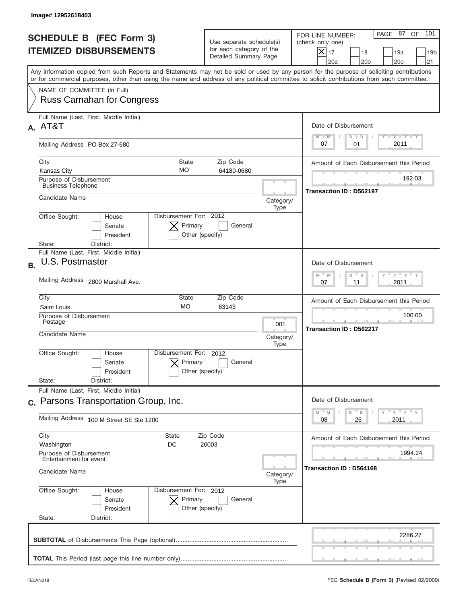|           | Image# 12952618403                                                                                                                                                                                                                                                                      |                                                                                            |                          |                                                                                                                                                              |
|-----------|-----------------------------------------------------------------------------------------------------------------------------------------------------------------------------------------------------------------------------------------------------------------------------------------|--------------------------------------------------------------------------------------------|--------------------------|--------------------------------------------------------------------------------------------------------------------------------------------------------------|
|           | <b>SCHEDULE B (FEC Form 3)</b><br><b>ITEMIZED DISBURSEMENTS</b>                                                                                                                                                                                                                         | Use separate schedule(s)<br>for each category of the<br>Detailed Summary Page              |                          | 101<br>PAGE 87<br>OF<br>FOR LINE NUMBER:<br>(check only one)<br>$X _{17}$<br>18<br>19a<br>19 <sub>b</sub><br>20a<br>20 <sub>b</sub><br>20 <sub>c</sub><br>21 |
|           | Any information copied from such Reports and Statements may not be sold or used by any person for the purpose of soliciting contributions<br>or for commercial purposes, other than using the name and address of any political committee to solicit contributions from such committee. |                                                                                            |                          |                                                                                                                                                              |
|           | NAME OF COMMITTEE (In Full)<br><b>Russ Carnahan for Congress</b>                                                                                                                                                                                                                        |                                                                                            |                          |                                                                                                                                                              |
|           | Full Name (Last, First, Middle Initial)<br>A. AT&T                                                                                                                                                                                                                                      |                                                                                            |                          | Date of Disbursement<br>$T - Y$ $T - Y$<br>$M - M$<br>$D$ $D$                                                                                                |
|           | Mailing Address PO Box 27-680                                                                                                                                                                                                                                                           |                                                                                            |                          | 2011<br>07<br>01                                                                                                                                             |
|           | City<br><b>State</b><br>MO<br><b>Kansas City</b>                                                                                                                                                                                                                                        | Zip Code<br>64180-0680                                                                     |                          | Amount of Each Disbursement this Period                                                                                                                      |
|           | Purpose of Disbursement<br><b>Business Telephone</b>                                                                                                                                                                                                                                    |                                                                                            |                          | 192.03<br><b>Transaction ID: D562197</b>                                                                                                                     |
|           | Candidate Name                                                                                                                                                                                                                                                                          |                                                                                            | Category/<br>Type        |                                                                                                                                                              |
|           | Disbursement For: 2012<br>Office Sought:<br>House<br>Primary<br>Senate<br>Other (specify)<br>President<br>State:<br>District:                                                                                                                                                           | General                                                                                    |                          |                                                                                                                                                              |
| <b>B.</b> | Full Name (Last, First, Middle Initial)<br>U.S. Postmaster                                                                                                                                                                                                                              |                                                                                            |                          | Date of Disbursement                                                                                                                                         |
|           | Mailing Address 2800 Marshall Ave.                                                                                                                                                                                                                                                      | $\cdots$ $\gamma$ $\cdots$ $\gamma$ $\cdots$<br>$M - M$<br>D<br>$\Box$<br>2011<br>07<br>11 |                          |                                                                                                                                                              |
|           | City<br>State<br>Zip Code<br><b>MO</b><br>63143<br>Saint Louis                                                                                                                                                                                                                          |                                                                                            |                          | Amount of Each Disbursement this Period                                                                                                                      |
|           | Purpose of Disbursement<br>Postage<br>Candidate Name                                                                                                                                                                                                                                    |                                                                                            | 001<br>Category/<br>Type | 100.00<br>Transaction ID: D562217                                                                                                                            |
|           | Disbursement For: 2012<br>Office Sought:<br>House<br>Primary<br>Senate<br>Other (specify)<br>President<br>State:<br>District:                                                                                                                                                           | General                                                                                    |                          |                                                                                                                                                              |
|           | Full Name (Last, First, Middle Initial)                                                                                                                                                                                                                                                 |                                                                                            |                          |                                                                                                                                                              |
|           | c. Parsons Transportation Group, Inc.<br>Mailing Address 100 M Street SE Ste 1200                                                                                                                                                                                                       |                                                                                            |                          | Date of Disbursement<br>≡ γ ≡ γ ≡ γ<br>M<br>M<br>D<br>D<br>2011<br>08<br>26                                                                                  |
|           | City<br>State<br>Washington<br>DC                                                                                                                                                                                                                                                       | Zip Code<br>20003                                                                          |                          | Amount of Each Disbursement this Period                                                                                                                      |
|           | Purpose of Disbursement<br>Entertainment for event<br>Candidate Name                                                                                                                                                                                                                    |                                                                                            |                          | 1994.24<br>Transaction ID: D564168                                                                                                                           |
|           | Office Sought:<br>Disbursement For: 2012<br>House<br>Senate<br>Primary<br>President<br>Other (specify)<br>State:<br>District:                                                                                                                                                           | General                                                                                    | Type                     |                                                                                                                                                              |
|           |                                                                                                                                                                                                                                                                                         |                                                                                            |                          | 2286.27                                                                                                                                                      |
|           |                                                                                                                                                                                                                                                                                         |                                                                                            |                          |                                                                                                                                                              |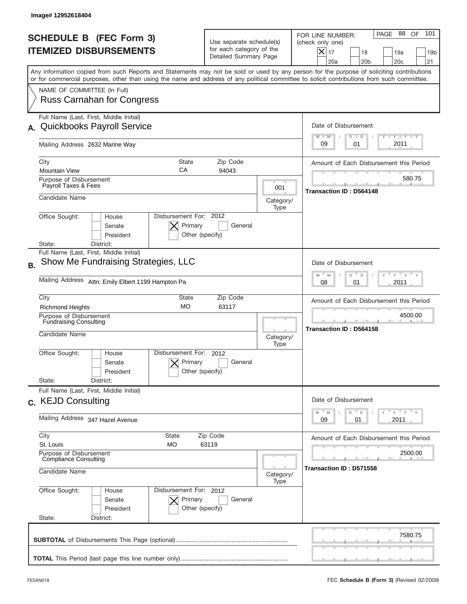| Image# 12952618404                                                                                                                                                                                                                                                                      |                                                                               |                   |                                                                                                                                                                             |
|-----------------------------------------------------------------------------------------------------------------------------------------------------------------------------------------------------------------------------------------------------------------------------------------|-------------------------------------------------------------------------------|-------------------|-----------------------------------------------------------------------------------------------------------------------------------------------------------------------------|
| <b>SCHEDULE B (FEC Form 3)</b><br><b>ITEMIZED DISBURSEMENTS</b>                                                                                                                                                                                                                         | Use separate schedule(s)<br>for each category of the<br>Detailed Summary Page |                   | PAGE 88 OF<br>101<br>FOR LINE NUMBER:<br>(check only one)<br>$\boldsymbol{\times}$<br>17<br>18<br>19a<br>19 <sub>b</sub><br>20a<br>20 <sub>b</sub><br>20 <sub>c</sub><br>21 |
| Any information copied from such Reports and Statements may not be sold or used by any person for the purpose of soliciting contributions<br>or for commercial purposes, other than using the name and address of any political committee to solicit contributions from such committee. |                                                                               |                   |                                                                                                                                                                             |
| NAME OF COMMITTEE (In Full)<br><b>Russ Carnahan for Congress</b>                                                                                                                                                                                                                        |                                                                               |                   |                                                                                                                                                                             |
| Full Name (Last, First, Middle Initial)<br><b>Quickbooks Payroll Service</b>                                                                                                                                                                                                            |                                                                               |                   | Date of Disbursement<br>$T - Y$ $T - Y$<br>$M - M$<br>$D$ $D$                                                                                                               |
| Mailing Address 2632 Marine Way                                                                                                                                                                                                                                                         |                                                                               |                   | 2011<br>09<br>01                                                                                                                                                            |
| City<br><b>State</b><br>CA<br><b>Mountain View</b>                                                                                                                                                                                                                                      | Zip Code<br>94043                                                             |                   | Amount of Each Disbursement this Period                                                                                                                                     |
| Purpose of Disbursement<br>Payroll Taxes & Fees                                                                                                                                                                                                                                         |                                                                               | 001               | 580.75<br><b>Transaction ID: D564148</b>                                                                                                                                    |
| Candidate Name                                                                                                                                                                                                                                                                          |                                                                               | Category/<br>Type |                                                                                                                                                                             |
| Disbursement For: 2012<br>Office Sought:<br>House<br>Primary<br>Senate<br>President<br>State:<br>District:                                                                                                                                                                              | General<br>Other (specify)                                                    |                   |                                                                                                                                                                             |
| Full Name (Last, First, Middle Initial)<br>Show Me Fundraising Strategies, LLC<br><b>B.</b>                                                                                                                                                                                             |                                                                               |                   | Date of Disbursement<br>$-\gamma + \gamma$<br>$M - M$<br>D<br>D                                                                                                             |
| <b>Mailing Address</b><br>Attn: Emily Elbert 1199 Hampton Pa                                                                                                                                                                                                                            |                                                                               |                   | 2011<br>08<br>01                                                                                                                                                            |
| City<br>State<br><b>MO</b><br><b>Richmond Heights</b>                                                                                                                                                                                                                                   | Zip Code<br>63117                                                             |                   | Amount of Each Disbursement this Period                                                                                                                                     |
| <b>Purpose of Disbursement</b><br>Fundraising Consulting<br>Candidate Name                                                                                                                                                                                                              |                                                                               | Category/<br>Type | 4500.00<br><b>Transaction ID: D564158</b>                                                                                                                                   |
| Disbursement For:<br>Office Sought:<br>House<br>Primary<br>Senate<br>President                                                                                                                                                                                                          | 2012<br>General<br>Other (specify)                                            |                   |                                                                                                                                                                             |
| State:<br>District:<br>Full Name (Last, First, Middle Initial)<br>c. KEJD Consulting                                                                                                                                                                                                    |                                                                               |                   | Date of Disbursement                                                                                                                                                        |
| Mailing Address 347 Hazel Avenue                                                                                                                                                                                                                                                        |                                                                               |                   |                                                                                                                                                                             |
| City<br>State<br>St. Louis<br>МO                                                                                                                                                                                                                                                        | Zip Code<br>63119                                                             |                   | Amount of Each Disbursement this Period                                                                                                                                     |
| Purpose of Disbursement<br><b>Compliance Consulting</b><br>Candidate Name                                                                                                                                                                                                               |                                                                               | Category/         | 2500.00<br>Transaction ID : D571558                                                                                                                                         |
| Office Sought:<br>Disbursement For: 2012<br>House<br>Primary<br>Senate<br>President<br>State:<br>District:                                                                                                                                                                              | General<br>Other (specify)                                                    | Type              |                                                                                                                                                                             |
|                                                                                                                                                                                                                                                                                         |                                                                               |                   | 7580.75                                                                                                                                                                     |
|                                                                                                                                                                                                                                                                                         |                                                                               |                   |                                                                                                                                                                             |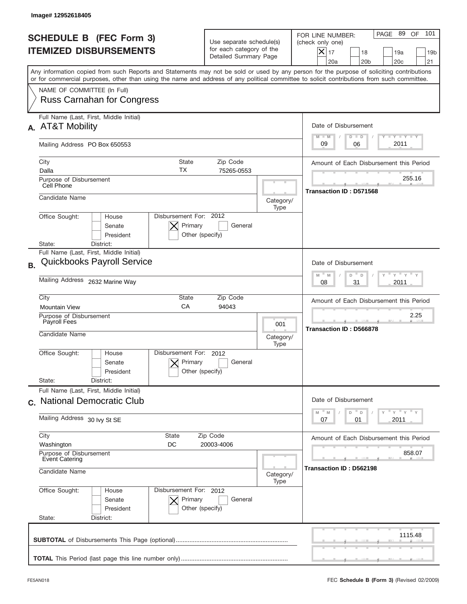|           | Image# 12952618405                                                                                                                                                                                                                                                                      |                                                                               |                   |                                                                                                                                                              |
|-----------|-----------------------------------------------------------------------------------------------------------------------------------------------------------------------------------------------------------------------------------------------------------------------------------------|-------------------------------------------------------------------------------|-------------------|--------------------------------------------------------------------------------------------------------------------------------------------------------------|
|           | <b>SCHEDULE B</b> (FEC Form 3)<br><b>ITEMIZED DISBURSEMENTS</b>                                                                                                                                                                                                                         | Use separate schedule(s)<br>for each category of the<br>Detailed Summary Page |                   | 101<br>PAGE 89<br>OF<br>FOR LINE NUMBER:<br>(check only one)<br>$X _{17}$<br>18<br>19a<br>19 <sub>b</sub><br>20a<br>20 <sub>b</sub><br>20 <sub>c</sub><br>21 |
|           | Any information copied from such Reports and Statements may not be sold or used by any person for the purpose of soliciting contributions<br>or for commercial purposes, other than using the name and address of any political committee to solicit contributions from such committee. |                                                                               |                   |                                                                                                                                                              |
|           | NAME OF COMMITTEE (In Full)<br><b>Russ Carnahan for Congress</b>                                                                                                                                                                                                                        |                                                                               |                   |                                                                                                                                                              |
| А.        | Full Name (Last, First, Middle Initial)<br><b>AT&amp;T Mobility</b>                                                                                                                                                                                                                     |                                                                               |                   | Date of Disbursement<br>$T - Y$ $T - Y$<br>$M - M$<br>$D$ $D$                                                                                                |
|           | Mailing Address PO Box 650553                                                                                                                                                                                                                                                           |                                                                               |                   | 2011<br>09<br>06                                                                                                                                             |
|           | <b>State</b><br>City<br><b>TX</b><br>Dalla                                                                                                                                                                                                                                              | Amount of Each Disbursement this Period                                       |                   |                                                                                                                                                              |
|           | Purpose of Disbursement<br>Cell Phone                                                                                                                                                                                                                                                   | 75265-0553                                                                    |                   | 255.16                                                                                                                                                       |
|           | Candidate Name                                                                                                                                                                                                                                                                          |                                                                               | Category/<br>Type | Transaction ID: D571568                                                                                                                                      |
|           | Disbursement For: 2012<br>Office Sought:<br>House<br>Primary<br>Senate<br>Other (specify)<br>President<br>District:<br>State:                                                                                                                                                           | General                                                                       |                   |                                                                                                                                                              |
| <b>B.</b> | Full Name (Last, First, Middle Initial)<br><b>Quickbooks Payroll Service</b>                                                                                                                                                                                                            |                                                                               |                   | Date of Disbursement                                                                                                                                         |
|           | Mailing Address 2632 Marine Way                                                                                                                                                                                                                                                         | $M - M$<br>≡ γ ≡ γ =<br>D<br>D<br>31<br>2011<br>08                            |                   |                                                                                                                                                              |
|           | City<br>State<br>Zip Code<br>CA<br><b>Mountain View</b><br>94043                                                                                                                                                                                                                        |                                                                               |                   | Amount of Each Disbursement this Period                                                                                                                      |
|           | Purpose of Disbursement<br>Payroll Fees<br>Candidate Name                                                                                                                                                                                                                               |                                                                               | 001<br>Category/  | 2.25<br><b>Transaction ID: D566878</b>                                                                                                                       |
|           | Disbursement For:<br>Office Sought:<br>House<br>Primary<br>Senate<br>Other (specify)<br>President<br>State:<br>District:                                                                                                                                                                | 2012<br>General                                                               | Type              |                                                                                                                                                              |
|           | Full Name (Last, First, Middle Initial)<br>c. National Democratic Club                                                                                                                                                                                                                  |                                                                               |                   | Date of Disbursement                                                                                                                                         |
|           | Mailing Address 30 lvy St SE                                                                                                                                                                                                                                                            |                                                                               |                   | ≡ γ ≡ γ ≡ γ<br>M<br>D<br>M<br>D<br>2011<br>07<br>01                                                                                                          |
|           | City<br>State<br>Zip Code<br>Washington<br>DC<br>20003-4006<br>Purpose of Disbursement<br><b>Event Catering</b>                                                                                                                                                                         |                                                                               |                   | Amount of Each Disbursement this Period<br>858.07                                                                                                            |
|           | Candidate Name<br>Category/<br>Type                                                                                                                                                                                                                                                     |                                                                               |                   | Transaction ID: D562198                                                                                                                                      |
|           | Office Sought:<br>Disbursement For: 2012<br>House<br>Senate<br>Primary<br>President<br>Other (specify)<br>State:<br>District:                                                                                                                                                           | General                                                                       |                   |                                                                                                                                                              |
|           |                                                                                                                                                                                                                                                                                         |                                                                               |                   | 1115.48                                                                                                                                                      |
|           |                                                                                                                                                                                                                                                                                         |                                                                               |                   |                                                                                                                                                              |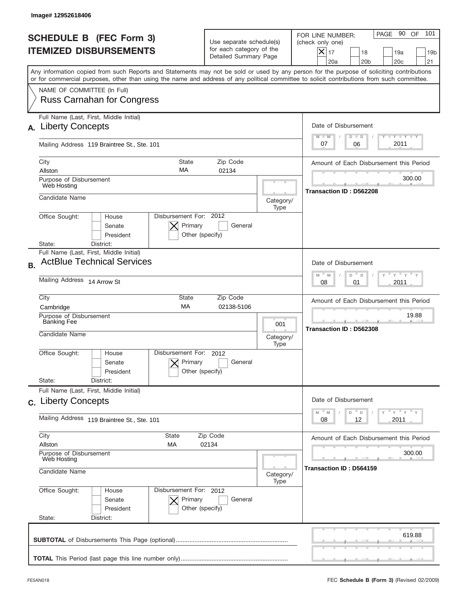|           | Image# 12952618406                                                                                                                                                                                                                                                                      |                                                                               |                                                                                        |                                                                                                                                                                     |
|-----------|-----------------------------------------------------------------------------------------------------------------------------------------------------------------------------------------------------------------------------------------------------------------------------------------|-------------------------------------------------------------------------------|----------------------------------------------------------------------------------------|---------------------------------------------------------------------------------------------------------------------------------------------------------------------|
|           | <b>SCHEDULE B (FEC Form 3)</b><br><b>ITEMIZED DISBURSEMENTS</b>                                                                                                                                                                                                                         | Use separate schedule(s)<br>for each category of the<br>Detailed Summary Page |                                                                                        | PAGE 90 OF<br>101<br>FOR LINE NUMBER:<br>(check only one)<br>$ \mathsf{X} _{17}$<br>18<br>19a<br>19 <sub>b</sub><br>20a<br>20 <sub>b</sub><br>20 <sub>c</sub><br>21 |
|           | Any information copied from such Reports and Statements may not be sold or used by any person for the purpose of soliciting contributions<br>or for commercial purposes, other than using the name and address of any political committee to solicit contributions from such committee. |                                                                               |                                                                                        |                                                                                                                                                                     |
|           | NAME OF COMMITTEE (In Full)<br><b>Russ Carnahan for Congress</b>                                                                                                                                                                                                                        |                                                                               |                                                                                        |                                                                                                                                                                     |
| А.        | Full Name (Last, First, Middle Initial)<br><b>Liberty Concepts</b>                                                                                                                                                                                                                      |                                                                               |                                                                                        | Date of Disbursement<br>Y TY TY TY<br>$M - M$<br>$D$ $D$                                                                                                            |
|           | Mailing Address 119 Braintree St., Ste. 101                                                                                                                                                                                                                                             |                                                                               |                                                                                        | 2011<br>07<br>06                                                                                                                                                    |
|           | City<br><b>State</b><br>МA<br>Allston                                                                                                                                                                                                                                                   | Zip Code<br>02134                                                             |                                                                                        | Amount of Each Disbursement this Period                                                                                                                             |
|           | Purpose of Disbursement<br>Web Hosting                                                                                                                                                                                                                                                  |                                                                               |                                                                                        | 300.00                                                                                                                                                              |
|           | Candidate Name                                                                                                                                                                                                                                                                          |                                                                               | Category/<br>Type                                                                      | Transaction ID: D562208                                                                                                                                             |
|           | Disbursement For: 2012<br>Office Sought:<br>House<br>Primary<br>Senate<br>President<br>Other (specify)<br>State:<br>District:                                                                                                                                                           | General                                                                       |                                                                                        |                                                                                                                                                                     |
| <b>B.</b> | Full Name (Last, First, Middle Initial)<br><b>ActBlue Technical Services</b>                                                                                                                                                                                                            |                                                                               |                                                                                        | Date of Disbursement<br>$\frac{1}{\gamma}$ $\frac{1}{\gamma}$ $\frac{1}{\gamma}$ $\frac{1}{\gamma}$                                                                 |
|           | Mailing Address 14 Arrow St                                                                                                                                                                                                                                                             |                                                                               | $M - M$<br>D<br>D<br>2011<br>08<br>01                                                  |                                                                                                                                                                     |
|           | City<br>State<br>MA<br>Cambridge                                                                                                                                                                                                                                                        | Zip Code<br>02138-5106                                                        |                                                                                        | Amount of Each Disbursement this Period                                                                                                                             |
|           | Purpose of Disbursement<br><b>Banking Fee</b><br>Candidate Name                                                                                                                                                                                                                         |                                                                               | 001<br>Category/                                                                       | 19.88<br>Transaction ID: D562308                                                                                                                                    |
|           | Disbursement For:<br>Office Sought:<br>House<br>Primary<br>Senate<br>Other (specify)<br>President<br>State:<br>District:                                                                                                                                                                | 2012<br>General                                                               | Type                                                                                   |                                                                                                                                                                     |
|           | Full Name (Last, First, Middle Initial)<br>c. Liberty Concepts                                                                                                                                                                                                                          |                                                                               |                                                                                        | Date of Disbursement                                                                                                                                                |
|           | Mailing Address 119 Braintree St., Ste. 101                                                                                                                                                                                                                                             |                                                                               | γ <sup>=</sup> γ <sup>=</sup> γ <sup>=</sup> γ<br>M<br>M<br>D<br>D<br>12<br>2011<br>08 |                                                                                                                                                                     |
|           | City<br>State<br>Zip Code<br>Allston<br>МA<br>02134<br>Purpose of Disbursement                                                                                                                                                                                                          |                                                                               | Amount of Each Disbursement this Period<br>300.00                                      |                                                                                                                                                                     |
|           | Web Hosting<br>Candidate Name                                                                                                                                                                                                                                                           |                                                                               |                                                                                        | Transaction ID : D564159                                                                                                                                            |
|           | Office Sought:<br>Disbursement For: 2012<br>House<br>Senate<br>Primary<br>President<br>Other (specify)<br>State:<br>District:                                                                                                                                                           | General                                                                       | Type                                                                                   |                                                                                                                                                                     |
|           |                                                                                                                                                                                                                                                                                         |                                                                               |                                                                                        | 619.88                                                                                                                                                              |
|           |                                                                                                                                                                                                                                                                                         |                                                                               |                                                                                        |                                                                                                                                                                     |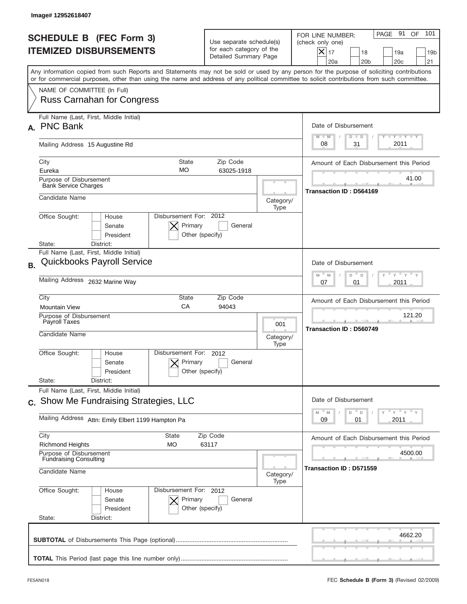|           | Image# 12952618407                                                                                                                                                                                                                                                                      |                                                                               |                   |                                                                                                                                                                   |
|-----------|-----------------------------------------------------------------------------------------------------------------------------------------------------------------------------------------------------------------------------------------------------------------------------------------|-------------------------------------------------------------------------------|-------------------|-------------------------------------------------------------------------------------------------------------------------------------------------------------------|
|           | <b>SCHEDULE B (FEC Form 3)</b><br><b>ITEMIZED DISBURSEMENTS</b>                                                                                                                                                                                                                         | Use separate schedule(s)<br>for each category of the<br>Detailed Summary Page |                   | 101<br>PAGE 91<br>OF<br>FOR LINE NUMBER:<br>(check only one)<br>$\times$<br>17<br>18<br>19a<br>19 <sub>b</sub><br>20a<br>20 <sub>b</sub><br>20 <sub>c</sub><br>21 |
|           | Any information copied from such Reports and Statements may not be sold or used by any person for the purpose of soliciting contributions<br>or for commercial purposes, other than using the name and address of any political committee to solicit contributions from such committee. |                                                                               |                   |                                                                                                                                                                   |
|           | NAME OF COMMITTEE (In Full)<br><b>Russ Carnahan for Congress</b>                                                                                                                                                                                                                        |                                                                               |                   |                                                                                                                                                                   |
|           | Full Name (Last, First, Middle Initial)<br><b>PNC Bank</b>                                                                                                                                                                                                                              |                                                                               |                   | Date of Disbursement<br>$T - Y$ $T - Y$<br>$M - M$<br>$D$ $D$                                                                                                     |
|           | Mailing Address 15 Augustine Rd                                                                                                                                                                                                                                                         |                                                                               |                   | 2011<br>31<br>08                                                                                                                                                  |
|           | City<br><b>State</b><br><b>MO</b><br>Eureka                                                                                                                                                                                                                                             | Amount of Each Disbursement this Period                                       |                   |                                                                                                                                                                   |
|           | Purpose of Disbursement<br><b>Bank Service Charges</b>                                                                                                                                                                                                                                  |                                                                               |                   | 41.00<br><b>Transaction ID: D564169</b>                                                                                                                           |
|           | Candidate Name                                                                                                                                                                                                                                                                          |                                                                               | Category/<br>Type |                                                                                                                                                                   |
|           | Disbursement For: 2012<br>Office Sought:<br>House<br>Primary<br>Senate<br>President<br>Other (specify)<br>State:<br>District:                                                                                                                                                           | General                                                                       |                   |                                                                                                                                                                   |
| <b>B.</b> | Full Name (Last, First, Middle Initial)<br><b>Quickbooks Payroll Service</b>                                                                                                                                                                                                            |                                                                               |                   | Date of Disbursement                                                                                                                                              |
|           | Mailing Address 2632 Marine Way                                                                                                                                                                                                                                                         | $M - M$<br>$Y'$ $Y'$<br>D<br>D<br>2011<br>07<br>01                            |                   |                                                                                                                                                                   |
|           | City<br>State<br>Zip Code<br>CA<br><b>Mountain View</b><br>94043<br>Purpose of Disbursement<br>Payroll Taxes<br>001<br>Candidate Name<br>Category/                                                                                                                                      |                                                                               |                   | Amount of Each Disbursement this Period                                                                                                                           |
|           |                                                                                                                                                                                                                                                                                         |                                                                               |                   | 121.20<br><b>Transaction ID: D560749</b>                                                                                                                          |
|           | Disbursement For: 2012<br>Office Sought:<br>House<br>Primary<br>Senate<br>Other (specify)<br>President                                                                                                                                                                                  | General                                                                       | Type              |                                                                                                                                                                   |
|           | State:<br>District:<br>Full Name (Last, First, Middle Initial)                                                                                                                                                                                                                          |                                                                               |                   |                                                                                                                                                                   |
|           | c. Show Me Fundraising Strategies, LLC                                                                                                                                                                                                                                                  |                                                                               |                   | Date of Disbursement<br>$\mathsf{Y}$ $\mathsf{Y}$ $\mathsf{Y}$ $\mathsf{Y}$<br>$-M$<br>M<br>D<br>D                                                                |
|           | Mailing Address Attn: Emily Elbert 1199 Hampton Pa                                                                                                                                                                                                                                      |                                                                               |                   | 2011<br>09<br>01                                                                                                                                                  |
|           | City<br>State<br><b>Richmond Heights</b><br>МO                                                                                                                                                                                                                                          | Zip Code<br>63117                                                             |                   | Amount of Each Disbursement this Period                                                                                                                           |
|           | Purpose of Disbursement<br><b>Fundraising Consulting</b><br>Candidate Name                                                                                                                                                                                                              |                                                                               |                   | 4500.00<br>Transaction ID: D571559                                                                                                                                |
|           | Office Sought:<br>Disbursement For: 2012<br>House<br>Primary<br>Senate<br>President<br>Other (specify)<br>State:<br>District:                                                                                                                                                           | General                                                                       | Type              |                                                                                                                                                                   |
|           |                                                                                                                                                                                                                                                                                         |                                                                               |                   | 4662.20                                                                                                                                                           |
|           |                                                                                                                                                                                                                                                                                         |                                                                               |                   |                                                                                                                                                                   |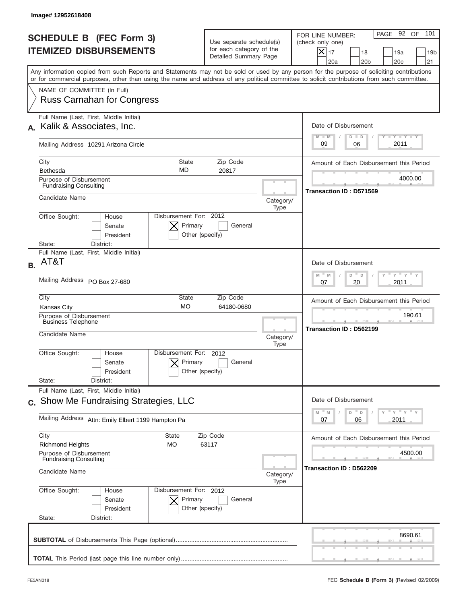|           | Image#12952618408                                                                                                                                                                                                                                                                       |                                                                               |                                                               |                                                                                                                                                                     |
|-----------|-----------------------------------------------------------------------------------------------------------------------------------------------------------------------------------------------------------------------------------------------------------------------------------------|-------------------------------------------------------------------------------|---------------------------------------------------------------|---------------------------------------------------------------------------------------------------------------------------------------------------------------------|
|           | <b>SCHEDULE B (FEC Form 3)</b><br><b>ITEMIZED DISBURSEMENTS</b>                                                                                                                                                                                                                         | Use separate schedule(s)<br>for each category of the<br>Detailed Summary Page |                                                               | PAGE 92 OF<br>101<br>FOR LINE NUMBER:<br>(check only one)<br>$ \mathsf{X} _{17}$<br>18<br>19a<br>19 <sub>b</sub><br>20a<br>20 <sub>b</sub><br>20 <sub>c</sub><br>21 |
|           | Any information copied from such Reports and Statements may not be sold or used by any person for the purpose of soliciting contributions<br>or for commercial purposes, other than using the name and address of any political committee to solicit contributions from such committee. |                                                                               |                                                               |                                                                                                                                                                     |
|           | NAME OF COMMITTEE (In Full)<br><b>Russ Carnahan for Congress</b>                                                                                                                                                                                                                        |                                                                               |                                                               |                                                                                                                                                                     |
|           | Full Name (Last, First, Middle Initial)                                                                                                                                                                                                                                                 |                                                                               |                                                               |                                                                                                                                                                     |
|           | Kalik & Associates, Inc.                                                                                                                                                                                                                                                                |                                                                               |                                                               | Date of Disbursement<br>Y TY TY TY<br>$M - M$<br>$D$ $D$                                                                                                            |
|           | Mailing Address 10291 Arizona Circle                                                                                                                                                                                                                                                    |                                                                               |                                                               | 2011<br>09<br>06                                                                                                                                                    |
|           | City<br><b>State</b>                                                                                                                                                                                                                                                                    | Zip Code                                                                      |                                                               | Amount of Each Disbursement this Period                                                                                                                             |
|           | <b>MD</b><br>Bethesda<br>Purpose of Disbursement                                                                                                                                                                                                                                        | 20817                                                                         |                                                               | 4000.00                                                                                                                                                             |
|           | <b>Fundraising Consulting</b>                                                                                                                                                                                                                                                           |                                                                               |                                                               | Transaction ID: D571569                                                                                                                                             |
|           | Candidate Name                                                                                                                                                                                                                                                                          |                                                                               | Category/<br>Type                                             |                                                                                                                                                                     |
|           | Disbursement For: 2012<br>Office Sought:<br>House<br>Primary<br>Senate<br>President<br>State:<br>District:                                                                                                                                                                              | General<br>Other (specify)                                                    |                                                               |                                                                                                                                                                     |
|           | Full Name (Last, First, Middle Initial)                                                                                                                                                                                                                                                 |                                                                               |                                                               |                                                                                                                                                                     |
| <b>B.</b> | AT&T                                                                                                                                                                                                                                                                                    |                                                                               |                                                               | Date of Disbursement                                                                                                                                                |
|           | Mailing Address PO Box 27-680                                                                                                                                                                                                                                                           |                                                                               | $-\gamma + \gamma +$<br>$M - M$<br>D<br>D<br>2011<br>07<br>20 |                                                                                                                                                                     |
|           | City<br>State<br><b>MO</b>                                                                                                                                                                                                                                                              | Zip Code<br>64180-0680                                                        |                                                               | Amount of Each Disbursement this Period                                                                                                                             |
|           | <b>Kansas City</b><br>Purpose of Disbursement                                                                                                                                                                                                                                           |                                                                               | 190.61                                                        |                                                                                                                                                                     |
|           | <b>Business Telephone</b><br>Candidate Name                                                                                                                                                                                                                                             |                                                                               | Category/<br>Type                                             | Transaction ID: D562199                                                                                                                                             |
|           | Disbursement For:<br>Office Sought:<br>House<br>Primary<br>Senate<br>President<br>State:<br>District:                                                                                                                                                                                   | 2012<br>General<br>Other (specify)                                            |                                                               |                                                                                                                                                                     |
|           | Full Name (Last, First, Middle Initial)                                                                                                                                                                                                                                                 |                                                                               |                                                               |                                                                                                                                                                     |
|           | c. Show Me Fundraising Strategies, LLC                                                                                                                                                                                                                                                  |                                                                               |                                                               | Date of Disbursement<br>$=\frac{1}{\gamma}+\frac{1}{\gamma}+\frac{1}{\gamma}+\frac{1}{\gamma}$                                                                      |
|           | Mailing Address Attn: Emily Elbert 1199 Hampton Pa                                                                                                                                                                                                                                      | D<br>M<br>M<br>D<br>2011<br>07<br>06                                          |                                                               |                                                                                                                                                                     |
|           | City<br>State<br><b>Richmond Heights</b><br>МO                                                                                                                                                                                                                                          | Zip Code<br>63117                                                             |                                                               | Amount of Each Disbursement this Period                                                                                                                             |
|           | Purpose of Disbursement<br><b>Fundraising Consulting</b>                                                                                                                                                                                                                                |                                                                               |                                                               | 4500.00                                                                                                                                                             |
|           | Candidate Name                                                                                                                                                                                                                                                                          | Category/<br>Type                                                             | Transaction ID: D562209                                       |                                                                                                                                                                     |
|           | Office Sought:<br>Disbursement For: 2012<br>House<br>Senate<br>Primary<br>President<br>Other (specify)<br>State:<br>District:                                                                                                                                                           |                                                                               |                                                               |                                                                                                                                                                     |
|           |                                                                                                                                                                                                                                                                                         |                                                                               |                                                               | 8690.61                                                                                                                                                             |
|           |                                                                                                                                                                                                                                                                                         |                                                                               |                                                               |                                                                                                                                                                     |
|           |                                                                                                                                                                                                                                                                                         |                                                                               |                                                               |                                                                                                                                                                     |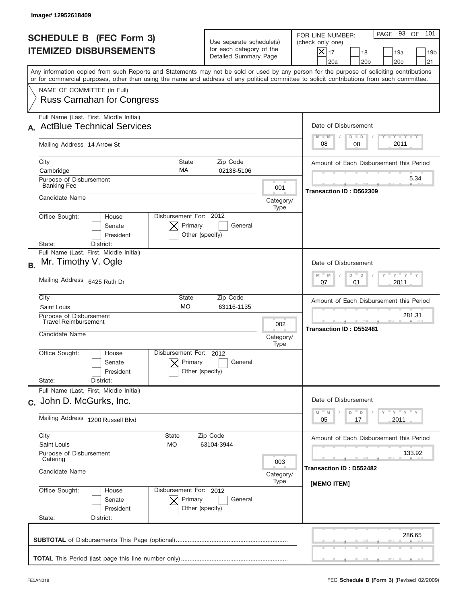|           | Image# 12952618409                                                                                                                                                                                                                                                                      |                                                                               |                  |                                                                                                                                                                     |
|-----------|-----------------------------------------------------------------------------------------------------------------------------------------------------------------------------------------------------------------------------------------------------------------------------------------|-------------------------------------------------------------------------------|------------------|---------------------------------------------------------------------------------------------------------------------------------------------------------------------|
|           | <b>SCHEDULE B (FEC Form 3)</b><br><b>ITEMIZED DISBURSEMENTS</b>                                                                                                                                                                                                                         | Use separate schedule(s)<br>for each category of the<br>Detailed Summary Page |                  | 101<br>PAGE 93 OF<br>FOR LINE NUMBER:<br>(check only one)<br>$ \mathsf{X} _{17}$<br>18<br>19a<br>19 <sub>b</sub><br>20a<br>20 <sub>b</sub><br>20 <sub>c</sub><br>21 |
|           | Any information copied from such Reports and Statements may not be sold or used by any person for the purpose of soliciting contributions<br>or for commercial purposes, other than using the name and address of any political committee to solicit contributions from such committee. |                                                                               |                  |                                                                                                                                                                     |
|           | NAME OF COMMITTEE (In Full)<br><b>Russ Carnahan for Congress</b>                                                                                                                                                                                                                        |                                                                               |                  |                                                                                                                                                                     |
|           | Full Name (Last, First, Middle Initial)                                                                                                                                                                                                                                                 |                                                                               |                  |                                                                                                                                                                     |
|           | <b>ActBlue Technical Services</b>                                                                                                                                                                                                                                                       |                                                                               |                  | Date of Disbursement                                                                                                                                                |
|           | Mailing Address 14 Arrow St                                                                                                                                                                                                                                                             |                                                                               |                  | Y TY TY TY<br>$M - M$<br>$D$ $D$<br>2011<br>08<br>08                                                                                                                |
|           | City<br><b>State</b><br>MA                                                                                                                                                                                                                                                              | Zip Code                                                                      |                  | Amount of Each Disbursement this Period                                                                                                                             |
|           | Cambridge<br>Purpose of Disbursement<br><b>Banking Fee</b>                                                                                                                                                                                                                              | 02138-5106                                                                    |                  | 5.34                                                                                                                                                                |
|           | Candidate Name                                                                                                                                                                                                                                                                          |                                                                               | 001<br>Category/ | Transaction ID: D562309                                                                                                                                             |
|           | Disbursement For: 2012<br>Office Sought:<br>House<br>Primary<br>Senate<br>President<br>Other (specify)<br>State:<br>District:                                                                                                                                                           | General                                                                       | Type             |                                                                                                                                                                     |
| <b>B.</b> | Full Name (Last, First, Middle Initial)<br>Mr. Timothy V. Ogle                                                                                                                                                                                                                          |                                                                               |                  | Date of Disbursement<br>ү " ү " ү "<br>$M - M$<br>D<br>$\mathsf D$                                                                                                  |
|           | Mailing Address 6425 Ruth Dr                                                                                                                                                                                                                                                            | 2011<br>07<br>01                                                              |                  |                                                                                                                                                                     |
|           | City<br>State<br><b>MO</b><br>Saint Louis                                                                                                                                                                                                                                               | Zip Code<br>63116-1135                                                        |                  | Amount of Each Disbursement this Period                                                                                                                             |
|           | Purpose of Disbursement<br><b>Travel Reimbursement</b><br>Candidate Name                                                                                                                                                                                                                |                                                                               | 002<br>Category/ | 281.31<br>Transaction ID: D552481                                                                                                                                   |
|           | Disbursement For:<br>Office Sought:<br>House<br>Primary<br>Senate<br>Other (specify)<br>President<br>State:<br>District:                                                                                                                                                                | 2012<br>General                                                               | Type             |                                                                                                                                                                     |
|           | Full Name (Last, First, Middle Initial)<br>c. John D. McGurks, Inc.                                                                                                                                                                                                                     |                                                                               |                  | Date of Disbursement                                                                                                                                                |
|           | Mailing Address 1200 Russell Blvd                                                                                                                                                                                                                                                       |                                                                               |                  | $\gamma$ = $\gamma$ = $\gamma$ = $\gamma$<br>$-M$<br>$\mathbb M$<br>D<br>D<br>2011<br>05<br>17                                                                      |
|           | City<br>State<br>Saint Louis<br>МO                                                                                                                                                                                                                                                      | Zip Code<br>63104-3944                                                        |                  | Amount of Each Disbursement this Period                                                                                                                             |
|           | Purpose of Disbursement<br>Catering<br>Candidate Name                                                                                                                                                                                                                                   |                                                                               |                  | 133.92<br>Transaction ID: D552482                                                                                                                                   |
|           | Office Sought:<br>Disbursement For: 2012<br>House<br>Senate<br>Primary<br>President<br>Other (specify)<br>State:<br>District:                                                                                                                                                           | General                                                                       | Type             | [MEMO ITEM]                                                                                                                                                         |
|           |                                                                                                                                                                                                                                                                                         |                                                                               |                  | 286.65                                                                                                                                                              |
|           |                                                                                                                                                                                                                                                                                         |                                                                               |                  |                                                                                                                                                                     |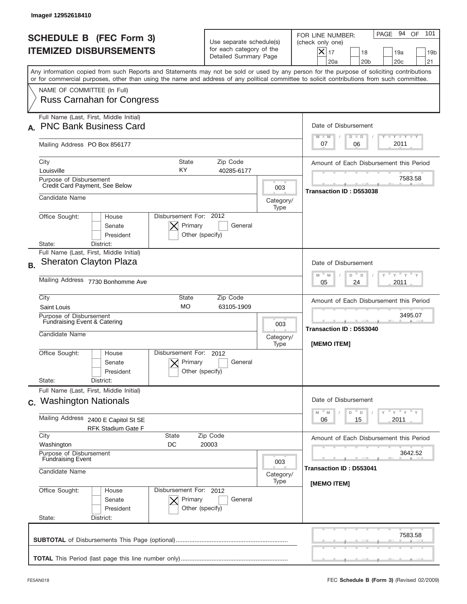|           | Image# 12952618410                                                                                                                                                                                                                                                                      |                                                                               |                                                                                   |                                                                                                                                                                        |
|-----------|-----------------------------------------------------------------------------------------------------------------------------------------------------------------------------------------------------------------------------------------------------------------------------------------|-------------------------------------------------------------------------------|-----------------------------------------------------------------------------------|------------------------------------------------------------------------------------------------------------------------------------------------------------------------|
|           | <b>SCHEDULE B (FEC Form 3)</b><br><b>ITEMIZED DISBURSEMENTS</b>                                                                                                                                                                                                                         | Use separate schedule(s)<br>for each category of the<br>Detailed Summary Page |                                                                                   | 94 OF<br>101<br>PAGE<br>FOR LINE NUMBER:<br>(check only one)<br>$ \mathsf{X} _{17}$<br>18<br>19a<br>19 <sub>b</sub><br>20a<br>20 <sub>b</sub><br>20 <sub>c</sub><br>21 |
|           | Any information copied from such Reports and Statements may not be sold or used by any person for the purpose of soliciting contributions<br>or for commercial purposes, other than using the name and address of any political committee to solicit contributions from such committee. |                                                                               |                                                                                   |                                                                                                                                                                        |
|           | NAME OF COMMITTEE (In Full)<br><b>Russ Carnahan for Congress</b>                                                                                                                                                                                                                        |                                                                               |                                                                                   |                                                                                                                                                                        |
|           | Full Name (Last, First, Middle Initial)<br><b>PNC Bank Business Card</b>                                                                                                                                                                                                                |                                                                               |                                                                                   | Date of Disbursement                                                                                                                                                   |
|           | Mailing Address PO Box 856177                                                                                                                                                                                                                                                           |                                                                               |                                                                                   | <b>TANK TANK</b><br>$M - M$<br>$D$ $D$<br>2011<br>07<br>06                                                                                                             |
|           | City<br><b>State</b><br>KY<br>Louisville                                                                                                                                                                                                                                                | Zip Code<br>40285-6177                                                        |                                                                                   | Amount of Each Disbursement this Period                                                                                                                                |
|           | Purpose of Disbursement<br>Credit Card Payment, See Below                                                                                                                                                                                                                               |                                                                               | 003                                                                               | 7583.58<br>Transaction ID: D553038                                                                                                                                     |
|           | Candidate Name<br>Disbursement For: 2012                                                                                                                                                                                                                                                |                                                                               | Category/<br>Type                                                                 |                                                                                                                                                                        |
|           | Office Sought:<br>House<br>Primary<br>Senate<br>President<br>Other (specify)<br>District:<br>State:                                                                                                                                                                                     | General                                                                       |                                                                                   |                                                                                                                                                                        |
| <b>B.</b> | Full Name (Last, First, Middle Initial)<br><b>Sheraton Clayton Plaza</b>                                                                                                                                                                                                                |                                                                               |                                                                                   | Date of Disbursement<br>$-\gamma + \gamma$<br>$-$ M                                                                                                                    |
|           | Mailing Address 7730 Bonhomme Ave                                                                                                                                                                                                                                                       |                                                                               | M<br>D<br>D<br>2011<br>05<br>24                                                   |                                                                                                                                                                        |
|           | City<br>State<br><b>MO</b><br>Saint Louis                                                                                                                                                                                                                                               | Zip Code<br>63105-1909                                                        |                                                                                   | Amount of Each Disbursement this Period<br>3495.07                                                                                                                     |
|           | Purpose of Disbursement<br>Fundraising Event & Catering<br>Candidate Name                                                                                                                                                                                                               |                                                                               | 003<br>Category/<br>Type                                                          | Transaction ID: D553040<br>[MEMO ITEM]                                                                                                                                 |
|           | Disbursement For:<br>Office Sought:<br>House<br>Primary<br>Senate<br>Other (specify)<br>President<br>State:<br>District:                                                                                                                                                                | 2012<br>General                                                               |                                                                                   |                                                                                                                                                                        |
|           | Full Name (Last, First, Middle Initial)<br>c. Washington Nationals                                                                                                                                                                                                                      |                                                                               |                                                                                   | Date of Disbursement                                                                                                                                                   |
|           | Mailing Address<br>2400 E Capitol St SE<br><b>RFK Stadium Gate F</b>                                                                                                                                                                                                                    |                                                                               | $\gamma$ = $\gamma$ = $\gamma$ = $\gamma$<br>M<br>M<br>D<br>D<br>2011<br>06<br>15 |                                                                                                                                                                        |
|           | City<br>State<br>Zip Code<br>Washington<br>DC<br>20003                                                                                                                                                                                                                                  |                                                                               |                                                                                   | Amount of Each Disbursement this Period                                                                                                                                |
|           | Purpose of Disbursement<br><b>Fundraising Event</b><br>Candidate Name                                                                                                                                                                                                                   |                                                                               |                                                                                   | 3642.52<br>Transaction ID: D553041                                                                                                                                     |
|           | Office Sought:<br>Disbursement For: 2012<br>House<br>Senate<br>Primary<br>President<br>Other (specify)<br>State:<br>District:                                                                                                                                                           | General                                                                       | Category/<br>Type                                                                 | [MEMO ITEM]                                                                                                                                                            |
|           |                                                                                                                                                                                                                                                                                         |                                                                               |                                                                                   | 7583.58                                                                                                                                                                |
|           |                                                                                                                                                                                                                                                                                         |                                                                               |                                                                                   |                                                                                                                                                                        |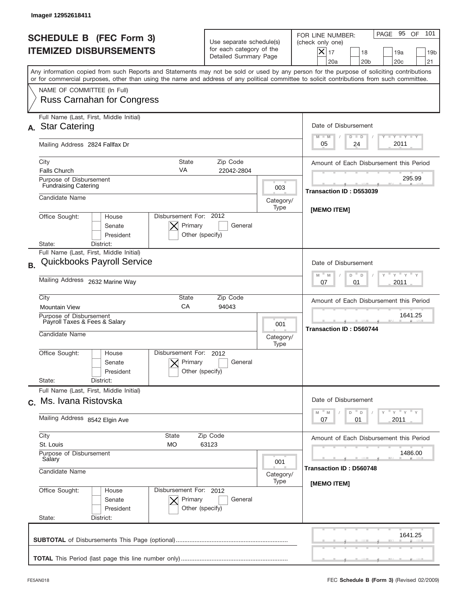| Image# 12952618411                                                                                                                                                                                                                                                                      |                                                                                      |                                                                                                       |                                                                                                                                                           |
|-----------------------------------------------------------------------------------------------------------------------------------------------------------------------------------------------------------------------------------------------------------------------------------------|--------------------------------------------------------------------------------------|-------------------------------------------------------------------------------------------------------|-----------------------------------------------------------------------------------------------------------------------------------------------------------|
| <b>SCHEDULE B (FEC Form 3)</b><br><b>ITEMIZED DISBURSEMENTS</b>                                                                                                                                                                                                                         | Use separate schedule(s)<br>for each category of the<br>Detailed Summary Page        |                                                                                                       | 101<br>PAGE 95 OF<br>FOR LINE NUMBER:<br>(check only one)<br>$X _{17}$<br>18<br>19a<br>19 <sub>b</sub><br>20a<br>20 <sub>b</sub><br>20 <sub>c</sub><br>21 |
| Any information copied from such Reports and Statements may not be sold or used by any person for the purpose of soliciting contributions<br>or for commercial purposes, other than using the name and address of any political committee to solicit contributions from such committee. |                                                                                      |                                                                                                       |                                                                                                                                                           |
| NAME OF COMMITTEE (In Full)<br><b>Russ Carnahan for Congress</b>                                                                                                                                                                                                                        |                                                                                      |                                                                                                       |                                                                                                                                                           |
| Full Name (Last, First, Middle Initial)<br><b>Star Catering</b><br>А.                                                                                                                                                                                                                   |                                                                                      |                                                                                                       | Date of Disbursement<br>Y TY TY TY<br>$M - M$<br>$D$ $D$                                                                                                  |
| Mailing Address 2824 Fallfax Dr                                                                                                                                                                                                                                                         |                                                                                      |                                                                                                       | 2011<br>24<br>05                                                                                                                                          |
| City<br><b>Falls Church</b>                                                                                                                                                                                                                                                             | <b>State</b><br>Zip Code<br>VA<br>22042-2804                                         |                                                                                                       | Amount of Each Disbursement this Period                                                                                                                   |
| Purpose of Disbursement<br><b>Fundraising Catering</b>                                                                                                                                                                                                                                  |                                                                                      | 003                                                                                                   | 295.99<br>Transaction ID: D553039                                                                                                                         |
| Candidate Name                                                                                                                                                                                                                                                                          |                                                                                      | Category/<br>Type                                                                                     | [MEMO ITEM]                                                                                                                                               |
| Office Sought:<br>House<br>Senate<br>President<br>District:<br>State:                                                                                                                                                                                                                   | Disbursement For: 2012<br>Primary<br>General<br>Other (specify)                      |                                                                                                       |                                                                                                                                                           |
| Full Name (Last, First, Middle Initial)<br><b>Quickbooks Payroll Service</b><br><b>B.</b>                                                                                                                                                                                               |                                                                                      |                                                                                                       | Date of Disbursement                                                                                                                                      |
| Mailing Address 2632 Marine Way                                                                                                                                                                                                                                                         | $\cdots$ $\gamma$ $\cdots$ $\gamma$ $\cdots$<br>M<br>D<br>M<br>D<br>2011<br>07<br>01 |                                                                                                       |                                                                                                                                                           |
| City<br>State<br>Zip Code<br>CA<br><b>Mountain View</b><br>94043                                                                                                                                                                                                                        |                                                                                      |                                                                                                       | Amount of Each Disbursement this Period                                                                                                                   |
| Purpose of Disbursement<br>Payroll Taxes & Fees & Salary<br>Candidate Name                                                                                                                                                                                                              | 001<br>Category/<br>Type                                                             | 1641.25<br><b>Transaction ID: D560744</b>                                                             |                                                                                                                                                           |
| Office Sought:<br>House<br>Senate<br>President<br>State:<br>District:                                                                                                                                                                                                                   | Disbursement For:<br>2012<br>Primary<br>General<br>Other (specify)                   |                                                                                                       |                                                                                                                                                           |
| Full Name (Last, First, Middle Initial)<br>c. Ms. Ivana Ristovska                                                                                                                                                                                                                       |                                                                                      |                                                                                                       | Date of Disbursement                                                                                                                                      |
| Mailing Address 8542 Elgin Ave                                                                                                                                                                                                                                                          |                                                                                      | $\gamma$ = $\gamma$ = $\gamma$ = $\gamma$<br>M<br>$\mathbb M$<br>D<br>$\mathsf D$<br>2011<br>07<br>01 |                                                                                                                                                           |
| City<br>State<br>St. Louis<br>МO                                                                                                                                                                                                                                                        | Zip Code<br>63123                                                                    |                                                                                                       | Amount of Each Disbursement this Period                                                                                                                   |
| Purpose of Disbursement<br>Salary                                                                                                                                                                                                                                                       |                                                                                      |                                                                                                       |                                                                                                                                                           |
| Candidate Name                                                                                                                                                                                                                                                                          | Category/                                                                            |                                                                                                       |                                                                                                                                                           |
| Office Sought:<br>House<br>Senate<br>President<br>State:<br>District:                                                                                                                                                                                                                   | Disbursement For: 2012<br>Primary<br>General<br>Other (specify)                      |                                                                                                       | [MEMO ITEM]                                                                                                                                               |
|                                                                                                                                                                                                                                                                                         |                                                                                      |                                                                                                       | 1641.25                                                                                                                                                   |
|                                                                                                                                                                                                                                                                                         |                                                                                      |                                                                                                       |                                                                                                                                                           |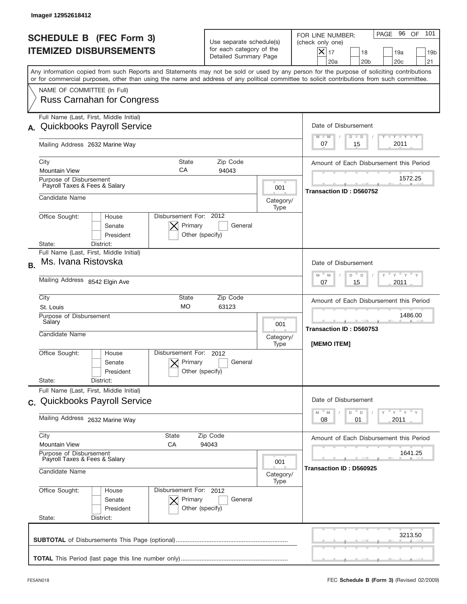|           | Image# 12952618412                                                                                                                                                                                                                                                                      |                                                                                               |                   |                                                                                                                                                                     |
|-----------|-----------------------------------------------------------------------------------------------------------------------------------------------------------------------------------------------------------------------------------------------------------------------------------------|-----------------------------------------------------------------------------------------------|-------------------|---------------------------------------------------------------------------------------------------------------------------------------------------------------------|
|           | <b>SCHEDULE B (FEC Form 3)</b><br><b>ITEMIZED DISBURSEMENTS</b>                                                                                                                                                                                                                         | Use separate schedule(s)<br>for each category of the<br>Detailed Summary Page                 |                   | PAGE 96 OF<br>101<br>FOR LINE NUMBER:<br>(check only one)<br>$ \mathsf{X} _{17}$<br>18<br>19a<br>19 <sub>b</sub><br>20a<br>20 <sub>b</sub><br>20 <sub>c</sub><br>21 |
|           | Any information copied from such Reports and Statements may not be sold or used by any person for the purpose of soliciting contributions<br>or for commercial purposes, other than using the name and address of any political committee to solicit contributions from such committee. |                                                                                               |                   |                                                                                                                                                                     |
|           | NAME OF COMMITTEE (In Full)<br><b>Russ Carnahan for Congress</b>                                                                                                                                                                                                                        |                                                                                               |                   |                                                                                                                                                                     |
|           | Full Name (Last, First, Middle Initial)                                                                                                                                                                                                                                                 |                                                                                               |                   |                                                                                                                                                                     |
|           | <b>Quickbooks Payroll Service</b>                                                                                                                                                                                                                                                       |                                                                                               |                   | Date of Disbursement                                                                                                                                                |
|           | Mailing Address 2632 Marine Way                                                                                                                                                                                                                                                         |                                                                                               |                   | <b>TANK TANK</b><br>$M - M$<br>$D$ $D$<br>2011<br>15<br>07                                                                                                          |
|           | City<br><b>State</b>                                                                                                                                                                                                                                                                    | Zip Code                                                                                      |                   | Amount of Each Disbursement this Period                                                                                                                             |
|           | CA<br><b>Mountain View</b><br>Purpose of Disbursement                                                                                                                                                                                                                                   | 94043                                                                                         |                   | 1572.25                                                                                                                                                             |
|           | Payroll Taxes & Fees & Salary                                                                                                                                                                                                                                                           |                                                                                               | 001               | Transaction ID: D560752                                                                                                                                             |
|           | Candidate Name                                                                                                                                                                                                                                                                          |                                                                                               | Category/<br>Type |                                                                                                                                                                     |
|           | Disbursement For: 2012<br>Office Sought:<br>House<br>Primary<br>Senate<br>President<br>Other (specify)<br>District:<br>State:                                                                                                                                                           | General                                                                                       |                   |                                                                                                                                                                     |
|           | Full Name (Last, First, Middle Initial)                                                                                                                                                                                                                                                 |                                                                                               |                   |                                                                                                                                                                     |
| <b>B.</b> | Ms. Ivana Ristovska                                                                                                                                                                                                                                                                     |                                                                                               |                   | Date of Disbursement                                                                                                                                                |
|           | Mailing Address 8542 Elgin Ave                                                                                                                                                                                                                                                          | $-\gamma + \gamma +$<br>$-$ M<br>M<br>D<br>D<br>2011<br>07<br>15                              |                   |                                                                                                                                                                     |
|           | City<br>State                                                                                                                                                                                                                                                                           | Zip Code                                                                                      |                   | Amount of Each Disbursement this Period                                                                                                                             |
|           | <b>MO</b><br>63123<br>St. Louis<br>Purpose of Disbursement<br>Salary                                                                                                                                                                                                                    |                                                                                               |                   | 1486.00                                                                                                                                                             |
|           |                                                                                                                                                                                                                                                                                         |                                                                                               |                   | Transaction ID: D560753                                                                                                                                             |
|           | Candidate Name                                                                                                                                                                                                                                                                          |                                                                                               | Category/<br>Type | [MEMO ITEM]                                                                                                                                                         |
|           | Disbursement For:<br>Office Sought:<br>House<br>Primary<br>Senate<br>Other (specify)<br>President                                                                                                                                                                                       | 2012<br>General                                                                               |                   |                                                                                                                                                                     |
|           | State:<br>District:<br>Full Name (Last, First, Middle Initial)                                                                                                                                                                                                                          |                                                                                               |                   |                                                                                                                                                                     |
|           | c. Quickbooks Payroll Service                                                                                                                                                                                                                                                           |                                                                                               |                   | Date of Disbursement                                                                                                                                                |
|           | Mailing Address 2632 Marine Way                                                                                                                                                                                                                                                         | $\cdots$ $\gamma$ $\cdots$ $\gamma$ $\cdots$ $\gamma$<br>M<br>D<br>M<br>D<br>2011<br>08<br>01 |                   |                                                                                                                                                                     |
|           | City<br>State                                                                                                                                                                                                                                                                           | Zip Code                                                                                      |                   | Amount of Each Disbursement this Period                                                                                                                             |
|           | <b>Mountain View</b><br>СA<br>Purpose of Disbursement                                                                                                                                                                                                                                   | 94043                                                                                         |                   | 1641.25                                                                                                                                                             |
|           | Payroll Taxes & Fees & Salary                                                                                                                                                                                                                                                           |                                                                                               |                   |                                                                                                                                                                     |
|           | Candidate Name                                                                                                                                                                                                                                                                          |                                                                                               |                   | Transaction ID: D560925                                                                                                                                             |
|           | Office Sought:<br>Disbursement For: 2012<br>House<br>Senate<br>Primary<br>President<br>Other (specify)                                                                                                                                                                                  | General                                                                                       |                   |                                                                                                                                                                     |
|           | State:<br>District:                                                                                                                                                                                                                                                                     |                                                                                               |                   |                                                                                                                                                                     |
|           |                                                                                                                                                                                                                                                                                         |                                                                                               |                   | 3213.50                                                                                                                                                             |
|           |                                                                                                                                                                                                                                                                                         |                                                                                               |                   |                                                                                                                                                                     |
|           |                                                                                                                                                                                                                                                                                         |                                                                                               |                   |                                                                                                                                                                     |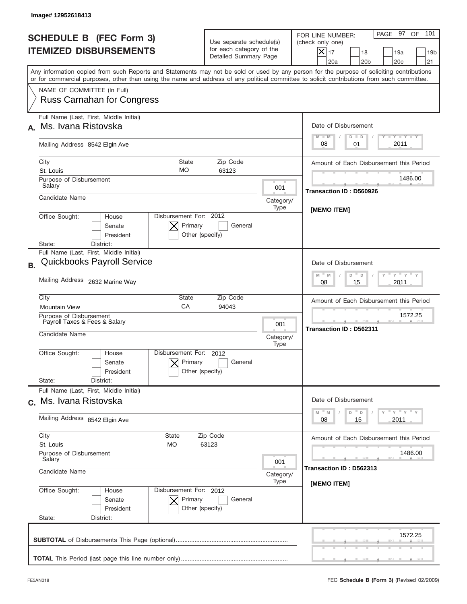|           | Image#12952618413                                                                                                                                                                                                                                                                       |                                                                               |                          |                                                                                                                                                                   |
|-----------|-----------------------------------------------------------------------------------------------------------------------------------------------------------------------------------------------------------------------------------------------------------------------------------------|-------------------------------------------------------------------------------|--------------------------|-------------------------------------------------------------------------------------------------------------------------------------------------------------------|
|           | <b>SCHEDULE B (FEC Form 3)</b><br><b>ITEMIZED DISBURSEMENTS</b>                                                                                                                                                                                                                         | Use separate schedule(s)<br>for each category of the<br>Detailed Summary Page |                          | 101<br>PAGE 97 OF<br>FOR LINE NUMBER:<br>(check only one)<br>$ \boldsymbol{\times} $<br>17<br>18<br>19a<br>19 <sub>b</sub><br>20a<br>20 <sub>b</sub><br>20c<br>21 |
|           | Any information copied from such Reports and Statements may not be sold or used by any person for the purpose of soliciting contributions<br>or for commercial purposes, other than using the name and address of any political committee to solicit contributions from such committee. |                                                                               |                          |                                                                                                                                                                   |
|           | NAME OF COMMITTEE (In Full)<br><b>Russ Carnahan for Congress</b>                                                                                                                                                                                                                        |                                                                               |                          |                                                                                                                                                                   |
|           | Full Name (Last, First, Middle Initial)<br>Ms. Ivana Ristovska                                                                                                                                                                                                                          |                                                                               |                          | Date of Disbursement<br><b>TANK TANK</b><br>$M - M$<br>$D$ $D$                                                                                                    |
|           | Mailing Address 8542 Elgin Ave                                                                                                                                                                                                                                                          | 2011<br>08<br>01                                                              |                          |                                                                                                                                                                   |
|           | City<br><b>State</b><br><b>MO</b><br>St. Louis                                                                                                                                                                                                                                          | Zip Code<br>63123                                                             |                          | Amount of Each Disbursement this Period                                                                                                                           |
|           | Purpose of Disbursement<br>Salary                                                                                                                                                                                                                                                       |                                                                               | 001                      | 1486.00<br>Transaction ID: D560926                                                                                                                                |
|           | Candidate Name                                                                                                                                                                                                                                                                          |                                                                               | Category/<br>Type        | <b>IMEMO ITEMI</b>                                                                                                                                                |
|           | Disbursement For: 2012<br>Office Sought:<br>House<br>Primary<br>Senate<br>President<br>Other (specify)<br>District:<br>State:                                                                                                                                                           | General                                                                       |                          |                                                                                                                                                                   |
| <b>B.</b> | Full Name (Last, First, Middle Initial)<br><b>Quickbooks Payroll Service</b>                                                                                                                                                                                                            |                                                                               |                          | Date of Disbursement                                                                                                                                              |
|           | Mailing Address 2632 Marine Way                                                                                                                                                                                                                                                         |                                                                               |                          | $\cdots$ $\gamma$ $\cdots$ $\gamma$ $\cdots$<br>M<br>D<br>$\mathsf D$<br>M<br>2011<br>08<br>15                                                                    |
|           | City<br>State<br>CA<br><b>Mountain View</b>                                                                                                                                                                                                                                             | Zip Code<br>94043                                                             |                          | Amount of Each Disbursement this Period                                                                                                                           |
|           | Purpose of Disbursement<br>Payroll Taxes & Fees & Salary<br>Candidate Name                                                                                                                                                                                                              |                                                                               | 001<br>Category/<br>Type | 1572.25<br>Transaction ID: D562311                                                                                                                                |
|           | Disbursement For:<br>Office Sought:<br>House<br>Primary<br>Senate<br>Other (specify)<br>President<br>State:<br>District:                                                                                                                                                                | 2012<br>General                                                               |                          |                                                                                                                                                                   |
|           | Full Name (Last, First, Middle Initial)<br>c. Ms. Ivana Ristovska                                                                                                                                                                                                                       |                                                                               |                          | Date of Disbursement                                                                                                                                              |
|           | Mailing Address 8542 Elgin Ave                                                                                                                                                                                                                                                          |                                                                               |                          | $\gamma$ $\gamma$ $\gamma$ $\gamma$ $\gamma$<br>$M - M$<br>$\mathbb{T}_{\mathsf{D}}$<br>D<br>2011<br>08<br>15                                                     |
|           | City<br><b>State</b><br>Zip Code<br>St. Louis<br>МO<br>63123<br>Purpose of Disbursement                                                                                                                                                                                                 |                                                                               |                          | Amount of Each Disbursement this Period<br>1486.00                                                                                                                |
|           | Salary<br>001<br>Candidate Name<br>Category/<br>Type                                                                                                                                                                                                                                    |                                                                               |                          | Transaction ID: D562313                                                                                                                                           |
|           | Office Sought:<br>Disbursement For: 2012<br>House<br>Senate<br>Primary<br>President<br>Other (specify)<br>State:<br>District:                                                                                                                                                           | General                                                                       |                          | [MEMO ITEM]                                                                                                                                                       |
|           |                                                                                                                                                                                                                                                                                         |                                                                               |                          | 1572.25                                                                                                                                                           |
|           |                                                                                                                                                                                                                                                                                         |                                                                               |                          |                                                                                                                                                                   |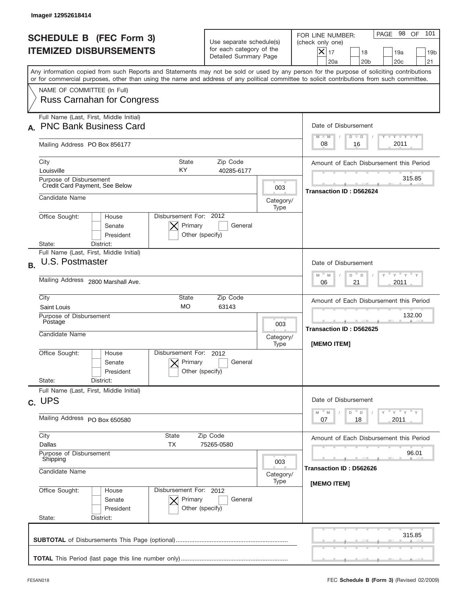|           | Image# 12952618414                                                                                                                                                                                                                                                                      |                                                                               |                          |                                                                                                                                                           |
|-----------|-----------------------------------------------------------------------------------------------------------------------------------------------------------------------------------------------------------------------------------------------------------------------------------------|-------------------------------------------------------------------------------|--------------------------|-----------------------------------------------------------------------------------------------------------------------------------------------------------|
|           | <b>SCHEDULE B (FEC Form 3)</b><br><b>ITEMIZED DISBURSEMENTS</b>                                                                                                                                                                                                                         | Use separate schedule(s)<br>for each category of the<br>Detailed Summary Page |                          | 101<br>PAGE 98 OF<br>FOR LINE NUMBER:<br>(check only one)<br>$X _{17}$<br>18<br>19a<br>19 <sub>b</sub><br>20a<br>20 <sub>b</sub><br>20 <sub>c</sub><br>21 |
|           | Any information copied from such Reports and Statements may not be sold or used by any person for the purpose of soliciting contributions<br>or for commercial purposes, other than using the name and address of any political committee to solicit contributions from such committee. |                                                                               |                          |                                                                                                                                                           |
|           | NAME OF COMMITTEE (In Full)<br><b>Russ Carnahan for Congress</b>                                                                                                                                                                                                                        |                                                                               |                          |                                                                                                                                                           |
|           | Full Name (Last, First, Middle Initial)<br><b>PNC Bank Business Card</b>                                                                                                                                                                                                                |                                                                               |                          | Date of Disbursement<br>Y TY TY TY<br>$M - M$<br>$D$ $D$                                                                                                  |
|           | Mailing Address PO Box 856177                                                                                                                                                                                                                                                           |                                                                               |                          | 2011<br>08<br>16                                                                                                                                          |
|           | City<br>State<br>KY<br>Louisville                                                                                                                                                                                                                                                       | Zip Code<br>40285-6177                                                        |                          | Amount of Each Disbursement this Period                                                                                                                   |
|           | Purpose of Disbursement<br>Credit Card Payment, See Below                                                                                                                                                                                                                               |                                                                               | 003                      | 315.85<br><b>Transaction ID: D562624</b>                                                                                                                  |
|           | Candidate Name                                                                                                                                                                                                                                                                          |                                                                               | Category/<br>Type        |                                                                                                                                                           |
|           | Disbursement For: 2012<br>Office Sought:<br>House<br>Primary<br>Senate<br>President<br>Other (specify)<br>District:<br>State:                                                                                                                                                           | General                                                                       |                          |                                                                                                                                                           |
| <b>B.</b> | Full Name (Last, First, Middle Initial)<br>U.S. Postmaster                                                                                                                                                                                                                              |                                                                               |                          | Date of Disbursement<br>$\cdots$ $\gamma$ $\cdots$ $\gamma$ $\cdots$<br>$M - M$<br>D<br>D                                                                 |
|           | Mailing Address 2800 Marshall Ave.                                                                                                                                                                                                                                                      |                                                                               |                          | 21<br>2011<br>06                                                                                                                                          |
|           | City<br>State<br><b>MO</b><br>Saint Louis                                                                                                                                                                                                                                               | Zip Code<br>63143                                                             |                          | Amount of Each Disbursement this Period                                                                                                                   |
|           | Purpose of Disbursement<br>Postage<br>Candidate Name                                                                                                                                                                                                                                    |                                                                               | 003<br>Category/         | 132.00<br><b>Transaction ID: D562625</b><br>[MEMO ITEM]                                                                                                   |
|           | Disbursement For:<br>Office Sought:<br>House<br>Primary<br>Senate<br>Other (specify)<br>President<br>State:<br>District:                                                                                                                                                                | 2012<br>General                                                               | Type                     |                                                                                                                                                           |
|           | Full Name (Last, First, Middle Initial)<br>c. UPS                                                                                                                                                                                                                                       |                                                                               |                          | Date of Disbursement                                                                                                                                      |
|           | Mailing Address PO Box 650580                                                                                                                                                                                                                                                           |                                                                               |                          | $\gamma$ = $\gamma$ = $\gamma$ = $\gamma$<br>$-M$<br>M<br>D<br>$\mathsf D$<br>2011<br>07<br>18                                                            |
|           | City<br>State<br><b>TX</b><br>Dallas                                                                                                                                                                                                                                                    | Zip Code<br>75265-0580                                                        |                          | Amount of Each Disbursement this Period                                                                                                                   |
|           | Purpose of Disbursement<br>Shipping<br>Candidate Name                                                                                                                                                                                                                                   |                                                                               | 003<br>Category/<br>Type | 96.01<br>Transaction ID: D562626                                                                                                                          |
|           | Office Sought:<br>Disbursement For: 2012<br>House<br>Senate<br>Primary<br>President<br>Other (specify)<br>State:<br>District:                                                                                                                                                           | General                                                                       |                          | [MEMO ITEM]                                                                                                                                               |
|           |                                                                                                                                                                                                                                                                                         |                                                                               |                          | 315.85                                                                                                                                                    |
|           |                                                                                                                                                                                                                                                                                         |                                                                               |                          |                                                                                                                                                           |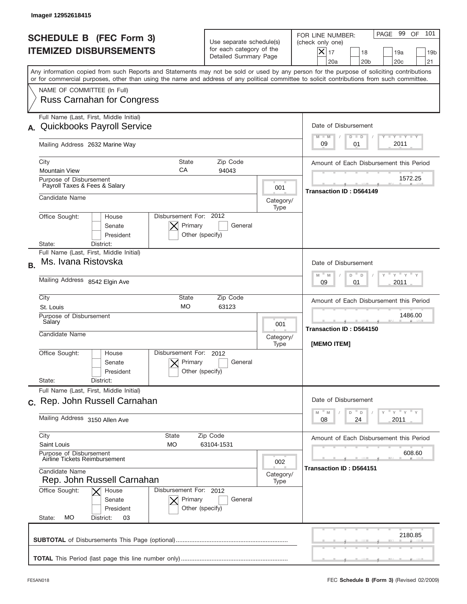| <b>SCHEDULE B (FEC Form 3)</b><br><b>ITEMIZED DISBURSEMENTS</b>                                                                                                                                                                                                                         | Use separate schedule(s)<br>for each category of the<br>Detailed Summary Page |                   | PAGE 99 OF<br>101<br>FOR LINE NUMBER:<br>(check only one)<br>$ \mathsf{X} _{17}$<br>18<br>19a<br>19 <sub>b</sub><br>20a<br>20 <sub>b</sub><br>20 <sub>c</sub><br>21 |
|-----------------------------------------------------------------------------------------------------------------------------------------------------------------------------------------------------------------------------------------------------------------------------------------|-------------------------------------------------------------------------------|-------------------|---------------------------------------------------------------------------------------------------------------------------------------------------------------------|
| Any information copied from such Reports and Statements may not be sold or used by any person for the purpose of soliciting contributions<br>or for commercial purposes, other than using the name and address of any political committee to solicit contributions from such committee. |                                                                               |                   |                                                                                                                                                                     |
| NAME OF COMMITTEE (In Full)<br><b>Russ Carnahan for Congress</b>                                                                                                                                                                                                                        |                                                                               |                   |                                                                                                                                                                     |
| Full Name (Last, First, Middle Initial)                                                                                                                                                                                                                                                 |                                                                               |                   |                                                                                                                                                                     |
| <b>Quickbooks Payroll Service</b>                                                                                                                                                                                                                                                       |                                                                               |                   | Date of Disbursement                                                                                                                                                |
| Mailing Address 2632 Marine Way                                                                                                                                                                                                                                                         |                                                                               |                   | <b>TANK TANK</b><br>$M - M$<br>$D$ $D$<br>2011<br>09<br>01                                                                                                          |
| City<br><b>State</b>                                                                                                                                                                                                                                                                    | Zip Code                                                                      |                   | Amount of Each Disbursement this Period                                                                                                                             |
| CA<br><b>Mountain View</b>                                                                                                                                                                                                                                                              | 94043                                                                         |                   |                                                                                                                                                                     |
| Purpose of Disbursement<br>Payroll Taxes & Fees & Salary                                                                                                                                                                                                                                |                                                                               | 001               | 1572.25<br>Transaction ID: D564149                                                                                                                                  |
| Candidate Name                                                                                                                                                                                                                                                                          |                                                                               | Category/         |                                                                                                                                                                     |
| Disbursement For: 2012<br>Office Sought:<br>House<br>Primary<br>Senate<br>President<br>Other (specify)<br>District:<br>State:                                                                                                                                                           | General                                                                       | Type              |                                                                                                                                                                     |
| Full Name (Last, First, Middle Initial)                                                                                                                                                                                                                                                 |                                                                               |                   |                                                                                                                                                                     |
| Ms. Ivana Ristovska<br><b>B.</b>                                                                                                                                                                                                                                                        |                                                                               |                   | Date of Disbursement                                                                                                                                                |
| Mailing Address 8542 Elgin Ave                                                                                                                                                                                                                                                          |                                                                               |                   | $-\gamma + \gamma +$<br>$M - M$<br>D<br>D<br>2011<br>09<br>01                                                                                                       |
| City<br>State                                                                                                                                                                                                                                                                           | Zip Code                                                                      |                   | Amount of Each Disbursement this Period                                                                                                                             |
| <b>MO</b><br>St. Louis                                                                                                                                                                                                                                                                  | 63123                                                                         |                   |                                                                                                                                                                     |
| Purpose of Disbursement<br>Salary                                                                                                                                                                                                                                                       |                                                                               | 001               | 1486.00                                                                                                                                                             |
| Candidate Name                                                                                                                                                                                                                                                                          |                                                                               | Category/         | Transaction ID: D564150                                                                                                                                             |
| Disbursement For:<br>Office Sought:<br>House<br>Primary<br>Senate<br>Other (specify)<br>President<br>State:<br>District:                                                                                                                                                                | 2012<br>General                                                               | Type              | [MEMO ITEM]                                                                                                                                                         |
| Full Name (Last, First, Middle Initial)                                                                                                                                                                                                                                                 |                                                                               |                   |                                                                                                                                                                     |
| c. Rep. John Russell Carnahan                                                                                                                                                                                                                                                           |                                                                               |                   | Date of Disbursement<br>$\gamma$ = $\gamma$ = $\gamma$ = $\gamma$<br>D<br>M<br>M<br>D                                                                               |
| Mailing Address 3150 Allen Ave                                                                                                                                                                                                                                                          |                                                                               |                   | 08<br>24<br>2011                                                                                                                                                    |
| City<br>State<br>Saint Louis<br>МO                                                                                                                                                                                                                                                      | Zip Code<br>63104-1531                                                        |                   | Amount of Each Disbursement this Period                                                                                                                             |
| Purpose of Disbursement<br>Airline Tickets Reimbursement                                                                                                                                                                                                                                |                                                                               | 002               | 608.60                                                                                                                                                              |
| Candidate Name<br>Rep. John Russell Carnahan                                                                                                                                                                                                                                            |                                                                               | Category/<br>Type | Transaction ID: D564151                                                                                                                                             |
| Office Sought:<br>Disbursement For: 2012<br>House<br>Primary<br>Senate                                                                                                                                                                                                                  | General                                                                       |                   |                                                                                                                                                                     |
| Other (specify)<br>President<br>МO<br>State:<br>District:<br>03                                                                                                                                                                                                                         |                                                                               |                   |                                                                                                                                                                     |
|                                                                                                                                                                                                                                                                                         |                                                                               |                   | 2180.85                                                                                                                                                             |
|                                                                                                                                                                                                                                                                                         |                                                                               |                   |                                                                                                                                                                     |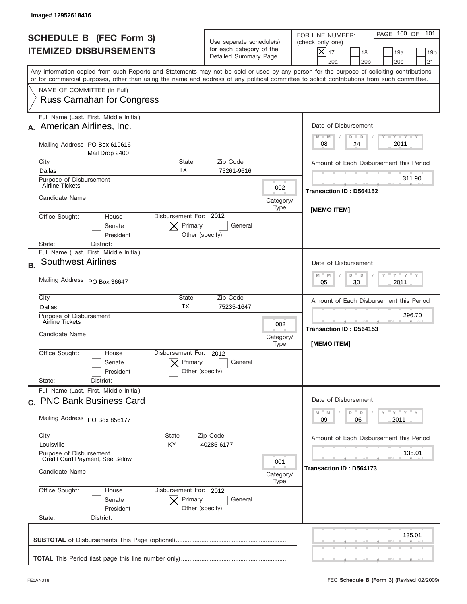|           | Image# 12952618416                                                                                                                                                                                                                                                                      |                                                                               |                          |                                                                                                                                                                                                                                          |
|-----------|-----------------------------------------------------------------------------------------------------------------------------------------------------------------------------------------------------------------------------------------------------------------------------------------|-------------------------------------------------------------------------------|--------------------------|------------------------------------------------------------------------------------------------------------------------------------------------------------------------------------------------------------------------------------------|
|           | <b>SCHEDULE B (FEC Form 3)</b><br><b>ITEMIZED DISBURSEMENTS</b>                                                                                                                                                                                                                         | Use separate schedule(s)<br>for each category of the<br>Detailed Summary Page |                          | PAGE 100 OF<br>101<br>FOR LINE NUMBER:<br>(check only one)<br>$\times$<br>17<br>18<br>19a<br>19 <sub>b</sub><br>20a<br>20 <sub>b</sub><br>20c<br>21                                                                                      |
|           | Any information copied from such Reports and Statements may not be sold or used by any person for the purpose of soliciting contributions<br>or for commercial purposes, other than using the name and address of any political committee to solicit contributions from such committee. |                                                                               |                          |                                                                                                                                                                                                                                          |
|           | NAME OF COMMITTEE (In Full)<br><b>Russ Carnahan for Congress</b>                                                                                                                                                                                                                        |                                                                               |                          |                                                                                                                                                                                                                                          |
|           | Full Name (Last, First, Middle Initial)<br>American Airlines, Inc.                                                                                                                                                                                                                      |                                                                               |                          | Date of Disbursement<br>$T$ $Y$ $Y$ $Y$ $Y$<br>$M - M$<br>$D$ $D$                                                                                                                                                                        |
|           | Mailing Address PO Box 619616<br>Mail Drop 2400                                                                                                                                                                                                                                         |                                                                               |                          | 2011<br>08<br>24                                                                                                                                                                                                                         |
|           | City<br><b>State</b><br>ТX                                                                                                                                                                                                                                                              | Zip Code                                                                      |                          | Amount of Each Disbursement this Period                                                                                                                                                                                                  |
|           | Dallas<br>Purpose of Disbursement<br>Airline Tickets                                                                                                                                                                                                                                    | 75261-9616                                                                    | 002                      | 311.90                                                                                                                                                                                                                                   |
|           | Candidate Name                                                                                                                                                                                                                                                                          |                                                                               | Category/<br>Type        | Transaction ID: D564152<br><b>IMEMO ITEMI</b>                                                                                                                                                                                            |
|           | Disbursement For: 2012<br>Office Sought:<br>House<br>Primary<br>Senate<br>President<br>Other (specify)<br>District:<br>State:                                                                                                                                                           | General                                                                       |                          |                                                                                                                                                                                                                                          |
| <b>B.</b> | Full Name (Last, First, Middle Initial)<br><b>Southwest Airlines</b>                                                                                                                                                                                                                    |                                                                               |                          | Date of Disbursement                                                                                                                                                                                                                     |
|           | Mailing Address PO Box 36647                                                                                                                                                                                                                                                            |                                                                               |                          | $-\gamma + \gamma -$<br>$M - M$<br>D <sup>"</sup><br>D<br>2011<br>05<br>30                                                                                                                                                               |
|           | City<br>State<br><b>TX</b><br>Dallas                                                                                                                                                                                                                                                    | Zip Code<br>75235-1647                                                        |                          | Amount of Each Disbursement this Period                                                                                                                                                                                                  |
|           | Purpose of Disbursement<br>Airline Tickets<br>Candidate Name                                                                                                                                                                                                                            |                                                                               | 002<br>Category/         | 296.70<br><b>Transaction ID: D564153</b>                                                                                                                                                                                                 |
|           | Disbursement For:<br>Office Sought:<br>House<br>Primary<br>Senate<br>Other (specify)<br>President<br>State:<br>District:                                                                                                                                                                | 2012<br>General                                                               | Type                     | <b>IMEMO ITEMI</b>                                                                                                                                                                                                                       |
|           | Full Name (Last, First, Middle Initial)<br>c. PNC Bank Business Card                                                                                                                                                                                                                    |                                                                               |                          | Date of Disbursement                                                                                                                                                                                                                     |
|           | Mailing Address PO Box 856177                                                                                                                                                                                                                                                           |                                                                               |                          | $\frac{1}{\sqrt{2}}\frac{1}{\sqrt{2}}\frac{1}{\sqrt{2}}\frac{1}{\sqrt{2}}\frac{1}{\sqrt{2}}\frac{1}{\sqrt{2}}\frac{1}{\sqrt{2}}\frac{1}{\sqrt{2}}\frac{1}{\sqrt{2}}\frac{1}{\sqrt{2}}$<br>M<br>D<br>M<br>$\mathsf D$<br>2011<br>09<br>06 |
|           | City<br>State<br>Louisville<br>KY.                                                                                                                                                                                                                                                      | Zip Code<br>40285-6177                                                        |                          | Amount of Each Disbursement this Period                                                                                                                                                                                                  |
|           | Purpose of Disbursement<br>Credit Card Payment, See Below<br>Candidate Name                                                                                                                                                                                                             |                                                                               | 001<br>Category/<br>Type | 135.01<br>Transaction ID: D564173                                                                                                                                                                                                        |
|           | Office Sought:<br>Disbursement For: 2012<br>House<br>Senate<br>Primary<br>President<br>Other (specify)<br>State:<br>District:                                                                                                                                                           | General                                                                       |                          |                                                                                                                                                                                                                                          |
|           |                                                                                                                                                                                                                                                                                         |                                                                               |                          | 135.01                                                                                                                                                                                                                                   |